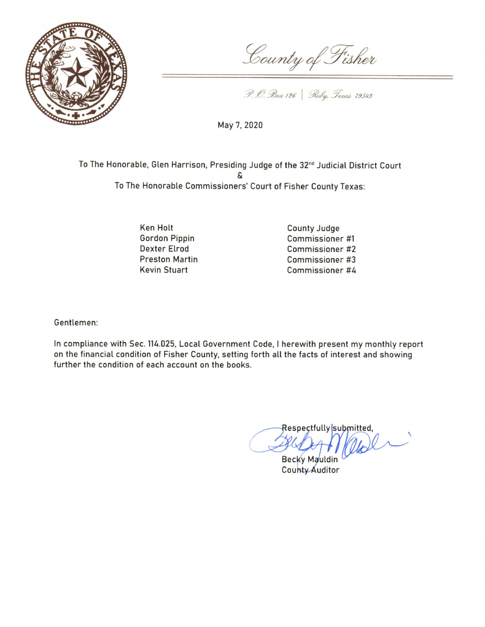

County of Fisher

P. O. Box 126 | Roby, Texas 79543

May 7, 2020

To The Honorable, Glen Harrison, Presiding Judge of the 32<sup>nd</sup> Judicial District Court To The Honorable Commissioners' Court of Fisher County Texas:

> Ken Holt **Gordon Pippin Dexter Elrod Preston Martin Kevin Stuart**

**County Judge** Commissioner #1 Commissioner #2 Commissioner #3 Commissioner #4

Gentlemen:

In compliance with Sec. 114.025, Local Government Code, I herewith present my monthly report on the financial condition of Fisher County, setting forth all the facts of interest and showing further the condition of each account on the books.

Respectfully submitted, Becky Mauldin Clol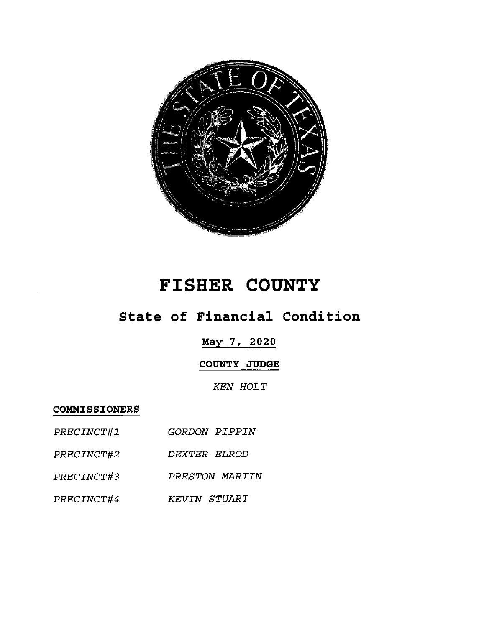

## FISHER COUNTY

## State of Financial Condition

## May 7, 2020

## COUNTY JUDGE

KEN HOLT

**COMMISSIONERS** 

- PRECINCT#1 GORDON PIPPIN
- PRECINCT#2 DEXTER ELROD
- PRECINCT#3 PRESTON MARTIN
- PRECINCT#4 KEVIN STUART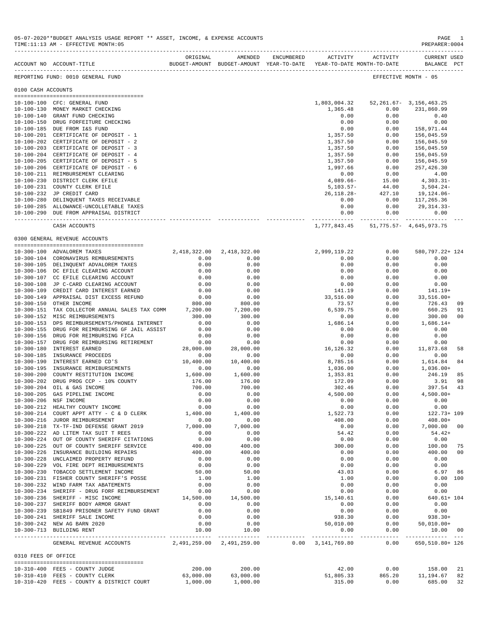|                     | ACCOUNT NO ACCOUNT-TITLE                           | ORIGINAL     | AMENDED<br>BUDGET-AMOUNT BUDGET-AMOUNT YEAR-TO-DATE | ENCUMBERED | ACTIVITY              | ACTIVITY<br>YEAR-TO-DATE MONTH-TO-DATE | <b>CURRENT USED</b><br>BALANCE PCT |                |
|---------------------|----------------------------------------------------|--------------|-----------------------------------------------------|------------|-----------------------|----------------------------------------|------------------------------------|----------------|
|                     | REPORTING FUND: 0010 GENERAL FUND                  |              |                                                     |            |                       |                                        | EFFECTIVE MONTH - 05               |                |
| 0100 CASH ACCOUNTS  |                                                    |              |                                                     |            |                       |                                        |                                    |                |
|                     |                                                    |              |                                                     |            |                       |                                        |                                    |                |
| $10 - 100 - 100$    | CFC: GENERAL FUND                                  |              |                                                     |            | 1,803,004.32          |                                        | 52, 261.67 - 3, 156, 463.25        |                |
| $10 - 100 - 130$    | MONEY MARKET CHECKING                              |              |                                                     |            | 1,365.48              | 0.00                                   | 231,860.99                         |                |
| $10 - 100 - 140$    | GRANT FUND CHECKING                                |              |                                                     |            | 0.00                  | 0.00                                   | 0.40                               |                |
| $10 - 100 - 150$    | DRUG FORFEITURE CHECKING                           |              |                                                     |            | 0.00                  | 0.00                                   | 0.00                               |                |
| $10 - 100 - 185$    | DUE FROM I&S FUND                                  |              |                                                     |            | 0.00                  | 0.00                                   | 158,971.44                         |                |
| $10 - 100 - 201$    | CERTIFICATE OF DEPOSIT - 1                         |              |                                                     |            | 1,357.50              | 0.00                                   | 156,045.59                         |                |
|                     |                                                    |              |                                                     |            |                       |                                        |                                    |                |
| 10-100-202          | CERTIFICATE OF DEPOSIT - 2                         |              |                                                     |            | 1,357.50              | 0.00                                   | 156,045.59                         |                |
| $10 - 100 - 203$    | CERTIFICATE OF DEPOSIT - 3                         |              |                                                     |            | 1,357.50              | 0.00                                   | 156,045.59                         |                |
| $10 - 100 - 204$    | CERTIFICATE OF DEPOSIT - 4                         |              |                                                     |            | 1,357.50              | 0.00                                   | 156,045.59                         |                |
| $10 - 100 - 205$    | CERTIFICATE OF DEPOSIT - 5                         |              |                                                     |            | 1,357.50              | 0.00                                   | 156,045.59                         |                |
| $10 - 100 - 206$    | CERTIFICATE OF DEPOSIT - 6                         |              |                                                     |            | 1,997.66              | 0.00                                   | 257,426.30                         |                |
| 10-100-211          | REIMBURSEMENT CLEARING                             |              |                                                     |            | 0.00                  | 0.00                                   | 4.00                               |                |
| $10 - 100 - 230$    | DISTRICT CLERK EFILE                               |              |                                                     |            | $4,089.66-$           | 15.00                                  | $4,303.31-$                        |                |
|                     |                                                    |              |                                                     |            |                       |                                        |                                    |                |
| $10 - 100 - 231$    | COUNTY CLERK EFILE                                 |              |                                                     |            | $5,103.57-$           | 44.00                                  | $3,504.24-$                        |                |
| $10 - 100 - 232$    | JP CREDIT CARD                                     |              |                                                     |            | $26, 118.28 -$        | 427.10                                 | 19,124.06-                         |                |
| 10-100-280          | DELINQUENT TAXES RECEIVABLE                        |              |                                                     |            | 0.00                  | 0.00                                   | 117,265.36                         |                |
|                     | 10-100-285 ALLOWANCE-UNCOLLETABLE TAXES            |              |                                                     |            | 0.00                  | 0.00                                   | $29, 314.33 -$                     |                |
| $10 - 100 - 290$    | DUE FROM APPRAISAL DISTRICT                        |              |                                                     |            | 0.00                  | 0.00                                   | 0.00                               |                |
|                     |                                                    |              |                                                     |            | ------------          | ---------                              |                                    |                |
|                     | CASH ACCOUNTS                                      |              |                                                     |            | 1,777,843.45          |                                        | 51, 775. 57 - 4, 645, 973. 75      |                |
|                     | 0300 GENERAL REVENUE ACCOUNTS                      |              |                                                     |            |                       |                                        |                                    |                |
|                     |                                                    |              |                                                     |            |                       | 0.00                                   |                                    |                |
|                     | 10-300-100 ADVALOREM TAXES                         | 2,418,322.00 | 2,418,322.00                                        |            | 2,999,119.22          |                                        | 580, 797. 22+ 124                  |                |
| $10 - 300 - 104$    | CORONAVIRUS REMBURSEMENTS                          | 0.00         | 0.00                                                |            | 0.00                  | 0.00                                   | 0.00                               |                |
| $10 - 300 - 105$    | DELINQUENT ADVALOREM TAXES                         | 0.00         | 0.00                                                |            | 0.00                  | 0.00                                   | 0.00                               |                |
| 10-300-106          | DC EFILE CLEARING ACCOUNT                          | 0.00         | 0.00                                                |            | 0.00                  | 0.00                                   | 0.00                               |                |
| $10 - 300 - 107$    | CC EFILE CLEARING ACCOUNT                          | 0.00         | 0.00                                                |            | 0.00                  | 0.00                                   | 0.00                               |                |
| $10 - 300 - 108$    | JP C-CARD CLEARING ACCOUNT                         | 0.00         | 0.00                                                |            | 0.00                  | 0.00                                   | 0.00                               |                |
| $10 - 300 - 109$    | CREDIT CARD INTEREST EARNED                        | 0.00         | 0.00                                                |            | 141.19                | 0.00                                   | $141.19+$                          |                |
|                     |                                                    |              |                                                     |            |                       |                                        |                                    |                |
| $10 - 300 - 149$    | APPRAISAL DIST EXCESS REFUND                       | 0.00         | 0.00                                                |            | 33,516.00             | 0.00                                   | 33,516.00+                         |                |
| $10 - 300 - 150$    | OTHER INCOME                                       | 800.00       | 800.00                                              |            | 73.57                 | 0.00                                   | 726.43                             | 09             |
| $10 - 300 - 151$    | TAX COLLECTOR ANNUAL SALES TAX COMM                | 7,200.00     | 7,200.00                                            |            | 6,539.75              | 0.00                                   | 660.25                             | 91             |
| $10 - 300 - 152$    | MISC REIMBURSEMENTS                                | 300.00       | 300.00                                              |            | 0.00                  | 0.00                                   | 300.00                             | 0 <sup>0</sup> |
| $10 - 300 - 153$    | DPS REIMBURSEMENTS/PHONE& INTERNET                 | 0.00         | 0.00                                                |            | 1,686.14              | 0.00                                   | $1,686.14+$                        |                |
| $10 - 300 - 155$    | DRUG FOR REIMBURSING GF JAIL ASSIST                | 0.00         | 0.00                                                |            | 0.00                  | 0.00                                   | 0.00                               |                |
|                     |                                                    |              |                                                     |            |                       |                                        |                                    |                |
| $10 - 300 - 156$    | DRUG FOR REIMBURSING FICA                          | 0.00         | 0.00                                                |            | 0.00                  | 0.00                                   | 0.00                               |                |
| $10 - 300 - 157$    | DRUG FOR REIMBURSING RETIREMENT                    | 0.00         | 0.00                                                |            | 0.00                  | 0.00                                   | 0.00                               |                |
| $10 - 300 - 180$    | INTEREST EARNED                                    | 28,000.00    | 28,000.00                                           |            | 16, 126. 32           | 0.00                                   | 11,873.68                          | 58             |
| $10 - 300 - 185$    | INSURANCE PROCEEDS                                 | 0.00         | 0.00                                                |            | 0.00                  | 0.00                                   | 0.00                               |                |
| $10 - 300 - 190$    | INTEREST EARNED CD'S                               | 10,400.00    | 10,400.00                                           |            | 8,785.16              | 0.00                                   | 1,614.84                           | 84             |
| $10 - 300 - 195$    | INSURANCE REMIBURSEMENTS                           | 0.00         | 0.00                                                |            | 1,036.00              | 0.00                                   | $1.036.00+$                        |                |
| $10 - 300 - 200$    | COUNTY RESTITUTION INCOME                          | 1,600.00     | 1,600.00                                            |            | 1,353.81              | 0.00                                   | 246.19                             | 85             |
|                     |                                                    |              |                                                     |            |                       |                                        |                                    |                |
| $10 - 300 - 202$    | DRUG PROG CCP - 10% COUNTY                         | 176.00       | 176.00                                              |            | 172.09                | 0.00                                   | 3.91                               | 98             |
| $10 - 300 - 204$    | OIL & GAS INCOME                                   | 700.00       | 700.00                                              |            | 302.46                | 0.00                                   | 397.54                             | 43             |
| $10 - 300 - 205$    | GAS PIPELINE INCOME                                | 0.00         | 0.00                                                |            | 4,500.00              | 0.00                                   | $4,500.00+$                        |                |
| $10 - 300 - 206$    | NSF INCOME                                         | 0.00         | 0.00                                                |            | 0.00                  | 0.00                                   | 0.00                               |                |
|                     | 10-300-212 HEALTHY COUNTY INCOME                   | 0.00         | 0.00                                                |            | 0.00                  | 0.00                                   | 0.00                               |                |
|                     | 10-300-214 COURT APPT ATTY - C & D CLERK           | 1,400.00     | 1,400.00                                            |            | 1,522.73              | 0.00                                   | 122.73+ 109                        |                |
| $10 - 300 - 216$    | JUROR REIMBURSEMENT                                | 0.00         | 0.00                                                |            | 408.00                | 0.00                                   | $408.00+$                          |                |
|                     |                                                    |              |                                                     |            |                       |                                        |                                    |                |
|                     | 10-300-218 TX-TF-IND DEFENSE GRANT 2019            | 7,000.00     | 7,000.00                                            |            | 0.00                  | 0.00                                   | 7,000.00 00                        |                |
|                     | 10-300-222 AD LITEM TAX SUIT T REES                | 0.00         | 0.00                                                |            | 54.42                 | 0.00                                   | $54.42+$                           |                |
|                     | 10-300-224 OUT OF COUNTY SHERIFF CITATIONS         | 0.00         | 0.00                                                |            | 0.00                  | 0.00                                   | 0.00                               |                |
|                     | 10-300-225 OUT OF COUNTY SHERIFF SERVICE           | 400.00       | 400.00                                              |            | 300.00                | 0.00                                   | 100.00                             | 75             |
|                     | 10-300-226 INSURANCE BUILDING REPAIRS              | 400.00       | 400.00                                              |            | 0.00                  | 0.00                                   | 400.00                             | 00             |
|                     | 10-300-228 UNCLAIMED PROPERTY REFUND               | 0.00         | 0.00                                                |            | 0.00                  | 0.00                                   | 0.00                               |                |
|                     |                                                    |              |                                                     |            |                       |                                        |                                    |                |
|                     | 10-300-229 VOL FIRE DEPT REIMBURSEMENTS            | 0.00         | 0.00                                                |            | 0.00                  | 0.00                                   | 0.00                               |                |
|                     | 10-300-230 TOBACCO SETTLEMENT INCOME               | 50.00        | 50.00                                               |            | 43.03                 | 0.00                                   | 6.97                               | 86             |
|                     | 10-300-231 FISHER COUNTY SHERIFF'S POSSE           | 1.00         | 1.00                                                |            | 1.00                  | 0.00                                   | 0.00 100                           |                |
|                     | 10-300-232 WIND FARM TAX ABATEMENTS                | 0.00         | 0.00                                                |            | 0.00                  | 0.00                                   | 0.00                               |                |
|                     | 10-300-234 SHERIFF - DRUG FORF REIMBURSEMENT       | 0.00         | 0.00                                                |            | 0.00                  | 0.00                                   | 0.00                               |                |
|                     |                                                    |              |                                                     |            |                       |                                        |                                    |                |
|                     | 10-300-236 SHERIFF - MISC INCOME                   | 14,500.00    | 14,500.00                                           |            | 15,140.61             | 0.00                                   | 640.61+ 104                        |                |
|                     | 10-300-237 SHERIFF BODY ARMOR GRANT                | 0.00         | 0.00                                                |            | 0.00                  | 0.00                                   | 0.00                               |                |
|                     | 10-300-239 SB1849 PRISONER SAFETY FUND GRANT       | 0.00         | 0.00                                                |            | 0.00                  | 0.00                                   | 0.00                               |                |
|                     | 10-300-241 SHERIFF SALE INCOME                     | 0.00         | 0.00                                                |            | 938.30                | 0.00                                   | 938.30+                            |                |
|                     | 10-300-242 NEW AG BARN 2020                        | 0.00         | 0.00                                                |            | 50,010.00             | 0.00                                   | $50,010.00+$                       |                |
|                     | 10-300-713 BUILDING RENT                           | 10.00        | 10.00                                               |            | 0.00                  | 0.00                                   | 10.00 00                           |                |
|                     |                                                    |              | -------------                                       |            | --------------        | -----------                            |                                    |                |
|                     | GENERAL REVENUE ACCOUNTS 2,491,259.00 2,491,259.00 |              |                                                     |            | $0.00$ $3,141,769.80$ | 0.00                                   | 650, 510.80+ 126                   |                |
| 0310 FEES OF OFFICE |                                                    |              |                                                     |            |                       |                                        |                                    |                |
|                     | 10-310-400 FEES - COUNTY JUDGE                     | 200.00       | 200.00                                              |            | 42.00                 | 0.00                                   | 158.00                             | -21            |
|                     |                                                    |              |                                                     |            |                       |                                        |                                    |                |
|                     | 10-310-410 FEES - COUNTY CLERK                     | 63,000.00    | 63,000.00                                           |            | 51,805.33             | 865.20                                 | 11,194.67                          | 82             |

10-310-420 FEES - COUNTY & DISTRICT COURT 1,000.00 1,000.00 315.00 0.00 685.00 32

05-07-2020\*\*BUDGET ANALYSIS USAGE REPORT \*\* ASSET, INCOME, & EXPENSE ACCOUNTS PAGE 1<br>TIME:11:13 AM - EFFECTIVE MONTH:05

 $TIME: 11:13 AM - EFFECTIVE MOMTH:05$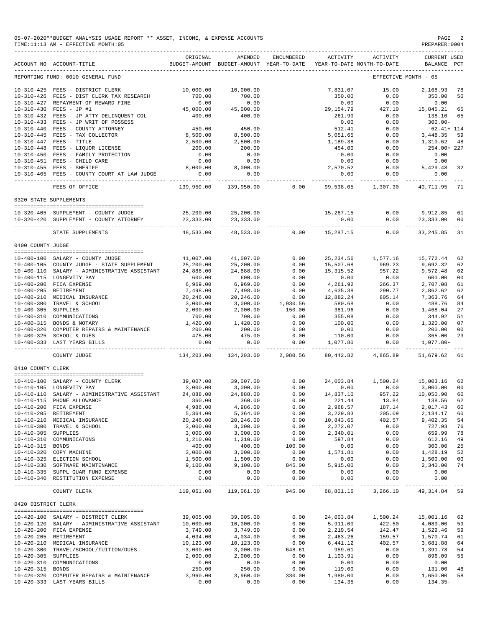|                     | 05-07-2020**BUDGET ANALYSIS USAGE REPORT ** ASSET, INCOME, & EXPENSE ACCOUNTS<br>TIME: 11:13 AM - EFFECTIVE MONTH: 05 |                             |                                                     |                      |                        |                                                                     | PREPARER: 0004                              |
|---------------------|-----------------------------------------------------------------------------------------------------------------------|-----------------------------|-----------------------------------------------------|----------------------|------------------------|---------------------------------------------------------------------|---------------------------------------------|
|                     | ACCOUNT NO ACCOUNT-TITLE                                                                                              | ORIGINAL                    | AMENDED<br>BUDGET-AMOUNT BUDGET-AMOUNT YEAR-TO-DATE | ENCUMBERED           | ACTIVITY               | ACTIVITY<br>YEAR-TO-DATE MONTH-TO-DATE                              | CURRENT USED<br>BALANCE PCT                 |
|                     | REPORTING FUND: 0010 GENERAL FUND                                                                                     |                             |                                                     |                      |                        |                                                                     | EFFECTIVE MONTH - 05                        |
|                     | 10-310-425 FEES - DISTRICT CLERK                                                                                      | 10,000.00                   | 10,000.00                                           |                      | 7,831.07               | 15.00                                                               | 2,168.93 78                                 |
|                     | 10-310-426 FEES - DIST CLERK TAX RESEARCH                                                                             |                             | 700.00                                              |                      | 350.00                 | 0.00                                                                | 350.00<br>50                                |
|                     | 10-310-427 REPAYMENT OF REWARD FINE                                                                                   | 700.00<br>0.00              | 0.00                                                |                      | 0.00                   | 0.00                                                                | 0.00                                        |
|                     | 10-310-430 FEES - JP #1                                                                                               | 45,000.00                   | 45,000.00                                           |                      | 29,154.79              | 427.10                                                              | 15,845.21<br>65                             |
|                     | 10-310-432 FEES - JP ATTY DELINQUENT COL                                                                              | 400.00                      | 400.00                                              |                      | 261.90                 | 0.00                                                                | 138.10<br>65                                |
|                     | 10-310-433 FEES - JP WRIT OF POSSESS                                                                                  |                             |                                                     |                      | 0.00                   | 0.00                                                                | $300.00 -$                                  |
|                     | 10-310-440 FEES - COUNTY ATTORNEY                                                                                     | 450.00                      | 450.00<br>8,500.00                                  |                      | 512.41                 | 0.00                                                                | $62.41 + 114$                               |
|                     | 10-310-445 FEES - TAX COLLECTOR                                                                                       | 8,500.00<br>2,500.00        |                                                     |                      | 5,051.65               | 0.00                                                                | 3,448.35<br>- 59<br>1,310.62                |
|                     | 10-310-447 FEES - TITLE<br>10-310-448 FEES - LIQUOR LICENSE                                                           | 200.00                      | 2,500.00<br>200.00                                  |                      | 1,189.38<br>454.00     | 0.00<br>0.00                                                        | 48<br>254.00+ 227                           |
|                     | 10-310-450 FEES - FAMILY PROTECTION                                                                                   | 0.00                        | 0.00                                                |                      | 0.00                   | 0.00                                                                | 0.00                                        |
|                     | 10-310-451 FEES - CHILD CARE                                                                                          | 0.00                        | 0.00                                                |                      | 0.00                   | 0.00                                                                | 0.00                                        |
|                     | 10-310-455 FEES - SHERIFF                                                                                             | 8,000.00                    | 8,000.00                                            |                      | 2,570.52               |                                                                     | 5,429.48 32                                 |
|                     | 10-310-465 FEES - COUNTY COURT AT LAW JUDGE                                                                           | 0.00<br>-----------         | 0.00                                                |                      | 0.00                   | $\begin{array}{c} 0\ .\ 00 \\ 0\ .\ 00 \end{array}$<br>------------ | 0.00<br>.                                   |
|                     | FEES OF OFFICE                                                                                                        | 139,950.00                  | 139,950.00                                          | 0.00                 |                        | 99,538.05 1,307.30                                                  | 40.711.95 71                                |
|                     | 0320 STATE SUPPLEMENTS                                                                                                |                             |                                                     |                      |                        |                                                                     |                                             |
|                     | 10-320-405 SUPPLEMENT - COUNTY JUDGE                                                                                  | 25,200.00                   | 25,200.00                                           |                      | 15,287.15              | 0.00                                                                | 9,912.85<br>61                              |
|                     | 10-320-420 SUPPLEMENT - COUNTY ATTORNEY                                                                               | 23, 333.00                  | 23,333.00                                           |                      | 0.00                   | 0.00                                                                | 23,333.00<br>00                             |
|                     | STATE SUPPLEMENTS                                                                                                     | 48,533.00                   | 48,533.00                                           | 0.00                 | 15,287.15              | 0.00                                                                | 33,245.85<br>31                             |
| 0400 COUNTY JUDGE   |                                                                                                                       |                             |                                                     |                      |                        |                                                                     |                                             |
|                     |                                                                                                                       |                             |                                                     |                      |                        |                                                                     |                                             |
|                     | 10-400-100 SALARY - COUNTY JUDGE                                                                                      | 41,007.00                   | 41,007.00                                           | 0.00                 | 25, 234.56             | 1,577.16                                                            | 15,772.44<br>62                             |
|                     | 10-400-105 COUNTY JUDGE - STATE SUPPLEMENT<br>10-400-110 SALARY - ADMINISTRATIVE ASSISTANT                            | 25,200.00<br>24,888.00      | 25,200.00<br>24,888.00                              | 0.00<br>0.00         | 15,507.68<br>15,315.52 | 969.23<br>957.22                                                    | 9,692.32<br>62<br>9,572.48<br>62            |
|                     | 10-400-115 LONGEVITY PAY                                                                                              | 600.00                      | 600.00                                              | 0.00                 | 0.00                   | 0.00                                                                | 600.00<br>00                                |
|                     | 10-400-200 FICA EXPENSE                                                                                               | 6,969.00                    | 6,969.00                                            | 0.00                 | 4,261.92               | 266.37                                                              | 2,707.08<br>61                              |
|                     | 10-400-205 RETIREMENT                                                                                                 | 7,498.00                    | 7,498.00                                            | 0.00                 | 4,635.38               | 290.77                                                              | 2,862.62<br>62                              |
|                     | 10-400-205 RETIREMENT<br>10-400-210 MEDICAL INSURANCE<br>10-400-300 TRAVEL & SCHOOL                                   | 20,246.00                   | 20,246.00                                           | 0.00                 | 12,882.24              | 805.14                                                              | 7,363.76<br>64                              |
|                     |                                                                                                                       | 3,000.00                    | 3,000.00                                            | 1,930.56             | 580.68                 | 0.00                                                                | 488.76<br>84                                |
| 10-400-305 SUPPLIES |                                                                                                                       | 2,000.00                    | 2,000.00                                            | 150.00               | 381.96                 | 0.00                                                                | 1,468.04<br>27                              |
|                     | 10-400-310 COMMUNICATIONS                                                                                             | 700.00                      | 700.00                                              | 0.00                 | 355.08                 | 0.00                                                                | 344.92<br>51                                |
|                     | 10-400-315 BONDS & NOTARY                                                                                             | 1,420.00                    | 1,420.00                                            | 0.00                 | 100.00                 | 0.00                                                                | 1,320.00<br>07                              |
|                     | 10-400-320 COMPUTER REPAIRS & MAINTENANCE                                                                             | 200.00                      | 200.00                                              | 0.00                 | 0.00                   | 0.00                                                                | 200.00<br>00                                |
|                     | 10-400-325 SCHOOL & DUES<br>10-400-333 LAST YEARS BILLS                                                               | 475.00<br>0.00              | 475.00<br>0.00                                      | 0.00<br>0.00         | 110.00<br>1,077.80     | 0.00<br>0.00                                                        | 365.00<br>23<br>1,077.80-                   |
|                     | COUNTY JUDGE                                                                                                          | -------------<br>134,203.00 | -----------<br>134,203.00                           | 2,080.56             | 80,442.82              | 4,865.89                                                            | 51,679.62<br>61                             |
| 0410 COUNTY CLERK   |                                                                                                                       |                             |                                                     |                      |                        |                                                                     |                                             |
|                     |                                                                                                                       | 39,007.00                   | 39,007.00                                           | 0.00                 |                        |                                                                     | 24,003.84 1,500.24 15,003.16 62             |
|                     | $10-410-100$ SALARY - COUNTY CLERK<br>$10-410-105$ JONGEVIEW DAY<br>10-410-105 LONGEVITY PAY                          |                             | 3,000.00 3,000.00                                   |                      |                        |                                                                     | $0.00$ $0.00$ $0.00$ $0.00$ $3,000.00$ $00$ |
|                     | 10-410-110 SALARY - ADMINISTRATIVE ASSISTANT                                                                          | 24,888.00                   | 24,888.00                                           | 0.00                 | 14,837.10              | 957.22                                                              | 10,050.90<br>60                             |
|                     | 10-410-115 PHONE ALLOWANCE                                                                                            | 360.00                      | 360.00                                              | 0.00                 | 221.44                 | 13.84                                                               | 138.56<br>62                                |
|                     | 10-410-200 FICA EXPENSE                                                                                               | 4,986.00                    | 4,986.00                                            | 0.00                 | 2,968.57               | 187.14                                                              | 2,017.43<br>60                              |
|                     | 10-410-205 RETIREMENT                                                                                                 | 5,364.00                    | 5,364.00                                            | 0.00                 | 3,229.83               | 205.09                                                              | 2,134.17<br>60                              |
|                     | 10-410-210 MEDICAL INSURANCE                                                                                          | 20,246.00                   | 20,246.00                                           | 0.00                 | 10,843.65              | 402.57                                                              | 9,402.35<br>54                              |
|                     | 10-410-300 TRAVEL & SCHOOL                                                                                            | 3,000.00                    | 3,000.00                                            | 0.00                 | 2,272.07               | 0.00                                                                | 727.93<br>76                                |
| $10 - 410 - 305$    | SUPPLIES                                                                                                              | 3,000.00                    | 3,000.00                                            | 0.00                 | 2,340.01               | 0.00                                                                | 659.99<br>78                                |
|                     | 10-410-310 COMMUNICATONS                                                                                              | 1,210.00                    | 1,210.00<br>400.00                                  | 0.00                 | 597.84                 | 0.00                                                                | 612.16<br>49<br>300.00                      |
| 10-410-315 BONDS    | 10-410-320 COPY MACHINE                                                                                               | 400.00<br>3,000.00          | 3,000.00                                            | 100.00<br>0.00       | 0.00<br>1,571.81       | 0.00<br>0.00                                                        | 25<br>1,428.19<br>52                        |
|                     | 10-410-325 ELECTION SCHOOL                                                                                            | 1,500.00                    | 1,500.00                                            | 0.00                 | 0.00                   | 0.00                                                                | 1,500.00<br>00                              |
|                     | 10-410-330 SOFTWARE MAINTENANCE                                                                                       | 9,100.00                    | 9,100.00                                            | 845.00               | 5,915.00               | 0.00                                                                | 2,340.00<br>74                              |
|                     | 10-410-335 SUPPL GUAR FUND EXPENSE                                                                                    | 0.00                        | 0.00                                                | 0.00                 | 0.00                   | 0.00                                                                | 0.00                                        |
|                     | 10-410-340 RESTITUTION EXPENSE                                                                                        | 0.00                        | 0.00<br>-------------                               | 0.00<br>------------ | 0.00                   | 0.00<br>-------------- -------------                                | 0.00<br>-------------                       |
|                     | COUNTY CLERK                                                                                                          | 119,061.00                  | 119,061.00                                          | 945.00               | 68,801.16              | 3,266.10                                                            | 49, 314.84<br>59                            |
| 0420 DISTRICT CLERK |                                                                                                                       |                             |                                                     |                      |                        |                                                                     |                                             |
|                     |                                                                                                                       |                             |                                                     |                      |                        |                                                                     |                                             |
|                     | 10-420-100 SALARY - DISTRICT CLERK                                                                                    | 39,005.00<br>10,000.00      | 39,005.00                                           | 0.00<br>0.00         | 24,003.84              | 1,500.24                                                            | 15,001.16<br>62                             |
|                     | 10-420-120 SALARY - ADMINISTRATIVE ASSISTANT<br>10-420-200 FICA EXPENSE                                               | 3,749.00                    | 10,000.00<br>3,749.00                               | 0.00                 | 5,911.00<br>2,219.54   | 422.50<br>142.47                                                    | 4,089.00<br>59<br>1,529.46<br>59            |
|                     | 10-420-205 RETIREMENT                                                                                                 | 4,034.00                    | 4,034.00                                            | 0.00                 | 2,463.26               | 159.57                                                              | 1,570.74<br>61                              |
|                     | 10-420-210 MEDICAL INSURANCE                                                                                          | 10,123.00                   | 10,123.00                                           | 0.00                 | 6,441.12               | 402.57                                                              | 3,681.88<br>64                              |
|                     | 10-420-300 TRAVEL/SCHOOL/TUITION/DUES                                                                                 | 3,000.00                    | 3,000.00                                            | 648.61               | 959.61                 | 0.00                                                                | 1,391.78<br>54                              |
| 10-420-305 SUPPLIES |                                                                                                                       | 2,000.00                    | 2,000.00                                            | 0.00                 | 1,103.91               | 0.00                                                                | 896.09<br>55                                |
| $10 - 420 - 310$    | COMMUNICATIONS                                                                                                        | 0.00                        | 0.00                                                | 0.00                 | 0.00                   | 0.00                                                                | 0.00                                        |
| 10-420-315 BONDS    |                                                                                                                       | 250.00                      | 250.00                                              | 0.00                 | 119.00                 | 0.00                                                                | 131.00<br>48                                |
| $10 - 420 - 320$    | COMPUTER REPAIRS & MAINTENANCE                                                                                        | 3,960.00                    | 3,960.00                                            | 330.00               | 1,980.00               | 0.00                                                                | 1,650.00<br>58                              |
|                     | 10-420-333 LAST YEARS BILLS                                                                                           | 0.00                        | 0.00                                                | 0.00                 | 134.35                 | 0.00                                                                | $134.35-$                                   |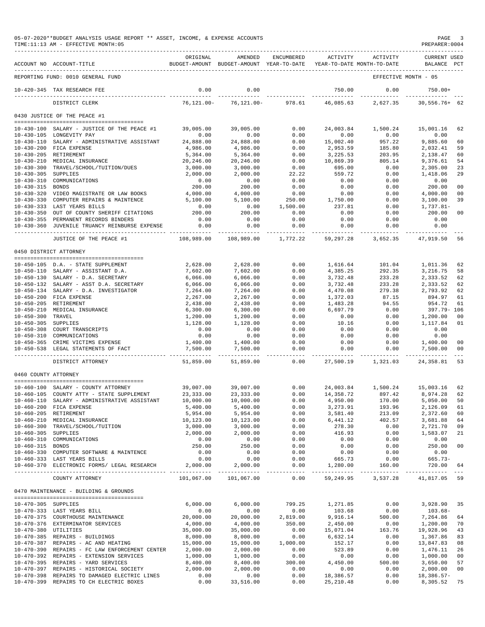|                      | 05-07-2020**BUDGET ANALYSIS USAGE REPORT ** ASSET, INCOME, & EXPENSE ACCOUNTS<br>TIME:11:13 AM - EFFECTIVE MONTH:05 |                            |                             |                          |                           |                                                                                          | PAGE<br>PREPARER: 0004             | -3                   |
|----------------------|---------------------------------------------------------------------------------------------------------------------|----------------------------|-----------------------------|--------------------------|---------------------------|------------------------------------------------------------------------------------------|------------------------------------|----------------------|
|                      | ACCOUNT NO ACCOUNT-TITLE                                                                                            | ORIGINAL                   | AMENDED                     | ENCUMBERED               |                           | ACTIVITY ACTIVITY<br>BUDGET-AMOUNT BUDGET-AMOUNT YEAR-TO-DATE YEAR-TO-DATE MONTH-TO-DATE | <b>CURRENT USED</b><br>BALANCE PCT |                      |
|                      | REPORTING FUND: 0010 GENERAL FUND                                                                                   |                            |                             |                          |                           | EFFECTIVE MONTH - 05                                                                     |                                    |                      |
|                      | 10-420-345 TAX RESEARCH FEE                                                                                         | 0.00                       | 0.00                        |                          | 750.00                    | 0.00                                                                                     | $750.00+$                          |                      |
|                      | DISTRICT CLERK                                                                                                      | 76,121.00-                 | $- - - - -$<br>76,121.00-   | 978.61                   | 46,085.63                 | 2,627.35                                                                                 | $30,556.76+62$                     |                      |
|                      | 0430 JUSTICE OF THE PEACE #1                                                                                        |                            |                             |                          |                           |                                                                                          |                                    |                      |
|                      |                                                                                                                     |                            |                             |                          |                           |                                                                                          |                                    |                      |
|                      | 10-430-100 SALARY - JUSTICE OF THE PEACE #1                                                                         | 39,005.00                  | 39,005.00                   | 0.00                     | 24,003.84                 | 1,500.24                                                                                 | 15,001.16                          | 62                   |
|                      | 10-430-105 LONGEVITY PAY<br>10-430-110 SALARY - ADMINISTRATIVE ASSISTANT                                            | 0.00<br>24,888.00          | 0.00<br>24,888.00           | 0.00<br>0.00             | 0.00<br>15,002.40         | 0.00<br>957.22                                                                           | 0.00<br>9,885.60                   | 60                   |
|                      | 10-430-200 FICA EXPENSE                                                                                             | 4,986.00                   | 4,986.00                    | 0.00                     | 2,953.59                  | 185.80                                                                                   | 2,032.41                           | 59                   |
|                      | 10-430-205 RETIREMENT                                                                                               | 5,364.00                   | 5,364.00                    | 0.00                     | 3,225.53                  | 203.95                                                                                   | 2,138.47                           | 60                   |
|                      | 10-430-210 MEDICAL INSURANCE                                                                                        | 20,246.00                  | 20,246.00                   | 0.00                     | 10,869.39                 | 805.14                                                                                   | 9,376.61                           | 54                   |
|                      | 10-430-300 TRAVEL/SCHOOL/TUITION/DUES                                                                               | 3,000.00                   | 3,000.00                    | 0.00                     | 695.00                    | 0.00                                                                                     | 2,305.00                           | 23                   |
| 10-430-305 SUPPLIES  |                                                                                                                     | 2,000.00                   | 2,000.00                    | 22.22                    | 559.72                    | 0.00                                                                                     | 1,418.06                           | 29                   |
|                      | 10-430-310 COMMUNICATIONS                                                                                           | 0.00                       | 0.00                        | 0.00                     | 0.00                      | 0.00                                                                                     | 0.00                               |                      |
| 10-430-315 BONDS     |                                                                                                                     | 200.00<br>4,000.00         | 200.00                      | 0.00                     | 0.00                      | 0.00                                                                                     | 200.00                             | 0 <sup>0</sup>       |
|                      | 10-430-320 VIDEO MAGISTRATE OR LAW BOOKS<br>10-430-330 COMPUTER REPAIRS & MAINTENCE                                 | 5,100.00                   | 4,000.00<br>5,100.00        | 0.00<br>250.00           | 0.00<br>1,750.00          | 0.00<br>0.00                                                                             | 4,000.00<br>3,100.00               | 00<br>39             |
|                      | 10-430-333 LAST YEARS BILLS                                                                                         | 0.00                       | 0.00                        | 1,500.00                 | 237.81                    | 0.00                                                                                     | 1,737.81-                          |                      |
|                      | 10-430-350 OUT OF COUNTY SHERIFF CITATIONS                                                                          | 200.00                     | 200.00                      | 0.00                     | 0.00                      | 0.00                                                                                     | 200.00                             | 0 <sub>0</sub>       |
|                      | 10-430-355 PERMANENT RECORDS BINDERS                                                                                | 0.00                       | 0.00                        | 0.00                     | 0.00                      | 0.00                                                                                     | 0.00                               |                      |
|                      | 10-430-360 JUVENILE TRUANCY REINBURSE EXPENSE                                                                       | 0.00                       | 0.00                        | 0.00                     | 0.00                      | 0.00                                                                                     | 0.00                               |                      |
|                      | JUSTICE OF THE PEACE #1                                                                                             | ------------<br>108,989.00 | -------------<br>108,989.00 | ____________<br>1,772.22 | ------------<br>59,297.28 | . <u>.</u> .<br>3,652.35                                                                 | -------------<br>47,919.50         | 56                   |
|                      | 0450 DISTRICT ATTORNEY                                                                                              |                            |                             |                          |                           |                                                                                          |                                    |                      |
|                      |                                                                                                                     |                            |                             |                          |                           |                                                                                          |                                    |                      |
|                      | 10-450-105 D.A. - STATE SUPPLEMENT                                                                                  | 2,628.00                   | 2,628.00                    | 0.00                     |                           | 1,616.64 101.04                                                                          | 1,011.36                           | 62                   |
|                      | 10-450-110 SALARY - ASSISTANT D.A.                                                                                  | 7,602.00                   | 7,602.00                    | 0.00                     | 4,385.25                  | 292.35                                                                                   | 3,216.75                           | 58                   |
|                      | 10-450-130 SALARY - D.A. SECRETARY                                                                                  | 6,066.00                   | 6,066.00                    | 0.00                     | 3,732.48                  | 233.28                                                                                   | 2,333.52                           | 62                   |
|                      | 10-450-132 SALARY - ASST D.A. SECRETARY<br>10-450-134 SALARY - D.A. INVESTIGATOR                                    | 6,066.00<br>7,264.00       | 6,066.00<br>7,264.00        | 0.00<br>0.00             | 3,732.48<br>4,470.08      | 233.28<br>279.38                                                                         | 2,333.52<br>2,793.92               | 62<br>62             |
|                      | 10-450-200 FICA EXPENSE                                                                                             | 2,267.00                   | 2,267.00                    | 0.00                     | 1,372.03                  | 87.15                                                                                    | 894.97                             | 61                   |
|                      | 10-450-205 RETIREMENT                                                                                               | 2,438.00                   | 2,438.00                    | 0.00                     | 1,483.28                  | 94.55                                                                                    | 954.72                             | 61                   |
|                      | 10-450-210 MEDICAL INSURANCE                                                                                        | 6,300.00                   | 6,300.00                    | 0.00                     | 6,697.79                  | 0.00                                                                                     | 397.79- 106                        |                      |
| 10-450-300 TRAVEL    |                                                                                                                     | 1,200.00                   | 1,200.00                    | 0.00                     | 0.00                      | 0.00                                                                                     | 1,200.00                           | 00                   |
|                      |                                                                                                                     | 1,128.00                   | 1,128.00                    | 0.00                     | 10.16                     | 0.00                                                                                     | 1,117.84                           | 01                   |
|                      | 10-450-305 SUPPLIES<br>10-450-305 SUPPLIES<br>10-450-308 COURT TRANSCRIPTS                                          | 0.00                       | 0.00                        | 0.00                     | 0.00                      | 0.00                                                                                     | 0.00                               |                      |
|                      | 10-450-310 COMMUNICATIONS                                                                                           | 0.00                       | 0.00                        | 0.00                     | 0.00                      | 0.00                                                                                     | 0.00                               |                      |
|                      | 10-450-365 CRIME VICTIMS EXPENSE                                                                                    | 1,400.00<br>7,500.00       | 1,400.00                    | 0.00                     | 0.00                      | 0.00                                                                                     | 1,400.00                           | 00                   |
|                      | 10-450-538 LEGAL STATEMENTS OF FACT                                                                                 | -----------                | 7,500.00<br>.               | 0.00<br>---------        | 0.00<br>---------- .      | 0.00                                                                                     | 7,500.00                           | 00                   |
|                      | DISTRICT ATTORNEY                                                                                                   | 51,859.00                  | 51,859.00                   | 0.00                     | 27,500.19                 | 1,321.03                                                                                 | 24,358.81                          | 53                   |
| 0460 COUNTY ATTORNEY |                                                                                                                     |                            |                             |                          |                           |                                                                                          |                                    |                      |
|                      | 10-460-100 SALARY - COUNTY ATTORNEY                                                                                 |                            | 39,007.00 39,007.00         |                          |                           | $0.00$ $24,003.84$ $1,500.24$ $15,003.16$                                                |                                    | 62                   |
|                      | 10-460-105 COUNTY ATTY - STATE SUPPLEMENT                                                                           | 23, 333.00                 | 23, 333.00                  | 0.00                     | 14,358.72                 | 897.42                                                                                   | 8,974.28                           | 62                   |
|                      | 10-460-110 SALARY - ADMINISTRATIVE ASSISTANT                                                                        | 10,000.00                  | 10,000.00                   | 0.00                     | 4,950.00                  | 170.00                                                                                   | 5,050.00                           | 50                   |
|                      | 10-460-200 FICA EXPENSE                                                                                             | 5,400.00                   | 5,400.00                    | 0.00                     | 3,273.91                  | 193.96                                                                                   | 2,126.09                           | 61                   |
|                      | 10-460-205 RETIREMENT                                                                                               | 5,954.00                   | 5,954.00                    | 0.00                     | 3,581.40                  | 213.09                                                                                   | 2,372.60                           | 60                   |
|                      | 10-460-210 MEDICAL INSURANCE                                                                                        | 10,123.00                  | 10,123.00                   | 0.00                     | 6,441.12                  | 402.57                                                                                   | 3,681.88                           | 64                   |
|                      | 10-460-300 TRAVEL/SCHOOL/TUITION                                                                                    | 3,000.00                   | 3,000.00                    | 0.00                     | 278.30                    | 0.00                                                                                     | 2,721.70                           | 09                   |
| 10-460-305 SUPPLIES  | 10-460-310 COMMUNICATIONS                                                                                           | 2,000.00<br>0.00           | 2,000.00<br>0.00            | 0.00<br>0.00             | 416.93<br>0.00            | 0.00<br>0.00                                                                             | 1,583.07<br>0.00                   | 21                   |
| 10-460-315 BONDS     |                                                                                                                     | 250.00                     | 250.00                      | 0.00                     | 0.00                      | 0.00                                                                                     | 250.00                             | 0 <sub>0</sub>       |
|                      | 10-460-330 COMPUTER SOFTWARE & MAINTENCE                                                                            | 0.00                       | 0.00                        | 0.00                     | 0.00                      | 0.00                                                                                     | 0.00                               |                      |
|                      | 10-460-333 LAST YEARS BILLS                                                                                         | 0.00                       | 0.00                        | 0.00                     | 665.73                    | 0.00                                                                                     | 665.73-                            |                      |
|                      | 10-460-370 ELECTRONIC FORMS/ LEGAL RESEARCH                                                                         | 2,000.00                   | 2,000.00                    | 0.00                     | 1,280.00                  | 160.00                                                                                   | 720.00 64                          |                      |
|                      | COUNTY ATTORNEY                                                                                                     |                            | 101,067.00 101,067.00       | 0.00                     | 59,249.95                 | 3,537.28                                                                                 | 41,817.05 59                       |                      |
|                      | 0470 MAINTENANCE - BUILDING & GROUNDS                                                                               |                            |                             |                          |                           |                                                                                          |                                    |                      |
|                      | -------------------------------------                                                                               |                            |                             |                          |                           |                                                                                          |                                    |                      |
| 10-470-305 SUPPLIES  |                                                                                                                     | 6,000.00                   | 6,000.00                    | 799.25                   | 1,271.85                  | 0.00                                                                                     | 3,928.90                           | 35                   |
|                      | 10-470-333 LAST YEARS BILL<br>10-470-375 COURTHOUSE MAINTENANCE                                                     | 0.00<br>20,000.00          | 0.00<br>20,000.00           | 0.00<br>2,819.00         | 103.68<br>9,916.14        | 0.00<br>500.00                                                                           | $103.68 -$<br>7,264.86             | 64                   |
|                      | 10-470-376 EXTERMINATOR SERVICES                                                                                    | 4,000.00                   | 4,000.00                    | 350.00                   | 2,450.00                  | 0.00                                                                                     | 1,200.00                           | 70                   |
| 10-470-380 UTILITIES |                                                                                                                     | 35,000.00                  | 35,000.00                   | 0.00                     | 15,071.04                 | 163.76                                                                                   | 19,928.96                          | 43                   |
|                      | 10-470-385 REPAIRS - BUILDINGS                                                                                      | 8,000.00                   | 8,000.00                    | 0.00                     | 6,632.14                  | 0.00                                                                                     | 1,367.86                           | 83                   |
|                      | 10-470-387 REPAIRS - AC AND HEATING                                                                                 | 15,000.00                  | 15,000.00                   | 1,000.00                 | 152.17                    | 0.00                                                                                     | 13,847.83                          | 08                   |
|                      | 10-470-390 REPAIRS - FC LAW ENFORCEMENT CENTER                                                                      | 2,000.00                   | 2,000.00                    | 0.00                     | 523.89                    | 0.00                                                                                     | 1,476.11                           | 26                   |
|                      | 10-470-392 REPAIRS - EXTENSION SERVICES                                                                             | 1,000.00                   | 1,000.00                    | 0.00                     | 0.00                      | 0.00                                                                                     | 1,000.00                           | 0 <sub>0</sub>       |
|                      | 10-470-395 REPAIRS - YARD SERVICES<br>10-470-397 REPAIRS - HISTORICAL SOCIETY                                       | 8,400.00<br>2,000.00       | 8,400.00<br>2,000.00        | 300.00<br>0.00           | 4,450.00<br>0.00          | 500.00<br>0.00                                                                           | 3,650.00<br>2,000.00               | 57<br>0 <sub>0</sub> |
|                      | 10-470-398 REPAIRS TO DAMAGED ELECTRIC LINES                                                                        | 0.00                       | 0.00                        | 0.00                     | 18,386.57                 | 0.00                                                                                     | $18,386.57-$                       |                      |
|                      | 10-470-399 REPAIRS TO CH ELECTRIC BOXES                                                                             | 0.00                       | 33,516.00                   | 0.00                     | 25, 210.48                | 0.00                                                                                     | 8,305.52                           | 75                   |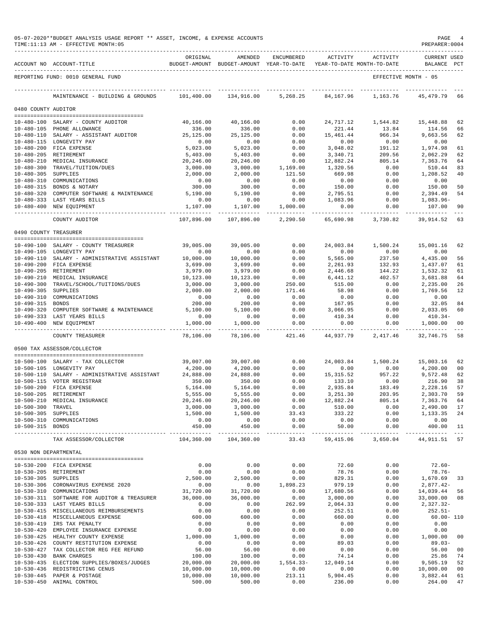|                       | 05-07-2020**BUDGET ANALYSIS USAGE REPORT ** ASSET, INCOME, & EXPENSE ACCOUNTS<br>TIME: 11:13 AM - EFFECTIVE MONTH: 05 |                        |                                                                                |                       |                     |                        | PAGE<br>PREPARER: 0004                 | - 4               |
|-----------------------|-----------------------------------------------------------------------------------------------------------------------|------------------------|--------------------------------------------------------------------------------|-----------------------|---------------------|------------------------|----------------------------------------|-------------------|
|                       | ACCOUNT NO ACCOUNT-TITLE                                                                                              | ORIGINAL               | AMENDED<br>BUDGET-AMOUNT BUDGET-AMOUNT YEAR-TO-DATE YEAR-TO-DATE MONTH-TO-DATE | ENCUMBERED            | ACTIVITY            | ACTIVITY               | <b>CURRENT USED</b><br>BALANCE PCT     |                   |
|                       | REPORTING FUND: 0010 GENERAL FUND                                                                                     |                        |                                                                                |                       |                     |                        | EFFECTIVE MONTH - 05                   |                   |
|                       | MAINTENANCE - BUILDING & GROUNDS                                                                                      |                        |                                                                                |                       |                     | 84, 167. 96 1, 163. 76 | 45,479.79                              | 66                |
| 0480 COUNTY AUDITOR   |                                                                                                                       |                        |                                                                                |                       |                     |                        |                                        |                   |
|                       |                                                                                                                       |                        |                                                                                |                       |                     |                        |                                        |                   |
|                       | 10-480-100 SALARY - COUNTY AUDITOR<br>10-480-105 PHONE ALLOWANCE                                                      | 40,166.00<br>336.00    | 40,166.00<br>336.00                                                            | 0.00<br>0.00          | 221.44              | 13.84                  | 24,717.12 1,544.82 15,448.88<br>114.56 | 62<br>66          |
|                       | 10-480-110 SALARY - ASSISTANT AUDITOR 25,125.00                                                                       |                        | 25,125.00                                                                      | 0.00                  | 15,461.44           | 966.34                 | 9,663.56                               | 62                |
|                       | 10-480-115 LONGEVITY PAY                                                                                              | 0.00                   | 0.00                                                                           | 0.00                  | 0.00                | 0.00                   | 0.00                                   |                   |
|                       | 10-480-200 FICA EXPENSE                                                                                               | 5,023.00               | 5,023.00                                                                       | 0.00                  | 3,048.02            |                        | 1,974.98                               | 61                |
|                       | 10-480-205 RETIREMENT                                                                                                 | 5,403.00               | 5,403.00                                                                       | 0.00                  | 3,340.71            | 191.12<br>209.56       | 2,062.29                               | 62                |
|                       | 10-480-210 MEDICAL INSURANCE                                                                                          | 20,246.00              | 20,246.00                                                                      | 0.00                  | 12,882.24           | 805.14                 | 7,363.76                               | 64                |
|                       | 10-480-300 TRAVEL/TUITION/DUES                                                                                        | 3,000.00               | 3,000.00                                                                       | 1,169.00              | 1,320.56            | 0.00                   | 510.44                                 | 83                |
| 10-480-305 SUPPLIES   |                                                                                                                       | 2,000.00               | 2,000.00                                                                       | 121.50                | 669.98              | 0.00                   | 1,208.52                               | 40                |
|                       | 10-480-310 COMMUNICATIONS                                                                                             | 0.00                   | 0.00                                                                           | 0.00                  | 0.00                | 0.00                   | 0.00                                   |                   |
|                       | 10-480-315 BONDS & NOTARY                                                                                             | 300.00                 | 300.00                                                                         | 0.00                  | 150.00              | 0.00                   | 150.00                                 | 50                |
|                       | 10-480-320 COMPUTER SOFTWARE & MAINTENANCE                                                                            | 5,190.00               | 5,190.00                                                                       | 0.00                  | 2,795.51            | 0.00                   | 2,394.49                               | 54                |
|                       | 10-480-333 LAST YEARS BILLS<br>10-480-400 NEW EQUIPMENT                                                               | 0.00<br>1,107.00       | 0.00<br>1,107.00                                                               | 0.00<br>1,000.00      | 1,083.96<br>0.00    | 0.00<br>0.00           | 1,083.96-<br>107.00                    | 90                |
|                       |                                                                                                                       | ------------           | ______________                                                                 | ________________      |                     |                        | ------------                           | $  -$             |
|                       | COUNTY AUDITOR                                                                                                        | 107,896.00             | 107,896.00                                                                     | 2,290.50              | 65,690.98           | 3,730.82               | 39,914.52                              | 63                |
| 0490 COUNTY TREASURER |                                                                                                                       |                        |                                                                                |                       |                     |                        |                                        |                   |
|                       | 10-490-100 SALARY - COUNTY TREASURER                                                                                  | 39,005.00              | 39,005,00                                                                      | 0.00                  | 24,003.84           | 1,500.24               | 15,001.16                              | 62                |
|                       | 10-490-105 LONGEVITY PAY                                                                                              | 0.00                   | 0.00                                                                           | 0.00                  | 0.00                | 0.00                   | 0.00                                   |                   |
|                       | 10-490-110 SALARY - ADMINISTRATIVE ASSISTANT                                                                          | 10,000.00              | 10,000.00                                                                      | 0.00                  | 5,565.00            |                        | 4,435.00                               | 56                |
|                       | 10-490-200 FICA EXPENSE                                                                                               | 3,699.00               | 3,699.00                                                                       | 0.00                  | 2,261.93            | 237.50<br>132.93       | 1,437.07                               | 61                |
|                       | 10-490-205 RETIREMENT                                                                                                 | 3,979.00               | 3,979.00                                                                       | 0.00                  | 2,446.68            | 144.22                 | 1,532.32                               | 61                |
|                       | 10-490-210 MEDICAL INSURANCE                                                                                          | 10,123.00              | 10,123.00                                                                      | 0.00                  | 6,441.12            | 402.57                 | 3,681.88                               | 64                |
|                       | 10-490-300 TRAVEL/SCHOOL/TUITIONS/DUES                                                                                | 3,000.00               | 3,000.00                                                                       | 250.00                | 515.00              | 0.00                   | 2,235.00                               | 26                |
| 10-490-305 SUPPLIES   |                                                                                                                       | 2,000.00               | 2,000.00                                                                       | 171.46                | 58.98               | 0.00                   | 1,769.56                               | 12                |
|                       | 10-490-310 COMMUNICATIONS                                                                                             | 0.00                   | 0.00                                                                           | 0.00                  | 0.00                | 0.00                   | 0.00                                   |                   |
| 10-490-315 BONDS      |                                                                                                                       | 200.00                 | 200.00                                                                         | 0.00                  | 167.95              | 0.00                   | 32.05                                  | 84<br>60          |
|                       | 10-490-320 COMPUTER SOFTWARE & MAINTENANCE<br>10-490-333 LAST YEARS BILLS                                             | 5,100.00<br>0.00       | 5,100.00<br>0.00                                                               | 0.00<br>0.00          | 3,066.95<br>410.34  | 0.00<br>0.00           | 2,033.05<br>$410.34-$                  |                   |
|                       | 10-490-400 NEW EQUIPMENT                                                                                              | 1,000.00               | 1,000.00                                                                       | 0.00                  | 0.00                | 0.00                   | 1,000.00                               | $\overline{00}$   |
|                       | COUNTY TREASURER                                                                                                      | 78,106.00              | 78,106.00                                                                      | 421.46                | 44,937.79           | 2,417.46               | 32,746.75                              | $  -$<br>58       |
|                       | 0500 TAX ASSESSOR/COLLECTOR                                                                                           |                        |                                                                                |                       |                     |                        |                                        |                   |
|                       |                                                                                                                       |                        |                                                                                |                       |                     |                        |                                        |                   |
|                       | 10-500-100 SALARY - TAX COLLECTOR                                                                                     | 39,007.00              | 39,007.00                                                                      | 0.00                  |                     | 24,003.84 1,500.24     | 15,003.16                              | 62                |
|                       | 10-500-105 LONGEVITY PAY<br>10-500-110 SALARY - ADMINISTRATIVE ASSISTANT                                              | 4,200.00<br>24,888.00  | 4,200.00<br>24,888.00                                                          | 0.00<br>0.00          | 0.00<br>15,315.52   | 0.00<br>957.22         | 4,200.00<br>9,572.48                   | 00<br>62          |
|                       | 10-500-115 VOTER REGISTRAR                                                                                            | 350.00                 | 350.00                                                                         | 0.00                  | 133.10              | 0.00                   | 216.90                                 | 38                |
|                       | 10-500-200 FICA EXPENSE                                                                                               | 5,164.00               | 5,164.00                                                                       | 0.00                  | 2,935.84            | 183.49                 | 2,228.16                               | 57                |
|                       | 10-500-205 RETIREMENT                                                                                                 | 5,555.00               | 5,555.00                                                                       | 0.00                  | 3,251.30            | 203.95                 | 2,303.70                               | 59                |
|                       | 10-500-210 MEDICAL INSURANCE                                                                                          | 20, 246.00             | 20,246.00                                                                      | 0.00                  | 12,882.24           | 805.14                 | 7,363.76                               | 64                |
| 10-500-300 TRAVEL     |                                                                                                                       | 3,000.00               | 3,000.00                                                                       | 0.00                  | 510.00              | 0.00                   | 2,490.00                               | 17                |
| 10-500-305 SUPPLIES   |                                                                                                                       | 1,500.00               | 1,500.00                                                                       | 33.43                 | 333.22              | 0.00                   | 1,133.35                               | 24                |
|                       | 10-500-310 COMMUNICATIONS                                                                                             | 0.00                   | 0.00                                                                           | 0.00                  | 0.00                | 0.00                   | 0.00                                   |                   |
| 10-500-315 BONDS      | ------------------------------<br>-----------------                                                                   | 450.00<br>____________ | 450.00<br><u>__________</u>                                                    | 0.00<br>$- - - - - -$ | 50.00<br>---------- | 0.00<br>---------      | 400.00<br>----------                   | 11<br>$\sim$ $ -$ |
|                       | TAX ASSESSOR/COLLECTOR                                                                                                | 104,360.00             | 104,360.00                                                                     | 33.43                 | 59,415.06           | 3,650.04               | 44, 911. 51 57                         |                   |
| 0530 NON DEPARTMENTAL |                                                                                                                       |                        |                                                                                |                       |                     |                        |                                        |                   |
|                       | 10-530-200 FICA EXPENSE                                                                                               | 0.00                   | 0.00                                                                           | 0.00                  | 72.60               | 0.00                   | $72.60 -$                              |                   |
|                       | 10-530-205 RETIREMENT                                                                                                 | 0.00                   | 0.00                                                                           | 0.00                  | 78.76               | 0.00                   | $78.76-$                               |                   |
| 10-530-305 SUPPLIES   |                                                                                                                       | 2,500.00               | 2,500.00                                                                       | 0.00                  | 829.31              | 0.00                   | 1,670.69 33                            |                   |
|                       | 10-530-306 CORONAVIRUS EXPENSE 2020                                                                                   | 0.00                   | 0.00                                                                           | 1,898.23              | 979.19              | 0.00                   | $2,877.42-$                            |                   |
|                       | 10-530-310 COMMUNICATIONS                                                                                             | 31,720.00              | 31,720.00                                                                      | 0.00                  | 17,680.56           | 0.00                   | 14,039.44 56                           |                   |
|                       | 10-530-311 SOFTWARE FOR AUDITOR & TREASURER                                                                           | 36,000.00              | 36,000.00                                                                      | 0.00                  | 3,000.00            | 0.00                   | 33,000.00 08                           |                   |
|                       | 10-530-333 LAST YEARS BILLS                                                                                           | 0.00                   | 0.00                                                                           | 262.99                | 2,064.33            | 0.00                   | 2,327.32-                              |                   |
|                       | 10-530-415 MISCELLANEOUS REIMBURSEMENTS                                                                               | 0.00                   | 0.00                                                                           | 0.00                  | 252.51              | 0.00                   | $252.51-$                              |                   |
|                       | 10-530-418 MISCELLANEOUS EXPENSE                                                                                      | 600.00                 | 600.00                                                                         | 0.00                  | 660.00              | 0.00                   | $60.00 - 110$                          |                   |
|                       | 10-530-419 IRS TAX PENALTY                                                                                            | 0.00                   | 0.00                                                                           | 0.00                  | 0.00                | 0.00                   | 0.00                                   |                   |
|                       | 10-530-420 EMPLOYEE INSURANCE EXPENSE                                                                                 | 0.00                   | 0.00                                                                           | 0.00                  | 0.00                | 0.00                   | 0.00                                   |                   |
|                       | 10-530-425 HEALTHY COUNTY EXPENSE                                                                                     | 1,000.00               | 1,000.00                                                                       | 0.00                  | 0.00                | 0.00                   | 1,000.00                               | 00                |
|                       | 10-530-426 COUNTY RESTITUTION EXPENSE                                                                                 | 0.00<br>56.00          | 0.00<br>56.00                                                                  | 0.00                  | 89.03               | 0.00                   | $89.03 -$<br>56.00                     | 00                |
|                       | 10-530-427 TAX COLLECTOR REG FEE REFUND<br>10-530-430 BANK CHARGES                                                    | 100.00                 | 100.00                                                                         | 0.00<br>0.00          | 0.00<br>74.14       | 0.00<br>0.00           | 25.86                                  | 74                |
|                       | 10-530-435 ELECTION SUPPLIES/BOXES/JUDGES                                                                             | 20,000.00              | 20,000.00                                                                      | $1,554.33-$           | 12,049.14           | 0.00                   | 9,505.19                               | 52                |
|                       | 10-530-436 REDISTRICTING CENUS                                                                                        | 10,000.00              | 10,000.00                                                                      | 0.00                  | 0.00                | 0.00                   | 10,000.00 00                           |                   |
|                       | 10-530-445 PAPER & POSTAGE                                                                                            | 10,000.00              | 10,000.00                                                                      | 213.11                | 5,904.45            | 0.00                   | 3,882.44                               | 61                |
|                       | 10-530-450 ANIMAL CONTROL                                                                                             | 500.00                 | 500.00                                                                         | 0.00                  | 236.00              | 0.00                   | 264.00 47                              |                   |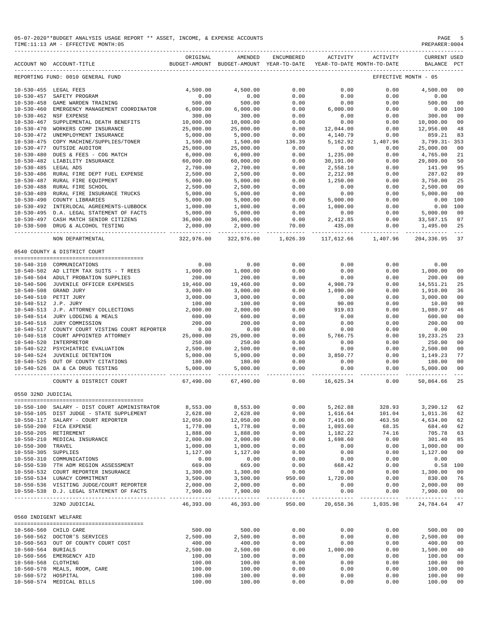|                       | 05-07-2020**BUDGET ANALYSIS USAGE REPORT ** ASSET, INCOME, & EXPENSE ACCOUNTS<br>TIME: 11:13 AM - EFFECTIVE MONTH: 05 |                                         |                                                     |                      |                    |                                               | PAGE<br>PREPARER: 0004             | -5             |
|-----------------------|-----------------------------------------------------------------------------------------------------------------------|-----------------------------------------|-----------------------------------------------------|----------------------|--------------------|-----------------------------------------------|------------------------------------|----------------|
|                       | ACCOUNT NO ACCOUNT-TITLE                                                                                              | ORIGINAL                                | AMENDED<br>BUDGET-AMOUNT BUDGET-AMOUNT YEAR-TO-DATE | ENCUMBERED           | ACTIVITY           | ACTIVITY<br>YEAR-TO-DATE MONTH-TO-DATE        | <b>CURRENT USED</b><br>BALANCE PCT |                |
|                       | REPORTING FUND: 0010 GENERAL FUND                                                                                     |                                         |                                                     |                      |                    |                                               | EFFECTIVE MONTH - 05               |                |
|                       | 10-530-455 LEGAL FEES                                                                                                 | 4,500.00                                | 4,500.00                                            | 0.00                 | 0.00               | 0.00                                          | 4,500.00                           | 00             |
| $10 - 530 - 457$      | SAFETY PROGRAM                                                                                                        | 0.00                                    | 0.00                                                | 0.00                 | 0.00               | 0.00                                          | 0.00                               |                |
| $10 - 530 - 458$      | GAME WARDEN TRAINING                                                                                                  | 500.00                                  | 500.00                                              | 0.00                 | 0.00               | 0.00                                          | 500.00                             | 00             |
| $10 - 530 - 460$      | EMERGENCY MANAGEMENT COORDINATOR                                                                                      | 6,000.00                                | 6,000.00                                            | 0.00                 | 6,000.00           | 0.00                                          | $0.00$ 100                         |                |
| 10-530-462            | NSF EXPENSE                                                                                                           | 300.00                                  | 300.00                                              | 0.00                 | 0.00               | 0.00                                          | 300.00                             | 00             |
| $10 - 530 - 467$      | SUPPLEMENTAL DEATH BENEFITS                                                                                           | 10,000.00                               | 10,000.00                                           | 0.00                 | 0.00               | 0.00                                          | 10,000.00                          | 00             |
| $10 - 530 - 470$      | WORKERS COMP INSURANCE                                                                                                | 25,000.00                               | 25,000.00                                           | 0.00                 | 12,044.00          | 0.00                                          | 12,956.00                          | 48             |
| 10-530-472            | UNEMPLOYMENT INSURANCE                                                                                                | 5,000.00                                | 5,000.00                                            | 0.00                 | 4,140.79           | 0.00                                          | 859.21                             | 83             |
| $10 - 530 - 477$      | 10-530-475 COPY MACHINE/SUPPLIES/TONER<br>OUTSIDE AUDITOR                                                             | 1,500.00<br>25,000.00                   | 1,500.00<br>25,000.00                               | 136.39<br>0.00       | 5,162.92<br>0.00   | 1,407.96<br>0.00                              | 3,799.31- 353<br>25,000.00         | 00             |
| 10-530-480            | DUES & FEES - COG MATCH                                                                                               | 6,000.00                                | 6,000.00                                            | 0.00                 | 1,235.00           | 0.00                                          | 4,765.00                           | 21             |
|                       | 10-530-482 LIABILITY INSURANCE                                                                                        | 60,000.00                               | 60,000.00                                           | 0.00                 | 30,191.00          | 0.00                                          | 29,809.00                          | 50             |
| 10-530-485 LEGAL ADS  |                                                                                                                       | 2,700.00                                | 2,700.00                                            | 0.00                 | 2,558.10           | 0.00                                          | 141.90                             | 95             |
|                       | 10-530-486 RURAL FIRE DEPT FUEL EXPENSE                                                                               | 2,500.00                                | 2,500.00                                            | 0.00                 | 2,212.98           | 0.00                                          | 287.02                             | 89             |
| $10 - 530 - 487$      | RURAL FIRE EQUIPMENT                                                                                                  | 5,000.00                                | 5,000.00                                            | 0.00                 | 1,250.00           | 0.00                                          | 3,750.00                           | 25             |
| 10-530-488            | RURAL FIRE SCHOOL                                                                                                     | 2,500.00                                | 2,500.00                                            | 0.00                 | 0.00               | 0.00                                          | 2,500.00                           | 00             |
|                       | 10-530-489 RURAL FIRE INSURANCE TRUCKS                                                                                | 5,000.00                                | 5,000.00                                            | 0.00                 | 0.00               | 0.00                                          | 5,000.00                           | 00             |
| $10 - 530 - 490$      | COUNTY LIBRARIES                                                                                                      | 5,000.00                                | 5,000.00                                            | 0.00                 | 5,000.00           | 0.00                                          | 0.00                               | 100            |
| $10 - 530 - 492$      | INTERLOCAL AGREEMENTS-LUBBOCK                                                                                         | 1,000.00                                | 1,000.00                                            | 0.00                 | 1,000.00           | 0.00                                          | 0.00                               | 100            |
|                       | 10-530-495 D.A. LEGAL STATEMENT OF FACTS                                                                              | 5,000.00                                | 5,000.00                                            | 0.00                 | 0.00               | 0.00                                          | 5,000.00                           | 00             |
| $10 - 530 - 497$      | CASH MATCH SENIOR CITIZENS                                                                                            | 36,000.00                               | 36,000.00                                           |                      | 2,412.85           | 0.00                                          | 33,587.15                          | 07             |
|                       | 10-530-500 DRUG & ALCOHOL TESTING                                                                                     | 2,000.00                                | 2,000.00                                            | $0.00$<br>$70.00$    | 435.00             | 0.00                                          | 1,495.00                           | 25             |
|                       | NON DEPARTMENTAL                                                                                                      | <u>--- --------------</u><br>322,976.00 | 322,976.00                                          | 1,026.39             | 117,612.66         | _________________________________<br>1,407.96 | _______________<br>204,336.95      | ----<br>37     |
|                       | 0540 COUNTY & DISTRICT COURT                                                                                          |                                         |                                                     |                      |                    |                                               |                                    |                |
|                       |                                                                                                                       |                                         |                                                     |                      |                    |                                               |                                    |                |
|                       | 10-540-310 COMMUNICATIONS                                                                                             | 0.00                                    | 0.00                                                | 0.00                 | 0.00               | 0.00                                          | 0.00                               |                |
|                       | 10-540-502 AD LITEM TAX SUITS - T REES                                                                                | 1,000.00                                | 1,000.00                                            | 0.00                 | 0.00               | 0.00                                          | 1,000.00                           | 00             |
|                       | 10-540-504 ADULT PROBATION SUPPLIES                                                                                   | 200.00                                  | 200.00                                              | 0.00                 | 0.00               | 0.00                                          | 200.00                             | 00             |
|                       | 10-540-506 JUVENILE OFFICER EXPENSES                                                                                  | 19,460.00                               | 19,460.00                                           | 0.00                 | 4,908.79           | 0.00                                          | 14,551.21                          | 25             |
| $10 - 540 - 508$      | GRAND JURY                                                                                                            | 3,000.00                                | 3,000.00                                            | 0.00                 | 1,090.00           | 0.00                                          | 1,910.00                           | 36             |
|                       | 10-540-510 PETIT JURY                                                                                                 | 3,000.00                                | 3,000.00                                            | 0.00                 | 0.00               | 0.00                                          | 3,000.00                           | 0 <sup>0</sup> |
| 10-540-512 J.P. JURY  |                                                                                                                       | 100.00                                  | 100.00                                              | 0.00                 | 90.00              | 0.00                                          | 10.00                              | 90             |
|                       | 10-540-513 J.P. ATTORNEY COLLECTIONS                                                                                  | 2,000.00                                | 2,000.00                                            | 0.00                 | 919.03             | 0.00                                          | 1,080.97                           | 46             |
|                       | 10-540-514 JURY LODGING & MEALS                                                                                       | 600.00                                  | 600.00                                              | 0.00                 | 0.00               | 0.00                                          | 600.00                             | 00             |
| $10 - 540 - 516$      | JURY COMMISSION                                                                                                       | 200.00                                  | 200.00                                              | 0.00                 | 0.00               | 0.00                                          | 200.00                             | 00             |
|                       | 10-540-517 COUNTY COURT VISTING COURT REPORTER                                                                        | 0.00                                    | 0.00                                                | 0.00                 | 0.00               | 0.00                                          | 0.00                               |                |
|                       | 10-540-518 COURT APPOINTED ATTORNEY                                                                                   | 25,000.00                               | 25,000.00                                           | 0.00                 | 5,766.75           | 0.00                                          | 19,233.25                          | 23             |
|                       | 10-540-520 INTERPRETOR                                                                                                | 250.00                                  | 250.00                                              | 0.00                 | 0.00               | 0.00                                          | 250.00                             | 00             |
|                       | 10-540-522 PSYCHIATRIC EVALUATION                                                                                     | 2,500.00                                | 2,500.00                                            | 0.00                 | 0.00               | 0.00                                          | 2,500.00                           | 00             |
|                       | 10-540-524 JUVENILE DETENTION                                                                                         | 5,000.00                                | 5,000.00                                            | 0.00                 | 3,850.77           | 0.00                                          | 1,149.23                           | 77             |
|                       | 10-540-525 OUT OF COUNTY CITATIONS                                                                                    | 180.00                                  | 180.00                                              | 0.00                 | 0.00               | 0.00                                          | 180.00                             | 00             |
|                       | 10-540-526 DA & CA DRUG TESTING                                                                                       | 5,000.00<br>. _ _ _ _ _ _ _ _ _ _ _ _   | 5,000.00<br>--------------                          | 0.00<br>------------ | 0.00<br>---------- | 0.00<br>------------                          | 5,000.00<br>--------------         | 00<br>$- - -$  |
|                       | COUNTY & DISTRICT COURT                                                                                               | 67,490.00                               | 67,490.00                                           | 0.00                 | 16,625.34          | 0.00                                          | 50,864.66                          | 25             |
| 0550 32ND JUDICIAL    |                                                                                                                       |                                         |                                                     |                      |                    |                                               |                                    |                |
|                       |                                                                                                                       |                                         |                                                     |                      |                    |                                               |                                    |                |
|                       | 10-550-100 SALARY - DIST COURT ADMINISTRATOR                                                                          | 8,553.00                                | 8,553.00                                            | 0.00                 | 5,262.88           | 328.93                                        | 3,290.12                           | 62             |
|                       | 10-550-105 DIST JUDGE - STATE SUPPLEMENT                                                                              | 2,628.00                                | 2,628.00                                            | 0.00                 | 1,616.64           | 101.04                                        | 1,011.36                           | 62             |
|                       | 10-550-117 SALARY - COURT REPORTER                                                                                    | 12,050.00                               | 12,050.00                                           | 0.00                 | 7,416.00           | 463.50                                        | 4,634.00                           | 62             |
|                       | 10-550-200 FICA EXPENSE                                                                                               | 1,778.00                                | 1,778.00                                            | 0.00                 | 1,093.60           | 68.35<br>74.16                                | 684.40                             | 62             |
|                       | 10-550-205 RETIREMENT                                                                                                 | 1,888.00                                | 1,888.00                                            | 0.00                 | 1,182.22           | 0.00                                          | 705.78<br>301.40                   | 63<br>85       |
| 10-550-300 TRAVEL     | 10-550-210 MEDICAL INSURANCE                                                                                          | 2,000.00<br>1,000.00                    | 2,000.00<br>1,000.00                                | 0.00<br>0.00         | 1,698.60<br>0.00   | 0.00                                          | 1,000.00                           | 00             |
| 10-550-305 SUPPLIES   |                                                                                                                       | 1,127.00                                | 1,127.00                                            | 0.00                 | 0.00               | 0.00                                          | 1,127.00                           | 00             |
|                       | 10-550-310 COMMUNICATIONS                                                                                             | 0.00                                    | 0.00                                                | 0.00                 | 0.00               | 0.00                                          | 0.00                               |                |
|                       | 10-550-530 7TH ADM REGION ASSESSMENT                                                                                  | 669.00                                  | 669.00                                              | 0.00                 | 668.42             | 0.00                                          | $0.58$ 100                         |                |
|                       | 10-550-532 COURT REPORTER INSURANCE                                                                                   | 1,300.00                                | 1,300.00                                            | 0.00                 | 0.00               | 0.00                                          | 1,300.00                           | 00             |
|                       | 10-550-534 LUNACY COMMITMENT                                                                                          | 3,500.00                                | 3,500.00                                            | 950.00               | 1,720.00           | 0.00                                          | 830.00                             | 76             |
|                       | 10-550-536 VISITING JUDGE/COURT REPORTER                                                                              | 2,000.00                                | 2,000.00                                            | 0.00                 | 0.00               | 0.00                                          | 2,000.00                           | 00             |
|                       | 10-550-538 D.J. LEGAL STATEMENT OF FACTS                                                                              | 7,900.00                                | 7,900.00                                            | 0.00                 | 0.00               | 0.00                                          | 7,900.00                           | 00             |
|                       |                                                                                                                       |                                         |                                                     |                      |                    |                                               |                                    |                |
|                       | 32ND JUDICIAL                                                                                                         | 46,393.00                               |                                                     | 46,393.00 950.00     |                    | 20,658.36 1,035.98                            | 24,784.64 47                       |                |
| 0560 INDIGENT WELFARE |                                                                                                                       |                                         |                                                     |                      |                    |                                               |                                    |                |
|                       |                                                                                                                       |                                         |                                                     |                      |                    |                                               |                                    |                |
|                       | 10-560-560 CHILD CARE                                                                                                 | 500.00                                  | 500.00                                              | 0.00                 | 0.00               | 0.00                                          | 500.00                             | 00             |
|                       | 10-560-562 DOCTOR'S SERVICES                                                                                          | 2,500.00                                | 2,500.00                                            | 0.00                 | 0.00               | 0.00                                          | 2,500.00                           | 00             |
|                       | 10-560-563 OUT OF COUNTY COURT COST                                                                                   | 400.00                                  | 400.00                                              | 0.00<br>0.00         | 0.00               | 0.00                                          | 400.00                             | 00             |
| 10-560-564 BURIALS    |                                                                                                                       | 2,500.00                                | 2,500.00                                            | 0.00                 | 1,000.00<br>0.00   | 0.00                                          | 1,500.00                           | 40<br>00       |
| 10-560-568 CLOTHING   | 10-560-566 EMERGENCY AID                                                                                              | 100.00<br>100.00                        | 100.00<br>100.00                                    | 0.00                 | 0.00               | 0.00<br>0.00                                  | 100.00<br>100.00                   | 00             |
|                       | 10-560-570 MEALS, ROOM, CARE                                                                                          | 100.00                                  | 100.00                                              | 0.00                 | 0.00               | 0.00                                          | 100.00                             | 00             |
| 10-560-572 HOSPITAL   |                                                                                                                       | 100.00                                  | 100.00                                              | 0.00                 | 0.00               | 0.00                                          | 100.00                             | 00             |
|                       | 10-560-574 MEDICAL BILLS                                                                                              | 100.00                                  | 100.00                                              | 0.00                 | 0.00               | 0.00                                          | 100.00                             | $00\,$         |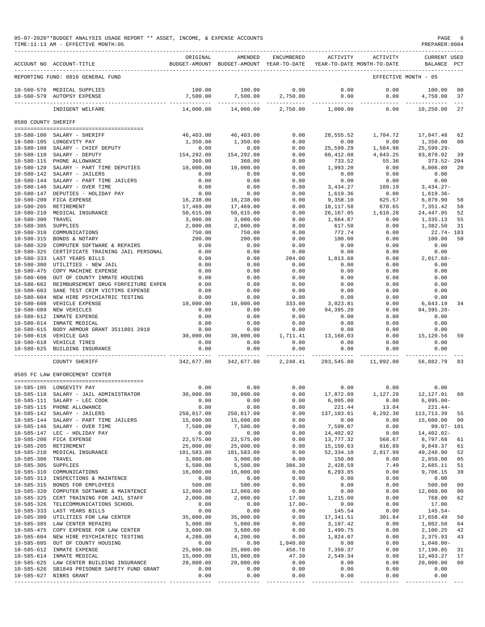| ORIGINAL<br>AMENDED<br>ENCUMBERED<br>ACTIVITY<br><b>CURRENT USED</b><br>ACTIVITY<br>ACCOUNT NO ACCOUNT-TITLE<br>BUDGET-AMOUNT BUDGET-AMOUNT YEAR-TO-DATE YEAR-TO-DATE MONTH-TO-DATE<br>BALANCE PCT<br>REPORTING FUND: 0010 GENERAL FUND<br>EFFECTIVE MONTH - 05<br>100.00<br>100.00 0.00<br>0.00<br>10-560-576 MEDICAL SUPPLIES<br>0.00<br>100.00 00<br>$100.00$ $100.00$ $0.00$ $0.00$ $0.00$ $0.00$ $0.00$<br>10-560-579 AUTOPSY EXPENSE<br>$0.00$ 4,750.00 37<br>$14,000.00$ $14,000.00$ $2,750.00$ $1,000.00$ $0.00$ $10,250.00$<br>INDIGENT WELFARE<br>0580 COUNTY SHERIFF<br>46,403.00 46,403.00<br>10-580-100 SALARY - SHERIFF<br>0.00<br>28,555.52 1,784.72<br>17,847.48 62<br>$10-580-105$ $10-580-105$ $10-580-105$ $10-580-108$ SALARY - CHIEF DEPUTY<br>$10-580-110$ $10-580-110$ SALARY - DEPUTY<br>$154,292.00$ $10-580-115$ PHONE ALLOWANCE<br>$360.00$<br>0.00<br>1,350.00<br>0.00<br>0.00<br>1,350.00<br>00<br>25,599.29 1,584.98<br>0.00<br>0.00<br>$25,599.29 -$<br>4,643.25<br>0.00<br>93,879.92<br>154,292.00<br>60,412.08<br>39<br>0.00<br>360.00<br>733.52<br>55.36<br>373.52-204<br>$10-580-120$ SALARY - PART TIME DEPUTIES $10,000.00$<br>0.00<br>1,993.20<br>0.00<br>8,006.80<br>10,000.00<br>0.00<br>10-580-142 SALARY - JAILERS<br>0.00<br>0.00<br>0.00<br>0.00<br>0.00<br>0.00<br>0.00<br>0.00<br>0.00<br>0.00<br>0.00<br>10-580-144 SALARY - PART TIME JAILERS<br>$0.00$<br>109.19<br>0.00<br>0.00<br>$3,434.27-$<br>10-580-146 SALARY - OVER TIME<br>0.00<br>0.00<br>3,434.27<br>0.00<br>10-580-147 DEPUTIES - HOLIDAY PAY<br>0.00<br>0.00<br>1,619.36<br>1,619.36-<br>16,238.00<br>10-580-200 FICA EXPENSE<br>16,238.00<br>0.00<br>6,879.90<br>$\begin{array}{cccc} 9\,, 358\, .10 & \phantom{-}625\, .57 \\ 10\,, 117\, .58 & \phantom{-}678\, .65 \\ 26\,, 167\, .05 & \phantom{-}1\,, 610\, .28 \\ 1\,, 664\, .87 & \phantom{-}0\,.00 \\ \end{array}$<br>17,469.00<br>0.00<br>10-580-205 RETIREMENT<br>17,469.00<br>7,351.42<br>0.00<br>10-580-210 MEDICAL INSURANCE<br>50,615.00<br>50,615.00<br>24,447.95<br>52<br>0.00<br>10-580-300 TRAVEL<br>3,000.00<br>3,000.00<br>1,335.13<br>55<br>2,000.00<br>0.00<br>2,000.00<br>617.50<br>1,382.50<br>10-580-305 SUPPLIES<br>0.00<br>31<br>0.00<br>10-580-310 COMMUNICATIONS<br>750.00<br>750.00<br>772.74<br>0.00<br>22.74- 103<br>0.00<br>100.00<br>10-580-315 BONDS & NOTARY<br>200.00<br>200.00<br>100.00<br>0.00<br>50<br>COMPUTER SOFTWARE & REPAIRS<br>0.00<br>0.00<br>0.00<br>0.00<br>10-580-320<br>0.00<br>0.00<br>0.00<br>0.00<br>0.00<br>0.00<br>10-580-325 CERTIFICATE TRAINING JAIL PERSONAL<br>0.00<br>0.00<br>$2,017.68-$<br>1,813.68<br>10-580-333 LAST YEARS BILLS<br>0.00<br>0.00<br>204.00<br>0.00<br>0.00<br>0.00<br>10-580-380 UTILITIES - NEW JAIL<br>0.00<br>0.00<br>0.00<br>0.00<br>10-580-475<br>COPY MACHINE EXPENSE<br>0.00<br>0.00<br>0.00<br>0.00<br>0.00<br>0.00<br>0.00<br>10-580-600<br>OUT OF COUNTY INMATE HOUSING<br>0.00<br>0.00<br>0.00<br>0.00<br>0.00<br>0.00<br>0.00<br>0.00<br>0.00<br>0.00<br>10-580-602 REIMBURSEMENT DRUG FORFEITURE EXPEN<br>0.00<br>SANE TEST CRIM VICTIMS EXPENSE<br>0.00<br>10-580-603<br>0.00<br>0.00<br>0.00<br>0.00<br>$0.00$<br>0.00<br>3,023.81<br>94.305<br>0.00<br>$0.00$<br>6,643.19<br>10-580-604<br>NEW HIRE PSYCHIATRIC TESTING<br>0.00<br>0.00<br>0.00<br>10,000.00<br>333.00<br>10-580-608 VEHICLE EXPENSE<br>10,000.00<br>0.00<br>34<br>94,395.20-<br>0.00<br>10-580-609 NEW VEHICLES<br>0.00<br>0.00<br>0.00<br>0.00<br>10-580-612 INMATE EXPENSE<br>0.00<br>0.00<br>0.00<br>0.00<br>0.00<br>0.00<br>0.00<br>10-580-614 INMATE MEDICAL<br>0.00<br>0.00<br>0.00<br>0.00<br>10-580-615 BODY ARMOUR GRANT 3511801 2018 0.00<br>10-580-616 VEHICLE GAS<br>10-590-618 VEHICLE GAS<br>0.00<br>0.00<br>0.00<br>0.00<br>0.00<br>0.00<br>13,168.03<br>30,000.00<br>1,711.41<br>$0.00$ 15,120.56<br>50<br>0.00<br>0.00<br>0.00<br>0.00<br>0.00<br>0.00<br>10-580-618 VEHICLE TIRES<br>0.00<br>0.00<br>0.00<br>0.00<br>0.00<br>0.00<br>10-580-625 BUILDING INSURANCE<br>------------- ------------ --<br>----------- ------------ --<br>. _____________<br>-----------<br>342,677.00<br>342,677.00<br>11,092.00 56,882.79<br>2,248.41<br>283,545.80<br>83<br>COUNTY SHERIFF<br>0585 FC LAW ENFORCEMENT CENTER<br>--------------------------------------<br>0.00<br>10-585-105 LONGEVITY PAY<br>0.00<br>0.00<br>0.00<br>0.00<br>0.00<br>17,872.09<br>1,127.28<br>12, 127.91 60<br>10-585-110 SALARY - JAIL ADMINISTRATOR<br>30,000.00<br>30,000.00<br>0.00<br>$6,095.00 -$<br>10-585-111 SALARY - LEC COOK<br>0.00<br>0.00<br>0.00<br>6,095.00<br>0.00<br>0.00<br>221.44<br>$221.44-$<br>10-585-115 PHONE ALLOWANCE<br>0.00<br>0.00<br>13.84<br>10-585-142 SALARY - JAILERS<br>250,817.00<br>0.00<br>137,103.61<br>6, 292.30<br>113,713.39<br>250,817.00<br>10-585-144 SALARY - PART TIME JAILERS<br>15,600.00<br>15,600.00<br>0.00<br>0.00<br>0.00<br>15,600.00<br>7,500.00<br>7,599.07<br>10-585-146 SALARY - OVER TIME<br>7,500.00<br>0.00<br>0.00<br>99.07- 101<br>10-585-147 LEC - HOLIDAY PAY<br>0.00<br>0.00<br>0.00<br>14,402.02<br>0.00<br>14,402.02-<br>0.00<br>10-585-200 FICA EXPENSE<br>22,575.00<br>22,575.00<br>13,777.32<br>568.67<br>8,797.68<br>10-585-205 RETIREMENT<br>25,000.00<br>25,000.00<br>0.00<br>15,150.63<br>9,849.37<br>616.89<br>61<br>101,583.00<br>101,583.00<br>0.00<br>52,334.10<br>2,817.99<br>49,248.90<br>52<br>10-585-210<br>MEDICAL INSURANCE<br>10-585-300 TRAVEL<br>3,000.00<br>3,000.00<br>0.00<br>150.00<br>0.00<br>2,850.00<br>05<br>2,428.59<br>7.49<br>10-585-305 SUPPLIES<br>5,500.00<br>5,500.00<br>386.30<br>2,685.11<br>51<br>10-585-310 COMMUNICATIONS<br>16,000.00<br>16,000.00<br>0.00<br>6,293.85<br>0.00<br>9,706.15<br>39<br>0.00<br>10-585-313 INSPECTIONS & MAINTENCE<br>0.00<br>0.00<br>0.00<br>0.00<br>0.00<br>500.00<br>10-585-315 BONDS FOR EMPLOYEES<br>500.00<br>0.00<br>0.00<br>0.00<br>500.00<br>00<br>10-585-320 COMPUTER SOFTWARE & MAINTENCE<br>12,060.00<br>0.00<br>0.00<br>0.00<br>12,060.00<br>12,060.00<br>2,000.00<br>10-585-325 CERT TRAINING FOR JAIL STAFF<br>2,000.00<br>17.00<br>1,215.00<br>0.00<br>768.00<br>10-585-326 TELECOMMUNICATIONS SCHOOL<br>0.00<br>0.00<br>$17.00 -$<br>0.00<br>0.00<br>17.00<br>10-585-333 LAST YEARS BILLS<br>0.00<br>0.00<br>0.00<br>145.54<br>0.00<br>$145.54-$<br>35,000.00<br>10-585-380 UTILITIES FOR LAW CENTER<br>0.00<br>17,341.51<br>301.84<br>17,658.49<br>35,000.00<br>10-585-385 LAW CENTER REPAIRS<br>5,000.00<br>5,000.00<br>0.00<br>3,197.42<br>0.00<br>1,802.58<br>3,600.00<br>10-585-475 COPY EXPENSE FOR LAW CENTER<br>3,600.00<br>0.00<br>1,499.75<br>0.00<br>2,100.25<br>4,200.00<br>4,200.00<br>2,375.93<br>10-585-604 NEW HIRE PSYCHIATRIC TESTING<br>0.00<br>1,824.07<br>0.00<br>10-585-605 OUT OF COUNTY HOUSING<br>0.00<br>0.00<br>1,040.00<br>0.00<br>0.00<br>$1,040.00-$<br>25,000.00<br>10-585-612 INMATE EXPENSE<br>25,000.00<br>458.78<br>7,350.37<br>0.00<br>17,190.85<br>31<br>10-585-614 INMATE MEDICAL<br>15,000.00<br>15,000.00<br>47.39<br>2,549.34<br>0.00<br>12,403.27<br>17<br>10-585-625 LAW CENTER BUILDING INSURANCE<br>20,000.00<br>20,000.00<br>0.00<br>0.00<br>0.00<br>20,000.00<br>00<br>0.00<br>0.00<br>0.00<br>0.00<br>0.00<br>10-585-626 SB1849 PRISONER SAFETY FUND GRANT<br>0.00<br>10-585-627 NIBRS GRANT<br>0.00<br>0.00<br>0.00<br>0.00<br>0.00<br>0.00<br>----------- | 05-07-2020**BUDGET ANALYSIS USAGE REPORT ** ASSET, INCOME, & EXPENSE ACCOUNTS<br>TIME:11:13 AM - EFFECTIVE MONTH:05 |  |  | PAGE<br>PREPARER: 0004 | -6 |
|-----------------------------------------------------------------------------------------------------------------------------------------------------------------------------------------------------------------------------------------------------------------------------------------------------------------------------------------------------------------------------------------------------------------------------------------------------------------------------------------------------------------------------------------------------------------------------------------------------------------------------------------------------------------------------------------------------------------------------------------------------------------------------------------------------------------------------------------------------------------------------------------------------------------------------------------------------------------------------------------------------------------------------------------------------------------------------------------------------------------------------------------------------------------------------------------------------------------------------------------------------------------------------------------------------------------------------------------------------------------------------------------------------------------------------------------------------------------------------------------------------------------------------------------------------------------------------------------------------------------------------------------------------------------------------------------------------------------------------------------------------------------------------------------------------------------------------------------------------------------------------------------------------------------------------------------------------------------------------------------------------------------------------------------------------------------------------------------------------------------------------------------------------------------------------------------------------------------------------------------------------------------------------------------------------------------------------------------------------------------------------------------------------------------------------------------------------------------------------------------------------------------------------------------------------------------------------------------------------------------------------------------------------------------------------------------------------------------------------------------------------------------------------------------------------------------------------------------------------------------------------------------------------------------------------------------------------------------------------------------------------------------------------------------------------------------------------------------------------------------------------------------------------------------------------------------------------------------------------------------------------------------------------------------------------------------------------------------------------------------------------------------------------------------------------------------------------------------------------------------------------------------------------------------------------------------------------------------------------------------------------------------------------------------------------------------------------------------------------------------------------------------------------------------------------------------------------------------------------------------------------------------------------------------------------------------------------------------------------------------------------------------------------------------------------------------------------------------------------------------------------------------------------------------------------------------------------------------------------------------------------------------------------------------------------------------------------------------------------------------------------------------------------------------------------------------------------------------------------------------------------------------------------------------------------------------------------------------------------------------------------------------------------------------------------------------------------------------------------------------------------------------------------------------------------------------------------------------------------------------------------------------------------------------------------------------------------------------------------------------------------------------------------------------------------------------------------------------------------------------------------------------------------------------------------------------------------------------------------------------------------------------------------------------------------------------------------------------------------------------------------------------------------------------------------------------------------------------------------------------------------------------------------------------------------------------------------------------------------------------------------------------------------------------------------------------------------------------------------------------------------------------------------------------------------------------------------------------------------------------------------------------------------------------------------------------------------------------------------------------------------------------------------------------------------------------------------------------------------------------------------------------------------------------------------------------------------------------------------------------------------------------------------------------------------------------------------------------------------------------------------------------------------------------------------------------------------------------------------------------------------------------------------------------------------------------------------------------------------------------------------------------------------------------------------------------------------------------------------------------------------------------------------------------------------------------------------------------------------------------------------------------------------------------------------------------------------------------------------------------------------------------------------------------------------------------------------------------------------------------------------------------------------------------------------------------------------------------------------------------------------------------------------------------------------------------------------------------------------------------------------------------------|---------------------------------------------------------------------------------------------------------------------|--|--|------------------------|----|
|                                                                                                                                                                                                                                                                                                                                                                                                                                                                                                                                                                                                                                                                                                                                                                                                                                                                                                                                                                                                                                                                                                                                                                                                                                                                                                                                                                                                                                                                                                                                                                                                                                                                                                                                                                                                                                                                                                                                                                                                                                                                                                                                                                                                                                                                                                                                                                                                                                                                                                                                                                                                                                                                                                                                                                                                                                                                                                                                                                                                                                                                                                                                                                                                                                                                                                                                                                                                                                                                                                                                                                                                                                                                                                                                                                                                                                                                                                                                                                                                                                                                                                                                                                                                                                                                                                                                                                                                                                                                                                                                                                                                                                                                                                                                                                                                                                                                                                                                                                                                                                                                                                                                                                                                                                                                                                                                                                                                                                                                                                                                                                                                                                                                                                                                                                                                                                                                                                                                                                                                                                                                                                                                                                                                                                                                                                                                                                                                                                                                                                                                                                                                                                                                                                                                                                                                                                                                                                                                                                                                                                                                                                                                                                                                                                                                                                                                                                                               |                                                                                                                     |  |  |                        |    |
|                                                                                                                                                                                                                                                                                                                                                                                                                                                                                                                                                                                                                                                                                                                                                                                                                                                                                                                                                                                                                                                                                                                                                                                                                                                                                                                                                                                                                                                                                                                                                                                                                                                                                                                                                                                                                                                                                                                                                                                                                                                                                                                                                                                                                                                                                                                                                                                                                                                                                                                                                                                                                                                                                                                                                                                                                                                                                                                                                                                                                                                                                                                                                                                                                                                                                                                                                                                                                                                                                                                                                                                                                                                                                                                                                                                                                                                                                                                                                                                                                                                                                                                                                                                                                                                                                                                                                                                                                                                                                                                                                                                                                                                                                                                                                                                                                                                                                                                                                                                                                                                                                                                                                                                                                                                                                                                                                                                                                                                                                                                                                                                                                                                                                                                                                                                                                                                                                                                                                                                                                                                                                                                                                                                                                                                                                                                                                                                                                                                                                                                                                                                                                                                                                                                                                                                                                                                                                                                                                                                                                                                                                                                                                                                                                                                                                                                                                                                               |                                                                                                                     |  |  |                        |    |
|                                                                                                                                                                                                                                                                                                                                                                                                                                                                                                                                                                                                                                                                                                                                                                                                                                                                                                                                                                                                                                                                                                                                                                                                                                                                                                                                                                                                                                                                                                                                                                                                                                                                                                                                                                                                                                                                                                                                                                                                                                                                                                                                                                                                                                                                                                                                                                                                                                                                                                                                                                                                                                                                                                                                                                                                                                                                                                                                                                                                                                                                                                                                                                                                                                                                                                                                                                                                                                                                                                                                                                                                                                                                                                                                                                                                                                                                                                                                                                                                                                                                                                                                                                                                                                                                                                                                                                                                                                                                                                                                                                                                                                                                                                                                                                                                                                                                                                                                                                                                                                                                                                                                                                                                                                                                                                                                                                                                                                                                                                                                                                                                                                                                                                                                                                                                                                                                                                                                                                                                                                                                                                                                                                                                                                                                                                                                                                                                                                                                                                                                                                                                                                                                                                                                                                                                                                                                                                                                                                                                                                                                                                                                                                                                                                                                                                                                                                                               |                                                                                                                     |  |  |                        |    |
|                                                                                                                                                                                                                                                                                                                                                                                                                                                                                                                                                                                                                                                                                                                                                                                                                                                                                                                                                                                                                                                                                                                                                                                                                                                                                                                                                                                                                                                                                                                                                                                                                                                                                                                                                                                                                                                                                                                                                                                                                                                                                                                                                                                                                                                                                                                                                                                                                                                                                                                                                                                                                                                                                                                                                                                                                                                                                                                                                                                                                                                                                                                                                                                                                                                                                                                                                                                                                                                                                                                                                                                                                                                                                                                                                                                                                                                                                                                                                                                                                                                                                                                                                                                                                                                                                                                                                                                                                                                                                                                                                                                                                                                                                                                                                                                                                                                                                                                                                                                                                                                                                                                                                                                                                                                                                                                                                                                                                                                                                                                                                                                                                                                                                                                                                                                                                                                                                                                                                                                                                                                                                                                                                                                                                                                                                                                                                                                                                                                                                                                                                                                                                                                                                                                                                                                                                                                                                                                                                                                                                                                                                                                                                                                                                                                                                                                                                                                               |                                                                                                                     |  |  |                        | 27 |
|                                                                                                                                                                                                                                                                                                                                                                                                                                                                                                                                                                                                                                                                                                                                                                                                                                                                                                                                                                                                                                                                                                                                                                                                                                                                                                                                                                                                                                                                                                                                                                                                                                                                                                                                                                                                                                                                                                                                                                                                                                                                                                                                                                                                                                                                                                                                                                                                                                                                                                                                                                                                                                                                                                                                                                                                                                                                                                                                                                                                                                                                                                                                                                                                                                                                                                                                                                                                                                                                                                                                                                                                                                                                                                                                                                                                                                                                                                                                                                                                                                                                                                                                                                                                                                                                                                                                                                                                                                                                                                                                                                                                                                                                                                                                                                                                                                                                                                                                                                                                                                                                                                                                                                                                                                                                                                                                                                                                                                                                                                                                                                                                                                                                                                                                                                                                                                                                                                                                                                                                                                                                                                                                                                                                                                                                                                                                                                                                                                                                                                                                                                                                                                                                                                                                                                                                                                                                                                                                                                                                                                                                                                                                                                                                                                                                                                                                                                                               |                                                                                                                     |  |  |                        |    |
|                                                                                                                                                                                                                                                                                                                                                                                                                                                                                                                                                                                                                                                                                                                                                                                                                                                                                                                                                                                                                                                                                                                                                                                                                                                                                                                                                                                                                                                                                                                                                                                                                                                                                                                                                                                                                                                                                                                                                                                                                                                                                                                                                                                                                                                                                                                                                                                                                                                                                                                                                                                                                                                                                                                                                                                                                                                                                                                                                                                                                                                                                                                                                                                                                                                                                                                                                                                                                                                                                                                                                                                                                                                                                                                                                                                                                                                                                                                                                                                                                                                                                                                                                                                                                                                                                                                                                                                                                                                                                                                                                                                                                                                                                                                                                                                                                                                                                                                                                                                                                                                                                                                                                                                                                                                                                                                                                                                                                                                                                                                                                                                                                                                                                                                                                                                                                                                                                                                                                                                                                                                                                                                                                                                                                                                                                                                                                                                                                                                                                                                                                                                                                                                                                                                                                                                                                                                                                                                                                                                                                                                                                                                                                                                                                                                                                                                                                                                               |                                                                                                                     |  |  |                        |    |
|                                                                                                                                                                                                                                                                                                                                                                                                                                                                                                                                                                                                                                                                                                                                                                                                                                                                                                                                                                                                                                                                                                                                                                                                                                                                                                                                                                                                                                                                                                                                                                                                                                                                                                                                                                                                                                                                                                                                                                                                                                                                                                                                                                                                                                                                                                                                                                                                                                                                                                                                                                                                                                                                                                                                                                                                                                                                                                                                                                                                                                                                                                                                                                                                                                                                                                                                                                                                                                                                                                                                                                                                                                                                                                                                                                                                                                                                                                                                                                                                                                                                                                                                                                                                                                                                                                                                                                                                                                                                                                                                                                                                                                                                                                                                                                                                                                                                                                                                                                                                                                                                                                                                                                                                                                                                                                                                                                                                                                                                                                                                                                                                                                                                                                                                                                                                                                                                                                                                                                                                                                                                                                                                                                                                                                                                                                                                                                                                                                                                                                                                                                                                                                                                                                                                                                                                                                                                                                                                                                                                                                                                                                                                                                                                                                                                                                                                                                                               |                                                                                                                     |  |  |                        |    |
|                                                                                                                                                                                                                                                                                                                                                                                                                                                                                                                                                                                                                                                                                                                                                                                                                                                                                                                                                                                                                                                                                                                                                                                                                                                                                                                                                                                                                                                                                                                                                                                                                                                                                                                                                                                                                                                                                                                                                                                                                                                                                                                                                                                                                                                                                                                                                                                                                                                                                                                                                                                                                                                                                                                                                                                                                                                                                                                                                                                                                                                                                                                                                                                                                                                                                                                                                                                                                                                                                                                                                                                                                                                                                                                                                                                                                                                                                                                                                                                                                                                                                                                                                                                                                                                                                                                                                                                                                                                                                                                                                                                                                                                                                                                                                                                                                                                                                                                                                                                                                                                                                                                                                                                                                                                                                                                                                                                                                                                                                                                                                                                                                                                                                                                                                                                                                                                                                                                                                                                                                                                                                                                                                                                                                                                                                                                                                                                                                                                                                                                                                                                                                                                                                                                                                                                                                                                                                                                                                                                                                                                                                                                                                                                                                                                                                                                                                                                               |                                                                                                                     |  |  |                        |    |
|                                                                                                                                                                                                                                                                                                                                                                                                                                                                                                                                                                                                                                                                                                                                                                                                                                                                                                                                                                                                                                                                                                                                                                                                                                                                                                                                                                                                                                                                                                                                                                                                                                                                                                                                                                                                                                                                                                                                                                                                                                                                                                                                                                                                                                                                                                                                                                                                                                                                                                                                                                                                                                                                                                                                                                                                                                                                                                                                                                                                                                                                                                                                                                                                                                                                                                                                                                                                                                                                                                                                                                                                                                                                                                                                                                                                                                                                                                                                                                                                                                                                                                                                                                                                                                                                                                                                                                                                                                                                                                                                                                                                                                                                                                                                                                                                                                                                                                                                                                                                                                                                                                                                                                                                                                                                                                                                                                                                                                                                                                                                                                                                                                                                                                                                                                                                                                                                                                                                                                                                                                                                                                                                                                                                                                                                                                                                                                                                                                                                                                                                                                                                                                                                                                                                                                                                                                                                                                                                                                                                                                                                                                                                                                                                                                                                                                                                                                                               |                                                                                                                     |  |  |                        |    |
|                                                                                                                                                                                                                                                                                                                                                                                                                                                                                                                                                                                                                                                                                                                                                                                                                                                                                                                                                                                                                                                                                                                                                                                                                                                                                                                                                                                                                                                                                                                                                                                                                                                                                                                                                                                                                                                                                                                                                                                                                                                                                                                                                                                                                                                                                                                                                                                                                                                                                                                                                                                                                                                                                                                                                                                                                                                                                                                                                                                                                                                                                                                                                                                                                                                                                                                                                                                                                                                                                                                                                                                                                                                                                                                                                                                                                                                                                                                                                                                                                                                                                                                                                                                                                                                                                                                                                                                                                                                                                                                                                                                                                                                                                                                                                                                                                                                                                                                                                                                                                                                                                                                                                                                                                                                                                                                                                                                                                                                                                                                                                                                                                                                                                                                                                                                                                                                                                                                                                                                                                                                                                                                                                                                                                                                                                                                                                                                                                                                                                                                                                                                                                                                                                                                                                                                                                                                                                                                                                                                                                                                                                                                                                                                                                                                                                                                                                                                               |                                                                                                                     |  |  |                        |    |
|                                                                                                                                                                                                                                                                                                                                                                                                                                                                                                                                                                                                                                                                                                                                                                                                                                                                                                                                                                                                                                                                                                                                                                                                                                                                                                                                                                                                                                                                                                                                                                                                                                                                                                                                                                                                                                                                                                                                                                                                                                                                                                                                                                                                                                                                                                                                                                                                                                                                                                                                                                                                                                                                                                                                                                                                                                                                                                                                                                                                                                                                                                                                                                                                                                                                                                                                                                                                                                                                                                                                                                                                                                                                                                                                                                                                                                                                                                                                                                                                                                                                                                                                                                                                                                                                                                                                                                                                                                                                                                                                                                                                                                                                                                                                                                                                                                                                                                                                                                                                                                                                                                                                                                                                                                                                                                                                                                                                                                                                                                                                                                                                                                                                                                                                                                                                                                                                                                                                                                                                                                                                                                                                                                                                                                                                                                                                                                                                                                                                                                                                                                                                                                                                                                                                                                                                                                                                                                                                                                                                                                                                                                                                                                                                                                                                                                                                                                                               |                                                                                                                     |  |  |                        | 20 |
|                                                                                                                                                                                                                                                                                                                                                                                                                                                                                                                                                                                                                                                                                                                                                                                                                                                                                                                                                                                                                                                                                                                                                                                                                                                                                                                                                                                                                                                                                                                                                                                                                                                                                                                                                                                                                                                                                                                                                                                                                                                                                                                                                                                                                                                                                                                                                                                                                                                                                                                                                                                                                                                                                                                                                                                                                                                                                                                                                                                                                                                                                                                                                                                                                                                                                                                                                                                                                                                                                                                                                                                                                                                                                                                                                                                                                                                                                                                                                                                                                                                                                                                                                                                                                                                                                                                                                                                                                                                                                                                                                                                                                                                                                                                                                                                                                                                                                                                                                                                                                                                                                                                                                                                                                                                                                                                                                                                                                                                                                                                                                                                                                                                                                                                                                                                                                                                                                                                                                                                                                                                                                                                                                                                                                                                                                                                                                                                                                                                                                                                                                                                                                                                                                                                                                                                                                                                                                                                                                                                                                                                                                                                                                                                                                                                                                                                                                                                               |                                                                                                                     |  |  |                        |    |
|                                                                                                                                                                                                                                                                                                                                                                                                                                                                                                                                                                                                                                                                                                                                                                                                                                                                                                                                                                                                                                                                                                                                                                                                                                                                                                                                                                                                                                                                                                                                                                                                                                                                                                                                                                                                                                                                                                                                                                                                                                                                                                                                                                                                                                                                                                                                                                                                                                                                                                                                                                                                                                                                                                                                                                                                                                                                                                                                                                                                                                                                                                                                                                                                                                                                                                                                                                                                                                                                                                                                                                                                                                                                                                                                                                                                                                                                                                                                                                                                                                                                                                                                                                                                                                                                                                                                                                                                                                                                                                                                                                                                                                                                                                                                                                                                                                                                                                                                                                                                                                                                                                                                                                                                                                                                                                                                                                                                                                                                                                                                                                                                                                                                                                                                                                                                                                                                                                                                                                                                                                                                                                                                                                                                                                                                                                                                                                                                                                                                                                                                                                                                                                                                                                                                                                                                                                                                                                                                                                                                                                                                                                                                                                                                                                                                                                                                                                                               |                                                                                                                     |  |  |                        |    |
|                                                                                                                                                                                                                                                                                                                                                                                                                                                                                                                                                                                                                                                                                                                                                                                                                                                                                                                                                                                                                                                                                                                                                                                                                                                                                                                                                                                                                                                                                                                                                                                                                                                                                                                                                                                                                                                                                                                                                                                                                                                                                                                                                                                                                                                                                                                                                                                                                                                                                                                                                                                                                                                                                                                                                                                                                                                                                                                                                                                                                                                                                                                                                                                                                                                                                                                                                                                                                                                                                                                                                                                                                                                                                                                                                                                                                                                                                                                                                                                                                                                                                                                                                                                                                                                                                                                                                                                                                                                                                                                                                                                                                                                                                                                                                                                                                                                                                                                                                                                                                                                                                                                                                                                                                                                                                                                                                                                                                                                                                                                                                                                                                                                                                                                                                                                                                                                                                                                                                                                                                                                                                                                                                                                                                                                                                                                                                                                                                                                                                                                                                                                                                                                                                                                                                                                                                                                                                                                                                                                                                                                                                                                                                                                                                                                                                                                                                                                               |                                                                                                                     |  |  |                        |    |
|                                                                                                                                                                                                                                                                                                                                                                                                                                                                                                                                                                                                                                                                                                                                                                                                                                                                                                                                                                                                                                                                                                                                                                                                                                                                                                                                                                                                                                                                                                                                                                                                                                                                                                                                                                                                                                                                                                                                                                                                                                                                                                                                                                                                                                                                                                                                                                                                                                                                                                                                                                                                                                                                                                                                                                                                                                                                                                                                                                                                                                                                                                                                                                                                                                                                                                                                                                                                                                                                                                                                                                                                                                                                                                                                                                                                                                                                                                                                                                                                                                                                                                                                                                                                                                                                                                                                                                                                                                                                                                                                                                                                                                                                                                                                                                                                                                                                                                                                                                                                                                                                                                                                                                                                                                                                                                                                                                                                                                                                                                                                                                                                                                                                                                                                                                                                                                                                                                                                                                                                                                                                                                                                                                                                                                                                                                                                                                                                                                                                                                                                                                                                                                                                                                                                                                                                                                                                                                                                                                                                                                                                                                                                                                                                                                                                                                                                                                                               |                                                                                                                     |  |  |                        |    |
|                                                                                                                                                                                                                                                                                                                                                                                                                                                                                                                                                                                                                                                                                                                                                                                                                                                                                                                                                                                                                                                                                                                                                                                                                                                                                                                                                                                                                                                                                                                                                                                                                                                                                                                                                                                                                                                                                                                                                                                                                                                                                                                                                                                                                                                                                                                                                                                                                                                                                                                                                                                                                                                                                                                                                                                                                                                                                                                                                                                                                                                                                                                                                                                                                                                                                                                                                                                                                                                                                                                                                                                                                                                                                                                                                                                                                                                                                                                                                                                                                                                                                                                                                                                                                                                                                                                                                                                                                                                                                                                                                                                                                                                                                                                                                                                                                                                                                                                                                                                                                                                                                                                                                                                                                                                                                                                                                                                                                                                                                                                                                                                                                                                                                                                                                                                                                                                                                                                                                                                                                                                                                                                                                                                                                                                                                                                                                                                                                                                                                                                                                                                                                                                                                                                                                                                                                                                                                                                                                                                                                                                                                                                                                                                                                                                                                                                                                                                               |                                                                                                                     |  |  |                        | 58 |
|                                                                                                                                                                                                                                                                                                                                                                                                                                                                                                                                                                                                                                                                                                                                                                                                                                                                                                                                                                                                                                                                                                                                                                                                                                                                                                                                                                                                                                                                                                                                                                                                                                                                                                                                                                                                                                                                                                                                                                                                                                                                                                                                                                                                                                                                                                                                                                                                                                                                                                                                                                                                                                                                                                                                                                                                                                                                                                                                                                                                                                                                                                                                                                                                                                                                                                                                                                                                                                                                                                                                                                                                                                                                                                                                                                                                                                                                                                                                                                                                                                                                                                                                                                                                                                                                                                                                                                                                                                                                                                                                                                                                                                                                                                                                                                                                                                                                                                                                                                                                                                                                                                                                                                                                                                                                                                                                                                                                                                                                                                                                                                                                                                                                                                                                                                                                                                                                                                                                                                                                                                                                                                                                                                                                                                                                                                                                                                                                                                                                                                                                                                                                                                                                                                                                                                                                                                                                                                                                                                                                                                                                                                                                                                                                                                                                                                                                                                                               |                                                                                                                     |  |  |                        | 58 |
|                                                                                                                                                                                                                                                                                                                                                                                                                                                                                                                                                                                                                                                                                                                                                                                                                                                                                                                                                                                                                                                                                                                                                                                                                                                                                                                                                                                                                                                                                                                                                                                                                                                                                                                                                                                                                                                                                                                                                                                                                                                                                                                                                                                                                                                                                                                                                                                                                                                                                                                                                                                                                                                                                                                                                                                                                                                                                                                                                                                                                                                                                                                                                                                                                                                                                                                                                                                                                                                                                                                                                                                                                                                                                                                                                                                                                                                                                                                                                                                                                                                                                                                                                                                                                                                                                                                                                                                                                                                                                                                                                                                                                                                                                                                                                                                                                                                                                                                                                                                                                                                                                                                                                                                                                                                                                                                                                                                                                                                                                                                                                                                                                                                                                                                                                                                                                                                                                                                                                                                                                                                                                                                                                                                                                                                                                                                                                                                                                                                                                                                                                                                                                                                                                                                                                                                                                                                                                                                                                                                                                                                                                                                                                                                                                                                                                                                                                                                               |                                                                                                                     |  |  |                        |    |
|                                                                                                                                                                                                                                                                                                                                                                                                                                                                                                                                                                                                                                                                                                                                                                                                                                                                                                                                                                                                                                                                                                                                                                                                                                                                                                                                                                                                                                                                                                                                                                                                                                                                                                                                                                                                                                                                                                                                                                                                                                                                                                                                                                                                                                                                                                                                                                                                                                                                                                                                                                                                                                                                                                                                                                                                                                                                                                                                                                                                                                                                                                                                                                                                                                                                                                                                                                                                                                                                                                                                                                                                                                                                                                                                                                                                                                                                                                                                                                                                                                                                                                                                                                                                                                                                                                                                                                                                                                                                                                                                                                                                                                                                                                                                                                                                                                                                                                                                                                                                                                                                                                                                                                                                                                                                                                                                                                                                                                                                                                                                                                                                                                                                                                                                                                                                                                                                                                                                                                                                                                                                                                                                                                                                                                                                                                                                                                                                                                                                                                                                                                                                                                                                                                                                                                                                                                                                                                                                                                                                                                                                                                                                                                                                                                                                                                                                                                                               |                                                                                                                     |  |  |                        |    |
|                                                                                                                                                                                                                                                                                                                                                                                                                                                                                                                                                                                                                                                                                                                                                                                                                                                                                                                                                                                                                                                                                                                                                                                                                                                                                                                                                                                                                                                                                                                                                                                                                                                                                                                                                                                                                                                                                                                                                                                                                                                                                                                                                                                                                                                                                                                                                                                                                                                                                                                                                                                                                                                                                                                                                                                                                                                                                                                                                                                                                                                                                                                                                                                                                                                                                                                                                                                                                                                                                                                                                                                                                                                                                                                                                                                                                                                                                                                                                                                                                                                                                                                                                                                                                                                                                                                                                                                                                                                                                                                                                                                                                                                                                                                                                                                                                                                                                                                                                                                                                                                                                                                                                                                                                                                                                                                                                                                                                                                                                                                                                                                                                                                                                                                                                                                                                                                                                                                                                                                                                                                                                                                                                                                                                                                                                                                                                                                                                                                                                                                                                                                                                                                                                                                                                                                                                                                                                                                                                                                                                                                                                                                                                                                                                                                                                                                                                                                               |                                                                                                                     |  |  |                        |    |
|                                                                                                                                                                                                                                                                                                                                                                                                                                                                                                                                                                                                                                                                                                                                                                                                                                                                                                                                                                                                                                                                                                                                                                                                                                                                                                                                                                                                                                                                                                                                                                                                                                                                                                                                                                                                                                                                                                                                                                                                                                                                                                                                                                                                                                                                                                                                                                                                                                                                                                                                                                                                                                                                                                                                                                                                                                                                                                                                                                                                                                                                                                                                                                                                                                                                                                                                                                                                                                                                                                                                                                                                                                                                                                                                                                                                                                                                                                                                                                                                                                                                                                                                                                                                                                                                                                                                                                                                                                                                                                                                                                                                                                                                                                                                                                                                                                                                                                                                                                                                                                                                                                                                                                                                                                                                                                                                                                                                                                                                                                                                                                                                                                                                                                                                                                                                                                                                                                                                                                                                                                                                                                                                                                                                                                                                                                                                                                                                                                                                                                                                                                                                                                                                                                                                                                                                                                                                                                                                                                                                                                                                                                                                                                                                                                                                                                                                                                                               |                                                                                                                     |  |  |                        |    |
|                                                                                                                                                                                                                                                                                                                                                                                                                                                                                                                                                                                                                                                                                                                                                                                                                                                                                                                                                                                                                                                                                                                                                                                                                                                                                                                                                                                                                                                                                                                                                                                                                                                                                                                                                                                                                                                                                                                                                                                                                                                                                                                                                                                                                                                                                                                                                                                                                                                                                                                                                                                                                                                                                                                                                                                                                                                                                                                                                                                                                                                                                                                                                                                                                                                                                                                                                                                                                                                                                                                                                                                                                                                                                                                                                                                                                                                                                                                                                                                                                                                                                                                                                                                                                                                                                                                                                                                                                                                                                                                                                                                                                                                                                                                                                                                                                                                                                                                                                                                                                                                                                                                                                                                                                                                                                                                                                                                                                                                                                                                                                                                                                                                                                                                                                                                                                                                                                                                                                                                                                                                                                                                                                                                                                                                                                                                                                                                                                                                                                                                                                                                                                                                                                                                                                                                                                                                                                                                                                                                                                                                                                                                                                                                                                                                                                                                                                                                               |                                                                                                                     |  |  |                        |    |
|                                                                                                                                                                                                                                                                                                                                                                                                                                                                                                                                                                                                                                                                                                                                                                                                                                                                                                                                                                                                                                                                                                                                                                                                                                                                                                                                                                                                                                                                                                                                                                                                                                                                                                                                                                                                                                                                                                                                                                                                                                                                                                                                                                                                                                                                                                                                                                                                                                                                                                                                                                                                                                                                                                                                                                                                                                                                                                                                                                                                                                                                                                                                                                                                                                                                                                                                                                                                                                                                                                                                                                                                                                                                                                                                                                                                                                                                                                                                                                                                                                                                                                                                                                                                                                                                                                                                                                                                                                                                                                                                                                                                                                                                                                                                                                                                                                                                                                                                                                                                                                                                                                                                                                                                                                                                                                                                                                                                                                                                                                                                                                                                                                                                                                                                                                                                                                                                                                                                                                                                                                                                                                                                                                                                                                                                                                                                                                                                                                                                                                                                                                                                                                                                                                                                                                                                                                                                                                                                                                                                                                                                                                                                                                                                                                                                                                                                                                                               |                                                                                                                     |  |  |                        |    |
|                                                                                                                                                                                                                                                                                                                                                                                                                                                                                                                                                                                                                                                                                                                                                                                                                                                                                                                                                                                                                                                                                                                                                                                                                                                                                                                                                                                                                                                                                                                                                                                                                                                                                                                                                                                                                                                                                                                                                                                                                                                                                                                                                                                                                                                                                                                                                                                                                                                                                                                                                                                                                                                                                                                                                                                                                                                                                                                                                                                                                                                                                                                                                                                                                                                                                                                                                                                                                                                                                                                                                                                                                                                                                                                                                                                                                                                                                                                                                                                                                                                                                                                                                                                                                                                                                                                                                                                                                                                                                                                                                                                                                                                                                                                                                                                                                                                                                                                                                                                                                                                                                                                                                                                                                                                                                                                                                                                                                                                                                                                                                                                                                                                                                                                                                                                                                                                                                                                                                                                                                                                                                                                                                                                                                                                                                                                                                                                                                                                                                                                                                                                                                                                                                                                                                                                                                                                                                                                                                                                                                                                                                                                                                                                                                                                                                                                                                                                               |                                                                                                                     |  |  |                        |    |
|                                                                                                                                                                                                                                                                                                                                                                                                                                                                                                                                                                                                                                                                                                                                                                                                                                                                                                                                                                                                                                                                                                                                                                                                                                                                                                                                                                                                                                                                                                                                                                                                                                                                                                                                                                                                                                                                                                                                                                                                                                                                                                                                                                                                                                                                                                                                                                                                                                                                                                                                                                                                                                                                                                                                                                                                                                                                                                                                                                                                                                                                                                                                                                                                                                                                                                                                                                                                                                                                                                                                                                                                                                                                                                                                                                                                                                                                                                                                                                                                                                                                                                                                                                                                                                                                                                                                                                                                                                                                                                                                                                                                                                                                                                                                                                                                                                                                                                                                                                                                                                                                                                                                                                                                                                                                                                                                                                                                                                                                                                                                                                                                                                                                                                                                                                                                                                                                                                                                                                                                                                                                                                                                                                                                                                                                                                                                                                                                                                                                                                                                                                                                                                                                                                                                                                                                                                                                                                                                                                                                                                                                                                                                                                                                                                                                                                                                                                                               |                                                                                                                     |  |  |                        |    |
|                                                                                                                                                                                                                                                                                                                                                                                                                                                                                                                                                                                                                                                                                                                                                                                                                                                                                                                                                                                                                                                                                                                                                                                                                                                                                                                                                                                                                                                                                                                                                                                                                                                                                                                                                                                                                                                                                                                                                                                                                                                                                                                                                                                                                                                                                                                                                                                                                                                                                                                                                                                                                                                                                                                                                                                                                                                                                                                                                                                                                                                                                                                                                                                                                                                                                                                                                                                                                                                                                                                                                                                                                                                                                                                                                                                                                                                                                                                                                                                                                                                                                                                                                                                                                                                                                                                                                                                                                                                                                                                                                                                                                                                                                                                                                                                                                                                                                                                                                                                                                                                                                                                                                                                                                                                                                                                                                                                                                                                                                                                                                                                                                                                                                                                                                                                                                                                                                                                                                                                                                                                                                                                                                                                                                                                                                                                                                                                                                                                                                                                                                                                                                                                                                                                                                                                                                                                                                                                                                                                                                                                                                                                                                                                                                                                                                                                                                                                               |                                                                                                                     |  |  |                        |    |
|                                                                                                                                                                                                                                                                                                                                                                                                                                                                                                                                                                                                                                                                                                                                                                                                                                                                                                                                                                                                                                                                                                                                                                                                                                                                                                                                                                                                                                                                                                                                                                                                                                                                                                                                                                                                                                                                                                                                                                                                                                                                                                                                                                                                                                                                                                                                                                                                                                                                                                                                                                                                                                                                                                                                                                                                                                                                                                                                                                                                                                                                                                                                                                                                                                                                                                                                                                                                                                                                                                                                                                                                                                                                                                                                                                                                                                                                                                                                                                                                                                                                                                                                                                                                                                                                                                                                                                                                                                                                                                                                                                                                                                                                                                                                                                                                                                                                                                                                                                                                                                                                                                                                                                                                                                                                                                                                                                                                                                                                                                                                                                                                                                                                                                                                                                                                                                                                                                                                                                                                                                                                                                                                                                                                                                                                                                                                                                                                                                                                                                                                                                                                                                                                                                                                                                                                                                                                                                                                                                                                                                                                                                                                                                                                                                                                                                                                                                                               |                                                                                                                     |  |  |                        |    |
|                                                                                                                                                                                                                                                                                                                                                                                                                                                                                                                                                                                                                                                                                                                                                                                                                                                                                                                                                                                                                                                                                                                                                                                                                                                                                                                                                                                                                                                                                                                                                                                                                                                                                                                                                                                                                                                                                                                                                                                                                                                                                                                                                                                                                                                                                                                                                                                                                                                                                                                                                                                                                                                                                                                                                                                                                                                                                                                                                                                                                                                                                                                                                                                                                                                                                                                                                                                                                                                                                                                                                                                                                                                                                                                                                                                                                                                                                                                                                                                                                                                                                                                                                                                                                                                                                                                                                                                                                                                                                                                                                                                                                                                                                                                                                                                                                                                                                                                                                                                                                                                                                                                                                                                                                                                                                                                                                                                                                                                                                                                                                                                                                                                                                                                                                                                                                                                                                                                                                                                                                                                                                                                                                                                                                                                                                                                                                                                                                                                                                                                                                                                                                                                                                                                                                                                                                                                                                                                                                                                                                                                                                                                                                                                                                                                                                                                                                                                               |                                                                                                                     |  |  |                        |    |
|                                                                                                                                                                                                                                                                                                                                                                                                                                                                                                                                                                                                                                                                                                                                                                                                                                                                                                                                                                                                                                                                                                                                                                                                                                                                                                                                                                                                                                                                                                                                                                                                                                                                                                                                                                                                                                                                                                                                                                                                                                                                                                                                                                                                                                                                                                                                                                                                                                                                                                                                                                                                                                                                                                                                                                                                                                                                                                                                                                                                                                                                                                                                                                                                                                                                                                                                                                                                                                                                                                                                                                                                                                                                                                                                                                                                                                                                                                                                                                                                                                                                                                                                                                                                                                                                                                                                                                                                                                                                                                                                                                                                                                                                                                                                                                                                                                                                                                                                                                                                                                                                                                                                                                                                                                                                                                                                                                                                                                                                                                                                                                                                                                                                                                                                                                                                                                                                                                                                                                                                                                                                                                                                                                                                                                                                                                                                                                                                                                                                                                                                                                                                                                                                                                                                                                                                                                                                                                                                                                                                                                                                                                                                                                                                                                                                                                                                                                                               |                                                                                                                     |  |  |                        |    |
|                                                                                                                                                                                                                                                                                                                                                                                                                                                                                                                                                                                                                                                                                                                                                                                                                                                                                                                                                                                                                                                                                                                                                                                                                                                                                                                                                                                                                                                                                                                                                                                                                                                                                                                                                                                                                                                                                                                                                                                                                                                                                                                                                                                                                                                                                                                                                                                                                                                                                                                                                                                                                                                                                                                                                                                                                                                                                                                                                                                                                                                                                                                                                                                                                                                                                                                                                                                                                                                                                                                                                                                                                                                                                                                                                                                                                                                                                                                                                                                                                                                                                                                                                                                                                                                                                                                                                                                                                                                                                                                                                                                                                                                                                                                                                                                                                                                                                                                                                                                                                                                                                                                                                                                                                                                                                                                                                                                                                                                                                                                                                                                                                                                                                                                                                                                                                                                                                                                                                                                                                                                                                                                                                                                                                                                                                                                                                                                                                                                                                                                                                                                                                                                                                                                                                                                                                                                                                                                                                                                                                                                                                                                                                                                                                                                                                                                                                                                               |                                                                                                                     |  |  |                        |    |
|                                                                                                                                                                                                                                                                                                                                                                                                                                                                                                                                                                                                                                                                                                                                                                                                                                                                                                                                                                                                                                                                                                                                                                                                                                                                                                                                                                                                                                                                                                                                                                                                                                                                                                                                                                                                                                                                                                                                                                                                                                                                                                                                                                                                                                                                                                                                                                                                                                                                                                                                                                                                                                                                                                                                                                                                                                                                                                                                                                                                                                                                                                                                                                                                                                                                                                                                                                                                                                                                                                                                                                                                                                                                                                                                                                                                                                                                                                                                                                                                                                                                                                                                                                                                                                                                                                                                                                                                                                                                                                                                                                                                                                                                                                                                                                                                                                                                                                                                                                                                                                                                                                                                                                                                                                                                                                                                                                                                                                                                                                                                                                                                                                                                                                                                                                                                                                                                                                                                                                                                                                                                                                                                                                                                                                                                                                                                                                                                                                                                                                                                                                                                                                                                                                                                                                                                                                                                                                                                                                                                                                                                                                                                                                                                                                                                                                                                                                                               |                                                                                                                     |  |  |                        |    |
|                                                                                                                                                                                                                                                                                                                                                                                                                                                                                                                                                                                                                                                                                                                                                                                                                                                                                                                                                                                                                                                                                                                                                                                                                                                                                                                                                                                                                                                                                                                                                                                                                                                                                                                                                                                                                                                                                                                                                                                                                                                                                                                                                                                                                                                                                                                                                                                                                                                                                                                                                                                                                                                                                                                                                                                                                                                                                                                                                                                                                                                                                                                                                                                                                                                                                                                                                                                                                                                                                                                                                                                                                                                                                                                                                                                                                                                                                                                                                                                                                                                                                                                                                                                                                                                                                                                                                                                                                                                                                                                                                                                                                                                                                                                                                                                                                                                                                                                                                                                                                                                                                                                                                                                                                                                                                                                                                                                                                                                                                                                                                                                                                                                                                                                                                                                                                                                                                                                                                                                                                                                                                                                                                                                                                                                                                                                                                                                                                                                                                                                                                                                                                                                                                                                                                                                                                                                                                                                                                                                                                                                                                                                                                                                                                                                                                                                                                                                               |                                                                                                                     |  |  |                        |    |
|                                                                                                                                                                                                                                                                                                                                                                                                                                                                                                                                                                                                                                                                                                                                                                                                                                                                                                                                                                                                                                                                                                                                                                                                                                                                                                                                                                                                                                                                                                                                                                                                                                                                                                                                                                                                                                                                                                                                                                                                                                                                                                                                                                                                                                                                                                                                                                                                                                                                                                                                                                                                                                                                                                                                                                                                                                                                                                                                                                                                                                                                                                                                                                                                                                                                                                                                                                                                                                                                                                                                                                                                                                                                                                                                                                                                                                                                                                                                                                                                                                                                                                                                                                                                                                                                                                                                                                                                                                                                                                                                                                                                                                                                                                                                                                                                                                                                                                                                                                                                                                                                                                                                                                                                                                                                                                                                                                                                                                                                                                                                                                                                                                                                                                                                                                                                                                                                                                                                                                                                                                                                                                                                                                                                                                                                                                                                                                                                                                                                                                                                                                                                                                                                                                                                                                                                                                                                                                                                                                                                                                                                                                                                                                                                                                                                                                                                                                                               |                                                                                                                     |  |  |                        |    |
|                                                                                                                                                                                                                                                                                                                                                                                                                                                                                                                                                                                                                                                                                                                                                                                                                                                                                                                                                                                                                                                                                                                                                                                                                                                                                                                                                                                                                                                                                                                                                                                                                                                                                                                                                                                                                                                                                                                                                                                                                                                                                                                                                                                                                                                                                                                                                                                                                                                                                                                                                                                                                                                                                                                                                                                                                                                                                                                                                                                                                                                                                                                                                                                                                                                                                                                                                                                                                                                                                                                                                                                                                                                                                                                                                                                                                                                                                                                                                                                                                                                                                                                                                                                                                                                                                                                                                                                                                                                                                                                                                                                                                                                                                                                                                                                                                                                                                                                                                                                                                                                                                                                                                                                                                                                                                                                                                                                                                                                                                                                                                                                                                                                                                                                                                                                                                                                                                                                                                                                                                                                                                                                                                                                                                                                                                                                                                                                                                                                                                                                                                                                                                                                                                                                                                                                                                                                                                                                                                                                                                                                                                                                                                                                                                                                                                                                                                                                               |                                                                                                                     |  |  |                        |    |
|                                                                                                                                                                                                                                                                                                                                                                                                                                                                                                                                                                                                                                                                                                                                                                                                                                                                                                                                                                                                                                                                                                                                                                                                                                                                                                                                                                                                                                                                                                                                                                                                                                                                                                                                                                                                                                                                                                                                                                                                                                                                                                                                                                                                                                                                                                                                                                                                                                                                                                                                                                                                                                                                                                                                                                                                                                                                                                                                                                                                                                                                                                                                                                                                                                                                                                                                                                                                                                                                                                                                                                                                                                                                                                                                                                                                                                                                                                                                                                                                                                                                                                                                                                                                                                                                                                                                                                                                                                                                                                                                                                                                                                                                                                                                                                                                                                                                                                                                                                                                                                                                                                                                                                                                                                                                                                                                                                                                                                                                                                                                                                                                                                                                                                                                                                                                                                                                                                                                                                                                                                                                                                                                                                                                                                                                                                                                                                                                                                                                                                                                                                                                                                                                                                                                                                                                                                                                                                                                                                                                                                                                                                                                                                                                                                                                                                                                                                                               |                                                                                                                     |  |  |                        |    |
|                                                                                                                                                                                                                                                                                                                                                                                                                                                                                                                                                                                                                                                                                                                                                                                                                                                                                                                                                                                                                                                                                                                                                                                                                                                                                                                                                                                                                                                                                                                                                                                                                                                                                                                                                                                                                                                                                                                                                                                                                                                                                                                                                                                                                                                                                                                                                                                                                                                                                                                                                                                                                                                                                                                                                                                                                                                                                                                                                                                                                                                                                                                                                                                                                                                                                                                                                                                                                                                                                                                                                                                                                                                                                                                                                                                                                                                                                                                                                                                                                                                                                                                                                                                                                                                                                                                                                                                                                                                                                                                                                                                                                                                                                                                                                                                                                                                                                                                                                                                                                                                                                                                                                                                                                                                                                                                                                                                                                                                                                                                                                                                                                                                                                                                                                                                                                                                                                                                                                                                                                                                                                                                                                                                                                                                                                                                                                                                                                                                                                                                                                                                                                                                                                                                                                                                                                                                                                                                                                                                                                                                                                                                                                                                                                                                                                                                                                                                               |                                                                                                                     |  |  |                        |    |
|                                                                                                                                                                                                                                                                                                                                                                                                                                                                                                                                                                                                                                                                                                                                                                                                                                                                                                                                                                                                                                                                                                                                                                                                                                                                                                                                                                                                                                                                                                                                                                                                                                                                                                                                                                                                                                                                                                                                                                                                                                                                                                                                                                                                                                                                                                                                                                                                                                                                                                                                                                                                                                                                                                                                                                                                                                                                                                                                                                                                                                                                                                                                                                                                                                                                                                                                                                                                                                                                                                                                                                                                                                                                                                                                                                                                                                                                                                                                                                                                                                                                                                                                                                                                                                                                                                                                                                                                                                                                                                                                                                                                                                                                                                                                                                                                                                                                                                                                                                                                                                                                                                                                                                                                                                                                                                                                                                                                                                                                                                                                                                                                                                                                                                                                                                                                                                                                                                                                                                                                                                                                                                                                                                                                                                                                                                                                                                                                                                                                                                                                                                                                                                                                                                                                                                                                                                                                                                                                                                                                                                                                                                                                                                                                                                                                                                                                                                                               |                                                                                                                     |  |  |                        |    |
|                                                                                                                                                                                                                                                                                                                                                                                                                                                                                                                                                                                                                                                                                                                                                                                                                                                                                                                                                                                                                                                                                                                                                                                                                                                                                                                                                                                                                                                                                                                                                                                                                                                                                                                                                                                                                                                                                                                                                                                                                                                                                                                                                                                                                                                                                                                                                                                                                                                                                                                                                                                                                                                                                                                                                                                                                                                                                                                                                                                                                                                                                                                                                                                                                                                                                                                                                                                                                                                                                                                                                                                                                                                                                                                                                                                                                                                                                                                                                                                                                                                                                                                                                                                                                                                                                                                                                                                                                                                                                                                                                                                                                                                                                                                                                                                                                                                                                                                                                                                                                                                                                                                                                                                                                                                                                                                                                                                                                                                                                                                                                                                                                                                                                                                                                                                                                                                                                                                                                                                                                                                                                                                                                                                                                                                                                                                                                                                                                                                                                                                                                                                                                                                                                                                                                                                                                                                                                                                                                                                                                                                                                                                                                                                                                                                                                                                                                                                               |                                                                                                                     |  |  |                        |    |
|                                                                                                                                                                                                                                                                                                                                                                                                                                                                                                                                                                                                                                                                                                                                                                                                                                                                                                                                                                                                                                                                                                                                                                                                                                                                                                                                                                                                                                                                                                                                                                                                                                                                                                                                                                                                                                                                                                                                                                                                                                                                                                                                                                                                                                                                                                                                                                                                                                                                                                                                                                                                                                                                                                                                                                                                                                                                                                                                                                                                                                                                                                                                                                                                                                                                                                                                                                                                                                                                                                                                                                                                                                                                                                                                                                                                                                                                                                                                                                                                                                                                                                                                                                                                                                                                                                                                                                                                                                                                                                                                                                                                                                                                                                                                                                                                                                                                                                                                                                                                                                                                                                                                                                                                                                                                                                                                                                                                                                                                                                                                                                                                                                                                                                                                                                                                                                                                                                                                                                                                                                                                                                                                                                                                                                                                                                                                                                                                                                                                                                                                                                                                                                                                                                                                                                                                                                                                                                                                                                                                                                                                                                                                                                                                                                                                                                                                                                                               |                                                                                                                     |  |  |                        |    |
|                                                                                                                                                                                                                                                                                                                                                                                                                                                                                                                                                                                                                                                                                                                                                                                                                                                                                                                                                                                                                                                                                                                                                                                                                                                                                                                                                                                                                                                                                                                                                                                                                                                                                                                                                                                                                                                                                                                                                                                                                                                                                                                                                                                                                                                                                                                                                                                                                                                                                                                                                                                                                                                                                                                                                                                                                                                                                                                                                                                                                                                                                                                                                                                                                                                                                                                                                                                                                                                                                                                                                                                                                                                                                                                                                                                                                                                                                                                                                                                                                                                                                                                                                                                                                                                                                                                                                                                                                                                                                                                                                                                                                                                                                                                                                                                                                                                                                                                                                                                                                                                                                                                                                                                                                                                                                                                                                                                                                                                                                                                                                                                                                                                                                                                                                                                                                                                                                                                                                                                                                                                                                                                                                                                                                                                                                                                                                                                                                                                                                                                                                                                                                                                                                                                                                                                                                                                                                                                                                                                                                                                                                                                                                                                                                                                                                                                                                                                               |                                                                                                                     |  |  |                        |    |
|                                                                                                                                                                                                                                                                                                                                                                                                                                                                                                                                                                                                                                                                                                                                                                                                                                                                                                                                                                                                                                                                                                                                                                                                                                                                                                                                                                                                                                                                                                                                                                                                                                                                                                                                                                                                                                                                                                                                                                                                                                                                                                                                                                                                                                                                                                                                                                                                                                                                                                                                                                                                                                                                                                                                                                                                                                                                                                                                                                                                                                                                                                                                                                                                                                                                                                                                                                                                                                                                                                                                                                                                                                                                                                                                                                                                                                                                                                                                                                                                                                                                                                                                                                                                                                                                                                                                                                                                                                                                                                                                                                                                                                                                                                                                                                                                                                                                                                                                                                                                                                                                                                                                                                                                                                                                                                                                                                                                                                                                                                                                                                                                                                                                                                                                                                                                                                                                                                                                                                                                                                                                                                                                                                                                                                                                                                                                                                                                                                                                                                                                                                                                                                                                                                                                                                                                                                                                                                                                                                                                                                                                                                                                                                                                                                                                                                                                                                                               |                                                                                                                     |  |  |                        |    |
|                                                                                                                                                                                                                                                                                                                                                                                                                                                                                                                                                                                                                                                                                                                                                                                                                                                                                                                                                                                                                                                                                                                                                                                                                                                                                                                                                                                                                                                                                                                                                                                                                                                                                                                                                                                                                                                                                                                                                                                                                                                                                                                                                                                                                                                                                                                                                                                                                                                                                                                                                                                                                                                                                                                                                                                                                                                                                                                                                                                                                                                                                                                                                                                                                                                                                                                                                                                                                                                                                                                                                                                                                                                                                                                                                                                                                                                                                                                                                                                                                                                                                                                                                                                                                                                                                                                                                                                                                                                                                                                                                                                                                                                                                                                                                                                                                                                                                                                                                                                                                                                                                                                                                                                                                                                                                                                                                                                                                                                                                                                                                                                                                                                                                                                                                                                                                                                                                                                                                                                                                                                                                                                                                                                                                                                                                                                                                                                                                                                                                                                                                                                                                                                                                                                                                                                                                                                                                                                                                                                                                                                                                                                                                                                                                                                                                                                                                                                               |                                                                                                                     |  |  |                        |    |
|                                                                                                                                                                                                                                                                                                                                                                                                                                                                                                                                                                                                                                                                                                                                                                                                                                                                                                                                                                                                                                                                                                                                                                                                                                                                                                                                                                                                                                                                                                                                                                                                                                                                                                                                                                                                                                                                                                                                                                                                                                                                                                                                                                                                                                                                                                                                                                                                                                                                                                                                                                                                                                                                                                                                                                                                                                                                                                                                                                                                                                                                                                                                                                                                                                                                                                                                                                                                                                                                                                                                                                                                                                                                                                                                                                                                                                                                                                                                                                                                                                                                                                                                                                                                                                                                                                                                                                                                                                                                                                                                                                                                                                                                                                                                                                                                                                                                                                                                                                                                                                                                                                                                                                                                                                                                                                                                                                                                                                                                                                                                                                                                                                                                                                                                                                                                                                                                                                                                                                                                                                                                                                                                                                                                                                                                                                                                                                                                                                                                                                                                                                                                                                                                                                                                                                                                                                                                                                                                                                                                                                                                                                                                                                                                                                                                                                                                                                                               |                                                                                                                     |  |  |                        |    |
|                                                                                                                                                                                                                                                                                                                                                                                                                                                                                                                                                                                                                                                                                                                                                                                                                                                                                                                                                                                                                                                                                                                                                                                                                                                                                                                                                                                                                                                                                                                                                                                                                                                                                                                                                                                                                                                                                                                                                                                                                                                                                                                                                                                                                                                                                                                                                                                                                                                                                                                                                                                                                                                                                                                                                                                                                                                                                                                                                                                                                                                                                                                                                                                                                                                                                                                                                                                                                                                                                                                                                                                                                                                                                                                                                                                                                                                                                                                                                                                                                                                                                                                                                                                                                                                                                                                                                                                                                                                                                                                                                                                                                                                                                                                                                                                                                                                                                                                                                                                                                                                                                                                                                                                                                                                                                                                                                                                                                                                                                                                                                                                                                                                                                                                                                                                                                                                                                                                                                                                                                                                                                                                                                                                                                                                                                                                                                                                                                                                                                                                                                                                                                                                                                                                                                                                                                                                                                                                                                                                                                                                                                                                                                                                                                                                                                                                                                                                               |                                                                                                                     |  |  |                        | 55 |
|                                                                                                                                                                                                                                                                                                                                                                                                                                                                                                                                                                                                                                                                                                                                                                                                                                                                                                                                                                                                                                                                                                                                                                                                                                                                                                                                                                                                                                                                                                                                                                                                                                                                                                                                                                                                                                                                                                                                                                                                                                                                                                                                                                                                                                                                                                                                                                                                                                                                                                                                                                                                                                                                                                                                                                                                                                                                                                                                                                                                                                                                                                                                                                                                                                                                                                                                                                                                                                                                                                                                                                                                                                                                                                                                                                                                                                                                                                                                                                                                                                                                                                                                                                                                                                                                                                                                                                                                                                                                                                                                                                                                                                                                                                                                                                                                                                                                                                                                                                                                                                                                                                                                                                                                                                                                                                                                                                                                                                                                                                                                                                                                                                                                                                                                                                                                                                                                                                                                                                                                                                                                                                                                                                                                                                                                                                                                                                                                                                                                                                                                                                                                                                                                                                                                                                                                                                                                                                                                                                                                                                                                                                                                                                                                                                                                                                                                                                                               |                                                                                                                     |  |  |                        | 00 |
|                                                                                                                                                                                                                                                                                                                                                                                                                                                                                                                                                                                                                                                                                                                                                                                                                                                                                                                                                                                                                                                                                                                                                                                                                                                                                                                                                                                                                                                                                                                                                                                                                                                                                                                                                                                                                                                                                                                                                                                                                                                                                                                                                                                                                                                                                                                                                                                                                                                                                                                                                                                                                                                                                                                                                                                                                                                                                                                                                                                                                                                                                                                                                                                                                                                                                                                                                                                                                                                                                                                                                                                                                                                                                                                                                                                                                                                                                                                                                                                                                                                                                                                                                                                                                                                                                                                                                                                                                                                                                                                                                                                                                                                                                                                                                                                                                                                                                                                                                                                                                                                                                                                                                                                                                                                                                                                                                                                                                                                                                                                                                                                                                                                                                                                                                                                                                                                                                                                                                                                                                                                                                                                                                                                                                                                                                                                                                                                                                                                                                                                                                                                                                                                                                                                                                                                                                                                                                                                                                                                                                                                                                                                                                                                                                                                                                                                                                                                               |                                                                                                                     |  |  |                        |    |
|                                                                                                                                                                                                                                                                                                                                                                                                                                                                                                                                                                                                                                                                                                                                                                                                                                                                                                                                                                                                                                                                                                                                                                                                                                                                                                                                                                                                                                                                                                                                                                                                                                                                                                                                                                                                                                                                                                                                                                                                                                                                                                                                                                                                                                                                                                                                                                                                                                                                                                                                                                                                                                                                                                                                                                                                                                                                                                                                                                                                                                                                                                                                                                                                                                                                                                                                                                                                                                                                                                                                                                                                                                                                                                                                                                                                                                                                                                                                                                                                                                                                                                                                                                                                                                                                                                                                                                                                                                                                                                                                                                                                                                                                                                                                                                                                                                                                                                                                                                                                                                                                                                                                                                                                                                                                                                                                                                                                                                                                                                                                                                                                                                                                                                                                                                                                                                                                                                                                                                                                                                                                                                                                                                                                                                                                                                                                                                                                                                                                                                                                                                                                                                                                                                                                                                                                                                                                                                                                                                                                                                                                                                                                                                                                                                                                                                                                                                                               |                                                                                                                     |  |  |                        |    |
|                                                                                                                                                                                                                                                                                                                                                                                                                                                                                                                                                                                                                                                                                                                                                                                                                                                                                                                                                                                                                                                                                                                                                                                                                                                                                                                                                                                                                                                                                                                                                                                                                                                                                                                                                                                                                                                                                                                                                                                                                                                                                                                                                                                                                                                                                                                                                                                                                                                                                                                                                                                                                                                                                                                                                                                                                                                                                                                                                                                                                                                                                                                                                                                                                                                                                                                                                                                                                                                                                                                                                                                                                                                                                                                                                                                                                                                                                                                                                                                                                                                                                                                                                                                                                                                                                                                                                                                                                                                                                                                                                                                                                                                                                                                                                                                                                                                                                                                                                                                                                                                                                                                                                                                                                                                                                                                                                                                                                                                                                                                                                                                                                                                                                                                                                                                                                                                                                                                                                                                                                                                                                                                                                                                                                                                                                                                                                                                                                                                                                                                                                                                                                                                                                                                                                                                                                                                                                                                                                                                                                                                                                                                                                                                                                                                                                                                                                                                               |                                                                                                                     |  |  |                        | 61 |
|                                                                                                                                                                                                                                                                                                                                                                                                                                                                                                                                                                                                                                                                                                                                                                                                                                                                                                                                                                                                                                                                                                                                                                                                                                                                                                                                                                                                                                                                                                                                                                                                                                                                                                                                                                                                                                                                                                                                                                                                                                                                                                                                                                                                                                                                                                                                                                                                                                                                                                                                                                                                                                                                                                                                                                                                                                                                                                                                                                                                                                                                                                                                                                                                                                                                                                                                                                                                                                                                                                                                                                                                                                                                                                                                                                                                                                                                                                                                                                                                                                                                                                                                                                                                                                                                                                                                                                                                                                                                                                                                                                                                                                                                                                                                                                                                                                                                                                                                                                                                                                                                                                                                                                                                                                                                                                                                                                                                                                                                                                                                                                                                                                                                                                                                                                                                                                                                                                                                                                                                                                                                                                                                                                                                                                                                                                                                                                                                                                                                                                                                                                                                                                                                                                                                                                                                                                                                                                                                                                                                                                                                                                                                                                                                                                                                                                                                                                                               |                                                                                                                     |  |  |                        |    |
|                                                                                                                                                                                                                                                                                                                                                                                                                                                                                                                                                                                                                                                                                                                                                                                                                                                                                                                                                                                                                                                                                                                                                                                                                                                                                                                                                                                                                                                                                                                                                                                                                                                                                                                                                                                                                                                                                                                                                                                                                                                                                                                                                                                                                                                                                                                                                                                                                                                                                                                                                                                                                                                                                                                                                                                                                                                                                                                                                                                                                                                                                                                                                                                                                                                                                                                                                                                                                                                                                                                                                                                                                                                                                                                                                                                                                                                                                                                                                                                                                                                                                                                                                                                                                                                                                                                                                                                                                                                                                                                                                                                                                                                                                                                                                                                                                                                                                                                                                                                                                                                                                                                                                                                                                                                                                                                                                                                                                                                                                                                                                                                                                                                                                                                                                                                                                                                                                                                                                                                                                                                                                                                                                                                                                                                                                                                                                                                                                                                                                                                                                                                                                                                                                                                                                                                                                                                                                                                                                                                                                                                                                                                                                                                                                                                                                                                                                                                               |                                                                                                                     |  |  |                        |    |
|                                                                                                                                                                                                                                                                                                                                                                                                                                                                                                                                                                                                                                                                                                                                                                                                                                                                                                                                                                                                                                                                                                                                                                                                                                                                                                                                                                                                                                                                                                                                                                                                                                                                                                                                                                                                                                                                                                                                                                                                                                                                                                                                                                                                                                                                                                                                                                                                                                                                                                                                                                                                                                                                                                                                                                                                                                                                                                                                                                                                                                                                                                                                                                                                                                                                                                                                                                                                                                                                                                                                                                                                                                                                                                                                                                                                                                                                                                                                                                                                                                                                                                                                                                                                                                                                                                                                                                                                                                                                                                                                                                                                                                                                                                                                                                                                                                                                                                                                                                                                                                                                                                                                                                                                                                                                                                                                                                                                                                                                                                                                                                                                                                                                                                                                                                                                                                                                                                                                                                                                                                                                                                                                                                                                                                                                                                                                                                                                                                                                                                                                                                                                                                                                                                                                                                                                                                                                                                                                                                                                                                                                                                                                                                                                                                                                                                                                                                                               |                                                                                                                     |  |  |                        |    |
|                                                                                                                                                                                                                                                                                                                                                                                                                                                                                                                                                                                                                                                                                                                                                                                                                                                                                                                                                                                                                                                                                                                                                                                                                                                                                                                                                                                                                                                                                                                                                                                                                                                                                                                                                                                                                                                                                                                                                                                                                                                                                                                                                                                                                                                                                                                                                                                                                                                                                                                                                                                                                                                                                                                                                                                                                                                                                                                                                                                                                                                                                                                                                                                                                                                                                                                                                                                                                                                                                                                                                                                                                                                                                                                                                                                                                                                                                                                                                                                                                                                                                                                                                                                                                                                                                                                                                                                                                                                                                                                                                                                                                                                                                                                                                                                                                                                                                                                                                                                                                                                                                                                                                                                                                                                                                                                                                                                                                                                                                                                                                                                                                                                                                                                                                                                                                                                                                                                                                                                                                                                                                                                                                                                                                                                                                                                                                                                                                                                                                                                                                                                                                                                                                                                                                                                                                                                                                                                                                                                                                                                                                                                                                                                                                                                                                                                                                                                               |                                                                                                                     |  |  |                        |    |
|                                                                                                                                                                                                                                                                                                                                                                                                                                                                                                                                                                                                                                                                                                                                                                                                                                                                                                                                                                                                                                                                                                                                                                                                                                                                                                                                                                                                                                                                                                                                                                                                                                                                                                                                                                                                                                                                                                                                                                                                                                                                                                                                                                                                                                                                                                                                                                                                                                                                                                                                                                                                                                                                                                                                                                                                                                                                                                                                                                                                                                                                                                                                                                                                                                                                                                                                                                                                                                                                                                                                                                                                                                                                                                                                                                                                                                                                                                                                                                                                                                                                                                                                                                                                                                                                                                                                                                                                                                                                                                                                                                                                                                                                                                                                                                                                                                                                                                                                                                                                                                                                                                                                                                                                                                                                                                                                                                                                                                                                                                                                                                                                                                                                                                                                                                                                                                                                                                                                                                                                                                                                                                                                                                                                                                                                                                                                                                                                                                                                                                                                                                                                                                                                                                                                                                                                                                                                                                                                                                                                                                                                                                                                                                                                                                                                                                                                                                                               |                                                                                                                     |  |  |                        |    |
|                                                                                                                                                                                                                                                                                                                                                                                                                                                                                                                                                                                                                                                                                                                                                                                                                                                                                                                                                                                                                                                                                                                                                                                                                                                                                                                                                                                                                                                                                                                                                                                                                                                                                                                                                                                                                                                                                                                                                                                                                                                                                                                                                                                                                                                                                                                                                                                                                                                                                                                                                                                                                                                                                                                                                                                                                                                                                                                                                                                                                                                                                                                                                                                                                                                                                                                                                                                                                                                                                                                                                                                                                                                                                                                                                                                                                                                                                                                                                                                                                                                                                                                                                                                                                                                                                                                                                                                                                                                                                                                                                                                                                                                                                                                                                                                                                                                                                                                                                                                                                                                                                                                                                                                                                                                                                                                                                                                                                                                                                                                                                                                                                                                                                                                                                                                                                                                                                                                                                                                                                                                                                                                                                                                                                                                                                                                                                                                                                                                                                                                                                                                                                                                                                                                                                                                                                                                                                                                                                                                                                                                                                                                                                                                                                                                                                                                                                                                               |                                                                                                                     |  |  |                        |    |
|                                                                                                                                                                                                                                                                                                                                                                                                                                                                                                                                                                                                                                                                                                                                                                                                                                                                                                                                                                                                                                                                                                                                                                                                                                                                                                                                                                                                                                                                                                                                                                                                                                                                                                                                                                                                                                                                                                                                                                                                                                                                                                                                                                                                                                                                                                                                                                                                                                                                                                                                                                                                                                                                                                                                                                                                                                                                                                                                                                                                                                                                                                                                                                                                                                                                                                                                                                                                                                                                                                                                                                                                                                                                                                                                                                                                                                                                                                                                                                                                                                                                                                                                                                                                                                                                                                                                                                                                                                                                                                                                                                                                                                                                                                                                                                                                                                                                                                                                                                                                                                                                                                                                                                                                                                                                                                                                                                                                                                                                                                                                                                                                                                                                                                                                                                                                                                                                                                                                                                                                                                                                                                                                                                                                                                                                                                                                                                                                                                                                                                                                                                                                                                                                                                                                                                                                                                                                                                                                                                                                                                                                                                                                                                                                                                                                                                                                                                                               |                                                                                                                     |  |  |                        | 00 |
|                                                                                                                                                                                                                                                                                                                                                                                                                                                                                                                                                                                                                                                                                                                                                                                                                                                                                                                                                                                                                                                                                                                                                                                                                                                                                                                                                                                                                                                                                                                                                                                                                                                                                                                                                                                                                                                                                                                                                                                                                                                                                                                                                                                                                                                                                                                                                                                                                                                                                                                                                                                                                                                                                                                                                                                                                                                                                                                                                                                                                                                                                                                                                                                                                                                                                                                                                                                                                                                                                                                                                                                                                                                                                                                                                                                                                                                                                                                                                                                                                                                                                                                                                                                                                                                                                                                                                                                                                                                                                                                                                                                                                                                                                                                                                                                                                                                                                                                                                                                                                                                                                                                                                                                                                                                                                                                                                                                                                                                                                                                                                                                                                                                                                                                                                                                                                                                                                                                                                                                                                                                                                                                                                                                                                                                                                                                                                                                                                                                                                                                                                                                                                                                                                                                                                                                                                                                                                                                                                                                                                                                                                                                                                                                                                                                                                                                                                                                               |                                                                                                                     |  |  |                        | 62 |
|                                                                                                                                                                                                                                                                                                                                                                                                                                                                                                                                                                                                                                                                                                                                                                                                                                                                                                                                                                                                                                                                                                                                                                                                                                                                                                                                                                                                                                                                                                                                                                                                                                                                                                                                                                                                                                                                                                                                                                                                                                                                                                                                                                                                                                                                                                                                                                                                                                                                                                                                                                                                                                                                                                                                                                                                                                                                                                                                                                                                                                                                                                                                                                                                                                                                                                                                                                                                                                                                                                                                                                                                                                                                                                                                                                                                                                                                                                                                                                                                                                                                                                                                                                                                                                                                                                                                                                                                                                                                                                                                                                                                                                                                                                                                                                                                                                                                                                                                                                                                                                                                                                                                                                                                                                                                                                                                                                                                                                                                                                                                                                                                                                                                                                                                                                                                                                                                                                                                                                                                                                                                                                                                                                                                                                                                                                                                                                                                                                                                                                                                                                                                                                                                                                                                                                                                                                                                                                                                                                                                                                                                                                                                                                                                                                                                                                                                                                                               |                                                                                                                     |  |  |                        |    |
|                                                                                                                                                                                                                                                                                                                                                                                                                                                                                                                                                                                                                                                                                                                                                                                                                                                                                                                                                                                                                                                                                                                                                                                                                                                                                                                                                                                                                                                                                                                                                                                                                                                                                                                                                                                                                                                                                                                                                                                                                                                                                                                                                                                                                                                                                                                                                                                                                                                                                                                                                                                                                                                                                                                                                                                                                                                                                                                                                                                                                                                                                                                                                                                                                                                                                                                                                                                                                                                                                                                                                                                                                                                                                                                                                                                                                                                                                                                                                                                                                                                                                                                                                                                                                                                                                                                                                                                                                                                                                                                                                                                                                                                                                                                                                                                                                                                                                                                                                                                                                                                                                                                                                                                                                                                                                                                                                                                                                                                                                                                                                                                                                                                                                                                                                                                                                                                                                                                                                                                                                                                                                                                                                                                                                                                                                                                                                                                                                                                                                                                                                                                                                                                                                                                                                                                                                                                                                                                                                                                                                                                                                                                                                                                                                                                                                                                                                                                               |                                                                                                                     |  |  |                        |    |
|                                                                                                                                                                                                                                                                                                                                                                                                                                                                                                                                                                                                                                                                                                                                                                                                                                                                                                                                                                                                                                                                                                                                                                                                                                                                                                                                                                                                                                                                                                                                                                                                                                                                                                                                                                                                                                                                                                                                                                                                                                                                                                                                                                                                                                                                                                                                                                                                                                                                                                                                                                                                                                                                                                                                                                                                                                                                                                                                                                                                                                                                                                                                                                                                                                                                                                                                                                                                                                                                                                                                                                                                                                                                                                                                                                                                                                                                                                                                                                                                                                                                                                                                                                                                                                                                                                                                                                                                                                                                                                                                                                                                                                                                                                                                                                                                                                                                                                                                                                                                                                                                                                                                                                                                                                                                                                                                                                                                                                                                                                                                                                                                                                                                                                                                                                                                                                                                                                                                                                                                                                                                                                                                                                                                                                                                                                                                                                                                                                                                                                                                                                                                                                                                                                                                                                                                                                                                                                                                                                                                                                                                                                                                                                                                                                                                                                                                                                                               |                                                                                                                     |  |  |                        | 50 |
|                                                                                                                                                                                                                                                                                                                                                                                                                                                                                                                                                                                                                                                                                                                                                                                                                                                                                                                                                                                                                                                                                                                                                                                                                                                                                                                                                                                                                                                                                                                                                                                                                                                                                                                                                                                                                                                                                                                                                                                                                                                                                                                                                                                                                                                                                                                                                                                                                                                                                                                                                                                                                                                                                                                                                                                                                                                                                                                                                                                                                                                                                                                                                                                                                                                                                                                                                                                                                                                                                                                                                                                                                                                                                                                                                                                                                                                                                                                                                                                                                                                                                                                                                                                                                                                                                                                                                                                                                                                                                                                                                                                                                                                                                                                                                                                                                                                                                                                                                                                                                                                                                                                                                                                                                                                                                                                                                                                                                                                                                                                                                                                                                                                                                                                                                                                                                                                                                                                                                                                                                                                                                                                                                                                                                                                                                                                                                                                                                                                                                                                                                                                                                                                                                                                                                                                                                                                                                                                                                                                                                                                                                                                                                                                                                                                                                                                                                                                               |                                                                                                                     |  |  |                        | 64 |
|                                                                                                                                                                                                                                                                                                                                                                                                                                                                                                                                                                                                                                                                                                                                                                                                                                                                                                                                                                                                                                                                                                                                                                                                                                                                                                                                                                                                                                                                                                                                                                                                                                                                                                                                                                                                                                                                                                                                                                                                                                                                                                                                                                                                                                                                                                                                                                                                                                                                                                                                                                                                                                                                                                                                                                                                                                                                                                                                                                                                                                                                                                                                                                                                                                                                                                                                                                                                                                                                                                                                                                                                                                                                                                                                                                                                                                                                                                                                                                                                                                                                                                                                                                                                                                                                                                                                                                                                                                                                                                                                                                                                                                                                                                                                                                                                                                                                                                                                                                                                                                                                                                                                                                                                                                                                                                                                                                                                                                                                                                                                                                                                                                                                                                                                                                                                                                                                                                                                                                                                                                                                                                                                                                                                                                                                                                                                                                                                                                                                                                                                                                                                                                                                                                                                                                                                                                                                                                                                                                                                                                                                                                                                                                                                                                                                                                                                                                                               |                                                                                                                     |  |  |                        | 42 |
|                                                                                                                                                                                                                                                                                                                                                                                                                                                                                                                                                                                                                                                                                                                                                                                                                                                                                                                                                                                                                                                                                                                                                                                                                                                                                                                                                                                                                                                                                                                                                                                                                                                                                                                                                                                                                                                                                                                                                                                                                                                                                                                                                                                                                                                                                                                                                                                                                                                                                                                                                                                                                                                                                                                                                                                                                                                                                                                                                                                                                                                                                                                                                                                                                                                                                                                                                                                                                                                                                                                                                                                                                                                                                                                                                                                                                                                                                                                                                                                                                                                                                                                                                                                                                                                                                                                                                                                                                                                                                                                                                                                                                                                                                                                                                                                                                                                                                                                                                                                                                                                                                                                                                                                                                                                                                                                                                                                                                                                                                                                                                                                                                                                                                                                                                                                                                                                                                                                                                                                                                                                                                                                                                                                                                                                                                                                                                                                                                                                                                                                                                                                                                                                                                                                                                                                                                                                                                                                                                                                                                                                                                                                                                                                                                                                                                                                                                                                               |                                                                                                                     |  |  |                        | 43 |
|                                                                                                                                                                                                                                                                                                                                                                                                                                                                                                                                                                                                                                                                                                                                                                                                                                                                                                                                                                                                                                                                                                                                                                                                                                                                                                                                                                                                                                                                                                                                                                                                                                                                                                                                                                                                                                                                                                                                                                                                                                                                                                                                                                                                                                                                                                                                                                                                                                                                                                                                                                                                                                                                                                                                                                                                                                                                                                                                                                                                                                                                                                                                                                                                                                                                                                                                                                                                                                                                                                                                                                                                                                                                                                                                                                                                                                                                                                                                                                                                                                                                                                                                                                                                                                                                                                                                                                                                                                                                                                                                                                                                                                                                                                                                                                                                                                                                                                                                                                                                                                                                                                                                                                                                                                                                                                                                                                                                                                                                                                                                                                                                                                                                                                                                                                                                                                                                                                                                                                                                                                                                                                                                                                                                                                                                                                                                                                                                                                                                                                                                                                                                                                                                                                                                                                                                                                                                                                                                                                                                                                                                                                                                                                                                                                                                                                                                                                                               |                                                                                                                     |  |  |                        |    |
|                                                                                                                                                                                                                                                                                                                                                                                                                                                                                                                                                                                                                                                                                                                                                                                                                                                                                                                                                                                                                                                                                                                                                                                                                                                                                                                                                                                                                                                                                                                                                                                                                                                                                                                                                                                                                                                                                                                                                                                                                                                                                                                                                                                                                                                                                                                                                                                                                                                                                                                                                                                                                                                                                                                                                                                                                                                                                                                                                                                                                                                                                                                                                                                                                                                                                                                                                                                                                                                                                                                                                                                                                                                                                                                                                                                                                                                                                                                                                                                                                                                                                                                                                                                                                                                                                                                                                                                                                                                                                                                                                                                                                                                                                                                                                                                                                                                                                                                                                                                                                                                                                                                                                                                                                                                                                                                                                                                                                                                                                                                                                                                                                                                                                                                                                                                                                                                                                                                                                                                                                                                                                                                                                                                                                                                                                                                                                                                                                                                                                                                                                                                                                                                                                                                                                                                                                                                                                                                                                                                                                                                                                                                                                                                                                                                                                                                                                                                               |                                                                                                                     |  |  |                        |    |
|                                                                                                                                                                                                                                                                                                                                                                                                                                                                                                                                                                                                                                                                                                                                                                                                                                                                                                                                                                                                                                                                                                                                                                                                                                                                                                                                                                                                                                                                                                                                                                                                                                                                                                                                                                                                                                                                                                                                                                                                                                                                                                                                                                                                                                                                                                                                                                                                                                                                                                                                                                                                                                                                                                                                                                                                                                                                                                                                                                                                                                                                                                                                                                                                                                                                                                                                                                                                                                                                                                                                                                                                                                                                                                                                                                                                                                                                                                                                                                                                                                                                                                                                                                                                                                                                                                                                                                                                                                                                                                                                                                                                                                                                                                                                                                                                                                                                                                                                                                                                                                                                                                                                                                                                                                                                                                                                                                                                                                                                                                                                                                                                                                                                                                                                                                                                                                                                                                                                                                                                                                                                                                                                                                                                                                                                                                                                                                                                                                                                                                                                                                                                                                                                                                                                                                                                                                                                                                                                                                                                                                                                                                                                                                                                                                                                                                                                                                                               |                                                                                                                     |  |  |                        |    |
|                                                                                                                                                                                                                                                                                                                                                                                                                                                                                                                                                                                                                                                                                                                                                                                                                                                                                                                                                                                                                                                                                                                                                                                                                                                                                                                                                                                                                                                                                                                                                                                                                                                                                                                                                                                                                                                                                                                                                                                                                                                                                                                                                                                                                                                                                                                                                                                                                                                                                                                                                                                                                                                                                                                                                                                                                                                                                                                                                                                                                                                                                                                                                                                                                                                                                                                                                                                                                                                                                                                                                                                                                                                                                                                                                                                                                                                                                                                                                                                                                                                                                                                                                                                                                                                                                                                                                                                                                                                                                                                                                                                                                                                                                                                                                                                                                                                                                                                                                                                                                                                                                                                                                                                                                                                                                                                                                                                                                                                                                                                                                                                                                                                                                                                                                                                                                                                                                                                                                                                                                                                                                                                                                                                                                                                                                                                                                                                                                                                                                                                                                                                                                                                                                                                                                                                                                                                                                                                                                                                                                                                                                                                                                                                                                                                                                                                                                                                               |                                                                                                                     |  |  |                        |    |
|                                                                                                                                                                                                                                                                                                                                                                                                                                                                                                                                                                                                                                                                                                                                                                                                                                                                                                                                                                                                                                                                                                                                                                                                                                                                                                                                                                                                                                                                                                                                                                                                                                                                                                                                                                                                                                                                                                                                                                                                                                                                                                                                                                                                                                                                                                                                                                                                                                                                                                                                                                                                                                                                                                                                                                                                                                                                                                                                                                                                                                                                                                                                                                                                                                                                                                                                                                                                                                                                                                                                                                                                                                                                                                                                                                                                                                                                                                                                                                                                                                                                                                                                                                                                                                                                                                                                                                                                                                                                                                                                                                                                                                                                                                                                                                                                                                                                                                                                                                                                                                                                                                                                                                                                                                                                                                                                                                                                                                                                                                                                                                                                                                                                                                                                                                                                                                                                                                                                                                                                                                                                                                                                                                                                                                                                                                                                                                                                                                                                                                                                                                                                                                                                                                                                                                                                                                                                                                                                                                                                                                                                                                                                                                                                                                                                                                                                                                                               |                                                                                                                     |  |  |                        |    |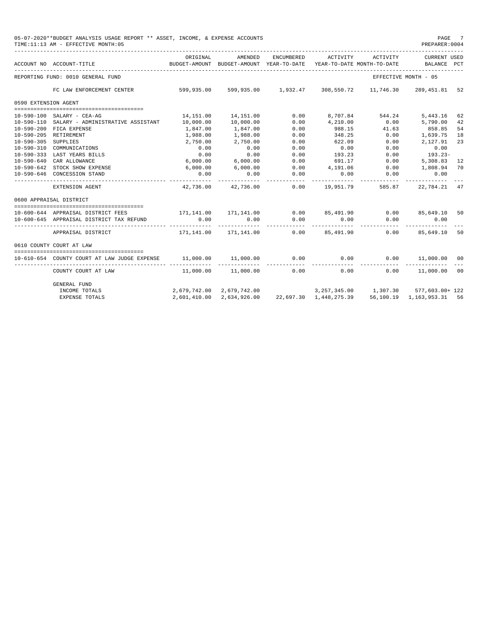|                      | 05-07-2020**BUDGET ANALYSIS USAGE REPORT ** ASSET, INCOME, & EXPENSE ACCOUNTS<br>TIME:11:13 AM - EFFECTIVE MONTH:05 |                            |                     |                       |                                                                                 |                      | PAGE<br>PREPARER: 0004      | - 7 |
|----------------------|---------------------------------------------------------------------------------------------------------------------|----------------------------|---------------------|-----------------------|---------------------------------------------------------------------------------|----------------------|-----------------------------|-----|
|                      | ACCOUNT NO ACCOUNT-TITLE                                                                                            | ORIGINAL                   | AMENDED             | ENCUMBERED            | ACTIVITY<br>BUDGET-AMOUNT BUDGET-AMOUNT YEAR-TO-DATE YEAR-TO-DATE MONTH-TO-DATE | ACTIVITY             | CURRENT USED<br>BALANCE PCT |     |
|                      | REPORTING FUND: 0010 GENERAL FUND                                                                                   |                            |                     |                       |                                                                                 |                      | EFFECTIVE MONTH - 05        |     |
|                      | FC LAW ENFORCEMENT CENTER                                                                                           |                            |                     |                       | 599,935.00   599,935.00    1,932.47   308,550.72   11,746.30   289,451.81  52   |                      |                             |     |
| 0590 EXTENSION AGENT |                                                                                                                     |                            |                     |                       |                                                                                 |                      |                             |     |
|                      |                                                                                                                     |                            |                     |                       |                                                                                 |                      |                             |     |
|                      | 10-590-100 SALARY - CEA-AG                                                                                          | 14,151.00                  | 14,151.00           | 0.00                  | 8,707.84                                                                        | 544.24               | 5,443.16                    | 62  |
|                      | 10-590-110 SALARY - ADMINISTRATIVE ASSISTANT                                                                        | 10,000.00                  | 10,000.00           | 0.00                  | 4,210.00                                                                        | 0.00                 | 5,790.00                    | -42 |
|                      | 10-590-200 FICA EXPENSE                                                                                             | 1,847.00                   | 1,847.00            | 0.00                  | 988.15                                                                          | 41.63                | 858.85                      | 54  |
|                      | 10-590-205 RETIREMENT                                                                                               | 1,988.00                   | 1,988.00            | 0.00                  | 348.25 0.00                                                                     |                      | 1,639.75                    | 18  |
| $10 - 590 - 305$     | SUPPLIES                                                                                                            | 2,750.00                   | 2,750.00            | 0.00                  | 622.09                                                                          | 0.00                 | 2,127.91                    | 23  |
| $10 - 590 - 310$     | COMMUNICATIONS                                                                                                      | 0.00                       | 0.00                | 0.00                  | 0.00                                                                            | 0.00                 | 0.00                        |     |
|                      | 10-590-333 LAST YEARS BILLS                                                                                         | 0.00                       | 0.00                | 0.00                  | 193.23                                                                          | 0.00                 | $193.23-$                   |     |
| $10 - 590 - 640$     | CAR ALLOWANCE                                                                                                       | 6,000.00                   | 6,000.00            | 0.00                  | 691.17                                                                          | 0.00                 | 5,308.83                    | 12  |
| 10-590-642           | STOCK SHOW EXPENSE                                                                                                  | 6,000.00                   | 6,000.00            | 0.00                  | 4,191.06 0.00                                                                   |                      | 1,808.94                    | 70  |
|                      | 10-590-646 CONCESSION STAND                                                                                         | 0.00                       | 0.00                | 0.00<br>----------    | 0.00<br>-----------                                                             | 0.00<br>------------ | 0.00                        |     |
|                      | EXTENSION AGENT                                                                                                     |                            | 42,736.00 42,736.00 | 0.00                  | 19,951.79                                                                       | 585.87               | 22,784.21 47                |     |
|                      | 0600 APPRAISAL DISTRICT                                                                                             |                            |                     |                       |                                                                                 |                      |                             |     |
|                      |                                                                                                                     |                            |                     |                       |                                                                                 |                      |                             |     |
|                      | 10-600-644 APPRAISAL DISTRICT FEES                                                                                  |                            |                     |                       | $171,141.00$ $171,141.00$ 0.00 85,491.90 0.00 85,649.10 50                      |                      |                             |     |
|                      | 10-600-645 APPRAISAL DISTRICT TAX REFUND                                                                            | 0.00                       | 0.00                | 0.00<br>------------- | 0.00                                                                            | 0.00                 | 0.00<br>-------------       |     |
|                      | APPRAISAL DISTRICT                                                                                                  | 171,141.00 171,141.00 0.00 |                     |                       | 85,491.90 0.00                                                                  |                      | 85,649,10 50                |     |
|                      | 0610 COUNTY COURT AT LAW                                                                                            |                            |                     |                       |                                                                                 |                      |                             |     |
|                      |                                                                                                                     |                            |                     |                       |                                                                                 |                      |                             |     |
|                      | 10-610-654 COUNTY COURT AT LAW JUDGE EXPENSE                                                                        |                            | 11,000.00 11,000.00 | 0.00                  | 0.00                                                                            | 0.00                 | 11,000.00 00                |     |
|                      | COUNTY COURT AT LAW                                                                                                 |                            | 11,000.00 11,000.00 | 0.00                  | 0.00                                                                            | 0.00                 | 11,000.00 00                |     |
|                      | GENERAL FUND                                                                                                        |                            |                     |                       |                                                                                 |                      |                             |     |
|                      | INCOME TOTALS                                                                                                       | 2,679,742.00               | 2,679,742.00        |                       | $3,257,345.00$ 1,307.30 577,603.00+ 122                                         |                      |                             |     |
|                      | <b>EXPENSE TOTALS</b>                                                                                               | 2,601,410.00               | 2.634.926.00        |                       | 22,697.30 1,448,275.39                                                          |                      | 56,100.19 1,163,953.31 56   |     |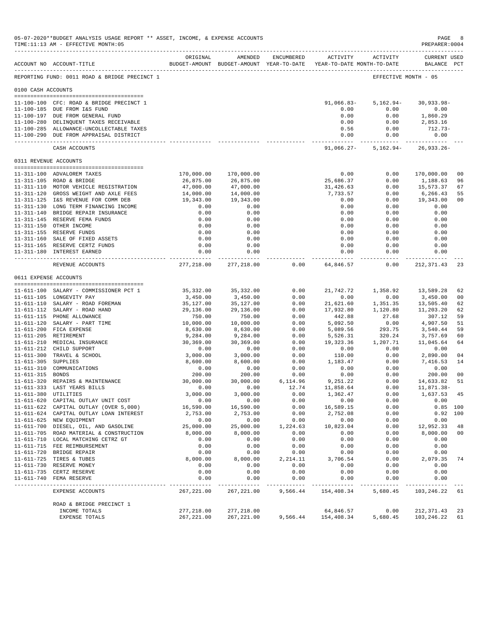|                     | 05-07-2020**BUDGET ANALYSIS USAGE REPORT ** ASSET, INCOME, & EXPENSE ACCOUNTS<br>TIME:11:13 AM - EFFECTIVE MONTH:05 |                           |                           |                   |                                                                                 |                     | PAGE<br>PREPARER: 0004             | 8                      |
|---------------------|---------------------------------------------------------------------------------------------------------------------|---------------------------|---------------------------|-------------------|---------------------------------------------------------------------------------|---------------------|------------------------------------|------------------------|
|                     | ACCOUNT NO ACCOUNT-TITLE                                                                                            | ORIGINAL                  | AMENDED                   | ENCUMBERED        | ACTIVITY<br>BUDGET-AMOUNT BUDGET-AMOUNT YEAR-TO-DATE YEAR-TO-DATE MONTH-TO-DATE | ACTIVITY            | <b>CURRENT USED</b><br>BALANCE PCT |                        |
|                     | REPORTING FUND: 0011 ROAD & BRIDGE PRECINCT 1                                                                       |                           |                           |                   |                                                                                 |                     | EFFECTIVE MONTH - 05               |                        |
| 0100 CASH ACCOUNTS  |                                                                                                                     |                           |                           |                   |                                                                                 |                     |                                    |                        |
|                     |                                                                                                                     |                           |                           |                   |                                                                                 |                     |                                    |                        |
|                     | 11-100-100 CFC: ROAD & BRIDGE PRECINCT 1                                                                            |                           |                           |                   | $91,066.83-$<br>0.00                                                            | $5,162.94-$<br>0.00 | $30,933.98 -$                      |                        |
|                     | 11-100-185 DUE FROM I&S FUND<br>11-100-197 DUE FROM GENERAL FUND                                                    |                           |                           |                   | 0.00                                                                            | 0.00                | 0.00<br>1,860.29                   |                        |
|                     | 11-100-280 DELINQUENT TAXES RECEIVABLE                                                                              |                           |                           |                   | 0.00                                                                            | 0.00                | 2,853.16                           |                        |
|                     | 11-100-285 ALLOWANCE-UNCOLLECTABLE TAXES                                                                            |                           |                           |                   | 0.56                                                                            | 0.00                | 712.73-                            |                        |
|                     | 11-100-290 DUE FROM APPRAISAL DISTRICT                                                                              |                           |                           |                   | 0.00<br>------------- ------------                                              | 0.00                | 0.00<br>--------------             |                        |
|                     | CASH ACCOUNTS                                                                                                       |                           |                           |                   | $91,066.27-$                                                                    | 5,162.94-           | $26,933.26 -$                      |                        |
|                     | 0311 REVENUE ACCOUNTS                                                                                               |                           |                           |                   |                                                                                 |                     |                                    |                        |
|                     |                                                                                                                     |                           |                           |                   |                                                                                 |                     |                                    |                        |
|                     | 11-311-100 ADVALOREM TAXES<br>11-311-105 ROAD & BRIDGE                                                              | 170,000.00<br>26,875.00   | 170,000.00<br>26,875.00   |                   | 0.00<br>25,686.37                                                               | 0.00<br>0.00        | 170,000.00<br>1,188.63             | 0 <sub>0</sub><br>96   |
|                     | 11-311-110 MOTOR VEHICLE REGISTRATION                                                                               | 47,000.00                 | 47,000.00                 |                   | 31,426.63                                                                       | 0.00                | 15,573.37                          | 67                     |
|                     | 11-311-120 GROSS WEIGHT AND AXLE FEES                                                                               | 14,000.00                 | 14,000.00                 |                   | 7,733.57                                                                        | 0.00                | 6,266.43                           | 55                     |
|                     | 11-311-125 I&S REVENUE FOR COMM DEB                                                                                 | 19,343.00                 | 19,343.00                 |                   | 0.00                                                                            | 0.00                | 19,343.00                          | 0 <sub>0</sub>         |
|                     | 11-311-130 LONG TERM FINANCING INCOME                                                                               | 0.00                      | 0.00                      |                   | 0.00                                                                            | 0.00                | 0.00                               |                        |
|                     | 11-311-140 BRIDGE REPAIR INSURANCE                                                                                  | 0.00                      | 0.00                      |                   | 0.00                                                                            | 0.00                | 0.00                               |                        |
|                     | 11-311-145 RESERVE FEMA FUNDS                                                                                       | 0.00                      | 0.00                      |                   | 0.00                                                                            | 0.00                | 0.00                               |                        |
|                     | 11-311-150 OTHER INCOME                                                                                             | 0.00                      | 0.00                      |                   | 0.00                                                                            | 0.00                | 0.00                               |                        |
|                     | 11-311-155 RESERVE FUNDS                                                                                            | 0.00                      | 0.00                      |                   | 0.00                                                                            | 0.00                | 0.00                               |                        |
|                     | 11-311-160 SALE OF FIXED ASSETS<br>11-311-165 RESERVE CERTZ FUNDS                                                   | 0.00<br>0.00              | 0.00<br>0.00              |                   | 0.00<br>0.00                                                                    | 0.00<br>0.00        | 0.00<br>0.00                       |                        |
|                     | 11-311-180 INTEREST EARNED                                                                                          | 0.00                      | 0.00                      |                   | 0.00                                                                            | 0.00                | 0.00                               |                        |
|                     |                                                                                                                     |                           | ------------              |                   | ------------                                                                    | -----               | -----------                        |                        |
|                     | REVENUE ACCOUNTS                                                                                                    | 277,218.00                | 277,218.00                | 0.00              | 64,846.57                                                                       | 0.00                | 212,371.43                         | 23                     |
|                     | 0611 EXPENSE ACCOUNTS                                                                                               |                           |                           |                   |                                                                                 |                     |                                    |                        |
|                     | 11-611-100 SALARY - COMMISSIONER PCT 1                                                                              | 35,332.00                 | 35,332.00                 | 0.00              | 21,742.72                                                                       | 1,358.92            | 13,589.28                          | 62                     |
|                     | 11-611-105 LONGEVITY PAY                                                                                            | 3,450.00                  | 3,450.00                  | 0.00              | 0.00                                                                            | 0.00                | 3,450.00                           | 0 <sub>0</sub>         |
|                     | 11-611-110 SALARY - ROAD FOREMAN                                                                                    | 35,127.00                 | 35,127.00                 | 0.00              | 21,621.60                                                                       | 1,351.35            | 13,505.40                          | 62                     |
|                     | 11-611-112 SALARY - ROAD HAND                                                                                       | 29,136.00                 | 29,136.00                 | 0.00              | 17,932.80                                                                       | 1,120.80            | 11,203.20                          | 62                     |
|                     | 11-611-115 PHONE ALLOWANCE                                                                                          | 750.00                    | 750.00                    | 0.00              | 442.88                                                                          | 27.68               | 307.12                             | 59                     |
|                     | 11-611-120 SALARY - PART TIME                                                                                       | 10,000.00                 | 10,000.00                 | 0.00              | 5,092.50                                                                        | 0.00                | 4,907.50                           | 51                     |
|                     | 11-611-200 FICA EXPENSE                                                                                             | 8,630.00                  | 8,630.00                  | 0.00              | 5,089.56                                                                        | 293.75              | 3,540.44                           | 59                     |
|                     | 11-611-205 RETIREMENT                                                                                               | 9,284.00                  | 9,284.00                  | 0.00              | 5,526.31                                                                        | 320.24              | 3,757.69                           | 60                     |
|                     | 11-611-210 MEDICAL INSURANCE<br>11-611-212 CHILD SUPPORT                                                            | 30,369.00<br>0.00         | 30,369.00<br>0.00         | 0.00<br>0.00      | 19,323.36<br>0.00                                                               | 1,207.71<br>0.00    | 11,045.64<br>0.00                  | 64                     |
|                     | 11-611-300 TRAVEL & SCHOOL                                                                                          | 3,000.00                  | 3,000.00                  | 0.00              | 110.00                                                                          | 0.00                | 2,890.00                           | 04                     |
| 11-611-305 SUPPLIES |                                                                                                                     | 8,600.00                  | 8,600.00                  | 0.00              | 1,183.47                                                                        | 0.00                | 7,416.53                           | 14                     |
|                     | 11-611-310 COMMUNICATIONS                                                                                           | 0.00                      | 0.00                      | 0.00              | 0.00                                                                            | 0.00                | 0.00                               |                        |
| 11-611-315 BONDS    |                                                                                                                     | 200.00                    | 200.00                    | 0.00              | 0.00                                                                            | 0.00                | 200.00                             | 0 <sub>0</sub>         |
|                     | 11-611-320 REPAIRS & MAINTENANCE                                                                                    | 30,000.00                 | 30,000.00                 | 6,114.96          | 9,251.22                                                                        | 0.00                | 14,633.82                          | 51                     |
|                     | 11-611-333 LAST YEARS BILLS                                                                                         | 0.00                      | 0.00                      | 12.74             | 11,858.64                                                                       | 0.00                | 11,871.38-                         |                        |
|                     | 11-611-380 UTILITIES                                                                                                | 3,000.00                  | 3,000.00                  | 0.00              | 1,362.47                                                                        | 0.00                | 1,637.53 45                        |                        |
|                     | 11-611-620 CAPITAL OUTLAY UNIT COST                                                                                 | 0.00                      | 0.00                      | 0.00              | 0.00                                                                            | 0.00                | 0.00                               |                        |
|                     | 11-611-622 CAPITAL OUTLAY (OVER 5,000)<br>11-611-624 CAPITAL OUTLAY LOAN INTEREST                                   | 16,590.00<br>2,753.00     | 16,590.00<br>2,753.00     | 0.00<br>0.00      | 16,589.15<br>2,752.08                                                           | 0.00<br>0.00        |                                    | $0.85$ 100<br>0.92 100 |
|                     | 11-611-625 NEW EQUIPMENT                                                                                            | 0.00                      | 0.00                      | 0.00              | 0.00                                                                            | 0.00                | 0.00                               |                        |
|                     | 11-611-700 DIESEL, OIL, AND GASOLINE                                                                                | 25,000.00                 | 25,000.00                 | 1,224.63          | 10,823.04                                                                       | 0.00                | 12,952.33                          | 48                     |
|                     | 11-611-705 ROAD MATERIAL & CONSTRUCTION                                                                             | 8,000.00                  | 8,000.00                  | 0.00              | 0.00                                                                            | 0.00                | 8,000.00                           | 00                     |
|                     | 11-611-710 LOCAL MATCHING CETRZ GT                                                                                  | 0.00                      | 0.00                      | 0.00              | 0.00                                                                            | 0.00                | 0.00                               |                        |
|                     | 11-611-715 FEE REIMBURSEMENT                                                                                        | 0.00                      | 0.00                      | 0.00              | 0.00                                                                            | 0.00                | 0.00                               |                        |
|                     | 11-611-720 BRIDGE REPAIR                                                                                            | 0.00                      | 0.00                      | 0.00              | 0.00                                                                            | 0.00                | 0.00                               |                        |
|                     | 11-611-725 TIRES & TUBES                                                                                            | 8,000.00                  | 8,000.00                  | 2,214.11          | 3,706.54                                                                        | 0.00                | 2,079.35                           | 74                     |
|                     | 11-611-730 RESERVE MONEY                                                                                            | 0.00                      | 0.00                      | 0.00              | 0.00                                                                            | 0.00                | 0.00                               |                        |
|                     | 11-611-735 CERTZ RESERVE                                                                                            | 0.00                      | 0.00                      | 0.00              | 0.00                                                                            | 0.00                | 0.00                               |                        |
|                     | 11-611-740 FEMA RESERVE                                                                                             | 0.00<br>-----------       | 0.00<br>--------          | 0.00<br>--------- | 0.00<br>---------                                                               | 0.00<br>$- - - - -$ | 0.00<br>--------                   |                        |
|                     | EXPENSE ACCOUNTS                                                                                                    | 267, 221.00               | 267, 221.00               | 9,566.44          | 154,408.34                                                                      | 5,680.45            | 103,246.22                         | 61                     |
|                     | ROAD & BRIDGE PRECINCT 1                                                                                            |                           |                           |                   | 64,846.57                                                                       |                     |                                    |                        |
|                     | INCOME TOTALS<br>EXPENSE TOTALS                                                                                     | 277,218.00<br>267, 221.00 | 277,218.00<br>267, 221.00 | 9,566.44          | 154,408.34                                                                      | 0.00<br>5,680.45    | 212, 371.43<br>103,246.22          | 23<br>61               |
|                     |                                                                                                                     |                           |                           |                   |                                                                                 |                     |                                    |                        |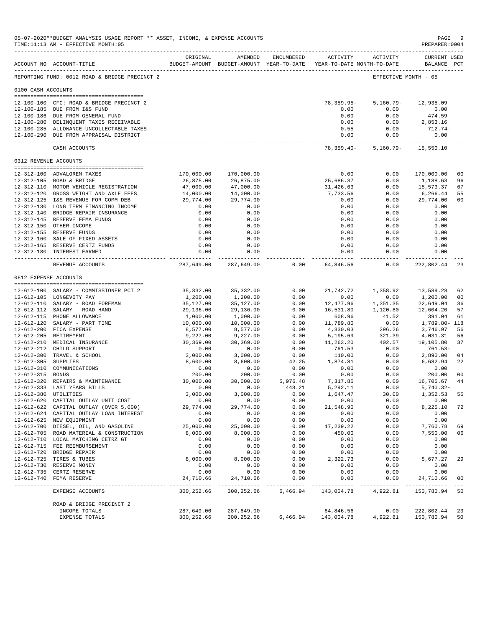|                       | 05-07-2020**BUDGET ANALYSIS USAGE REPORT ** ASSET, INCOME, & EXPENSE ACCOUNTS<br>TIME:11:13 AM - EFFECTIVE MONTH:05<br>______________________________________ |                          |                          |                    |                                                                     |                      | $\mathtt{PAGE}$<br>PREPARER: 0004  | - 9                  |
|-----------------------|---------------------------------------------------------------------------------------------------------------------------------------------------------------|--------------------------|--------------------------|--------------------|---------------------------------------------------------------------|----------------------|------------------------------------|----------------------|
|                       | ACCOUNT NO ACCOUNT-TITLE                                                                                                                                      | ORIGINAL                 | AMENDED                  | ENCUMBERED         | BUDGET-AMOUNT BUDGET-AMOUNT YEAR-TO-DATE YEAR-TO-DATE MONTH-TO-DATE | ACTIVITY ACTIVITY    | <b>CURRENT USED</b><br>BALANCE PCT |                      |
|                       | REPORTING FUND: 0012 ROAD & BRIDGE PRECINCT 2                                                                                                                 |                          |                          |                    |                                                                     |                      | EFFECTIVE MONTH - 05               |                      |
| 0100 CASH ACCOUNTS    |                                                                                                                                                               |                          |                          |                    |                                                                     |                      |                                    |                      |
|                       |                                                                                                                                                               |                          |                          |                    |                                                                     |                      |                                    |                      |
|                       | 12-100-100 CFC: ROAD & BRIDGE PRECINCT 2                                                                                                                      |                          |                          |                    | 78,359.95-                                                          | 5,160.79-            | 12,935.09                          |                      |
|                       | 12-100-185 DUE FROM I&S FUND<br>12-100-186 DUE FROM GENERAL FUND                                                                                              |                          |                          |                    | 0.00                                                                | 0.00                 | 0.00                               |                      |
|                       | 12-100-280 DELINQUENT TAXES RECEIVABLE                                                                                                                        |                          |                          |                    | 0.00<br>0.00                                                        | 0.00<br>0.00         | 474.59<br>2,853.16                 |                      |
|                       | 12-100-285 ALLOWANCE-UNCOLLECTABLE TAXES                                                                                                                      |                          |                          |                    | 0.55                                                                | 0.00                 | 712.74-                            |                      |
|                       | 12-100-290 DUE FROM APPRAISAL DISTRICT                                                                                                                        |                          |                          |                    | 0.00                                                                | 0.00                 | 0.00                               |                      |
|                       | CASH ACCOUNTS                                                                                                                                                 |                          |                          |                    | ------------- ------------<br>78,359.40-                            |                      | 5,160.79- 15,550.10                |                      |
| 0312 REVENUE ACCOUNTS |                                                                                                                                                               |                          |                          |                    |                                                                     |                      |                                    |                      |
|                       |                                                                                                                                                               |                          |                          |                    |                                                                     |                      |                                    |                      |
|                       | 12-312-100 ADVALOREM TAXES<br>12-312-105 ROAD & BRIDGE                                                                                                        | 170,000.00<br>26,875.00  | 170,000.00<br>26,875.00  |                    | 0.00<br>25,686.37                                                   | 0.00<br>0.00         | 170,000.00<br>1,188.63             | 0 <sub>0</sub><br>96 |
|                       | 12-312-110 MOTOR VEHICLE REGISTRATION                                                                                                                         | 47,000.00                | 47,000.00                |                    | 31,426.63                                                           | 0.00                 | 15,573.37                          | 67                   |
|                       | 12-312-120 GROSS WEIGHT AND AXLE FEES                                                                                                                         | 14,000.00                | 14,000.00                |                    | 7,733.56                                                            | 0.00                 | 6,266.44                           | 55                   |
|                       | 12-312-125 I&S REVENUE FOR COMM DEB                                                                                                                           | 29,774.00                | 29,774.00                |                    | 0.00                                                                | 0.00                 | 29,774.00                          | 0 <sub>0</sub>       |
|                       | 12-312-130 LONG TERM FINANCING INCOME                                                                                                                         | 0.00                     | 0.00                     |                    | 0.00                                                                | 0.00                 | 0.00                               |                      |
|                       | 12-312-140 BRIDGE REPAIR INSURANCE                                                                                                                            | 0.00                     | 0.00                     |                    | 0.00                                                                | 0.00                 | 0.00                               |                      |
|                       | 12-312-145 RESERVE FEMA FUNDS                                                                                                                                 | 0.00                     | 0.00                     |                    | 0.00                                                                | 0.00                 | 0.00                               |                      |
|                       | 12-312-150 OTHER INCOME                                                                                                                                       | 0.00                     | 0.00                     |                    | 0.00                                                                | 0.00                 | 0.00                               |                      |
|                       | 12-312-155 RESERVE FUNDS                                                                                                                                      | 0.00                     | 0.00                     |                    | 0.00                                                                | 0.00                 | 0.00                               |                      |
|                       | 12-312-160 SALE OF FIXED ASSETS                                                                                                                               | 0.00                     | 0.00                     |                    | 0.00                                                                | 0.00                 | 0.00                               |                      |
|                       | 12-312-165 RESERVE CERTZ FUNDS                                                                                                                                | 0.00                     | 0.00                     |                    | 0.00                                                                | 0.00                 | 0.00                               |                      |
|                       | 12-312-180 INTEREST EARNED                                                                                                                                    | 0.00                     | 0.00                     |                    | 0.00                                                                | 0.00<br>------------ | 0.00<br>------------               |                      |
|                       | REVENUE ACCOUNTS                                                                                                                                              | 287,649.00               | 287,649.00               | 0.00               | 64,846.56                                                           | 0.00                 | 222,802.44                         | 23                   |
|                       | 0612 EXPENSE ACCOUNTS                                                                                                                                         |                          |                          |                    |                                                                     |                      |                                    |                      |
|                       |                                                                                                                                                               |                          |                          |                    |                                                                     |                      |                                    |                      |
|                       | 12-612-100 SALARY - COMMISSIONER PCT 2<br>12-612-105 LONGEVITY PAY                                                                                            | 35,332.00<br>1,200.00    | 35,332.00<br>1,200.00    | 0.00<br>0.00       | 21,742.72<br>0.00                                                   | 1,358.92<br>0.00     | 13,589.28<br>1,200.00              | 62<br>0 <sub>0</sub> |
|                       | 12-612-110 SALARY - ROAD FOREMAN                                                                                                                              | 35,127.00                | 35,127.00                | 0.00               | 12,477.96                                                           | 1,351.35             | 22,649.04                          | 36                   |
|                       | 12-612-112 SALARY - ROAD HAND                                                                                                                                 | 29,136.00                | 29,136.00                | 0.00               | 16,531.80                                                           | 1,120.80             | 12,604.20                          | 57                   |
|                       | 12-612-115 PHONE ALLOWANCE                                                                                                                                    | 1,000.00                 | 1,000.00                 | 0.00               | 608.96                                                              | 41.52                | 391.04                             | 61                   |
|                       | 12-612-120 SALARY - PART TIME                                                                                                                                 | 10,000.00                | 10,000.00                | 0.00               | 11,789.80                                                           | 0.00                 | 1,789.80- 118                      |                      |
|                       | 12-612-200 FICA EXPENSE                                                                                                                                       | 8,577.00                 | 8,577.00                 | 0.00               | 4,830.03                                                            | 296.26               | 3,746.97                           | 56                   |
|                       | 12-612-205 RETIREMENT                                                                                                                                         | 9,227.00                 | 9,227.00                 | 0.00               | 5,195.69                                                            | 321.39               | 4,031.31                           | 56                   |
|                       | 12-612-210 MEDICAL INSURANCE                                                                                                                                  | 30,369.00                | 30,369.00                | 0.00               | 11,263.20                                                           | 402.57               | 19,105.80                          | 37                   |
|                       | 12-612-212 CHILD SUPPORT                                                                                                                                      | 0.00                     | 0.00                     | 0.00               | 761.53                                                              | 0.00                 | 761.53-                            |                      |
|                       | 12-612-300 TRAVEL & SCHOOL                                                                                                                                    | 3,000.00                 | 3,000.00                 | 0.00               | 110.00                                                              | 0.00                 | 2,890.00                           | 04                   |
| 12-612-305 SUPPLIES   |                                                                                                                                                               | 8,600.00                 | 8,600.00                 | 42.25              | 1,874.81                                                            | 0.00                 | 6,682.94                           | 22                   |
|                       | 12-612-310 COMMUNICATIONS                                                                                                                                     | 0.00                     | 0.00                     | 0.00               | 0.00                                                                | 0.00                 | 0.00                               |                      |
| 12-612-315 BONDS      |                                                                                                                                                               | 200.00                   | 200.00                   | 0.00               | 0.00                                                                | 0.00                 | 200.00                             | 0 <sub>0</sub>       |
|                       | 12-612-320 REPAIRS & MAINTENANCE                                                                                                                              | 30,000.00<br>0.00        | 30,000.00<br>0.00        | 5,976.48<br>448.21 | 7,317.85                                                            | 0.00<br>0.00         | 16,705.67<br>$5,740.32 -$          | 44                   |
|                       | 12-612-333 LAST YEARS BILLS<br>12-612-380 UTILITIES                                                                                                           | 3,000.00                 | 3,000.00                 | 0.00               | 5,292.11<br>1,647.47                                                | 30.00                | 1,352.53                           | 55                   |
|                       | 12-612-620 CAPITAL OUTLAY UNIT COST                                                                                                                           | 0.00                     | 0.00                     | 0.00               | 0.00                                                                | 0.00                 | 0.00                               |                      |
|                       | 12-612-622 CAPITAL OUTLAY (OVER 5,000)                                                                                                                        | 29,774.00                | 29,774.00                | 0.00               | 21,548.90                                                           | 0.00                 | 8,225.10                           | 72                   |
|                       | 12-612-624 CAPITAL OUTLAY LOAN INTEREST                                                                                                                       | 0.00                     | 0.00                     | 0.00               | 0.00                                                                | 0.00                 | 0.00                               |                      |
|                       | 12-612-625 NEW EQUIPMENT                                                                                                                                      | 0.00                     | 0.00                     | 0.00               | 0.00                                                                | 0.00                 | 0.00                               |                      |
|                       | 12-612-700 DIESEL, OIL, AND GASOLINE                                                                                                                          | 25,000.00                | 25,000.00                | 0.00               | 17,239.22                                                           | 0.00                 | 7,760.78                           | 69                   |
|                       | 12-612-705 ROAD MATERIAL & CONSTRUCTION                                                                                                                       | 8,000.00                 | 8,000.00                 | 0.00               | 450.00                                                              | 0.00                 | 7,550.00                           | 06                   |
|                       | 12-612-710 LOCAL MATCHING CETRZ GT                                                                                                                            | 0.00                     | 0.00                     | 0.00               | 0.00                                                                | 0.00                 | 0.00                               |                      |
|                       | 12-612-715 FEE REIMBURSEMENT                                                                                                                                  | 0.00                     | 0.00                     | 0.00               | 0.00                                                                | 0.00                 | 0.00                               |                      |
|                       | 12-612-720 BRIDGE REPAIR                                                                                                                                      | 0.00                     | 0.00                     | 0.00               | 0.00                                                                | 0.00                 | 0.00                               |                      |
|                       | 12-612-725 TIRES & TUBES                                                                                                                                      | 8,000.00                 | 8,000.00                 | 0.00               | 2,322.73                                                            | 0.00                 | 5,677.27                           | 29                   |
|                       | 12-612-730 RESERVE MONEY                                                                                                                                      | 0.00                     | 0.00                     | 0.00               | 0.00                                                                | 0.00                 | 0.00                               |                      |
|                       | 12-612-735 CERTZ RESERVE                                                                                                                                      | 0.00                     | 0.00                     | 0.00               | 0.00                                                                | 0.00                 | 0.00                               |                      |
|                       | 12-612-740 FEMA RESERVE                                                                                                                                       | 24,710.66<br>----------  | 24,710.66<br>----------- | 0.00               | 0.00                                                                | 0.00<br>--------     | 24,710.66                          | 0 <sub>0</sub>       |
|                       | EXPENSE ACCOUNTS                                                                                                                                              | 300,252.66               | 300,252.66               | 6,466.94           | 143,004.78                                                          | 4,922.81             | 150,780.94                         | 50                   |
|                       | ROAD & BRIDGE PRECINCT 2                                                                                                                                      |                          |                          |                    |                                                                     |                      |                                    |                      |
|                       | INCOME TOTALS<br>EXPENSE TOTALS                                                                                                                               | 287,649.00<br>300,252.66 | 287,649.00<br>300,252.66 |                    | 64,846.56<br>143,004.78                                             | 0.00<br>4,922.81     | 222,802.44<br>150,780.94           | 23<br>50             |
|                       |                                                                                                                                                               |                          |                          | 6,466.94           |                                                                     |                      |                                    |                      |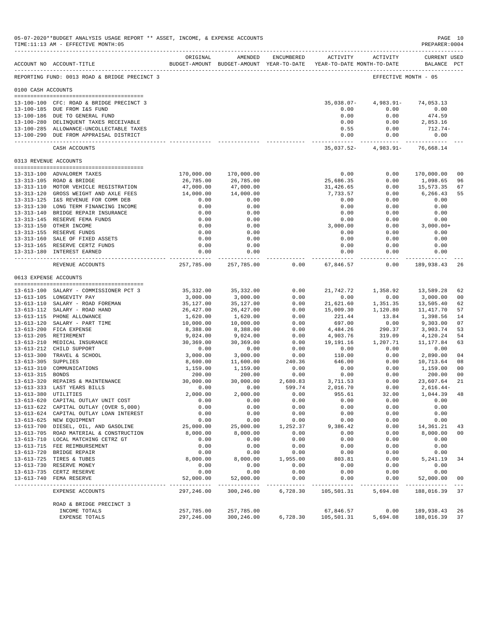|                       | 05-07-2020**BUDGET ANALYSIS USAGE REPORT ** ASSET, INCOME, & EXPENSE ACCOUNTS<br>TIME:11:13 AM - EFFECTIVE MONTH:05<br>_______________________________ |                                   |                          |              |                                                                     |                     | PAGE 10<br>PREPARER: 0004          |                      |
|-----------------------|--------------------------------------------------------------------------------------------------------------------------------------------------------|-----------------------------------|--------------------------|--------------|---------------------------------------------------------------------|---------------------|------------------------------------|----------------------|
|                       | ACCOUNT NO ACCOUNT-TITLE                                                                                                                               | ORIGINAL                          | AMENDED                  | ENCUMBERED   | BUDGET-AMOUNT BUDGET-AMOUNT YEAR-TO-DATE YEAR-TO-DATE MONTH-TO-DATE | ACTIVITY ACTIVITY   | <b>CURRENT USED</b><br>BALANCE PCT |                      |
|                       | REPORTING FUND: 0013 ROAD & BRIDGE PRECINCT 3                                                                                                          |                                   |                          |              |                                                                     |                     | EFFECTIVE MONTH - 05               |                      |
| 0100 CASH ACCOUNTS    |                                                                                                                                                        |                                   |                          |              |                                                                     |                     |                                    |                      |
|                       |                                                                                                                                                        |                                   |                          |              |                                                                     |                     |                                    |                      |
|                       | 13-100-100 CFC: ROAD & BRIDGE PRECINCT 3                                                                                                               |                                   |                          |              | 35,038.07-                                                          | 4,983.91-           | 74,053.13                          |                      |
|                       | 13-100-185 DUE FROM I&S FUND                                                                                                                           |                                   |                          |              | 0.00                                                                | 0.00                | 0.00                               |                      |
|                       | 13-100-186 DUE TO GENERAL FUND                                                                                                                         |                                   |                          |              | 0.00                                                                | 0.00                | 474.59                             |                      |
|                       | 13-100-280 DELINQUENT TAXES RECEIVABLE<br>13-100-285 ALLOWANCE-UNCOLLECTABLE TAXES                                                                     |                                   |                          |              | 0.00<br>0.55                                                        | 0.00<br>0.00        | 2,853.16<br>712.74-                |                      |
|                       | 13-100-290 DUE FROM APPRAISAL DISTRICT                                                                                                                 |                                   |                          |              | 0.00                                                                | 0.00                | 0.00                               |                      |
|                       | CASH ACCOUNTS                                                                                                                                          |                                   |                          |              | ------------ -<br>35,037.52-                                        | ------------        | $4,983.91 - 76,668.14$             |                      |
| 0313 REVENUE ACCOUNTS |                                                                                                                                                        |                                   |                          |              |                                                                     |                     |                                    |                      |
|                       |                                                                                                                                                        |                                   |                          |              |                                                                     |                     |                                    |                      |
|                       | 13-313-100 ADVALOREM TAXES<br>13-313-105 ROAD & BRIDGE                                                                                                 | 170,000.00<br>26,785.00           | 170,000.00<br>26,785.00  |              | 0.00<br>25,686.35                                                   | 0.00<br>0.00        | 170,000.00<br>1,098.65             | 0 <sub>0</sub><br>96 |
|                       | 13-313-110 MOTOR VEHICLE REGISTRATION                                                                                                                  | 47,000.00                         | 47,000.00                |              | 31,426.65                                                           | 0.00                | 15,573.35                          | 67                   |
|                       | 13-313-120 GROSS WEIGHT AND AXLE FEES                                                                                                                  | 14,000.00                         | 14,000.00                |              | 7,733.57                                                            | 0.00                | 6,266.43                           | 55                   |
|                       | 13-313-125 I&S REVENUE FOR COMM DEB                                                                                                                    | 0.00                              | 0.00                     |              | 0.00                                                                | 0.00                | 0.00                               |                      |
|                       | 13-313-130 LONG TERM FINANCING INCOME                                                                                                                  | 0.00                              | 0.00                     |              | 0.00                                                                | 0.00                | 0.00                               |                      |
|                       | 13-313-140 BRIDGE REPAIR INSURANCE                                                                                                                     | 0.00                              | 0.00                     |              | 0.00                                                                | 0.00                | 0.00                               |                      |
|                       | 13-313-145 RESERVE FEMA FUNDS                                                                                                                          | 0.00                              | 0.00                     |              | 0.00                                                                | 0.00                | 0.00                               |                      |
|                       | 13-313-150 OTHER INCOME                                                                                                                                | 0.00                              | 0.00                     |              | 3,000.00                                                            | 0.00                | $3,000.00+$                        |                      |
|                       | 13-313-155 RESERVE FUNDS                                                                                                                               | 0.00                              | 0.00                     |              | 0.00                                                                | 0.00                | 0.00                               |                      |
|                       | 13-313-160 SALE OF FIXED ASSETS                                                                                                                        | 0.00                              | 0.00                     |              | 0.00                                                                | 0.00                | 0.00                               |                      |
|                       | 13-313-165 RESERVE CERTZ FUNDS                                                                                                                         | 0.00                              | 0.00                     |              | 0.00                                                                | 0.00                | 0.00                               |                      |
|                       | 13-313-180 INTEREST EARNED                                                                                                                             | 0.00<br>. _ _ _ _ _ _ _ _ _ _ _ _ | 0.00<br>-------------    |              | 0.00<br>------------                                                | 0.00<br>----------- | 0.00<br>------------               |                      |
|                       | REVENUE ACCOUNTS                                                                                                                                       | 257,785.00                        | 257,785.00               | 0.00         | 67,846.57                                                           | 0.00                | 189,938.43                         | 26                   |
|                       | 0613 EXPENSE ACCOUNTS                                                                                                                                  |                                   |                          |              |                                                                     |                     |                                    |                      |
|                       |                                                                                                                                                        |                                   |                          |              |                                                                     |                     |                                    |                      |
|                       | 13-613-100 SALARY - COMMISSIONER PCT 3                                                                                                                 | 35,332.00                         | 35,332.00                | 0.00         | 21,742.72                                                           | 1,358.92            | 13,589.28                          | 62                   |
|                       | 13-613-105 LONGEVITY PAY<br>13-613-110 SALARY - ROAD FOREMAN                                                                                           | 3,000.00<br>35,127.00             | 3,000.00<br>35,127.00    | 0.00<br>0.00 | 0.00<br>21,621.60                                                   | 0.00<br>1,351.35    | 3,000.00<br>13,505.40              | 00<br>62             |
|                       | 13-613-112 SALARY - ROAD HAND                                                                                                                          | 26,427.00                         | 26,427.00                | 0.00         | 15,009.30                                                           | 1,120.80            | 11,417.70                          | 57                   |
|                       | 13-613-115 PHONE ALLOWANCE                                                                                                                             | 1,620.00                          | 1,620.00                 | 0.00         | 221.44                                                              | 13.84               | 1,398.56                           | 14                   |
|                       | 13-613-120 SALARY - PART TIME                                                                                                                          | 10,000.00                         | 10,000.00                | 0.00         | 697.00                                                              | 0.00                | 9,303.00                           | 07                   |
|                       | 13-613-200 FICA EXPENSE                                                                                                                                | 8,388.00                          | 8,388.00                 | 0.00         | 4,484.26                                                            | 290.37              | 3,903.74                           | 53                   |
|                       | 13-613-205 RETIREMENT                                                                                                                                  | 9,024.00                          | 9,024.00                 | 0.00         | 4,903.76                                                            | 319.09              | 4,120.24                           | 54                   |
|                       | 13-613-210 MEDICAL INSURANCE                                                                                                                           | 30,369.00                         | 30,369.00                | 0.00         | 19,191.16                                                           | 1,207.71            | 11,177.84                          | 63                   |
|                       | 13-613-212 CHILD SUPPORT                                                                                                                               | 0.00                              | 0.00                     | 0.00         | 0.00                                                                | 0.00                | 0.00                               |                      |
|                       | 13-613-300 TRAVEL & SCHOOL                                                                                                                             | 3,000.00                          | 3,000.00                 | 0.00         | 110.00                                                              | 0.00                | 2,890.00                           | 04                   |
| 13-613-305 SUPPLIES   |                                                                                                                                                        | 8,600.00                          | 11,600.00                | 240.36       | 646.00                                                              | 0.00                | 10,713.64                          | 08                   |
|                       | 13-613-310 COMMUNICATIONS                                                                                                                              | 1,159.00                          | 1,159.00                 | 0.00         | 0.00                                                                | 0.00                | 1,159.00                           | 0 <sup>0</sup>       |
| 13-613-315 BONDS      |                                                                                                                                                        | 200.00                            | 200.00                   | 0.00         | 0.00                                                                | 0.00                | 200.00                             | 0 <sub>0</sub>       |
|                       | 13-613-320 REPAIRS & MAINTENANCE                                                                                                                       | 30,000.00                         | 30,000.00                | 2,680.83     | 3,711.53                                                            | 0.00                | 23,607.64                          | 21                   |
|                       | 13-613-333 LAST YEARS BILLS                                                                                                                            | 0.00<br>2,000.00                  | 0.00                     | 599.74       | 2,016.70                                                            | 0.00                | $2,616.44-$                        |                      |
|                       | 13-613-380 UTILITIES<br>13-613-620 CAPITAL OUTLAY UNIT COST                                                                                            | 0.00                              | 2,000.00<br>0.00         | 0.00<br>0.00 | 955.61<br>0.00                                                      | 32.00<br>0.00       | 1,044.39<br>0.00                   | 48                   |
|                       | 13-613-622 CAPITAL OUTLAY (OVER 5,000)                                                                                                                 | 0.00                              | 0.00                     | 0.00         | 0.00                                                                | 0.00                | 0.00                               |                      |
|                       | 13-613-624 CAPITAL OUTLAY LOAN INTEREST                                                                                                                | 0.00                              | 0.00                     | 0.00         | 0.00                                                                | 0.00                | 0.00                               |                      |
|                       | 13-613-625 NEW EQUIPMENT                                                                                                                               | 0.00                              | 0.00                     | 0.00         | 0.00                                                                | 0.00                | 0.00                               |                      |
|                       | 13-613-700 DIESEL, OIL, AND GASOLINE                                                                                                                   | 25,000.00                         | 25,000.00                | 1,252.37     | 9,386.42                                                            | 0.00                | 14,361.21                          | 43                   |
|                       | 13-613-705 ROAD MATERIAL & CONSTRUCTION                                                                                                                | 8,000.00                          | 8,000.00                 | 0.00         | 0.00                                                                | 0.00                | 8,000.00                           | 0 <sub>0</sub>       |
|                       | 13-613-710 LOCAL MATCHING CETRZ GT                                                                                                                     | 0.00                              | 0.00                     | 0.00         | 0.00                                                                | 0.00                | 0.00                               |                      |
|                       | 13-613-715 FEE REIMBURSEMENT                                                                                                                           | 0.00                              | 0.00                     | 0.00         | 0.00                                                                | 0.00                | 0.00                               |                      |
|                       | 13-613-720 BRIDGE REPAIR                                                                                                                               | 0.00                              | 0.00                     | 0.00         | 0.00                                                                | 0.00                | 0.00                               |                      |
|                       | 13-613-725 TIRES & TUBES                                                                                                                               | 8,000.00                          | 8,000.00                 | 1,955.00     | 803.81                                                              | 0.00                | 5, 241.19                          | 34                   |
|                       | 13-613-730 RESERVE MONEY                                                                                                                               | 0.00                              | 0.00                     | 0.00         | 0.00                                                                | 0.00                | 0.00                               |                      |
|                       | 13-613-735 CERTZ RESERVE                                                                                                                               | 0.00                              | 0.00                     | 0.00         | 0.00                                                                | 0.00                | 0.00                               |                      |
|                       | 13-613-740 FEMA RESERVE                                                                                                                                | 52,000.00                         | 52,000.00                | 0.00         | 0.00                                                                | 0.00                | 52,000.00                          | 0 <sub>0</sub>       |
|                       | <b>EXPENSE ACCOUNTS</b>                                                                                                                                | 297,246.00                        | 300,246.00               | 6,728.30     | 105,501.31                                                          | 5,694.08            | 188,016.39                         | 37                   |
|                       | ROAD & BRIDGE PRECINCT 3                                                                                                                               |                                   |                          |              |                                                                     |                     |                                    |                      |
|                       | INCOME TOTALS                                                                                                                                          | 257,785.00<br>297,246.00          | 257,785.00<br>300,246.00 |              | 67,846.57<br>105,501.31                                             | 0.00                | 189,938.43<br>188,016.39           | 26                   |
|                       | EXPENSE TOTALS                                                                                                                                         |                                   |                          | 6,728.30     |                                                                     | 5,694.08            |                                    | 37                   |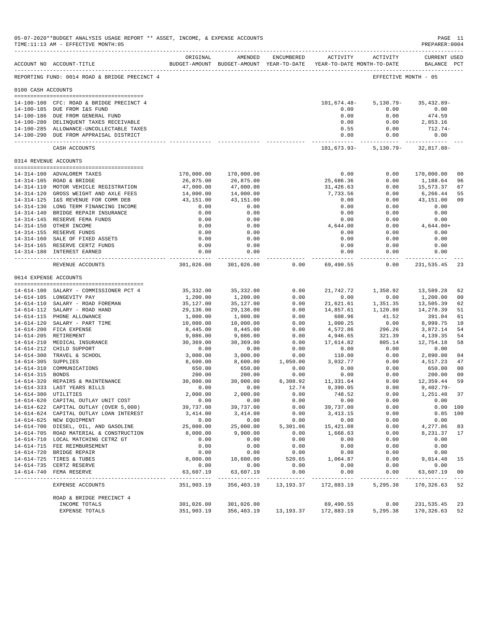|                     | 05-07-2020**BUDGET ANALYSIS USAGE REPORT ** ASSET, INCOME, & EXPENSE ACCOUNTS<br>TIME:11:13 AM - EFFECTIVE MONTH:05<br>------------------------------------ |                          |                              |                     |                                                                     |                       | PAGE 11<br>PREPARER: 0004          |                      |
|---------------------|-------------------------------------------------------------------------------------------------------------------------------------------------------------|--------------------------|------------------------------|---------------------|---------------------------------------------------------------------|-----------------------|------------------------------------|----------------------|
|                     | ACCOUNT NO ACCOUNT-TITLE                                                                                                                                    | ORIGINAL                 | AMENDED                      | ENCUMBERED          | BUDGET-AMOUNT BUDGET-AMOUNT YEAR-TO-DATE YEAR-TO-DATE MONTH-TO-DATE | ACTIVITY ACTIVITY     | <b>CURRENT USED</b><br>BALANCE PCT |                      |
|                     | REPORTING FUND: 0014 ROAD & BRIDGE PRECINCT 4                                                                                                               |                          |                              |                     |                                                                     | EFFECTIVE MONTH - 05  |                                    |                      |
| 0100 CASH ACCOUNTS  |                                                                                                                                                             |                          |                              |                     |                                                                     |                       |                                    |                      |
|                     | 14-100-100 CFC: ROAD & BRIDGE PRECINCT 4                                                                                                                    |                          |                              |                     | 101,674.48-                                                         | 5,130.79-             | $35,432.89-$                       |                      |
|                     | 14-100-185 DUE FROM I&S FUND                                                                                                                                |                          |                              |                     | 0.00                                                                | 0.00                  | 0.00                               |                      |
|                     | 14-100-186 DUE FROM GENERAL FUND                                                                                                                            |                          |                              |                     | 0.00                                                                | 0.00                  | 474.59                             |                      |
|                     | 14-100-280 DELINQUENT TAXES RECEIVABLE                                                                                                                      |                          |                              |                     | 0.00                                                                | 0.00                  | 2,853.16                           |                      |
|                     | 14-100-285 ALLOWANCE-UNCOLLECTABLE TAXES                                                                                                                    |                          |                              |                     | 0.55                                                                | 0.00                  | $712.74-$                          |                      |
|                     | 14-100-290 DUE FROM APPRAISAL DISTRICT                                                                                                                      |                          |                              |                     | 0.00<br>.                                                           | 0.00<br>------------- | 0.00<br>-------------              |                      |
|                     | CASH ACCOUNTS                                                                                                                                               |                          |                              |                     | 101,673.93-                                                         | 5,130.79-             | 32,817.88-                         |                      |
|                     | 0314 REVENUE ACCOUNTS                                                                                                                                       |                          |                              |                     |                                                                     |                       |                                    |                      |
|                     | 14-314-100 ADVALOREM TAXES                                                                                                                                  | 170,000.00               | 170,000.00                   |                     | 0.00                                                                | 0.00                  | 170,000.00                         | 0 <sub>0</sub>       |
|                     | 14-314-105 ROAD & BRIDGE                                                                                                                                    | 26,875.00                | 26,875.00                    |                     | 25,686.36                                                           | 0.00                  | 1,188.64                           | 96                   |
|                     | 14-314-110 MOTOR VEHICLE REGISTRATION                                                                                                                       | 47,000.00                | 47,000.00                    |                     | 31,426.63                                                           | 0.00                  | 15,573.37                          | 67                   |
|                     | 14-314-120 GROSS WEIGHT AND AXLE FEES                                                                                                                       | 14,000.00                | 14,000.00                    |                     | 7,733.56                                                            | 0.00                  | 6,266.44                           | 55                   |
|                     | 14-314-125 I&S REVENUE FOR COMM DEB                                                                                                                         | 43,151.00                | 43,151.00                    |                     | 0.00                                                                | 0.00                  | 43,151.00                          | 0 <sub>0</sub>       |
|                     | 14-314-130 LONG TERM FINANCING INCOME                                                                                                                       | 0.00                     | 0.00                         |                     | 0.00                                                                | 0.00                  | 0.00                               |                      |
|                     | 14-314-140 BRIDGE REPAIR INSURANCE                                                                                                                          | 0.00                     | 0.00                         |                     | 0.00                                                                | 0.00                  | 0.00                               |                      |
|                     | 14-314-145 RESERVE FEMA FUNDS                                                                                                                               | 0.00                     | 0.00                         |                     | 0.00                                                                | 0.00                  | 0.00                               |                      |
|                     | 14-314-150 OTHER INCOME                                                                                                                                     | 0.00                     | 0.00                         |                     | 4,644.00                                                            | 0.00                  | $4,644.00+$                        |                      |
|                     | 14-314-155 RESERVE FUNDS                                                                                                                                    | 0.00                     | 0.00                         |                     | 0.00                                                                | 0.00                  | 0.00                               |                      |
|                     | 14-314-160 SALE OF FIXED ASSETS<br>14-314-165 RESERVE CERTZ FUNDS                                                                                           | 0.00<br>0.00             | 0.00<br>0.00                 |                     | 0.00<br>0.00                                                        | 0.00<br>0.00          | 0.00<br>0.00                       |                      |
|                     | 14-314-180 INTEREST EARNED                                                                                                                                  | 0.00                     | 0.00                         |                     | 0.00                                                                | 0.00                  | 0.00                               |                      |
|                     | REVENUE ACCOUNTS                                                                                                                                            | 301,026.00               | ______________<br>301,026.00 | 0.00                | .<br>69,490.55                                                      | $- - - - -$<br>0.00   | -----------<br>231,535.45          | 23                   |
|                     | 0614 EXPENSE ACCOUNTS                                                                                                                                       |                          |                              |                     |                                                                     |                       |                                    |                      |
|                     |                                                                                                                                                             |                          |                              |                     |                                                                     |                       |                                    |                      |
|                     | 14-614-100 SALARY - COMMISSIONER PCT 4                                                                                                                      | 35,332.00                | 35, 332.00                   | 0.00                | 21,742.72                                                           | 1,358.92              | 13,589.28                          | 62                   |
|                     | 14-614-105 LONGEVITY PAY<br>14-614-110 SALARY - ROAD FOREMAN                                                                                                | 1,200.00<br>35,127.00    | 1,200.00<br>35,127.00        | 0.00<br>0.00        | 0.00<br>21,621.61                                                   | 0.00<br>1,351.35      | 1,200.00<br>13,505.39              | 0 <sub>0</sub><br>62 |
|                     | 14-614-112 SALARY - ROAD HAND                                                                                                                               | 29,136.00                | 29,136.00                    | 0.00                | 14,857.61                                                           | 1,120.80              | 14,278.39                          | 51                   |
|                     | 14-614-115 PHONE ALLOWANCE                                                                                                                                  | 1,000.00                 | 1,000.00                     | 0.00                | 608.96                                                              | 41.52                 | 391.04                             | 61                   |
|                     | 14-614-120 SALARY - PART TIME                                                                                                                               | 10,000.00                | 10,000.00                    | 0.00                | 1,000.25                                                            | 0.00                  | 8,999.75                           | 10                   |
|                     | 14-614-200 FICA EXPENSE                                                                                                                                     | 8,445.00                 | 8,445.00                     | 0.00                | 4,572.86                                                            | 296.26                | 3,872.14                           | 54                   |
|                     | 14-614-205 RETIREMENT                                                                                                                                       | 9,086.00                 | 9,086.00                     | 0.00                | 4,946.65                                                            | 321.39                | 4,139.35                           | 54                   |
|                     | 14-614-210 MEDICAL INSURANCE                                                                                                                                | 30,369.00                | 30,369.00                    | 0.00                | 17,614.82                                                           | 805.14                | 12,754.18                          | 58                   |
|                     | 14-614-212 CHILD SUPPORT                                                                                                                                    | 0.00                     | 0.00                         | 0.00                | 0.00                                                                | 0.00                  | 0.00                               |                      |
|                     | 14-614-300 TRAVEL & SCHOOL                                                                                                                                  | 3,000.00                 | 3,000.00                     | 0.00                | 110.00                                                              | 0.00                  | 2,890.00                           | 04                   |
| 14-614-305 SUPPLIES |                                                                                                                                                             | 8,600.00                 | 8,600.00                     | 1,050.00            | 3,032.77                                                            | 0.00                  | 4,517.23                           | 47                   |
|                     | 14-614-310 COMMUNICATIONS                                                                                                                                   | 650.00                   | 650.00                       | 0.00                | 0.00                                                                | 0.00                  | 650.00                             | 0 <sub>0</sub>       |
| 14-614-315 BONDS    |                                                                                                                                                             | 200.00                   | 200.00                       | 0.00                | 0.00                                                                | 0.00                  | 200.00                             | 0 <sub>0</sub>       |
|                     | 14-614-320 REPAIRS & MAINTENANCE                                                                                                                            | 30,000.00                | 30,000.00                    | 6,308.92            | 11,331.64                                                           | 0.00                  | 12,359.44                          | 59                   |
|                     | 14-614-333 LAST YEARS BILLS                                                                                                                                 | 0.00                     | 0.00                         | 12.74               | 9,390.05                                                            | 0.00                  | $9,402.79 -$                       |                      |
|                     | 14-614-380 UTILITIES                                                                                                                                        | 2,000.00                 | 2,000.00                     | 0.00                | 748.52                                                              | 0.00                  | 1,251.48 37                        |                      |
|                     | 14-614-620 CAPITAL OUTLAY UNIT COST                                                                                                                         | 0.00                     | 0.00<br>39,737.00            | 0.00                | 0.00                                                                | 0.00                  | 0.00                               |                      |
|                     | 14-614-622 CAPITAL OUTLAY (OVER 5,000)<br>14-614-624 CAPITAL OUTLAY LOAN INTEREST                                                                           | 39,737.00<br>3,414.00    | 3,414.00                     | 0.00<br>0.00        | 39,737.00<br>3,413.15                                               | 0.00<br>0.00          | 0.00 100<br>$0.85$ 100             |                      |
|                     | 14-614-625 NEW EQUIPMENT                                                                                                                                    | 0.00                     | 0.00                         | 0.00                | 0.00                                                                | 0.00                  | 0.00                               |                      |
|                     | 14-614-700 DIESEL, OIL, AND GASOLINE                                                                                                                        | 25,000.00                | 25,000.00                    | 5,301.06            | 15,421.08                                                           | 0.00                  | 4,277.86                           | 83                   |
|                     | 14-614-705 ROAD MATERIAL & CONSTRUCTION                                                                                                                     | 8,000.00                 | 9,900.00                     | 0.00                | 1,668.63                                                            | 0.00                  | 8, 231.37 17                       |                      |
|                     | 14-614-710 LOCAL MATCHING CETRZ GT                                                                                                                          | 0.00                     | 0.00                         | 0.00                | 0.00                                                                | 0.00                  | 0.00                               |                      |
|                     | 14-614-715 FEE REIMBURSEMENT                                                                                                                                | 0.00                     | 0.00                         | 0.00                | 0.00                                                                | 0.00                  | 0.00                               |                      |
|                     | 14-614-720 BRIDGE REPAIR                                                                                                                                    | 0.00                     | 0.00                         | 0.00                | 0.00                                                                | 0.00                  | 0.00                               |                      |
|                     | 14-614-725 TIRES & TUBES                                                                                                                                    | 8,000.00                 | 10,600.00                    | 520.65              | 1,064.87                                                            | 0.00                  | 9,014.48                           | 15                   |
|                     | 14-614-735 CERTZ RESERVE                                                                                                                                    | 0.00                     | 0.00                         | 0.00                | 0.00                                                                | 0.00                  | 0.00                               |                      |
|                     | 14-614-740 FEMA RESERVE                                                                                                                                     | 63,607.19<br>----------- | 63,607.19<br>--------------  | 0.00<br>----------- | 0.00<br>-------------                                               | 0.00<br>. <u>.</u>    | 63,607.19<br>---------------       | 0 <sub>0</sub>       |
|                     | EXPENSE ACCOUNTS                                                                                                                                            | 351,903.19               |                              |                     | 356,403.19   13,193.37   172,883.19                                 | 5,295.38              | 170,326.63 52                      |                      |
|                     | ROAD & BRIDGE PRECINCT 4                                                                                                                                    |                          |                              |                     |                                                                     |                       |                                    |                      |
|                     | INCOME TOTALS                                                                                                                                               | 301,026.00               | 301,026.00                   |                     | 69,490.55                                                           | 0.00                  | 231,535.45                         | 23                   |
|                     | EXPENSE TOTALS                                                                                                                                              | 351,903.19               |                              |                     | 356,403.19   13,193.37   172,883.19                                 | 5,295.38              | 170,326.63                         | 52                   |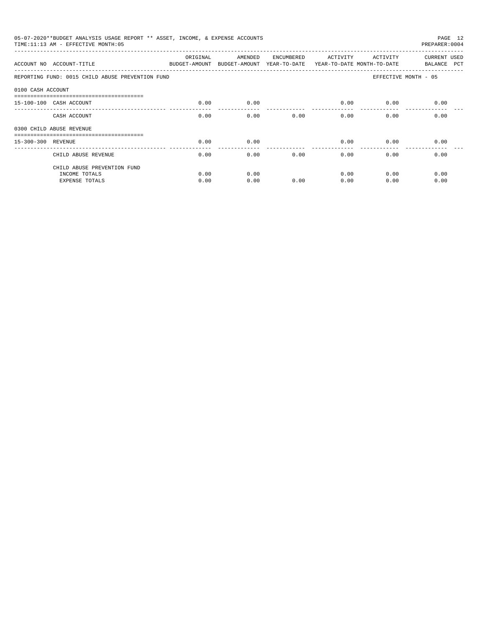|                    | 05-07-2020**BUDGET ANALYSIS USAGE REPORT ** ASSET, INCOME, & EXPENSE ACCOUNTS<br>PAGE 12<br>TIME: 11:13 AM - EFFECTIVE MONTH: 05<br>PREPARER: 0004 |                           |         |            |                                                                   |                      |                             |  |  |  |
|--------------------|----------------------------------------------------------------------------------------------------------------------------------------------------|---------------------------|---------|------------|-------------------------------------------------------------------|----------------------|-----------------------------|--|--|--|
|                    | ACCOUNT NO ACCOUNT-TITLE                                                                                                                           | ORIGINAL<br>BUDGET-AMOUNT | AMENDED | ENCUMBERED | ACTIVITY<br>BUDGET-AMOUNT YEAR-TO-DATE YEAR-TO-DATE MONTH-TO-DATE | ACTIVITY             | CURRENT USED<br>BALANCE PCT |  |  |  |
|                    | REPORTING FUND: 0015 CHILD ABUSE PREVENTION FUND                                                                                                   |                           |         |            |                                                                   | EFFECTIVE MONTH - 05 |                             |  |  |  |
| 0100 CASH ACCOUNT  |                                                                                                                                                    |                           |         |            |                                                                   |                      |                             |  |  |  |
|                    | ==============================<br>15-100-100 CASH ACCOUNT                                                                                          | 0.00                      | 0.00    |            | 0.00                                                              | 0.00                 | 0.00                        |  |  |  |
|                    | CASH ACCOUNT                                                                                                                                       | 0.00                      | 0.00    | 0.00       | $0.00$ and $0.00$                                                 | 0.00                 | 0.00                        |  |  |  |
|                    | 0300 CHILD ABUSE REVENUE                                                                                                                           |                           |         |            |                                                                   |                      |                             |  |  |  |
| 15-300-300 REVENUE |                                                                                                                                                    | 0.00                      | 0.00    |            | 0.00                                                              | 0.00                 | 0.00                        |  |  |  |
|                    | CHILD ABUSE REVENUE                                                                                                                                | 0.00                      | 0.00    | 0.00       | 0.00                                                              | 0.00                 | 0.00                        |  |  |  |
|                    | CHILD ABUSE PREVENTION FUND                                                                                                                        |                           |         |            |                                                                   |                      |                             |  |  |  |
|                    | INCOME TOTALS                                                                                                                                      | 0.00                      | 0.00    |            | 0.00                                                              | 0.00                 | 0.00                        |  |  |  |
|                    | <b>EXPENSE TOTALS</b>                                                                                                                              | 0.00                      | 0.00    | 0.00       | 0.00                                                              | 0.00                 | 0.00                        |  |  |  |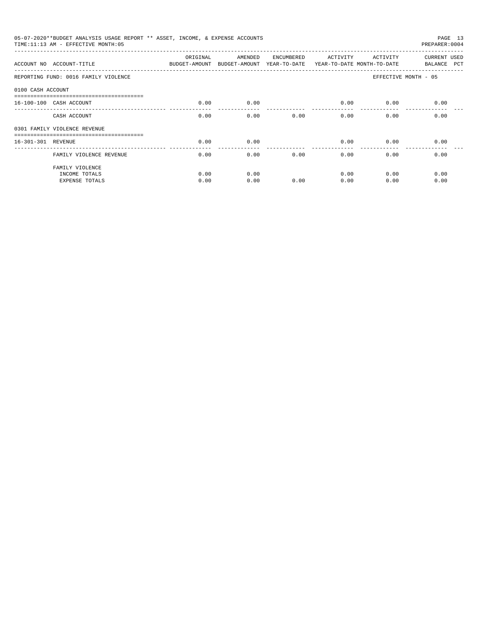|                    | 05-07-2020**BUDGET ANALYSIS USAGE REPORT ** ASSET, INCOME, & EXPENSE ACCOUNTS<br>TIME: 11:13 AM - EFFECTIVE MONTH: 05 |                                                                                 |         |            |                         |          | PAGE 13<br>PREPARER: 0004   |
|--------------------|-----------------------------------------------------------------------------------------------------------------------|---------------------------------------------------------------------------------|---------|------------|-------------------------|----------|-----------------------------|
|                    | ACCOUNT NO ACCOUNT-TITLE                                                                                              | ORIGINAL<br>BUDGET-AMOUNT BUDGET-AMOUNT YEAR-TO-DATE YEAR-TO-DATE MONTH-TO-DATE | AMENDED | ENCUMBERED | ACTIVITY                | ACTIVITY | CURRENT USED<br>BALANCE PCT |
|                    | REPORTING FUND: 0016 FAMILY VIOLENCE                                                                                  |                                                                                 |         |            |                         |          | EFFECTIVE MONTH - 05        |
| 0100 CASH ACCOUNT  |                                                                                                                       |                                                                                 |         |            |                         |          |                             |
|                    | 16-100-100 CASH ACCOUNT                                                                                               | 0.00                                                                            | 0.00    |            | 0.00                    | 0.00     | 0.00                        |
|                    | CASH ACCOUNT                                                                                                          | 0.00                                                                            | 0.00    | 0.00       | 0.00                    | 0.00     | 0.00                        |
|                    | 0301 FAMILY VIOLENCE REVENUE                                                                                          |                                                                                 |         |            |                         |          |                             |
| 16-301-301 REVENUE |                                                                                                                       | 0.00                                                                            | 0.00    |            | 0.00                    | 0.00     | 0.00                        |
|                    | FAMILY VIOLENCE REVENUE                                                                                               | 0.00                                                                            | 0.00    | 0.00       | _______________<br>0.00 | 0.00     | 0.00                        |
|                    | FAMILY VIOLENCE                                                                                                       |                                                                                 |         |            |                         |          |                             |
|                    | INCOME TOTALS                                                                                                         | 0.00                                                                            | 0.00    |            | 0.00                    | 0.00     | 0.00                        |
|                    | <b>EXPENSE TOTALS</b>                                                                                                 | 0.00                                                                            | 0.00    | 0.00       | 0.00                    | 0.00     | 0.00                        |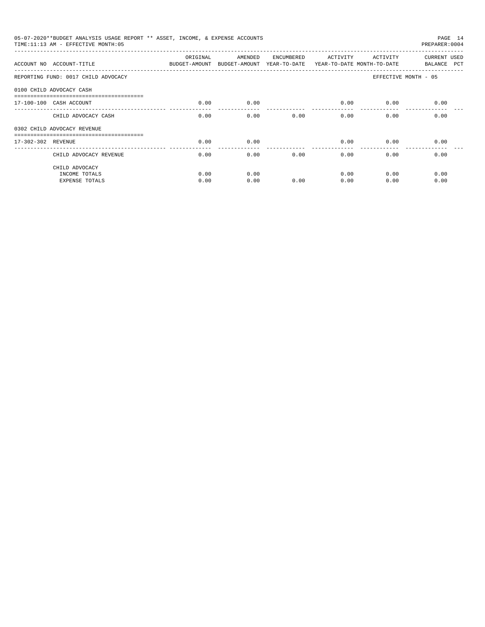| TIME: 11:13 AM - EFFECTIVE MONTH: 05                     | 05-07-2020**BUDGET ANALYSIS USAGE REPORT ** ASSET, INCOME, & EXPENSE ACCOUNTS                                          |              |            |                       |                           | PAGE 14<br>PREPARER: 0004   |
|----------------------------------------------------------|------------------------------------------------------------------------------------------------------------------------|--------------|------------|-----------------------|---------------------------|-----------------------------|
|                                                          | ORIGINAL<br>ACCOUNT NO ACCOUNT-TITLE COMPUT ANOUNT BUDGET-AMOUNT BUDGET-AMOUNT YEAR-TO-DATE YEAR-TO-DATE MONTH-TO-DATE | AMENDED      | ENCUMBERED | ACTIVITY              | ACTIVITY                  | CURRENT USED<br>BALANCE PCT |
| REPORTING FUND: 0017 CHILD ADVOCACY                      |                                                                                                                        |              |            |                       |                           | EFFECTIVE MONTH - 05        |
| 0100 CHILD ADVOCACY CASH                                 |                                                                                                                        |              |            |                       |                           |                             |
| 17-100-100 CASH ACCOUNT                                  | 0.00                                                                                                                   | 0.00         |            | 0.00                  | 0.00                      | 0.00                        |
| CHILD ADVOCACY CASH                                      | 0.00                                                                                                                   | 0.00         | 0.00       |                       | 0.00<br>$0.00$ and $0.00$ | 0.00                        |
| 0302 CHILD ADVOCACY REVENUE                              |                                                                                                                        |              |            |                       |                           |                             |
| 17-302-302 REVENUE                                       | 0.00                                                                                                                   | 0.00         |            | 0.00                  | 0.00                      | 0.00                        |
| CHILD ADVOCACY REVENUE                                   | 0.00                                                                                                                   | 0.00         | 0.00       | $- - - - - -$<br>0.00 | 0.00                      | 0.00                        |
| CHILD ADVOCACY<br>INCOME TOTALS<br><b>EXPENSE TOTALS</b> | 0.00<br>0.00                                                                                                           | 0.00<br>0.00 | 0.00       | 0.00<br>0.00          | 0.00<br>0.00              | 0.00<br>0.00                |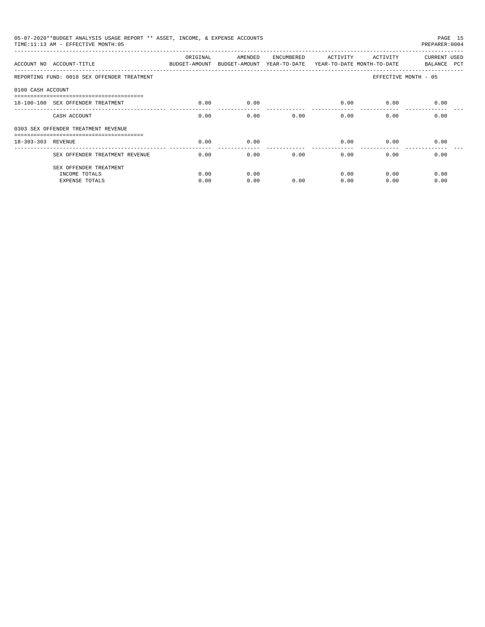|                    | 05-07-2020**BUDGET ANALYSIS USAGE REPORT ** ASSET, INCOME, & EXPENSE ACCOUNTS<br>TIME:11:13 AM - EFFECTIVE MONTH:05 |                           |                                                                  |            |                        |          | PAGE 15<br>PREPARER: 0004   |
|--------------------|---------------------------------------------------------------------------------------------------------------------|---------------------------|------------------------------------------------------------------|------------|------------------------|----------|-----------------------------|
|                    | ACCOUNT NO ACCOUNT-TITLE                                                                                            | ORIGINAL<br>BUDGET-AMOUNT | AMENDED<br>BUDGET-AMOUNT YEAR-TO-DATE YEAR-TO-DATE MONTH-TO-DATE | ENCUMBERED | ACTIVITY               | ACTIVITY | CURRENT USED<br>BALANCE PCT |
|                    | REPORTING FUND: 0018 SEX OFFENDER TREATMENT                                                                         |                           |                                                                  |            |                        |          | EFFECTIVE MONTH - 05        |
| 0100 CASH ACCOUNT  |                                                                                                                     |                           |                                                                  |            |                        |          |                             |
|                    | 18-100-100 SEX OFFENDER TREATMENT                                                                                   | 0.00                      | 0.00                                                             |            | 0.00                   | 0.00     | 0.00                        |
|                    | CASH ACCOUNT                                                                                                        | 0.00                      | 0.00                                                             | 0.00       | 0.00                   | 0.00     | 0.00                        |
|                    | 0303 SEX OFFENDER TREATMENT REVENUE                                                                                 |                           |                                                                  |            |                        |          |                             |
| 18-303-303 REVENUE |                                                                                                                     | 0.00                      | 0.00                                                             |            | 0.00                   | 0.00     | 0.00                        |
|                    | SEX OFFENDER TREATMENT REVENUE                                                                                      | 0.00                      | 0.00                                                             | 0.00       | --------------<br>0.00 | 0.00     | 0.00                        |
|                    | SEX OFFENDER TREATMENT                                                                                              |                           |                                                                  |            |                        |          |                             |
|                    | INCOME TOTALS                                                                                                       | 0.00                      | 0.00                                                             |            | 0.00                   | 0.00     | 0.00                        |
|                    | <b>EXPENSE TOTALS</b>                                                                                               | 0.00                      | 0.00                                                             | 0.00       | 0.00                   | 0.00     | 0.00                        |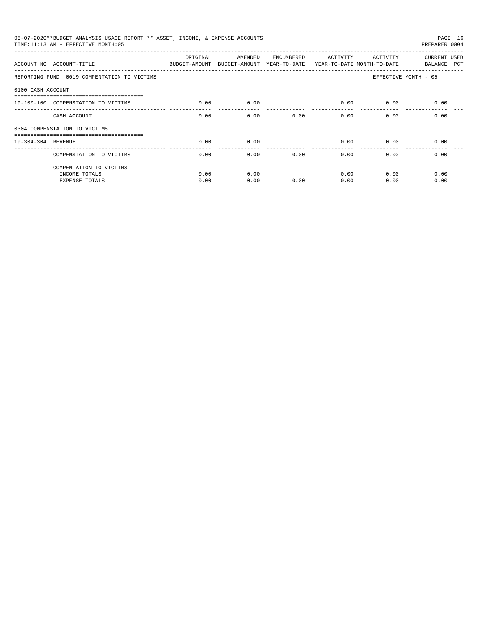|                    | 05-07-2020**BUDGET ANALYSIS USAGE REPORT ** ASSET, INCOME, & EXPENSE ACCOUNTS<br>TIME: 11:13 AM - EFFECTIVE MONTH: 05 |          |         |            |                       |          | PAGE 16<br>PREPARER: 0004   |
|--------------------|-----------------------------------------------------------------------------------------------------------------------|----------|---------|------------|-----------------------|----------|-----------------------------|
|                    | ACCOUNT NO ACCOUNT-TITLE THE SUBGET-AMOUNT BUDGET-AMOUNT YEAR-TO-DATE YEAR-TO-DATE MONTH-TO-DATE                      | ORIGINAL | AMENDED | ENCUMBERED | ACTIVITY              | ACTIVITY | CURRENT USED<br>BALANCE PCT |
|                    | REPORTING FUND: 0019 COMPENTATION TO VICTIMS                                                                          |          |         |            |                       |          | EFFECTIVE MONTH - 05        |
| 0100 CASH ACCOUNT  |                                                                                                                       |          |         |            |                       |          |                             |
|                    | 19-100-100 COMPENSTATION TO VICTIMS                                                                                   | 0.00     | 0.00    |            | 0.00                  | 0.00     | 0.00                        |
|                    | CASH ACCOUNT                                                                                                          | 0.00     | 0.00    | 0.00       | 0.00                  | 0.00     | 0.00                        |
|                    | 0304 COMPENSTATION TO VICTIMS                                                                                         |          |         |            |                       |          |                             |
| 19-304-304 REVENUE |                                                                                                                       | 0.00     | 0.00    |            | 0.00                  | 0.00     | 0.00                        |
|                    | COMPENSTATION TO VICTIMS                                                                                              | 0.00     | 0.00    | 0.00       | $- - - - - -$<br>0.00 | 0.00     | 0.00                        |
|                    | COMPENTATION TO VICTIMS                                                                                               |          |         |            |                       |          |                             |
|                    | INCOME TOTALS                                                                                                         | 0.00     | 0.00    |            | 0.00                  | 0.00     | 0.00                        |
|                    | <b>EXPENSE TOTALS</b>                                                                                                 | 0.00     | 0.00    | 0.00       | 0.00                  | 0.00     | 0.00                        |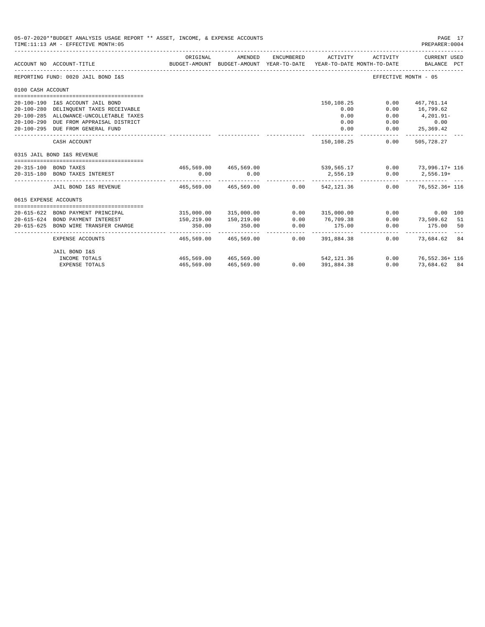|                       | 05-07-2020**BUDGET ANALYSIS USAGE REPORT ** ASSET, INCOME, & EXPENSE ACCOUNTS<br>TIME: 11:13 AM - EFFECTIVE MONTH: 05 |                       |                                                     |                    |                                        |                      | PAGE 17<br>PREPARER: 0004                           |    |
|-----------------------|-----------------------------------------------------------------------------------------------------------------------|-----------------------|-----------------------------------------------------|--------------------|----------------------------------------|----------------------|-----------------------------------------------------|----|
|                       | ACCOUNT NO ACCOUNT-TITLE                                                                                              | ORIGINAL              | AMENDED<br>BUDGET-AMOUNT BUDGET-AMOUNT YEAR-TO-DATE | ENCUMBERED         | ACTIVITY<br>YEAR-TO-DATE MONTH-TO-DATE | ACTIVITY             | CURRENT USED<br>BALANCE PCT                         |    |
|                       | REPORTING FUND: 0020 JAIL BOND I&S                                                                                    |                       |                                                     |                    |                                        | EFFECTIVE MONTH - 05 |                                                     |    |
| 0100 CASH ACCOUNT     |                                                                                                                       |                       |                                                     |                    |                                        |                      |                                                     |    |
|                       | 20-100-190 I&S ACCOUNT JAIL BOND                                                                                      |                       |                                                     |                    | 150,108.25                             | 0.00                 | 467,761.14                                          |    |
|                       | 20-100-280 DELINQUENT TAXES RECEIVABLE                                                                                |                       |                                                     |                    | 0.00                                   | 0.00                 | 16,799.62                                           |    |
|                       | 20-100-285 ALLOWANCE-UNCOLLETABLE TAXES                                                                               |                       |                                                     |                    | 0.00                                   | 0.00                 | 4,201.91-                                           |    |
|                       | 20-100-290 DUE FROM APPRAISAL DISTRICT                                                                                |                       |                                                     |                    | 0.00                                   | 0.00                 | $\begin{array}{ccc} & & 0.00 \end{array}$           |    |
|                       | 20-100-295 DUE FROM GENERAL FUND                                                                                      |                       |                                                     |                    | 0.00                                   | 0.00                 | 25,369.42                                           |    |
|                       | CASH ACCOUNT                                                                                                          |                       |                                                     |                    | 150, 108, 25                           | 0.00                 | . _ _ _ _ _ _ _ _ _ _ _ _<br>505,728.27             |    |
|                       | 0315 JAIL BOND I&S REVENUE                                                                                            |                       |                                                     |                    |                                        |                      |                                                     |    |
|                       | 20-315-100 BOND TAXES                                                                                                 |                       |                                                     |                    |                                        |                      | 465,569.00 465,569.00 539,565.17 0.00 73,996.17 116 |    |
|                       | 20-315-180 BOND TAXES INTEREST                                                                                        | 0.00                  | 0.00                                                |                    | 2,556.19                               | 0.00                 | $2,556.19+$<br>-----------                          |    |
|                       | JAIL BOND I&S REVENUE                                                                                                 | 465.569.00 465.569.00 |                                                     |                    | $0.00$ $542.121.36$                    |                      | $0.00$ 76.552.36+ 116                               |    |
| 0615 EXPENSE ACCOUNTS |                                                                                                                       |                       |                                                     |                    |                                        |                      |                                                     |    |
|                       |                                                                                                                       |                       |                                                     |                    |                                        |                      |                                                     |    |
|                       | 20-615-622 BOND PAYMENT PRINCIPAL                                                                                     |                       | 315,000.00 315,000.00                               |                    | 0.00 315,000.00                        |                      | 0.00<br>0.00 100                                    |    |
|                       | 20-615-624 BOND PAYMENT INTEREST                                                                                      | 150,219.00            | 150,219.00                                          | 0.00               | 76,709.38                              | 0.00                 | 73,509.62 51                                        |    |
|                       | 20-615-625 BOND WIRE TRANSFER CHARGE                                                                                  | 350.00                | 350.00                                              | 0.00<br>. <u>.</u> | 175.00<br>.                            | 0.00                 | 175.00                                              | 50 |
|                       | EXPENSE ACCOUNTS                                                                                                      |                       | 465,569.00 465,569.00                               |                    | $0.00$ 391,884.38                      |                      | $0.00$ 73,684.62 84                                 |    |
|                       | JAIL BOND I&S                                                                                                         |                       |                                                     |                    |                                        |                      |                                                     |    |
|                       | INCOME TOTALS                                                                                                         |                       | 465,569.00 465,569.00                               |                    | 542, 121, 36                           |                      | $0.00$ 76.552.36+ 116                               |    |
|                       | <b>EXPENSE TOTALS</b>                                                                                                 | 465,569.00            | 465,569.00                                          |                    | 0.00 391,884.38                        |                      | $0.00$ $73.684.62$ $84$                             |    |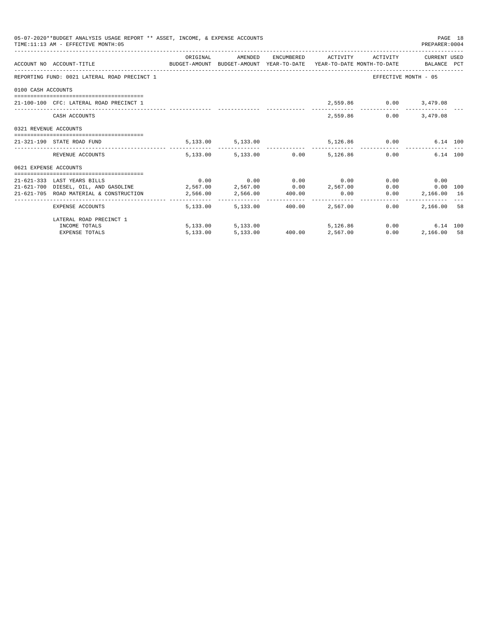|                       | 05-07-2020**BUDGET ANALYSIS USAGE REPORT ** ASSET, INCOME, & EXPENSE ACCOUNTS<br>TIME: 11:13 AM - EFFECTIVE MONTH: 05 |          |                   |                                                   |               | PREPARER: 0004         | PAGE 18 |
|-----------------------|-----------------------------------------------------------------------------------------------------------------------|----------|-------------------|---------------------------------------------------|---------------|------------------------|---------|
|                       |                                                                                                                       | ORIGINAL |                   | AMENDED ENCUMBERED ACTIVITY ACTIVITY CURRENT_USED |               |                        |         |
|                       | ACCOUNT NO ACCOUNT-TITLE CONTROL BUDGET-AMOUNT BUDGET-AMOUNT YEAR-TO-DATE YEAR-TO-DATE MONTH-TO-DATE BALANCE PCT      |          |                   |                                                   |               |                        |         |
|                       | REPORTING FUND: 0021 LATERAL ROAD PRECINCT 1                                                                          |          |                   |                                                   |               | EFFECTIVE MONTH - 05   |         |
| 0100 CASH ACCOUNTS    |                                                                                                                       |          |                   |                                                   |               |                        |         |
|                       |                                                                                                                       |          |                   |                                                   |               |                        |         |
|                       | 21-100-100 CFC: LATERAL ROAD PRECINCT 1                                                                               |          |                   |                                                   |               | 2,559.86 0.00 3,479.08 |         |
|                       | CASH ACCOUNTS                                                                                                         |          |                   |                                                   | 2,559.86 0.00 | 3,479.08               |         |
| 0321 REVENUE ACCOUNTS |                                                                                                                       |          |                   |                                                   |               |                        |         |
|                       | 21-321-190 STATE ROAD FUND                                                                                            |          |                   | 5,133.00 5,133.00 5,126.86 0.00                   |               | 6.14 100               |         |
|                       | REVENUE ACCOUNTS                                                                                                      |          |                   | $5,133.00$ $5,133.00$ $0.00$ $5,126.86$ $0.00$    |               | 6.14 100               |         |
| 0621 EXPENSE ACCOUNTS |                                                                                                                       |          |                   |                                                   |               |                        |         |
|                       | 21-621-333 LAST YEARS BILLS                                                                                           |          |                   | $0.00$ $0.00$ $0.00$ $0.00$ $0.00$                |               | $0.00$ 0.00            |         |
|                       | $21-621-700$ DIESEL, OIL, AND GASOLINE $2,567.00$ $2,567.00$ $0.00$ $2,567.00$                                        |          |                   |                                                   |               | 0.00<br>$0.00$ 100     |         |
|                       | 21-621-705 ROAD MATERIAL & CONSTRUCTION 2,566.00 2,566.00 400.00                                                      |          |                   | $0.00$ $0.00$ $2,166.00$ $16$                     |               |                        |         |
|                       | EXPENSE ACCOUNTS                                                                                                      |          |                   | 5,133.00 5,133.00 400.00 2,567.00                 | 0.00          | 2,166.00 58            |         |
|                       | LATERAL ROAD PRECINCT 1                                                                                               |          |                   |                                                   |               |                        |         |
|                       | INCOME TOTALS                                                                                                         |          | 5,133.00 5,133.00 | 5,126,86                                          |               | 0.00<br>6.14 100       |         |
|                       | <b>EXPENSE TOTALS</b>                                                                                                 |          |                   | 5,133.00 5,133.00 400.00 2,567.00                 | 0.00          | 2,166.00 58            |         |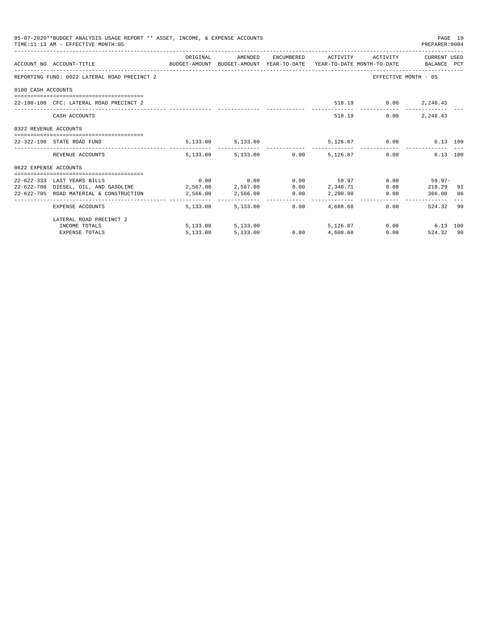|                       | 05-07-2020**BUDGET ANALYSIS USAGE REPORT ** ASSET, INCOME, & EXPENSE ACCOUNTS<br>TIME: 11:13 AM - EFFECTIVE MONTH: 05 |          |                   |      |                                                   |                | PREPARER: 0004       | PAGE 19 |
|-----------------------|-----------------------------------------------------------------------------------------------------------------------|----------|-------------------|------|---------------------------------------------------|----------------|----------------------|---------|
|                       | ACCOUNT NO ACCOUNT-TITLE CONTROL BUDGET-AMOUNT BUDGET-AMOUNT YEAR-TO-DATE YEAR-TO-DATE MONTH-TO-DATE BALANCE PCT      | ORIGINAL |                   |      | AMENDED ENCUMBERED ACTIVITY ACTIVITY CURRENT USED |                |                      |         |
|                       | REPORTING FUND: 0022 LATERAL ROAD PRECINCT 2                                                                          |          |                   |      |                                                   |                | EFFECTIVE MONTH - 05 |         |
| 0100 CASH ACCOUNTS    |                                                                                                                       |          |                   |      |                                                   |                |                      |         |
|                       | 22-100-100 CFC: LATERAL ROAD PRECINCT 2                                                                               |          |                   |      |                                                   |                | 518.19 0.00 2,246.43 |         |
|                       | CASH ACCOUNTS                                                                                                         |          |                   |      |                                                   | 0.00<br>518.19 | 2,246.43             |         |
| 0322 REVENUE ACCOUNTS |                                                                                                                       |          |                   |      |                                                   |                |                      |         |
|                       | 22-322-190 STATE ROAD FUND                                                                                            |          |                   |      | 5,133.00 5,133.00 5,126.87 0.00                   |                | 6.13 100             |         |
|                       | REVENUE ACCOUNTS                                                                                                      |          |                   |      | 5,133.00 5,133.00 0.00 5,126.87 0.00              |                | 6.13 100             |         |
| 0622 EXPENSE ACCOUNTS |                                                                                                                       |          |                   |      |                                                   |                |                      |         |
|                       | 22-622-333 LAST YEARS BILLS                                                                                           |          |                   |      | $0.00$ $0.00$ $0.00$ $0.00$ $59.97$               |                | $0.00$ 59.97-        |         |
|                       | 22-622-700 DIESEL, OIL, AND GASOLINE 2,567.00 2,567.00                                                                |          |                   |      | $0.00$ 2,348.71                                   |                | $0.00$ 218.29 91     |         |
|                       | 22-622-705 ROAD MATERIAL & CONSTRUCTION 2,566.00                                                                      |          |                   |      | 2,566.00 0.00 2,200.00                            |                | 0.00 366.00 86       |         |
|                       | EXPENSE ACCOUNTS                                                                                                      |          | 5,133,00 5,133,00 | 0.00 | 4,608.68                                          |                | 524.32 90<br>0.00    |         |
|                       | LATERAL ROAD PRECINCT 2                                                                                               |          |                   |      |                                                   |                |                      |         |
|                       | INCOME TOTALS                                                                                                         |          | 5,133.00 5,133.00 |      | 5,126.87                                          |                | $0.00$ 6.13 100      |         |
|                       | <b>EXPENSE TOTALS</b>                                                                                                 | 5,133.00 | 5,133.00          |      | $0.00$ $4,608.68$                                 |                | 0.00<br>524.32 90    |         |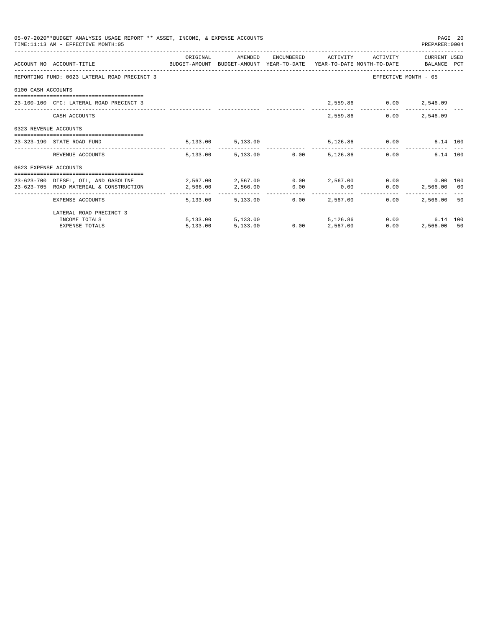| 05-07-2020**BUDGET ANALYSIS USAGE REPORT ** ASSET, INCOME, & EXPENSE ACCOUNTS<br>PAGE 20<br>TIME: 11:13 AM - EFFECTIVE MONTH: 05<br>PREPARER: 0004 |                                                                                                                  |          |                        |            |          |                        |                      |  |  |  |
|----------------------------------------------------------------------------------------------------------------------------------------------------|------------------------------------------------------------------------------------------------------------------|----------|------------------------|------------|----------|------------------------|----------------------|--|--|--|
|                                                                                                                                                    | ACCOUNT NO ACCOUNT-TITLE CONTROL SUDGET-AMOUNT BUDGET-AMOUNT YEAR-TO-DATE YEAR-TO-DATE MONTH-TO-DATE BALANCE PCT | ORIGINAL | AMENDED                | ENCUMBERED | ACTIVITY | ACTIVITY               | CURRENT USED         |  |  |  |
|                                                                                                                                                    | REPORTING FUND: 0023 LATERAL ROAD PRECINCT 3                                                                     |          |                        |            |          |                        | EFFECTIVE MONTH - 05 |  |  |  |
| 0100 CASH ACCOUNTS                                                                                                                                 |                                                                                                                  |          |                        |            |          |                        |                      |  |  |  |
|                                                                                                                                                    | 23-100-100 CFC: LATERAL ROAD PRECINCT 3                                                                          |          |                        |            |          | 2,559.86 0.00 2,546.09 |                      |  |  |  |
|                                                                                                                                                    | CASH ACCOUNTS                                                                                                    |          |                        |            |          | 2,559.86<br>0.00       | 2,546.09             |  |  |  |
| 0323 REVENUE ACCOUNTS                                                                                                                              |                                                                                                                  |          |                        |            |          |                        |                      |  |  |  |
|                                                                                                                                                    | ------------------------------------<br>23-323-190 STATE ROAD FUND                                               |          | 5, 133.00 5, 133.00    |            |          | 5,126.86 0.00          | 6.14 100             |  |  |  |
|                                                                                                                                                    | REVENUE ACCOUNTS                                                                                                 |          | 5,133.00 5,133.00 0.00 |            | 5,126,86 |                        | 6.14 100<br>0.00     |  |  |  |
| 0623 EXPENSE ACCOUNTS                                                                                                                              |                                                                                                                  |          |                        |            |          |                        |                      |  |  |  |
|                                                                                                                                                    | 23-623-700 DIESEL, OIL, AND GASOLINE $2,567.00$ $2,567.00$ $2,567.00$ $0.00$ $2,567.00$                          |          |                        |            |          |                        | $0.00$ $0.00$ $100$  |  |  |  |
|                                                                                                                                                    | 23-623-705 ROAD MATERIAL & CONSTRUCTION                                                                          | 2,566.00 | 2,566.00 0.00          |            | 0.00     |                        | $0.00$ 2,566.00 00   |  |  |  |
|                                                                                                                                                    | EXPENSE ACCOUNTS                                                                                                 |          | 5,133,00 5,133,00      | 0.00       | 2,567,00 | 0.00                   | 2,566,00 50          |  |  |  |
|                                                                                                                                                    | LATERAL ROAD PRECINCT 3                                                                                          |          |                        |            |          |                        |                      |  |  |  |
|                                                                                                                                                    | INCOME TOTALS                                                                                                    |          | 5,133.00 5,133.00      |            |          | 5,126.86               | 0.00<br>6.14 100     |  |  |  |
|                                                                                                                                                    | <b>EXPENSE TOTALS</b>                                                                                            | 5.133.00 | 5,133.00               | 0.00       | 2,567.00 | 0.00                   | 2,566.00 50          |  |  |  |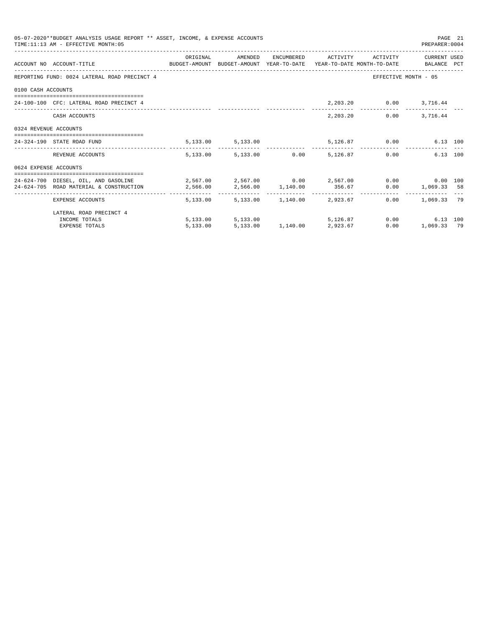|                       | 05-07-2020**BUDGET ANALYSIS USAGE REPORT ** ASSET, INCOME, & EXPENSE ACCOUNTS<br>TIME: 11:13 AM - EFFECTIVE MONTH: 05                                                                 |          |                                     |  |                                      | PREPARER: 0004                                      | PAGE 21 |
|-----------------------|---------------------------------------------------------------------------------------------------------------------------------------------------------------------------------------|----------|-------------------------------------|--|--------------------------------------|-----------------------------------------------------|---------|
|                       | ACCOUNT NO ACCOUNT-TITLE COMPUTE SUDGET-AMOUNT BUDGET-AMOUNT YEAR-TO-DATE YEAR-TO-DATE MONTH-TO-DATE BALANCE PCT                                                                      | ORIGINAL |                                     |  | AMENDED ENCUMBERED ACTIVITY ACTIVITY | CURRENT USED                                        |         |
|                       | REPORTING FUND: 0024 LATERAL ROAD PRECINCT 4                                                                                                                                          |          |                                     |  |                                      | EFFECTIVE MONTH - 05                                |         |
| 0100 CASH ACCOUNTS    |                                                                                                                                                                                       |          |                                     |  |                                      |                                                     |         |
|                       | 24-100-100 CFC: LATERAL ROAD PRECINCT 4                                                                                                                                               |          |                                     |  | 2, 203.20   0.00   3, 716.44         |                                                     |         |
|                       | CASH ACCOUNTS                                                                                                                                                                         |          |                                     |  | 2, 203. 20 0.00 3, 716. 44           |                                                     |         |
| 0324 REVENUE ACCOUNTS |                                                                                                                                                                                       |          |                                     |  |                                      |                                                     |         |
|                       | 24-324-190 STATE ROAD FUND                                                                                                                                                            |          | 5,133.00 5,133.00                   |  | 5,126.87 0.00                        | 6.13 100                                            |         |
|                       | REVENUE ACCOUNTS                                                                                                                                                                      |          | 5,133.00 5,133.00 0.00 5,126.87     |  |                                      | 6.13 100<br>0.00                                    |         |
| 0624 EXPENSE ACCOUNTS |                                                                                                                                                                                       |          |                                     |  |                                      |                                                     |         |
|                       | 24-624-700 DIESEL, OIL, AND GASOLINE $2,567.00$ $2,567.00$ $0.00$ $2,567.00$ $0.00$ $0.00$ $0.00$ $0.00$<br>24-624-705 ROAD MATERIAL & CONSTRUCTION 2,566.00 2,566.00 1,140.00 356.67 |          |                                     |  |                                      | $0.00$ 1,069.33 58                                  |         |
|                       | EXPENSE ACCOUNTS                                                                                                                                                                      |          | 5,133.00 5,133.00 1,140.00 2,923.67 |  |                                      | -----------------------------<br>$0.00$ 1,069.33 79 |         |
|                       | LATERAL ROAD PRECINCT 4                                                                                                                                                               |          |                                     |  |                                      |                                                     |         |
|                       | INCOME TOTALS                                                                                                                                                                         |          | 5,133.00 5,133.00                   |  | 5.126.87 0.00                        | 6.13 100                                            |         |
|                       | <b>EXPENSE TOTALS</b>                                                                                                                                                                 | 5,133.00 | 5,133,00 1,140,00 2,923,67          |  | 0.00                                 | 1,069.33 79                                         |         |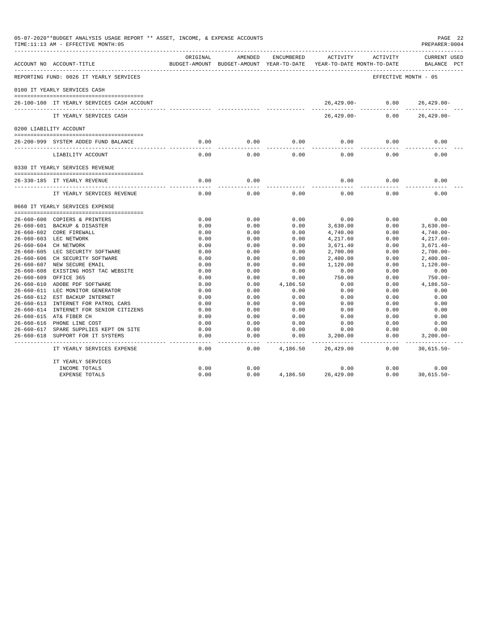|                  | 05-07-2020**BUDGET ANALYSIS USAGE REPORT ** ASSET, INCOME, & EXPENSE ACCOUNTS<br>TIME:11:13 AM - EFFECTIVE MONTH:05 |                   |                                                     |                    |                                        |                      | PAGE 22<br>PREPARER: 0004          |
|------------------|---------------------------------------------------------------------------------------------------------------------|-------------------|-----------------------------------------------------|--------------------|----------------------------------------|----------------------|------------------------------------|
|                  | ACCOUNT NO ACCOUNT-TITLE                                                                                            | ORIGINAL          | AMENDED<br>BUDGET-AMOUNT BUDGET-AMOUNT YEAR-TO-DATE | ENCUMBERED         | ACTIVITY<br>YEAR-TO-DATE MONTH-TO-DATE | ACTIVITY             | <b>CURRENT USED</b><br>BALANCE PCT |
|                  | REPORTING FUND: 0026 IT YEARLY SERVICES                                                                             |                   |                                                     |                    |                                        | EFFECTIVE MONTH - 05 |                                    |
|                  | 0100 IT YEARLY SERVICES CASH                                                                                        |                   |                                                     |                    |                                        |                      |                                    |
|                  | 26-100-100 IT YEARLY SERVICES CASH ACCOUNT                                                                          |                   |                                                     |                    | 26,429.00-                             | 0.00                 | $26,429.00 -$                      |
|                  | IT YEARLY SERVICES CASH                                                                                             |                   |                                                     |                    | $26,429.00-$                           | 0.00                 | $26, 429.00 -$                     |
|                  | 0200 LIABILITY ACCOUNT                                                                                              |                   |                                                     |                    |                                        |                      |                                    |
|                  | 26-200-999 SYSTEM ADDED FUND BALANCE                                                                                | 0.00              | 0.00                                                | 0.00               | 0.00                                   | 0.00                 | 0.00                               |
|                  | LIABILITY ACCOUNT                                                                                                   | 0.00              | 0.00                                                | 0.00               | 0.00                                   | 0.00                 | 0.00                               |
|                  | 0330 IT YEARLY SERVICES REVENUE                                                                                     |                   |                                                     |                    |                                        |                      |                                    |
|                  | 26-330-185 IT YEARLY REVENUE                                                                                        | 0.00              | 0.00                                                |                    | 0.00                                   | 0.00                 | 0.00                               |
|                  | IT YEARLY SERVICES REVENUE                                                                                          | 0.00              | 0.00                                                | 0.00               | 0.00                                   | 0.00                 | 0.00                               |
|                  | 0660 IT YEARLY SERVICES EXPENSE                                                                                     |                   |                                                     |                    |                                        |                      |                                    |
|                  | 26-660-600 COPIERS & PRINTERS                                                                                       | 0.00              | 0.00                                                | 0.00               | 0.00                                   | 0.00                 | 0.00                               |
|                  | 26-660-601 BACKUP & DISASTER                                                                                        | 0.00              | 0.00                                                | 0.00               | 3,630.00                               | 0.00                 | $3.630.00 -$                       |
|                  | 26-660-602 CORE FIREWALL                                                                                            | 0.00              | 0.00                                                | 0.00               | 4,740.00                               | 0.00                 | $4,740.00 -$                       |
|                  | 26-660-603 LEC NETWORK                                                                                              | 0.00              | 0.00                                                | 0.00               | 4,217.60                               | 0.00                 | $4,217.60-$                        |
|                  | 26-660-604 CH NETWORK                                                                                               | 0.00              | 0.00                                                | 0.00               | 3,671.40                               | 0.00                 | $3,671.40-$                        |
|                  | 26-660-605 LEC SECURITY SOFTWARE                                                                                    | 0.00              | 0.00                                                | 0.00               | 2,700.00                               | 0.00                 | $2,700.00-$                        |
|                  | 26-660-606 CH SECURITY SOFTWARE                                                                                     | 0.00              | 0.00                                                | 0.00               | 2,400.00                               | 0.00                 | $2,400.00-$                        |
|                  | 26-660-607 NEW SECURE EMAIL                                                                                         | 0.00              | 0.00                                                | 0.00               | 1,120.00                               | 0.00                 | $1.120.00 -$                       |
|                  | 26-660-608 EXISTING HOST TAC WEBSITE                                                                                | 0.00              | 0.00                                                | 0.00               | 0.00                                   | 0.00                 | 0.00                               |
| $26 - 660 - 609$ | OFFICE 365                                                                                                          | 0.00              | 0.00                                                | 0.00               | 750.00                                 | 0.00                 | 750.00-                            |
|                  | 26-660-610 ADOBE PDF SOFTWARE                                                                                       | 0.00              | 0.00                                                | 4,186.50           | 0.00                                   | 0.00                 | 4,186.50-                          |
|                  | 26-660-611 LEC MONITOR GENERATOR                                                                                    | 0.00              | 0.00                                                | 0.00               | 0.00                                   | 0.00                 | 0.00                               |
|                  | 26-660-612 EST BACKUP INTERNET                                                                                      | 0.00              | 0.00                                                | 0.00               | 0.00                                   | 0.00                 | 0.00                               |
|                  | 26-660-613 INTERNET FOR PATROL CARS                                                                                 | 0.00              | 0.00                                                | 0.00               | 0.00                                   | 0.00                 | 0.00                               |
|                  | 26-660-614 INTERNET FOR SENIOR CITIZENS                                                                             | 0.00              | 0.00                                                | 0.00               | 0.00                                   | 0.00                 | 0.00                               |
|                  | 26-660-615 AT& FIBER CH                                                                                             | 0.00              | 0.00                                                | 0.00               | 0.00                                   | 0.00                 | 0.00                               |
|                  | 26-660-616 PHONE LINE COST                                                                                          | 0.00              | 0.00                                                | 0.00               | 0.00                                   | 0.00                 | 0.00                               |
|                  | 26-660-617 SPARE SUPPLIES KEPT ON SITE                                                                              | 0.00              | 0.00                                                | 0.00               | 0.00                                   | 0.00                 | 0.00                               |
| 26-660-618       | SUPPORT FOR IT SYSTEMS<br>------------------------                                                                  | 0.00<br>$- - - -$ | 0.00<br>$- - - -$                                   | 0.00<br>---------- | 3,200.00                               | 0.00<br>-----        | $3,200.00 -$<br>----------         |
|                  | IT YEARLY SERVICES EXPENSE                                                                                          | 0.00              | 0.00                                                | 4,186.50           | 26,429.00                              | 0.00                 | $30,615.50 -$                      |
|                  | IT YEARLY SERVICES                                                                                                  |                   |                                                     |                    |                                        |                      |                                    |
|                  | INCOME TOTALS                                                                                                       | 0.00              | 0.00                                                |                    | 0.00                                   | 0.00                 | 0.00                               |
|                  | <b>EXPENSE TOTALS</b>                                                                                               | 0.00              | 0.00                                                | 4,186.50           | 26,429.00                              | 0.00                 | $30,615.50 -$                      |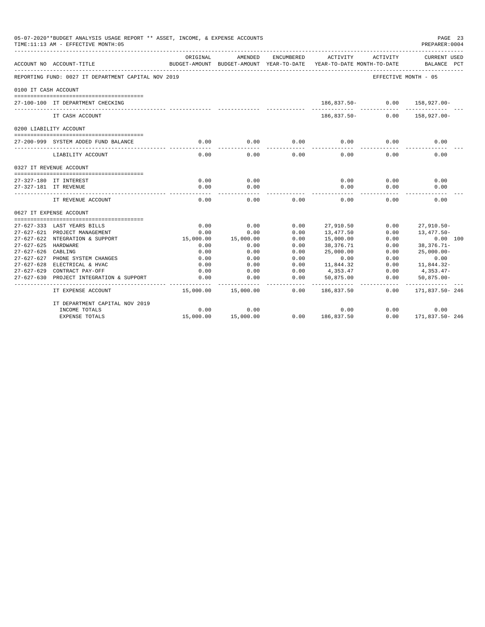|                      | 05-07-2020**BUDGET ANALYSIS USAGE REPORT ** ASSET, INCOME, & EXPENSE ACCOUNTS<br>TIME:11:13 AM - EFFECTIVE MONTH:05 |           |                                                     |            |                                        |                      | PAGE 23<br>PREPARER: 0004             |
|----------------------|---------------------------------------------------------------------------------------------------------------------|-----------|-----------------------------------------------------|------------|----------------------------------------|----------------------|---------------------------------------|
|                      | ACCOUNT NO ACCOUNT-TITLE                                                                                            | ORIGINAL  | AMENDED<br>BUDGET-AMOUNT BUDGET-AMOUNT YEAR-TO-DATE | ENCUMBERED | ACTIVITY<br>YEAR-TO-DATE MONTH-TO-DATE | ACTIVITY             | <b>CURRENT USED</b><br>BALANCE<br>PCT |
|                      | REPORTING FUND: 0027 IT DEPARTMENT CAPITAL NOV 2019                                                                 |           |                                                     |            |                                        | EFFECTIVE MONTH - 05 |                                       |
| 0100 IT CASH ACCOUNT |                                                                                                                     |           |                                                     |            |                                        |                      |                                       |
|                      | 27-100-100 IT DEPARTMENT CHECKING                                                                                   |           |                                                     |            | 186,837.50-                            | 0.00                 | 158,927.00-                           |
|                      | IT CASH ACCOUNT                                                                                                     |           |                                                     |            | 186,837.50-                            | 0.00                 | 158,927.00-                           |
|                      | 0200 LIABILITY ACCOUNT                                                                                              |           |                                                     |            |                                        |                      |                                       |
|                      | 27-200-999 SYSTEM ADDED FUND BALANCE                                                                                | 0.00      | 0.00                                                | 0.00       | 0.00                                   | 0.00                 | 0.00                                  |
|                      | LIABILITY ACCOUNT                                                                                                   | 0.00      | 0.00                                                | 0.00       | 0.00                                   | 0.00                 | 0.00                                  |
|                      | 0327 IT REVENUE ACCOUNT                                                                                             |           |                                                     |            |                                        |                      |                                       |
|                      | 27-327-180 IT INTEREST                                                                                              | 0.00      | 0.00                                                |            | 0.00                                   | 0.00                 | 0.00                                  |
|                      | 27-327-181 IT REVENUE                                                                                               | 0.00      | 0.00                                                |            | 0.00                                   | 0.00                 | 0.00                                  |
|                      | IT REVENUE ACCOUNT                                                                                                  | 0.00      | 0.00                                                | 0.00       | 0.00                                   | 0.00                 | 0.00                                  |
|                      | 0627 IT EXPENSE ACCOUNT                                                                                             |           |                                                     |            |                                        |                      |                                       |
|                      |                                                                                                                     |           |                                                     |            |                                        |                      |                                       |
|                      | 27-627-333 LAST YEARS BILLS                                                                                         | 0.00      | 0.00                                                | 0.00       | 27,910.50                              | 0.00                 | $27,910.50 -$                         |
|                      | 27-627-621 PROJECT MANAGEMENT                                                                                       | 0.00      | 0.00                                                | 0.00       | 13,477.50                              | 0.00                 | $13,477.50-$                          |
|                      | 27-627-622 NTEGRATION & SUPPORT                                                                                     | 15,000.00 | 15,000.00                                           | 0.00       | 15,000.00                              | 0.00                 | $0.00$ 100                            |
| $27 - 627 - 625$     | HARDWARE                                                                                                            | 0.00      | 0.00                                                | 0.00       | 38,376.71                              | 0.00                 | $38,376.71-$                          |
| $27 - 627 - 626$     | CABLING                                                                                                             | 0.00      | 0.00                                                | 0.00       | 25,000.00                              | 0.00                 | $25,000.00 -$                         |
| $27 - 627 - 627$     | PHONE SYSTEM CHANGES                                                                                                | 0.00      | 0.00                                                | 0.00       | 0.00                                   | 0.00                 | 0.00                                  |
| $27 - 627 - 628$     | ELECTRICAL & HVAC                                                                                                   | 0.00      | 0.00                                                | 0.00       | 11,844.32                              | 0.00                 | 11,844.32-                            |
| $27 - 627 - 629$     | CONTRACT PAY-OFF                                                                                                    | 0.00      | 0.00                                                | 0.00       | 4,353.47                               | 0.00                 | 4,353.47-                             |
| $27 - 627 - 630$     | PROJECT INTEGRATION & SUPPORT                                                                                       | 0.00      | 0.00                                                | 0.00       | 50,875.00                              | 0.00                 | $50,875.00 -$<br>-----------          |
|                      | IT EXPENSE ACCOUNT                                                                                                  | 15,000.00 | 15,000.00                                           | 0.00       | 186,837.50                             | 0.00                 | 171,837.50-246                        |
|                      | IT DEPARTMENT CAPITAL NOV 2019                                                                                      |           |                                                     |            |                                        |                      |                                       |
|                      | INCOME TOTALS                                                                                                       | 0.00      | 0.00                                                |            | 0.00                                   | 0.00                 | 0.00                                  |
|                      | <b>EXPENSE TOTALS</b>                                                                                               | 15,000.00 | 15,000.00                                           | 0.00       | 186,837.50                             | 0.00                 | 171,837.50-246                        |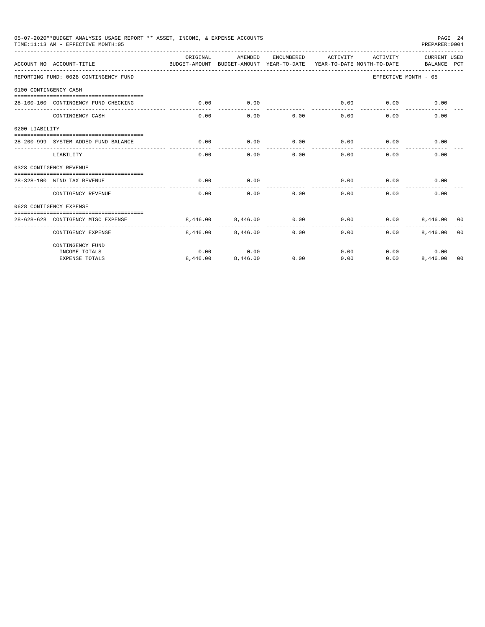|                       | 05-07-2020**BUDGET ANALYSIS USAGE REPORT ** ASSET, INCOME, & EXPENSE ACCOUNTS<br>TIME:11:13 AM - EFFECTIVE MONTH:05 |                                                                                 |          |            |                     |          | PREPARER: 0004              | PAGE 24        |
|-----------------------|---------------------------------------------------------------------------------------------------------------------|---------------------------------------------------------------------------------|----------|------------|---------------------|----------|-----------------------------|----------------|
|                       | ACCOUNT NO ACCOUNT-TITLE                                                                                            | ORTGINAL<br>BUDGET-AMOUNT BUDGET-AMOUNT YEAR-TO-DATE YEAR-TO-DATE MONTH-TO-DATE | AMENDED  | ENCUMBERED | ACTIVITY            | ACTIVITY | CURRENT USED<br>BALANCE PCT |                |
|                       | REPORTING FUND: 0028 CONTINGENCY FUND                                                                               |                                                                                 |          |            |                     |          | EFFECTIVE MONTH - 05        |                |
| 0100 CONTINGENCY CASH |                                                                                                                     |                                                                                 |          |            |                     |          |                             |                |
|                       | 28-100-100 CONTINGENCY FUND CHECKING                                                                                | 0.00                                                                            | 0.00     |            | 0.00<br>----------- | 0.00     | 0.00                        |                |
|                       | CONTINGENCY CASH                                                                                                    | 0.00                                                                            | 0.00     | 0.00       | 0.00                | 0.00     | 0.00                        |                |
| 0200 LIABILITY        |                                                                                                                     |                                                                                 |          |            |                     |          |                             |                |
|                       | 28-200-999 SYSTEM ADDED FUND BALANCE                                                                                | 0.00                                                                            | 0.00     | 0.00       | 0.00                | 0.00     | 0.00                        |                |
|                       | LIABILITY                                                                                                           | 0.00                                                                            | 0.00     | 0.00       | 0.00                | 0.00     | 0.00                        |                |
|                       | 0328 CONTIGENCY REVENUE                                                                                             |                                                                                 |          |            |                     |          |                             |                |
|                       | 28-328-100 WIND TAX REVENUE                                                                                         | 0.00                                                                            | 0.00     |            | 0.00                | 0.00     | 0.00                        |                |
|                       | CONTIGENCY REVENUE                                                                                                  | 0.00                                                                            | 0.00     | 0.00       | 0.00                | 0.00     | 0.00                        |                |
|                       | 0628 CONTIGENCY EXPENSE                                                                                             |                                                                                 |          |            |                     |          |                             |                |
|                       | 28-628-628 CONTIGENCY MISC EXPENSE                                                                                  | 8.446.00                                                                        | 8,446.00 | 0.00       | 0.00                | 0.00     | 8,446,00 00                 |                |
|                       | CONTIGENCY EXPENSE                                                                                                  | 8,446,00                                                                        | 8,446,00 | 0.00       | 0.00                | 0.00     | 8,446.00                    | 0 <sub>0</sub> |
|                       | CONTINGENCY FUND                                                                                                    |                                                                                 |          |            |                     |          |                             |                |
|                       | INCOME TOTALS                                                                                                       | 0.00                                                                            | 0.00     |            | 0.00                |          | 0.00<br>0.00                |                |
|                       | <b>EXPENSE TOTALS</b>                                                                                               | 8,446.00                                                                        | 8,446.00 | 0.00       | 0.00                | 0.00     | 8,446.00                    | 00             |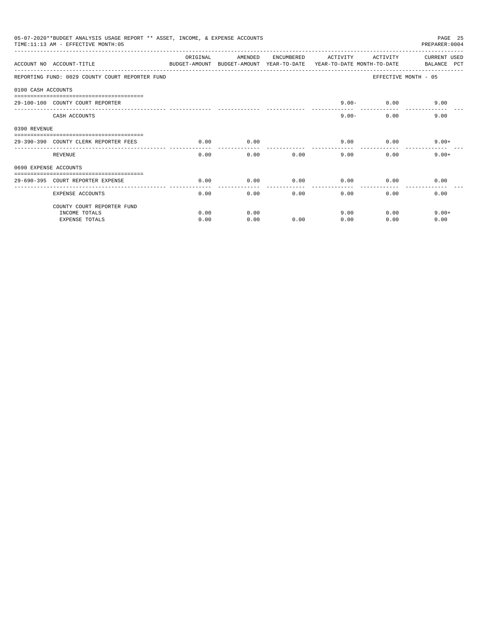|                       | 05-07-2020**BUDGET ANALYSIS USAGE REPORT ** ASSET, INCOME, & EXPENSE ACCOUNTS<br>TIME: 11:13 AM - EFFECTIVE MONTH: 05 |           |                                                     |            |          |                                        | PAGE 25<br>PREPARER: 0004          |
|-----------------------|-----------------------------------------------------------------------------------------------------------------------|-----------|-----------------------------------------------------|------------|----------|----------------------------------------|------------------------------------|
|                       | ACCOUNT NO ACCOUNT-TITLE                                                                                              | OR TGTNAL | AMENDED<br>BUDGET-AMOUNT BUDGET-AMOUNT YEAR-TO-DATE | ENCUMBERED | ACTIVITY | ACTIVITY<br>YEAR-TO-DATE MONTH-TO-DATE | <b>CURRENT USED</b><br>BALANCE PCT |
|                       | REPORTING FUND: 0029 COUNTY COURT REPORTER FUND                                                                       |           |                                                     |            |          |                                        | EFFECTIVE MONTH - 05               |
| 0100 CASH ACCOUNTS    |                                                                                                                       |           |                                                     |            |          |                                        |                                    |
|                       | 29-100-100 COUNTY COURT REPORTER                                                                                      |           |                                                     |            |          | $9.00 - 0.00 - 9.00$                   |                                    |
|                       | CASH ACCOUNTS                                                                                                         |           |                                                     |            | $9.00 -$ | 0.00                                   | 9.00                               |
| 0390 REVENUE          |                                                                                                                       |           |                                                     |            |          |                                        |                                    |
|                       | 29-390-390 COUNTY CLERK REPORTER FEES                                                                                 | 0.00      | 0.00                                                |            | 9.00     | 0.00                                   | $9.00+$                            |
|                       | REVENUE                                                                                                               | 0.00      | 0.00                                                | 0.00       | 9.00     | 0.00                                   | $9.00+$                            |
| 0690 EXPENSE ACCOUNTS |                                                                                                                       |           |                                                     |            |          |                                        |                                    |
|                       | 29-690-395 COURT REPORTER EXPENSE                                                                                     | 0.00      | 0.00                                                | 0.00       | 0.00     | 0.00                                   | 0.00                               |
|                       | <b>EXPENSE ACCOUNTS</b>                                                                                               | 0.00      | 0.00                                                | 0.00       | 0.00     | 0.00                                   | 0.00                               |
|                       | COUNTY COURT REPORTER FUND                                                                                            |           |                                                     |            |          |                                        |                                    |
|                       | INCOME TOTALS                                                                                                         | 0.00      | 0.00                                                |            | 9.00     | 0.00                                   | $9.00+$                            |
|                       | <b>EXPENSE TOTALS</b>                                                                                                 | 0.00      | 0.00                                                | 0.00       | 0.00     | 0.00                                   | 0.00                               |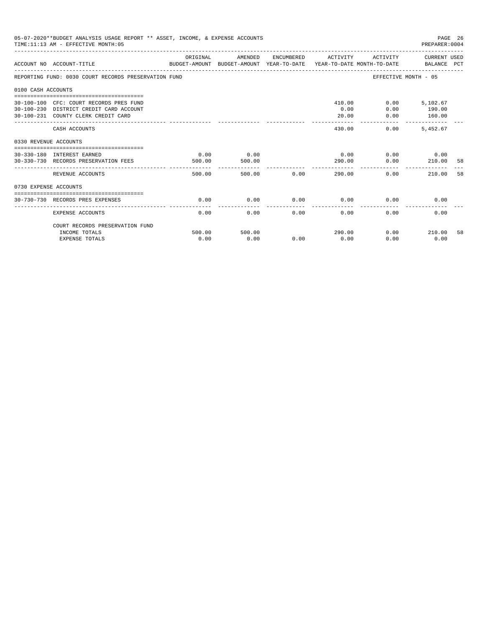|                       | 05-07-2020**BUDGET ANALYSIS USAGE REPORT ** ASSET, INCOME, & EXPENSE ACCOUNTS<br>TIME: 11:13 AM - EFFECTIVE MONTH: 05     |                |                |      |                       |                                           | PREPARER: 0004                      | PAGE 26 |
|-----------------------|---------------------------------------------------------------------------------------------------------------------------|----------------|----------------|------|-----------------------|-------------------------------------------|-------------------------------------|---------|
|                       | ACCOUNT NO ACCOUNT-TITLE COMPUTE SUDGET-AMOUNT BUDGET-AMOUNT YEAR-TO-DATE YEAR-TO-DATE MONTH-TO-DATE BALANCE PCT          | ORIGINAL       | AMENDED        |      | ENCUMBERED ACTIVITY   | ACTIVITY                                  | CURRENT USED                        |         |
|                       | REPORTING FUND: 0030 COURT RECORDS PRESERVATION FUND                                                                      |                |                |      |                       |                                           | EFFECTIVE MONTH - 05                |         |
| 0100 CASH ACCOUNTS    |                                                                                                                           |                |                |      |                       |                                           |                                     |         |
|                       | 30-100-100 CFC: COURT RECORDS PRES FUND<br>30-100-230 DISTRICT CREDIT CARD ACCOUNT<br>30-100-231 COUNTY CLERK CREDIT CARD |                |                |      | 0.00<br>20.00         | 410.00<br>0.00<br>0.00                    | $0.00$ 5,102.67<br>190.00<br>160.00 |         |
|                       | CASH ACCOUNTS                                                                                                             |                |                |      | 430.00                | _________________________________<br>0.00 | 5.452.67                            |         |
| 0330 REVENUE ACCOUNTS |                                                                                                                           |                |                |      |                       |                                           |                                     |         |
|                       | 30-330-180 INTEREST EARNED<br>30-330-730 RECORDS PRESERVATION FEES                                                        | 0.00<br>500.00 | 0.00<br>500.00 |      | 0.00<br>290.00        | 0.00                                      | $0.00$ 0.00<br>210.00               | -58     |
|                       | REVENUE ACCOUNTS                                                                                                          | 500.00         | 500.00         | 0.00 | -----------<br>290.00 | 0.00                                      | 210.00                              | 58      |
| 0730 EXPENSE ACCOUNTS |                                                                                                                           |                |                |      |                       |                                           |                                     |         |
|                       | 30-730-730 RECORDS PRES EXPENSES                                                                                          | 0.00           | 0.00           | 0.00 | 0.00                  | 0.00                                      | 0.00                                |         |
|                       | <b>EXPENSE ACCOUNTS</b>                                                                                                   | 0.00           | 0.00           | 0.00 | 0.00                  | 0.00                                      | 0.00                                |         |
|                       | COURT RECORDS PRESERVATION FUND<br>INCOME TOTALS                                                                          | 500.00         | 500.00         |      | 290.00                |                                           | $0.00$ 210.00                       | 58      |
|                       | <b>EXPENSE TOTALS</b>                                                                                                     | 0.00           | 0.00           | 0.00 | 0.00                  | 0.00                                      | 0.00                                |         |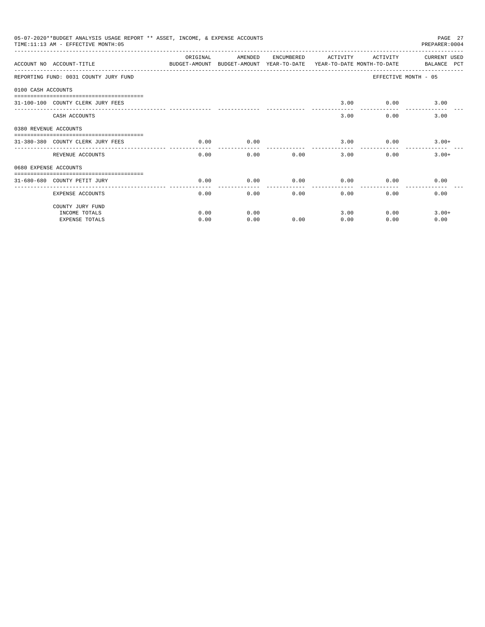|                       | 05-07-2020**BUDGET ANALYSIS USAGE REPORT ** ASSET, INCOME, & EXPENSE ACCOUNTS<br>TIME:11:13 AM - EFFECTIVE MONTH:05 |               |                                                     |            |          |                                        | PAGE 27<br>PREPARER: 0004   |
|-----------------------|---------------------------------------------------------------------------------------------------------------------|---------------|-----------------------------------------------------|------------|----------|----------------------------------------|-----------------------------|
|                       | ACCOUNT NO ACCOUNT-TITLE                                                                                            | ORIGINAL      | AMENDED<br>BUDGET-AMOUNT BUDGET-AMOUNT YEAR-TO-DATE | ENCUMBERED | ACTIVITY | ACTIVITY<br>YEAR-TO-DATE MONTH-TO-DATE | CURRENT USED<br>BALANCE PCT |
|                       | REPORTING FUND: 0031 COUNTY JURY FUND                                                                               |               |                                                     |            |          |                                        | EFFECTIVE MONTH - 05        |
| 0100 CASH ACCOUNTS    |                                                                                                                     |               |                                                     |            |          |                                        |                             |
|                       | 31-100-100 COUNTY CLERK JURY FEES                                                                                   |               |                                                     |            | 3.00     |                                        | $0.00$ 3.00                 |
|                       | CASH ACCOUNTS                                                                                                       |               |                                                     |            | 3.00     | 0.00                                   | 3.00                        |
| 0380 REVENUE ACCOUNTS |                                                                                                                     |               |                                                     |            |          |                                        |                             |
|                       | 31-380-380 COUNTY CLERK JURY FEES                                                                                   | 0.00          | 0.00                                                |            | 3.00     |                                        | $0.00$ 3.00+                |
|                       | REVENUE ACCOUNTS                                                                                                    | -----<br>0.00 | 0.00                                                | 0.00       | 3.00     | 0.00                                   | $3.00+$                     |
| 0680 EXPENSE ACCOUNTS |                                                                                                                     |               |                                                     |            |          |                                        |                             |
|                       | 31-680-680 COUNTY PETIT JURY                                                                                        | 0.00          | 0.00                                                | 0.00       | 0.00     | 0.00                                   | 0.00                        |
|                       | <b>EXPENSE ACCOUNTS</b>                                                                                             | 0.00          | 0.00                                                |            | 0.00     | $0.00$ and $0.00$<br>0.00              | 0.00                        |
|                       | COUNTY JURY FUND                                                                                                    |               |                                                     |            |          |                                        |                             |
|                       | INCOME TOTALS                                                                                                       | 0.00          | 0.00                                                |            | 3.00     | 0.00                                   | $3.00+$                     |
|                       | <b>EXPENSE TOTALS</b>                                                                                               | 0.00          | 0.00                                                | 0.00       | 0.00     | 0.00                                   | 0.00                        |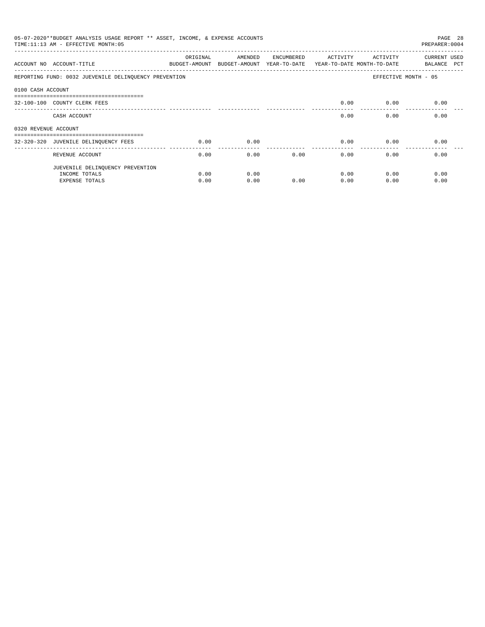|                   | 05-07-2020**BUDGET ANALYSIS USAGE REPORT ** ASSET, INCOME, & EXPENSE ACCOUNTS<br>PAGE 28<br>TIME: 11:13 AM - EFFECTIVE MONTH: 05<br>PREPARER: 0004<br>ORIGINAL<br>AMENDED<br>ACTIVITY<br>ACTIVITY<br>CURRENT USED<br>ENCUMBERED<br>ACCOUNT NO ACCOUNT-TITLE<br>BUDGET-AMOUNT<br>BUDGET-AMOUNT YEAR-TO-DATE YEAR-TO-DATE MONTH-TO-DATE<br>BALANCE PCT<br>REPORTING FUND: 0032 JUEVENILE DELINQUENCY PREVENTION<br>EFFECTIVE MONTH - 05<br>-------------------------------------<br>32-100-100 COUNTY CLERK FEES<br>0.00<br>0.00<br>0.00<br>0.00<br>0.00<br>0.00<br>CASH ACCOUNT<br>0320 REVENUE ACCOUNT<br>-----------------------------------<br>0.00<br>0.00<br>0.00<br>32-320-320 JUVENILE DELINQUENCY FEES<br>0.00<br>0.00 |      |      |      |      |      |      |  |  |
|-------------------|-------------------------------------------------------------------------------------------------------------------------------------------------------------------------------------------------------------------------------------------------------------------------------------------------------------------------------------------------------------------------------------------------------------------------------------------------------------------------------------------------------------------------------------------------------------------------------------------------------------------------------------------------------------------------------------------------------------------------------|------|------|------|------|------|------|--|--|
|                   |                                                                                                                                                                                                                                                                                                                                                                                                                                                                                                                                                                                                                                                                                                                               |      |      |      |      |      |      |  |  |
|                   |                                                                                                                                                                                                                                                                                                                                                                                                                                                                                                                                                                                                                                                                                                                               |      |      |      |      |      |      |  |  |
| 0100 CASH ACCOUNT |                                                                                                                                                                                                                                                                                                                                                                                                                                                                                                                                                                                                                                                                                                                               |      |      |      |      |      |      |  |  |
|                   |                                                                                                                                                                                                                                                                                                                                                                                                                                                                                                                                                                                                                                                                                                                               |      |      |      |      |      |      |  |  |
|                   |                                                                                                                                                                                                                                                                                                                                                                                                                                                                                                                                                                                                                                                                                                                               |      |      |      |      |      |      |  |  |
|                   |                                                                                                                                                                                                                                                                                                                                                                                                                                                                                                                                                                                                                                                                                                                               |      |      |      |      |      |      |  |  |
|                   |                                                                                                                                                                                                                                                                                                                                                                                                                                                                                                                                                                                                                                                                                                                               |      |      |      |      |      |      |  |  |
|                   |                                                                                                                                                                                                                                                                                                                                                                                                                                                                                                                                                                                                                                                                                                                               |      |      |      |      |      |      |  |  |
|                   | REVENUE ACCOUNT                                                                                                                                                                                                                                                                                                                                                                                                                                                                                                                                                                                                                                                                                                               | 0.00 | 0.00 | 0.00 | 0.00 | 0.00 | 0.00 |  |  |
|                   | JUEVENILE DELINQUENCY PREVENTION                                                                                                                                                                                                                                                                                                                                                                                                                                                                                                                                                                                                                                                                                              |      |      |      |      |      |      |  |  |
|                   | INCOME TOTALS                                                                                                                                                                                                                                                                                                                                                                                                                                                                                                                                                                                                                                                                                                                 | 0.00 | 0.00 |      | 0.00 | 0.00 | 0.00 |  |  |
|                   | <b>EXPENSE TOTALS</b>                                                                                                                                                                                                                                                                                                                                                                                                                                                                                                                                                                                                                                                                                                         | 0.00 | 0.00 | 0.00 | 0.00 | 0.00 | 0.00 |  |  |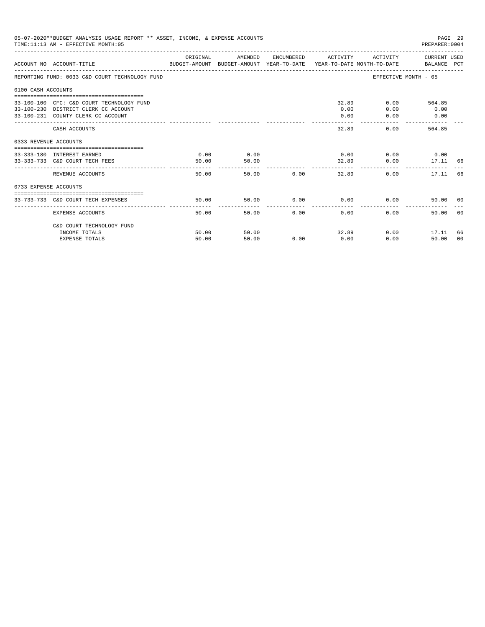| 05-07-2020**BUDGET ANALYSIS USAGE REPORT ** ASSET, INCOME, & EXPENSE ACCOUNTS<br>PAGE 29<br>TIME: 11:13 AM - EFFECTIVE MONTH: 05<br>PREPARER: 0004<br>ORIGINAL<br>ACTIVITY CURRENT USED<br>AMENDED<br>ENCUMBERED ACTIVITY<br>ACCOUNT NO ACCOUNT-TITLE COMPUTER THE BUDGET-AMOUNT BUDGET-AMOUNT YEAR-TO-DATE YEAR-TO-DATE MONTH-TO-DATE BALANCE PCT<br>EFFECTIVE MONTH - 05<br>REPORTING FUND: 0033 C&D COURT TECHNOLOGY FUND<br>0100 CASH ACCOUNTS<br>32.89<br>33-100-100 CFC: C&D COURT TECHNOLOGY FUND<br>$0.00$ and $0.00$<br>564.85<br>0.00<br>33-100-230 DISTRICT CLERK CC ACCOUNT<br>0.00<br>0.00<br>33-100-231 COUNTY CLERK CC ACCOUNT<br>0.00<br>0.00<br>0.00<br>32.89<br>0.00<br>564.85<br>CASH ACCOUNTS<br>0333 REVENUE ACCOUNTS<br>0.00<br>0.00<br>$0.00$ $0.00$ $0.00$ $0.00$<br>33-333-180 INTEREST EARNED<br>50.00<br>$0.00$ 17.11<br>33-333-733 C&D COURT TECH FEES<br>50.00<br>32.89<br>------------<br>50.00 0.00<br>REVENUE ACCOUNTS<br>50.00<br>32.89<br>0.00<br>0733 EXPENSE ACCOUNTS<br>50.00<br>$0.00$ $0.00$ $0.00$ $0.00$<br>33-733-733 C&D COURT TECH EXPENSES<br>50.00 |                                        |                |                |       |              |               |                                   |
|--------------------------------------------------------------------------------------------------------------------------------------------------------------------------------------------------------------------------------------------------------------------------------------------------------------------------------------------------------------------------------------------------------------------------------------------------------------------------------------------------------------------------------------------------------------------------------------------------------------------------------------------------------------------------------------------------------------------------------------------------------------------------------------------------------------------------------------------------------------------------------------------------------------------------------------------------------------------------------------------------------------------------------------------------------------------------------------------------|----------------------------------------|----------------|----------------|-------|--------------|---------------|-----------------------------------|
|                                                                                                                                                                                                                                                                                                                                                                                                                                                                                                                                                                                                                                                                                                                                                                                                                                                                                                                                                                                                                                                                                                  |                                        |                |                |       |              |               |                                   |
|                                                                                                                                                                                                                                                                                                                                                                                                                                                                                                                                                                                                                                                                                                                                                                                                                                                                                                                                                                                                                                                                                                  |                                        |                |                |       |              |               |                                   |
|                                                                                                                                                                                                                                                                                                                                                                                                                                                                                                                                                                                                                                                                                                                                                                                                                                                                                                                                                                                                                                                                                                  |                                        |                |                |       |              |               |                                   |
|                                                                                                                                                                                                                                                                                                                                                                                                                                                                                                                                                                                                                                                                                                                                                                                                                                                                                                                                                                                                                                                                                                  |                                        |                |                |       |              |               |                                   |
|                                                                                                                                                                                                                                                                                                                                                                                                                                                                                                                                                                                                                                                                                                                                                                                                                                                                                                                                                                                                                                                                                                  |                                        |                |                |       |              |               |                                   |
|                                                                                                                                                                                                                                                                                                                                                                                                                                                                                                                                                                                                                                                                                                                                                                                                                                                                                                                                                                                                                                                                                                  |                                        |                |                |       |              |               |                                   |
|                                                                                                                                                                                                                                                                                                                                                                                                                                                                                                                                                                                                                                                                                                                                                                                                                                                                                                                                                                                                                                                                                                  |                                        |                |                |       |              |               | 66                                |
|                                                                                                                                                                                                                                                                                                                                                                                                                                                                                                                                                                                                                                                                                                                                                                                                                                                                                                                                                                                                                                                                                                  |                                        |                |                |       |              |               | 17.11 66                          |
|                                                                                                                                                                                                                                                                                                                                                                                                                                                                                                                                                                                                                                                                                                                                                                                                                                                                                                                                                                                                                                                                                                  |                                        |                |                |       |              |               |                                   |
|                                                                                                                                                                                                                                                                                                                                                                                                                                                                                                                                                                                                                                                                                                                                                                                                                                                                                                                                                                                                                                                                                                  |                                        |                |                |       |              |               | 50.00 00                          |
|                                                                                                                                                                                                                                                                                                                                                                                                                                                                                                                                                                                                                                                                                                                                                                                                                                                                                                                                                                                                                                                                                                  | EXPENSE ACCOUNTS                       | 50.00          |                | 50.00 | 0.00<br>0.00 |               | 0.00<br>0 <sup>0</sup><br>50.00   |
|                                                                                                                                                                                                                                                                                                                                                                                                                                                                                                                                                                                                                                                                                                                                                                                                                                                                                                                                                                                                                                                                                                  | C&D COURT TECHNOLOGY FUND              |                |                |       |              |               |                                   |
|                                                                                                                                                                                                                                                                                                                                                                                                                                                                                                                                                                                                                                                                                                                                                                                                                                                                                                                                                                                                                                                                                                  | INCOME TOTALS<br><b>EXPENSE TOTALS</b> | 50.00<br>50.00 | 50.00<br>50.00 | 0.00  | 0.00         | 32.89<br>0.00 | $0.00$ 17.11<br>66<br>50.00<br>00 |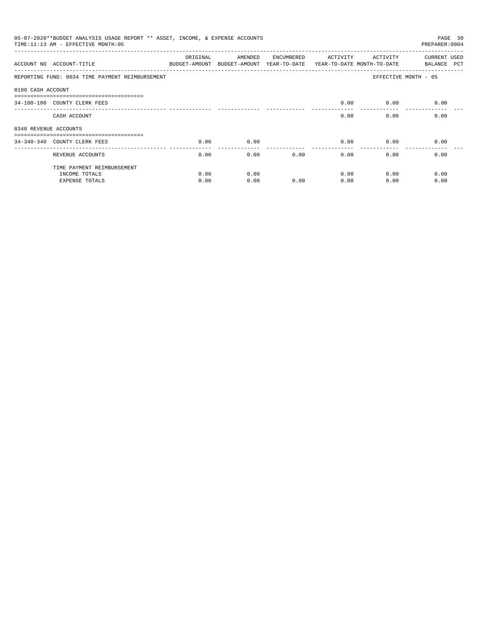|                       | 05-07-2020**BUDGET ANALYSIS USAGE REPORT ** ASSET, INCOME, & EXPENSE ACCOUNTS<br>TIME: 11:13 AM - EFFECTIVE MONTH: 05 |                           |                                       |            |                                        |          | PAGE 30<br>PREPARER: 0004   |
|-----------------------|-----------------------------------------------------------------------------------------------------------------------|---------------------------|---------------------------------------|------------|----------------------------------------|----------|-----------------------------|
|                       | ACCOUNT NO ACCOUNT-TITLE                                                                                              | ORIGINAL<br>BUDGET-AMOUNT | AMENDED<br>BUDGET-AMOUNT YEAR-TO-DATE | ENCUMBERED | ACTIVITY<br>YEAR-TO-DATE MONTH-TO-DATE | ACTIVITY | CURRENT USED<br>BALANCE PCT |
|                       | REPORTING FUND: 0034 TIME PAYMENT REIMBURSEMENT                                                                       |                           |                                       |            |                                        |          | EFFECTIVE MONTH - 05        |
| 0100 CASH ACCOUNT     |                                                                                                                       |                           |                                       |            |                                        |          |                             |
|                       | ------------------------------<br>34-100-100 COUNTY CLERK FEES                                                        |                           |                                       |            | 0.00                                   | 0.00     | 0.00                        |
|                       | CASH ACCOUNT                                                                                                          |                           |                                       |            | 0.00                                   | 0.00     | 0.00                        |
| 0340 REVENUE ACCOUNTS |                                                                                                                       |                           |                                       |            |                                        |          |                             |
|                       | 34-340-340 COUNTY CLERK FEES                                                                                          | 0.00                      | 0.00                                  |            | 0.00                                   | 0.00     | 0.00                        |
|                       | REVENUE ACCOUNTS                                                                                                      | 0.00                      | 0.00                                  | 0.00       | 0.00                                   | 0.00     | 0.00                        |
|                       | TIME PAYMENT REIMBURSEMENT                                                                                            |                           |                                       |            |                                        |          |                             |
|                       | INCOME TOTALS                                                                                                         | 0.00                      | 0.00                                  |            | 0.00                                   | 0.00     | 0.00                        |
|                       | <b>EXPENSE TOTALS</b>                                                                                                 | 0.00                      | 0.00                                  | 0.00       | 0.00                                   | 0.00     | 0.00                        |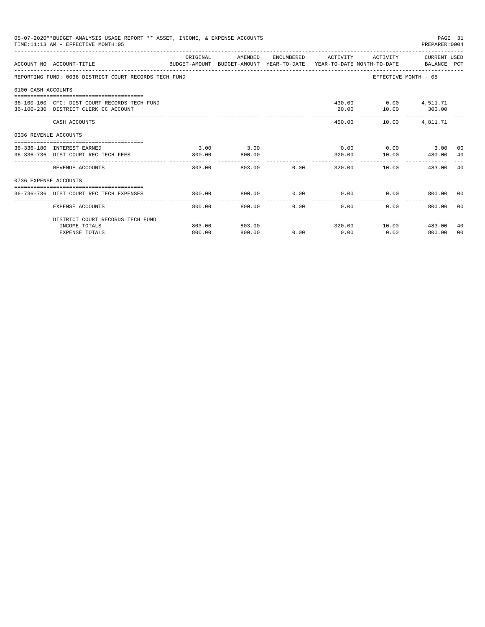|                       | 05-07-2020**BUDGET ANALYSIS USAGE REPORT ** ASSET, INCOME, & EXPENSE ACCOUNTS<br>TIME: 11:13 AM - EFFECTIVE MONTH: 05 |                          |                                                                                            |                     |                      |                           | PAGE 31<br>PREPARER: 0004                  |                |
|-----------------------|-----------------------------------------------------------------------------------------------------------------------|--------------------------|--------------------------------------------------------------------------------------------|---------------------|----------------------|---------------------------|--------------------------------------------|----------------|
|                       | ACCOUNT NO ACCOUNT-TITLE                                                                                              | ORIGINAL                 | AMENDED<br>BUDGET-AMOUNT BUDGET-AMOUNT YEAR-TO-DATE YEAR-TO-DATE MONTH-TO-DATE BALANCE PCT |                     |                      |                           | ENCUMBERED ACTIVITY ACTIVITY CURRENT USED  |                |
|                       | REPORTING FUND: 0036 DISTRICT COURT RECORDS TECH FUND                                                                 |                          |                                                                                            |                     |                      |                           | EFFECTIVE MONTH - 05                       |                |
| 0100 CASH ACCOUNTS    |                                                                                                                       |                          |                                                                                            |                     |                      |                           |                                            |                |
|                       | 36-100-100 CFC: DIST COURT RECORDS TECH FUND<br>36-100-230 DISTRICT CLERK CC ACCOUNT                                  |                          |                                                                                            |                     | 20.00                | 430.00   0.00   4,511.71  | 10.00 300.00                               |                |
|                       | CASH ACCOUNTS                                                                                                         |                          |                                                                                            |                     |                      | 450.00 10.00              | 4,811.71                                   |                |
| 0336 REVENUE ACCOUNTS |                                                                                                                       |                          |                                                                                            |                     |                      |                           |                                            |                |
|                       | 36-336-180 INTEREST EARNED<br>36-336-736 DIST COURT REC TECH FEES                                                     | 3.00<br>800.00           | 3.00<br>800.00                                                                             |                     | 320.00               | 10.00                     | $0.00$ $0.00$ $0.00$ $3.00$ $00$<br>480.00 | 40             |
|                       | REVENUE ACCOUNTS                                                                                                      | 803.00                   | 803.00                                                                                     |                     | $0.00$ 320.00        | 10.00                     | 483.00                                     | 40             |
| 0736 EXPENSE ACCOUNTS |                                                                                                                       |                          |                                                                                            |                     |                      |                           |                                            |                |
|                       | 36-736-736 DIST COURT REC TECH EXPENSES                                                                               | 800.00                   | 800.00                                                                                     | 0.00                |                      |                           | $0.00$ $0.00$ $800.00$ 00                  |                |
|                       | <b>EXPENSE ACCOUNTS</b>                                                                                               | --------------<br>800.00 | 800.00                                                                                     | -----------<br>0.00 | ------------<br>0.00 | 0.00                      | 800.00                                     | 00             |
|                       | DISTRICT COURT RECORDS TECH FUND                                                                                      |                          |                                                                                            |                     |                      |                           |                                            |                |
|                       | INCOME TOTALS                                                                                                         | 803.00                   | 803.00                                                                                     |                     |                      | 320.00    10.00    483.00 |                                            | 40             |
|                       | <b>EXPENSE TOTALS</b>                                                                                                 | 800.00                   | 800.00                                                                                     | 0.00                | 0.00                 | 0.00                      | 800.00                                     | 0 <sub>0</sub> |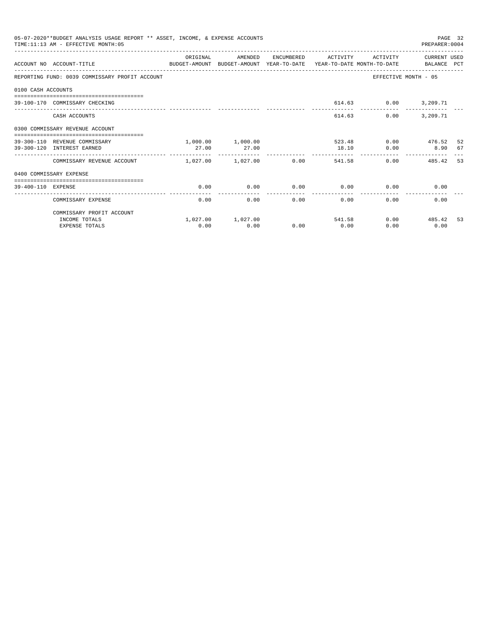|                    | 05-07-2020**BUDGET ANALYSIS USAGE REPORT ** ASSET, INCOME, & EXPENSE ACCOUNTS<br>TIME: 11:13 AM - EFFECTIVE MONTH: 05 |          |                   |      |                     |                             | PREPARER: 0004            | PAGE 32 |
|--------------------|-----------------------------------------------------------------------------------------------------------------------|----------|-------------------|------|---------------------|-----------------------------|---------------------------|---------|
|                    | ACCOUNT NO ACCOUNT-TITLE THE BALANCE PORT AMOUNT BUDGET-AMOUNT VEAR-TO-DATE VEAR-TO-DATE MONTH-TO-DATE BALANCE PCT    | ORIGINAL | AMENDED           |      | ENCUMBERED ACTIVITY | ACTIVITY                    | CURRENT USED              |         |
|                    |                                                                                                                       |          |                   |      |                     |                             |                           |         |
|                    | REPORTING FUND: 0039 COMMISSARY PROFIT ACCOUNT                                                                        |          |                   |      |                     |                             | EFFECTIVE MONTH - 05      |         |
| 0100 CASH ACCOUNTS |                                                                                                                       |          |                   |      |                     |                             |                           |         |
|                    | 39-100-170 COMMISSARY CHECKING                                                                                        |          |                   |      |                     | 614.63 0.00 3,209.71        |                           |         |
|                    | CASH ACCOUNTS                                                                                                         |          |                   |      |                     | 614.63<br>0.00              | 3,209.71                  |         |
|                    | 0300 COMMISSARY REVENUE ACCOUNT<br>--------------------------------------                                             |          |                   |      |                     |                             |                           |         |
|                    | 39-300-110 REVENUE COMMISSARY                                                                                         |          | 1,000.00 1,000.00 |      |                     | 523.48 0.00 476.52          |                           | 52      |
|                    | 39-300-120 INTEREST EARNED                                                                                            | 27.00    | 27.00             |      | 18.10               |                             | 0.00<br>8.90 67           |         |
|                    | COMMISSARY REVENUE ACCOUNT 1,027.00 1,027.00                                                                          |          |                   | 0.00 |                     | 541.58                      | $0.00$ 485.42             | 53      |
|                    | 0400 COMMISSARY EXPENSE                                                                                               |          |                   |      |                     |                             |                           |         |
| 39-400-110 EXPENSE |                                                                                                                       | 0.00     | 0.00              |      |                     | $0.00$ $0.00$ $0.00$ $0.00$ | 0.00                      |         |
|                    | COMMISSARY EXPENSE                                                                                                    | 0.00     |                   | 0.00 | 0.00                | $0.00$ and $0.00$           | 0.00<br>$0.00$ and $0.00$ |         |
|                    | COMMISSARY PROFIT ACCOUNT                                                                                             |          |                   |      |                     |                             |                           |         |
|                    | INCOME TOTALS                                                                                                         |          | 1,027.00 1,027.00 |      |                     | 541.58                      | $0.00$ 485.42             | -53     |
|                    | <b>EXPENSE TOTALS</b>                                                                                                 | 0.00     | 0.00              | 0.00 | 0.00                | 0.00                        | 0.00                      |         |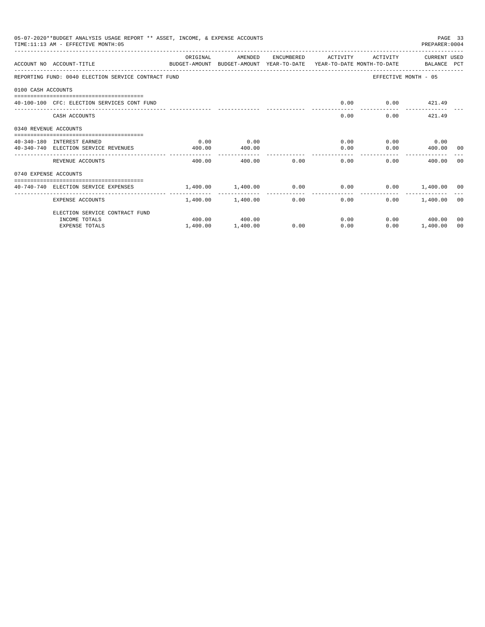|                       | 05-07-2020**BUDGET ANALYSIS USAGE REPORT ** ASSET, INCOME, & EXPENSE ACCOUNTS<br>TIME: 11:13 AM - EFFECTIVE MONTH: 05 |                                                                    |                   |      |                     |                      | PREPARER: 0004       | PAGE 33 |
|-----------------------|-----------------------------------------------------------------------------------------------------------------------|--------------------------------------------------------------------|-------------------|------|---------------------|----------------------|----------------------|---------|
|                       | ACCOUNT NO ACCOUNT-TITLE<br>BUDGET-AMOUNT BUDGET-AMOUNT YEAR-TO-DATE YEAR-TO-DATE MONTH-TO-DATE   BALANCE PCT         | ORIGINAL                                                           | AMENDED           |      | ENCUMBERED ACTIVITY | ACTIVITY             | CURRENT USED         |         |
|                       | REPORTING FUND: 0040 ELECTION SERVICE CONTRACT FUND                                                                   |                                                                    |                   |      |                     |                      | EFFECTIVE MONTH - 05 |         |
| 0100 CASH ACCOUNTS    |                                                                                                                       |                                                                    |                   |      |                     |                      |                      |         |
|                       | 40-100-100 CFC: ELECTION SERVICES CONT FUND                                                                           |                                                                    |                   |      | 0.00                |                      | $0.00$ $421.49$      |         |
|                       | CASH ACCOUNTS                                                                                                         |                                                                    |                   |      |                     | 0.00                 | $0.00$ 421.49        |         |
| 0340 REVENUE ACCOUNTS |                                                                                                                       |                                                                    |                   |      |                     |                      |                      |         |
|                       | 40-340-180 INTEREST EARNED                                                                                            | 0.00                                                               | 0.00              |      |                     | $0.00$ $0.00$ $0.00$ |                      |         |
|                       | 40-340-740 ELECTION SERVICE REVENUES                                                                                  | 400.00                                                             | 400.00            |      |                     | 0.00                 | $0.00$ 400.00 00     |         |
|                       | REVENUE ACCOUNTS                                                                                                      | 400.00                                                             | 400.00            | 0.00 | 0.00                |                      | 0.00<br>400.00       | - 0.0   |
| 0740 EXPENSE ACCOUNTS |                                                                                                                       |                                                                    |                   |      |                     |                      |                      |         |
|                       | 40-740-740 ELECTION SERVICE EXPENSES                                                                                  | $1.400.00$ $1.400.00$ $0.00$ $0.00$ $0.00$ $0.00$ $1.400.00$ $0.0$ |                   |      |                     |                      |                      |         |
|                       | <b>EXPENSE ACCOUNTS</b>                                                                                               |                                                                    | 1,400.00 1,400.00 |      | $0.00$ and $0.00$   | 0.00                 | $0.00$ 1,400.00 00   |         |
|                       | ELECTION SERVICE CONTRACT FUND                                                                                        |                                                                    |                   |      |                     |                      |                      |         |
|                       | INCOME TOTALS                                                                                                         |                                                                    | 400.00 400.00     |      |                     | 0.00                 | $0.00$ 400.00        | 00      |
|                       | <b>EXPENSE TOTALS</b>                                                                                                 | 1,400.00                                                           | 1,400.00          | 0.00 | 0.00                | 0.00                 | 1,400.00             | 00      |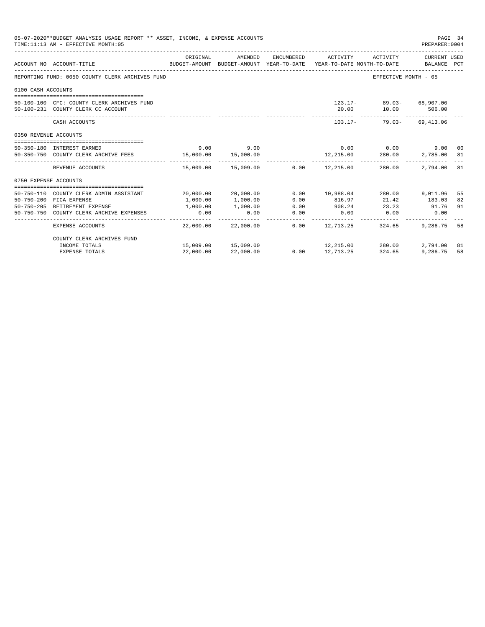|                       | 05-07-2020**BUDGET ANALYSIS USAGE REPORT ** ASSET, INCOME, & EXPENSE ACCOUNTS<br>TIME: 11:13 AM - EFFECTIVE MONTH: 05 |           |                                       |               |                                            |                          | PAGE 34<br>PREPARER: 0004         |          |
|-----------------------|-----------------------------------------------------------------------------------------------------------------------|-----------|---------------------------------------|---------------|--------------------------------------------|--------------------------|-----------------------------------|----------|
|                       |                                                                                                                       | ORIGINAL  | AMENDED                               | ENCUMBERED    | ACTIVITY                                   | ACTIVITY                 | CURRENT USED                      |          |
|                       | BUDGET-AMOUNT BUDGET-AMOUNT YEAR-TO-DATE YEAR-TO-DATE MONTH-TO-DATE BALANCE PCT<br>ACCOUNT NO ACCOUNT-TITLE           |           |                                       |               |                                            |                          |                                   |          |
|                       | REPORTING FUND: 0050 COUNTY CLERK ARCHIVES FUND                                                                       |           |                                       |               |                                            | EFFECTIVE MONTH - 05     |                                   |          |
| 0100 CASH ACCOUNTS    |                                                                                                                       |           |                                       |               |                                            |                          |                                   |          |
|                       | 50-100-100 CFC: COUNTY CLERK ARCHIVES FUND                                                                            |           |                                       |               |                                            | 123.17- 89.03- 68.907.06 |                                   |          |
|                       | 50-100-231 COUNTY CLERK CC ACCOUNT                                                                                    |           |                                       |               |                                            | 20.00 10.00              | 506.00                            |          |
|                       | CASH ACCOUNTS                                                                                                         |           |                                       |               | ------------<br>$103.17 -$                 | -------------            | -------------<br>79.03- 69.413.06 |          |
| 0350 REVENUE ACCOUNTS |                                                                                                                       |           |                                       |               |                                            |                          |                                   |          |
|                       | 50-350-180 INTEREST EARNED                                                                                            |           | $9.00$ $9.00$                         |               | $0.00$ 0.00                                |                          | 9.00 00                           |          |
|                       | 50-350-750 COUNTY CLERK ARCHIVE FEES 15,000.00 15,000.00                                                              |           |                                       |               | $12,215.00$ $280.00$ $2,785.00$ 81         |                          |                                   |          |
|                       | REVENUE ACCOUNTS                                                                                                      |           |                                       |               | 15,009.00  15,009.00  0.00  12,215.00      | 280.00                   | 2,794.00 81                       |          |
| 0750 EXPENSE ACCOUNTS |                                                                                                                       |           |                                       |               |                                            |                          |                                   |          |
|                       |                                                                                                                       |           |                                       |               |                                            |                          |                                   |          |
|                       | 50-750-110 COUNTY CLERK ADMIN ASSISTANT<br>50-750-200 FICA EXPENSE                                                    | 1,000.00  | 20,000.00 20,000.00<br>1,000.00       | 0.00          | $0.00$ 10,988.04 280.00 9,011.96<br>816.97 | 21.42                    | 183.03                            | 55<br>82 |
|                       | 50-750-205 RETIREMENT EXPENSE                                                                                         |           | $1,000.00$ $1,000.00$                 | 0.00          | 908.24                                     |                          | 23.23 91.76                       | 91       |
|                       | 50-750-750 COUNTY CLERK ARCHIVE EXPENSES                                                                              | 0.00      | 0.00                                  | 0.00          | 0.00                                       | $0.00$ 0.00              |                                   |          |
|                       | <b>EXPENSE ACCOUNTS</b>                                                                                               |           | --------------<br>22,000.00 22,000.00 | ------------- | ---------------<br>$0.00$ 12,713.25 324.65 | -------------            | 9,286.75                          | 58       |
|                       | COUNTY CLERK ARCHIVES FUND                                                                                            |           |                                       |               |                                            |                          |                                   |          |
|                       | INCOME TOTALS                                                                                                         |           | 15,009.00 15,009.00                   |               | 12,215.00 280.00                           |                          | 2,794.00                          | 81       |
|                       | <b>EXPENSE TOTALS</b>                                                                                                 | 22,000.00 | 22,000.00                             |               | $0.00$ 12,713.25                           | 324.65                   | 9,286.75                          | 58       |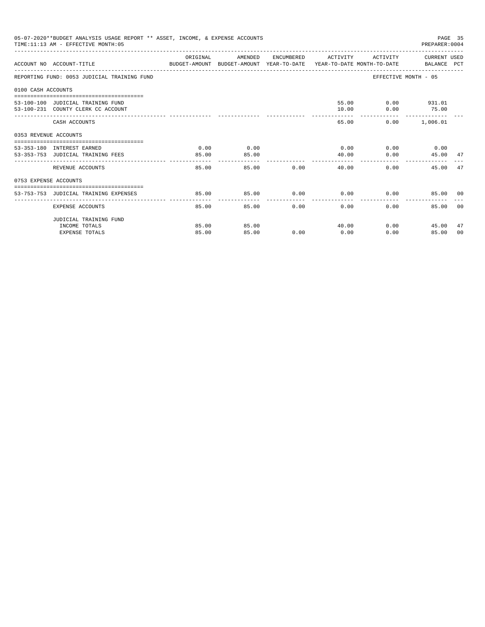|                       | 05-07-2020**BUDGET ANALYSIS USAGE REPORT ** ASSET, INCOME, & EXPENSE ACCOUNTS<br>TIME: 11:13 AM - EFFECTIVE MONTH: 05 |          |         |               |                                              |                       | PAGE 35<br>PREPARER: 0004 |                |
|-----------------------|-----------------------------------------------------------------------------------------------------------------------|----------|---------|---------------|----------------------------------------------|-----------------------|---------------------------|----------------|
|                       | ACCOUNT NO ACCOUNT-TITLE CONTROL SUDGET-AMOUNT BUDGET-AMOUNT YEAR-TO-DATE YEAR-TO-DATE MONTH-TO-DATE BALANCE PCT      | ORIGINAL | AMENDED |               | ENCUMBERED ACTIVITY                          | ACTIVITY CURRENT USED |                           |                |
|                       | REPORTING FUND: 0053 JUDICIAL TRAINING FUND                                                                           |          |         |               |                                              | EFFECTIVE MONTH - 05  |                           |                |
| 0100 CASH ACCOUNTS    |                                                                                                                       |          |         |               |                                              |                       |                           |                |
|                       | 53-100-100 JUDICIAL TRAINING FUND                                                                                     |          |         |               |                                              | 55.00   0.00   931.01 |                           |                |
|                       | 53-100-231 COUNTY CLERK CC ACCOUNT                                                                                    |          |         |               | 10.00                                        | $0.00$ 75.00          |                           |                |
|                       | CASH ACCOUNTS                                                                                                         |          |         |               | 65.00                                        |                       | 0.00 1,006.01             |                |
| 0353 REVENUE ACCOUNTS |                                                                                                                       |          |         |               |                                              |                       |                           |                |
|                       | 53-353-180 INTEREST EARNED                                                                                            | 0.00     | 0.00    |               | $0.00$ $0.00$ $0.00$ $0.00$                  |                       |                           |                |
|                       | 53-353-753 JUDICIAL TRAINING FEES                                                                                     | 85.00    | 85.00   |               | 40.00                                        | 0.00                  | 45.00 47                  |                |
|                       | REVENUE ACCOUNTS                                                                                                      | 85.00    |         | 85.00         | --------------<br>$0.00$ and $0.00$<br>40.00 | 0.00                  | 45.00 47                  |                |
| 0753 EXPENSE ACCOUNTS |                                                                                                                       |          |         |               |                                              |                       |                           |                |
|                       | 53-753-753 JUDICIAL TRAINING EXPENSES                                                                                 | 85.00    | 85.00   |               | $0.00$ $0.00$ $0.00$ $0.00$                  |                       | 85.00 00                  |                |
|                       |                                                                                                                       |          |         |               |                                              |                       |                           |                |
|                       | EXPENSE ACCOUNTS                                                                                                      | 85.00    |         | 0.00<br>85.00 | 0.00                                         | 0.00                  | 85.00                     | 0 <sub>0</sub> |
|                       | JUDICIAL TRAINING FUND                                                                                                |          |         |               |                                              |                       |                           |                |
|                       | INCOME TOTALS                                                                                                         | 85.00    | 85.00   |               | 40.00                                        | 0.00                  | 45.00                     | 47             |
|                       | <b>EXPENSE TOTALS</b>                                                                                                 | 85.00    | 85.00   | 0.00          | 0.00                                         | 0.00                  | 85.00                     | 00             |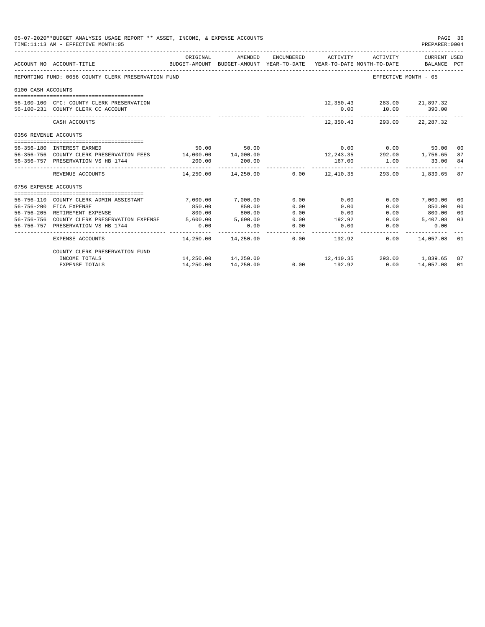|                       | 05-07-2020**BUDGET ANALYSIS USAGE REPORT ** ASSET, INCOME, & EXPENSE ACCOUNTS<br>PAGE 36<br>TIME: 11:13 AM - EFFECTIVE MONTH: 05<br>PREPARER: 0004 |           |                                                                                |            |                  |                                   |                             |                |  |  |
|-----------------------|----------------------------------------------------------------------------------------------------------------------------------------------------|-----------|--------------------------------------------------------------------------------|------------|------------------|-----------------------------------|-----------------------------|----------------|--|--|
|                       | ACCOUNT NO ACCOUNT-TITLE                                                                                                                           | ORIGINAL  | AMENDED<br>BUDGET-AMOUNT BUDGET-AMOUNT YEAR-TO-DATE YEAR-TO-DATE MONTH-TO-DATE | ENCUMBERED | ACTIVITY         | ACTIVITY                          | CURRENT USED<br>BALANCE PCT |                |  |  |
|                       | REPORTING FUND: 0056 COUNTY CLERK PRESERVATION FUND                                                                                                |           |                                                                                |            |                  |                                   | EFFECTIVE MONTH - 05        |                |  |  |
| 0100 CASH ACCOUNTS    |                                                                                                                                                    |           |                                                                                |            |                  |                                   |                             |                |  |  |
|                       |                                                                                                                                                    |           |                                                                                |            |                  |                                   |                             |                |  |  |
|                       | 56-100-100 CFC: COUNTY CLERK PRESERVATION                                                                                                          |           |                                                                                |            |                  | 12,350.43 283.00 21,897.32        |                             |                |  |  |
|                       | 56-100-231 COUNTY CLERK CC ACCOUNT                                                                                                                 |           |                                                                                |            | 0.00             |                                   | $10.00$ 390.00              |                |  |  |
|                       | CASH ACCOUNTS                                                                                                                                      |           |                                                                                |            |                  | 12,350.43 293.00 22,287.32        |                             |                |  |  |
| 0356 REVENUE ACCOUNTS |                                                                                                                                                    |           |                                                                                |            |                  |                                   |                             |                |  |  |
|                       | 56-356-180 INTEREST EARNED                                                                                                                         |           | 50.00 50.00                                                                    |            |                  | $0.00$ 0.00                       | 50.00 00                    |                |  |  |
|                       | 56-356-756 COUNTY CLERK PRESERVATION FEES 14,000.00 14,000.00                                                                                      |           |                                                                                |            |                  | $12, 243.35$ $292.00$ $1, 756.65$ |                             | 87             |  |  |
|                       | 56-356-757 PRESERVATION VS HB 1744                                                                                                                 | 200.00    | 200.00                                                                         |            | 167.00           | 1.00                              | 33.00                       | 84             |  |  |
|                       | REVENUE ACCOUNTS                                                                                                                                   |           | $14,250.00$ $14,250.00$ $0.00$ $12,410.35$                                     |            | -----------      |                                   | 293.00 1.839.65 87          |                |  |  |
| 0756 EXPENSE ACCOUNTS |                                                                                                                                                    |           |                                                                                |            |                  |                                   |                             |                |  |  |
|                       |                                                                                                                                                    |           |                                                                                |            |                  |                                   |                             |                |  |  |
|                       | 56-756-110 COUNTY CLERK ADMIN ASSISTANT                                                                                                            | 7,000.00  | 7.000.00                                                                       | 0.00       | 0.00             |                                   | $0.00$ 7,000.00             | 00             |  |  |
|                       | 56-756-200 FICA EXPENSE                                                                                                                            | 850.00    | 850.00                                                                         | 0.00       | 0.00             | 0.00                              | 850.00                      | 0 <sub>0</sub> |  |  |
|                       | 56-756-205 RETIREMENT EXPENSE                                                                                                                      | 800.00    | 800.00                                                                         | 0.00       | 0.00             |                                   | $0.00$ 800.00               | 0 <sup>0</sup> |  |  |
|                       | 56-756-756 COUNTY CLERK PRESERVATION EXPENSE 5.600.00 5.600.00                                                                                     |           |                                                                                | 0.00       | 192.92           |                                   | $0.00$ 5,407.08             | 03             |  |  |
|                       | 56-756-757 PRESERVATION VS HB 1744                                                                                                                 | 0.00      | 0.00                                                                           | 0.00       | 0.00<br>-------- | 0.00                              | 0.00                        |                |  |  |
|                       | EXPENSE ACCOUNTS                                                                                                                                   |           | $14.250.00$ $14.250.00$ $0.00$ $192.92$                                        |            |                  |                                   | $0.00$ $14.057.08$ 01       |                |  |  |
|                       | COUNTY CLERK PRESERVATION FUND                                                                                                                     |           |                                                                                |            |                  |                                   |                             |                |  |  |
|                       | INCOME TOTALS                                                                                                                                      |           | 14,250.00  14,250.00                                                           |            |                  | 12,410.35 293.00 1,839.65         |                             | 87             |  |  |
|                       | <b>EXPENSE TOTALS</b>                                                                                                                              | 14,250.00 | 14,250.00                                                                      | 0.00       | 192.92           | 0.00                              | 14,057.08                   | 01             |  |  |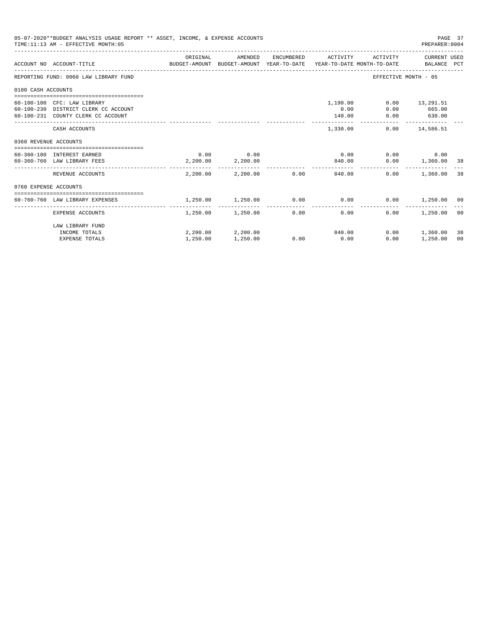| 05-07-2020**BUDGET ANALYSIS USAGE REPORT ** ASSET, INCOME, & EXPENSE ACCOUNTS<br>PAGE 37<br>TIME:11:13 AM - EFFECTIVE MONTH:05<br>PREPARER: 0004 |                                                                                                                      |          |                            |      |                     |                             |                            |                |
|--------------------------------------------------------------------------------------------------------------------------------------------------|----------------------------------------------------------------------------------------------------------------------|----------|----------------------------|------|---------------------|-----------------------------|----------------------------|----------------|
|                                                                                                                                                  | ACCOUNT NO ACCOUNT-TITLE COMPUTE THE SUDGET-AMOUNT BUDGET-AMOUNT VEAR-TO-DATE YEAR-TO-DATE MONTH-TO-DATE BALANCE PCT | ORIGINAL | AMENDED                    |      | ENCUMBERED ACTIVITY |                             | ACTIVITY CURRENT USED      |                |
|                                                                                                                                                  | REPORTING FUND: 0060 LAW LIBRARY FUND                                                                                |          |                            |      |                     | EFFECTIVE MONTH - 05        |                            |                |
| 0100 CASH ACCOUNTS                                                                                                                               |                                                                                                                      |          |                            |      |                     |                             |                            |                |
|                                                                                                                                                  |                                                                                                                      |          |                            |      |                     |                             |                            |                |
|                                                                                                                                                  | 60-100-100 CFC: LAW LIBRARY<br>60-100-230 DISTRICT CLERK CC ACCOUNT                                                  |          |                            |      | 1,190.00<br>0.00    | 0.00                        | $0.00$ 13,291.51<br>665.00 |                |
|                                                                                                                                                  | 60-100-231 COUNTY CLERK CC ACCOUNT                                                                                   |          |                            |      | 140.00              | 0.00                        | 630.00                     |                |
|                                                                                                                                                  |                                                                                                                      |          |                            |      | ------------        | -------------               | -------------              |                |
|                                                                                                                                                  | CASH ACCOUNTS                                                                                                        |          |                            |      | 1,330.00            |                             | $0.00$ 14,586.51           |                |
| 0360 REVENUE ACCOUNTS                                                                                                                            |                                                                                                                      |          |                            |      |                     |                             |                            |                |
|                                                                                                                                                  | 60-360-180 INTEREST EARNED                                                                                           |          | $0.00$ 0.00                |      |                     | $0.00$ $0.00$ $0.00$ $0.00$ |                            |                |
|                                                                                                                                                  | 60-360-760 LAW LIBRARY FEES                                                                                          |          | 2,200.00 2,200.00          |      | 840.00              |                             | $0.00$ 1,360.00 38         |                |
|                                                                                                                                                  |                                                                                                                      |          |                            |      |                     |                             |                            |                |
|                                                                                                                                                  | REVENUE ACCOUNTS                                                                                                     |          | $2.200.00$ $2.200.00$ 0.00 |      | 840.00              | 0.00                        | 1,360.00                   | 38             |
| 0760 EXPENSE ACCOUNTS                                                                                                                            |                                                                                                                      |          |                            |      |                     |                             |                            |                |
|                                                                                                                                                  |                                                                                                                      |          |                            |      |                     |                             |                            |                |
|                                                                                                                                                  | 60-760-760 LAW LIBRARY EXPENSES                                                                                      | 1,250.00 | 1,250.00                   |      | $0.00$ 0.00         |                             | $0.00$ 1,250.00 00         |                |
|                                                                                                                                                  | EXPENSE ACCOUNTS                                                                                                     |          | 1,250.00 1,250.00 0.00     |      | 0.00                | 0.00                        | 1,250.00                   | 0 <sup>0</sup> |
|                                                                                                                                                  | LAW LIBRARY FUND                                                                                                     |          |                            |      |                     |                             |                            |                |
|                                                                                                                                                  | INCOME TOTALS                                                                                                        |          | 2,200.00 2,200.00          |      | 840.00              |                             | $0.00$ 1,360.00            | 38             |
|                                                                                                                                                  | <b>EXPENSE TOTALS</b>                                                                                                | 1,250.00 | 1,250.00                   | 0.00 | 0.00                | 0.00                        | 1,250.00                   | 0 <sup>0</sup> |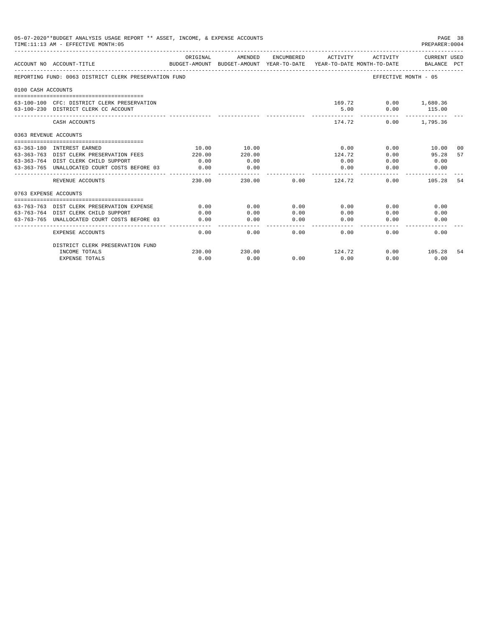|                       | 05-07-2020**BUDGET ANALYSIS USAGE REPORT ** ASSET, INCOME, & EXPENSE ACCOUNTS<br>TIME: 11:13 AM - EFFECTIVE MONTH: 05 |                           |                                       |            |                |                                        | PAGE 38<br>PREPARER: 0004          |
|-----------------------|-----------------------------------------------------------------------------------------------------------------------|---------------------------|---------------------------------------|------------|----------------|----------------------------------------|------------------------------------|
|                       | ACCOUNT NO ACCOUNT-TITLE                                                                                              | ORIGINAL<br>BUDGET-AMOUNT | AMENDED<br>BUDGET-AMOUNT YEAR-TO-DATE | ENCUMBERED | ACTIVITY       | ACTIVITY<br>YEAR-TO-DATE MONTH-TO-DATE | <b>CURRENT USED</b><br>BALANCE PCT |
|                       | REPORTING FUND: 0063 DISTRICT CLERK PRESERVATION FUND                                                                 |                           |                                       |            |                |                                        | EFFECTIVE MONTH - 05               |
| 0100 CASH ACCOUNTS    |                                                                                                                       |                           |                                       |            |                |                                        |                                    |
|                       | 63-100-100 CFC: DISTRICT CLERK PRESERVATION<br>63-100-230 DISTRICT CLERK CC ACCOUNT                                   |                           |                                       |            | 169.72<br>5.00 | 0.00                                   | $0.00$ 1,680.36<br>115.00          |
|                       | CASH ACCOUNTS                                                                                                         |                           |                                       |            | 174.72         | 0.00                                   | 1,795.36                           |
| 0363 REVENUE ACCOUNTS |                                                                                                                       |                           |                                       |            |                |                                        |                                    |
|                       |                                                                                                                       |                           |                                       |            |                |                                        |                                    |
|                       | 63-363-180 INTEREST EARNED                                                                                            | 10.00                     | 10.00                                 |            | 0.00           | 0.00                                   | 10.00<br>-00                       |
|                       | 63-363-763 DIST CLERK PRESERVATION FEES                                                                               | 220.00                    | 220.00                                |            | 124.72         | 0.00                                   | 95.28<br>57                        |
|                       | 63-363-764 DIST CLERK CHILD SUPPORT                                                                                   | 0.00                      | 0.00                                  |            | 0.00           | 0.00                                   | 0.00                               |
|                       | 63-363-765 UNALLOCATED COURT COSTS BEFORE 03                                                                          | 0.00                      | 0.00                                  |            | 0.00           | 0.00                                   | 0.00                               |
|                       | REVENUE ACCOUNTS                                                                                                      | 230.00                    | 230.00                                | 0.00       | 124.72         | 0.00                                   | 105.28<br>54                       |
| 0763 EXPENSE ACCOUNTS |                                                                                                                       |                           |                                       |            |                |                                        |                                    |
|                       |                                                                                                                       |                           |                                       |            |                |                                        |                                    |
|                       | 63-763-763 DIST CLERK PRESERVATION EXPENSE                                                                            | 0.00                      | 0.00                                  | 0.00       | 0.00           | 0.00                                   | 0.00                               |
|                       | 63-763-764 DIST CLERK CHILD SUPPORT                                                                                   | 0.00                      | 0.00                                  | 0.00       | 0.00           | 0.00                                   | 0.00                               |
| 63-763-765            | UNALLOCATED COURT COSTS BEFORE 03                                                                                     | 0.00                      | 0.00                                  | 0.00       | 0.00           | 0.00                                   | 0.00                               |
|                       | EXPENSE ACCOUNTS                                                                                                      | 0.00                      | 0.00                                  | 0.00       | 0.00           | 0.00                                   | 0.00                               |
|                       | DISTRICT CLERK PRESERVATION FUND                                                                                      |                           |                                       |            |                |                                        |                                    |
|                       | INCOME TOTALS                                                                                                         | 230.00                    | 230.00                                |            | 124.72         | 0.00                                   | 105.28<br>-54                      |
|                       | <b>EXPENSE TOTALS</b>                                                                                                 | 0.00                      | 0.00                                  | 0.00       | 0.00           | 0.00                                   | 0.00                               |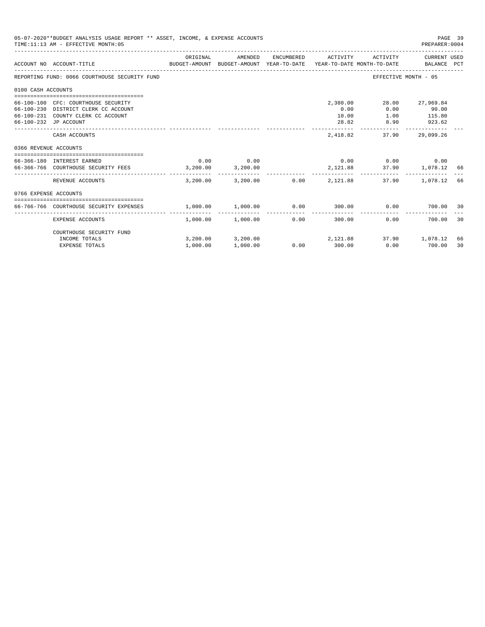|                       | 05-07-2020**BUDGET ANALYSIS USAGE REPORT ** ASSET, INCOME, & EXPENSE ACCOUNTS<br>TIME:11:13 AM - EFFECTIVE MONTH:05                        |                      |                                        |                     |                                    |                      | PAGE 39<br>PREPARER: 0004                        |          |
|-----------------------|--------------------------------------------------------------------------------------------------------------------------------------------|----------------------|----------------------------------------|---------------------|------------------------------------|----------------------|--------------------------------------------------|----------|
|                       | BUDGET-AMOUNT BUDGET-AMOUNT YEAR-TO-DATE YEAR-TO-DATE MONTH-TO-DATE<br>ACCOUNT NO ACCOUNT-TITLE                                            | ORIGINAL             | AMENDED                                | ENCUMBERED          | ACTIVITY                           | ACTIVITY             | CURRENT USED<br>BALANCE PCT                      |          |
|                       | REPORTING FUND: 0066 COURTHOUSE SECURITY FUND                                                                                              |                      |                                        |                     |                                    |                      | EFFECTIVE MONTH - 05                             |          |
| 0100 CASH ACCOUNTS    |                                                                                                                                            |                      |                                        |                     |                                    |                      |                                                  |          |
|                       | 66-100-100 CFC: COURTHOUSE SECURITY<br>66-100-230 DISTRICT CLERK CC ACCOUNT<br>66-100-231 COUNTY CLERK CC ACCOUNT<br>66-100-232 JP ACCOUNT |                      |                                        |                     | 2,380.00<br>0.00<br>10.00<br>28.82 | 0.00<br>1.00<br>8.90 | 28.00 27,969.84<br>90.00<br>115.80<br>923.62     |          |
|                       | CASH ACCOUNTS                                                                                                                              |                      |                                        |                     | 2,418.82                           | 37.90                | 29,099.26                                        |          |
| 0366 REVENUE ACCOUNTS |                                                                                                                                            |                      |                                        |                     |                                    |                      |                                                  |          |
|                       | 66-366-180 INTEREST EARNED<br>66-366-766 COURTHOUSE SECURITY FEES                                                                          | 0.00<br>3,200,00     | 0.00<br>3,200.00                       |                     | 2,121.88                           |                      | $0.00$ $0.00$ $0.00$ $0.00$<br>37.90 1,078.12 66 |          |
|                       | REVENUE ACCOUNTS                                                                                                                           | 3,200,00             | 3,200,00                               |                     | $0.00$ 2.121.88                    | 37.90                | 1,078.12                                         | 66       |
| 0766 EXPENSE ACCOUNTS |                                                                                                                                            |                      |                                        |                     |                                    |                      |                                                  |          |
|                       | 66-766-766 COURTHOUSE SECURITY EXPENSES                                                                                                    | 1,000.00             | 1,000.00                               |                     | $0.00$ 300.00                      | 0.00                 | 700.00 30                                        |          |
|                       | <b>EXPENSE ACCOUNTS</b>                                                                                                                    |                      | -------------<br>$1.000.00$ $1.000.00$ | -----------<br>0.00 | ------------<br>300.00             | 0.00                 | 700.00                                           | 30       |
|                       | COURTHOUSE SECURITY FUND                                                                                                                   |                      |                                        |                     |                                    |                      |                                                  |          |
|                       | INCOME TOTALS<br><b>EXPENSE TOTALS</b>                                                                                                     | 3,200.00<br>1,000.00 | 3,200.00<br>1,000.00                   | 0.00                | 2,121.88<br>300.00                 | 0.00                 | 37.90 1.078.12<br>700.00                         | 66<br>30 |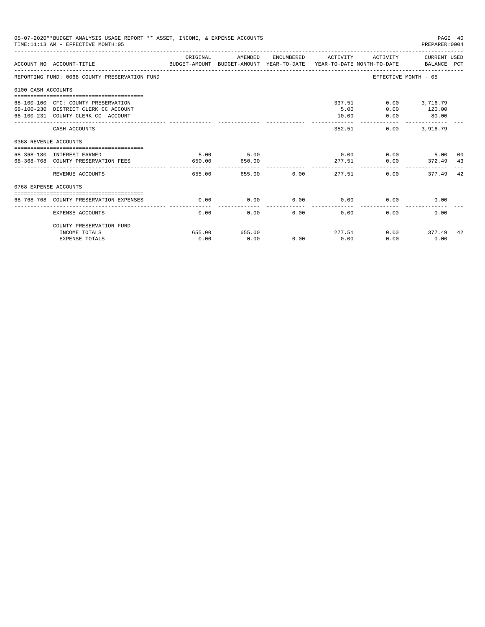| 05-07-2020**BUDGET ANALYSIS USAGE REPORT ** ASSET, INCOME, & EXPENSE ACCOUNTS<br>PAGE 40<br>TIME: 11:13 AM - EFFECTIVE MONTH: 05<br>PREPARER: 0004<br>AMENDED<br>ENCUMBERED ACTIVITY<br>ACTIVITY CURRENT USED |                                                                                                                   |                |                |             |               |                               |                                                      |    |
|---------------------------------------------------------------------------------------------------------------------------------------------------------------------------------------------------------------|-------------------------------------------------------------------------------------------------------------------|----------------|----------------|-------------|---------------|-------------------------------|------------------------------------------------------|----|
|                                                                                                                                                                                                               | BUDGET-AMOUNT BUDGET-AMOUNT YEAR-TO-DATE  YEAR-TO-DATE MONTH-TO-DATE     BALANCE PCT<br>ACCOUNT NO ACCOUNT-TITUE  | ORIGINAL       |                |             |               |                               |                                                      |    |
|                                                                                                                                                                                                               | REPORTING FUND: 0068 COUNTY PRESERVATION FUND                                                                     |                |                |             |               | EFFECTIVE MONTH - 05          |                                                      |    |
| 0100 CASH ACCOUNTS                                                                                                                                                                                            |                                                                                                                   |                |                |             |               |                               |                                                      |    |
|                                                                                                                                                                                                               | 68-100-100 CFC: COUNTY PRESERVATION<br>68-100-230 DISTRICT CLERK CC ACCOUNT<br>68-100-231 COUNTY CLERK CC ACCOUNT |                |                |             | 5.00<br>10.00 | 337.51<br>0.00<br>0.00        | $0.00$ 3, 716.79<br>120.00<br>80.00<br>------------- |    |
|                                                                                                                                                                                                               | CASH ACCOUNTS                                                                                                     |                |                |             |               | 352.51                        | $0.00$ 3.916.79                                      |    |
| 0368 REVENUE ACCOUNTS                                                                                                                                                                                         |                                                                                                                   |                |                |             |               |                               |                                                      |    |
|                                                                                                                                                                                                               | 68-368-180 INTEREST EARNED<br>68-368-768 COUNTY PRESERVATION FEES                                                 | 5.00<br>650.00 | 5.00<br>650.00 |             |               | $0.00$ 0.00<br>277.51<br>0.00 | 5.00<br>372.49 43                                    | 00 |
|                                                                                                                                                                                                               | REVENUE ACCOUNTS                                                                                                  | 655.00         |                | 655.00 0.00 |               | 277.51<br>0.00                | 377.49                                               | 42 |
| 0768 EXPENSE ACCOUNTS                                                                                                                                                                                         |                                                                                                                   |                |                |             |               |                               |                                                      |    |
|                                                                                                                                                                                                               | 68-768-768 COUNTY PRESERVATION EXPENSES                                                                           | 0.00           | 0.00           |             | $0.00$ 0.00   |                               | 0.00<br>0.00                                         |    |
|                                                                                                                                                                                                               | <b>EXPENSE ACCOUNTS</b>                                                                                           | 0.00           | 0.00           | 0.00        | 0.00          | 0.00                          | 0.00                                                 |    |
|                                                                                                                                                                                                               | COUNTY PRESERVATION FUND                                                                                          |                |                |             |               |                               |                                                      |    |
|                                                                                                                                                                                                               | INCOME TOTALS                                                                                                     | 655.00         | 655.00         |             |               | 277.51                        | $0.00$ 377.49                                        | 42 |
|                                                                                                                                                                                                               | <b>EXPENSE TOTALS</b>                                                                                             | 0.00           | 0.00           | 0.00        | 0.00          | 0.00                          | 0.00                                                 |    |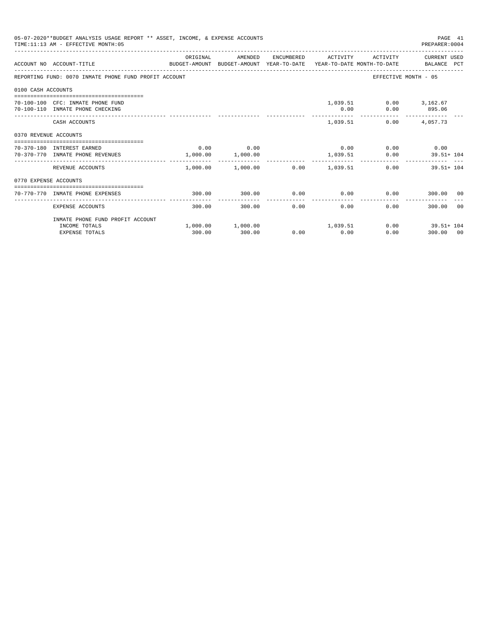|                       | 05-07-2020**BUDGET ANALYSIS USAGE REPORT ** ASSET, INCOME, & EXPENSE ACCOUNTS<br>TIME: 11:13 AM - EFFECTIVE MONTH: 05 |          |                                            |      |              |                                         | PAGE 41<br>PREPARER: 0004                                  |  |
|-----------------------|-----------------------------------------------------------------------------------------------------------------------|----------|--------------------------------------------|------|--------------|-----------------------------------------|------------------------------------------------------------|--|
|                       | BUDGET-AMOUNT BUDGET-AMOUNT YEAR-TO-DATE YEAR-TO-DATE MONTH-TO-DATE BALANCE PCT<br>ACCOUNT NO ACCOUNT-TITLE           | ORIGINAL | AMENDED                                    |      |              |                                         | ENCUMBERED ACTIVITY ACTIVITY CURRENT USED                  |  |
|                       | REPORTING FUND: 0070 INMATE PHONE FUND PROFIT ACCOUNT                                                                 |          |                                            |      |              |                                         | EFFECTIVE MONTH - 05                                       |  |
| 0100 CASH ACCOUNTS    |                                                                                                                       |          |                                            |      |              |                                         |                                                            |  |
|                       | 70-100-100 CFC: INMATE PHONE FUND<br>70-100-110 INMATE PHONE CHECKING                                                 |          |                                            |      | 0.00         | 1,039.51 0.00 3,162.67<br>$0.00$ 895.06 |                                                            |  |
|                       | CASH ACCOUNTS                                                                                                         |          |                                            |      |              | 1,039.51<br>0.00                        | 4,057.73                                                   |  |
| 0370 REVENUE ACCOUNTS |                                                                                                                       |          |                                            |      |              |                                         |                                                            |  |
|                       | 70-370-180 INTEREST EARNED<br>70-370-770 INMATE PHONE REVENUES                                                        |          | $0.00$ 0.00<br>1,000.00 1,000.00           |      |              | $0.00$ 0.00 0.00 0.00<br>1,039.51 0.00  | $39.51 + 104$                                              |  |
|                       | REVENUE ACCOUNTS                                                                                                      | -------- | ------------                               |      | ----------   |                                         | $1,000.00$ $1,000.00$ $0.00$ $1,039.51$ $0.00$ $39.51+104$ |  |
| 0770 EXPENSE ACCOUNTS |                                                                                                                       |          |                                            |      |              |                                         |                                                            |  |
|                       | 70-770-770 INMATE PHONE EXPENSES                                                                                      | 300.00   | 300.00                                     | 0.00 |              |                                         | $0.00$ $0.00$ $300.00$ $00$                                |  |
|                       | EXPENSE ACCOUNTS                                                                                                      | 300.00   | 300.00                                     |      | 0.00<br>0.00 |                                         | 0.00<br>300.00 00                                          |  |
|                       | INMATE PHONE FUND PROFIT ACCOUNT                                                                                      |          |                                            |      |              |                                         |                                                            |  |
|                       | INCOME TOTALS<br><b>EXPENSE TOTALS</b>                                                                                | 300.00   | $1,000.00$ $1,000.00$ $1,039.51$<br>300.00 |      | $0.00$ 0.00  | 0.00                                    | $0.00$ 39.51+ 104<br>300.00 00                             |  |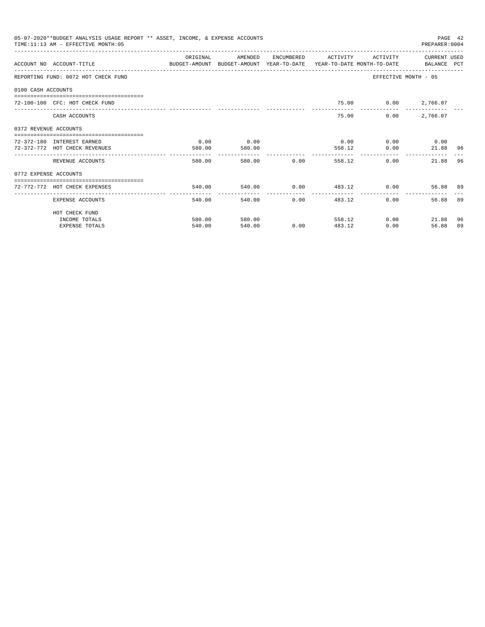| 05-07-2020**BUDGET ANALYSIS USAGE REPORT ** ASSET, INCOME, & EXPENSE ACCOUNTS<br>PAGE 42<br>TIME: 11:13 AM - EFFECTIVE MONTH: 05<br>PREPARER: 0004 |                                                                                                            |           |                         |                      |                             |                     |                      |    |
|----------------------------------------------------------------------------------------------------------------------------------------------------|------------------------------------------------------------------------------------------------------------|-----------|-------------------------|----------------------|-----------------------------|---------------------|----------------------|----|
|                                                                                                                                                    | ACCOUNT NO ACCOUNT-TITLE COMPUTER ANOUNT BUDGET-AMOUNT HEAR-TO-DATE YEAR-TO-DATE MONTH-TO-DATE BALANCE PCT | OR TGTNAL | AMENDED                 | ENCUMBERED           | <b>ACTIVITY</b>             | <b>ACTIVITY</b>     | CURRENT USED         |    |
|                                                                                                                                                    | REPORTING FUND: 0072 HOT CHECK FUND                                                                        |           |                         |                      |                             |                     | EFFECTIVE MONTH - 05 |    |
| 0100 CASH ACCOUNTS                                                                                                                                 |                                                                                                            |           |                         |                      |                             |                     |                      |    |
|                                                                                                                                                    | 72-100-100 CFC: HOT CHECK FUND                                                                             |           |                         |                      |                             | 75.00 0.00 2,766.07 |                      |    |
|                                                                                                                                                    | CASH ACCOUNTS                                                                                              |           |                         |                      | 75.00                       | 0.00                | 2,766.07             |    |
| 0372 REVENUE ACCOUNTS                                                                                                                              |                                                                                                            |           |                         |                      |                             |                     |                      |    |
|                                                                                                                                                    | 72-372-180 INTEREST EARNED                                                                                 | 0.00      | 0.00                    |                      | 0.00                        |                     | $0.00$ 0.00          |    |
|                                                                                                                                                    | 72-372-772 HOT CHECK REVENUES                                                                              | 580.00    | 580.00                  |                      | 558.12                      | 0.00                | 21.88 96             |    |
|                                                                                                                                                    | REVENUE ACCOUNTS                                                                                           | 580.00    | --------------          | 580.00 0.00          | 558.12                      |                     | 0.00<br>21.88        | 96 |
| 0772 EXPENSE ACCOUNTS                                                                                                                              |                                                                                                            |           |                         |                      |                             |                     |                      |    |
|                                                                                                                                                    | 72-772-772 HOT CHECK EXPENSES                                                                              | 540.00    |                         |                      | $540.00$ 0.00 $483.12$ 0.00 |                     | 56.88 89             |    |
|                                                                                                                                                    | EXPENSE ACCOUNTS                                                                                           | 540.00    | -------------<br>540.00 | ------------<br>0.00 | ---------------             | 483.12              | 0.00<br>56.88        | 89 |
|                                                                                                                                                    | HOT CHECK FUND                                                                                             |           |                         |                      |                             |                     |                      |    |
|                                                                                                                                                    | INCOME TOTALS                                                                                              | 580.00    | 580.00                  |                      | 558.12                      |                     | 0.00<br>21.88        | 96 |
|                                                                                                                                                    | <b>EXPENSE TOTALS</b>                                                                                      | 540.00    | 540.00                  | 0.00                 | 483.12                      | 0.00                | 56.88                | 89 |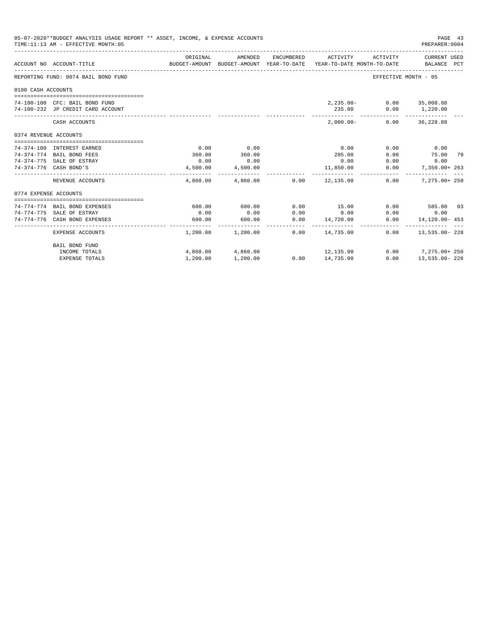|                       | 05-07-2020**BUDGET ANALYSIS USAGE REPORT ** ASSET, INCOME, & EXPENSE ACCOUNTS<br>TIME:11:13 AM - EFFECTIVE MONTH:05 |                       |                            |            |                                                                                 |                          | PAGE 43<br>PREPARER: 0004   |  |
|-----------------------|---------------------------------------------------------------------------------------------------------------------|-----------------------|----------------------------|------------|---------------------------------------------------------------------------------|--------------------------|-----------------------------|--|
|                       | ACCOUNT NO ACCOUNT-TITLE                                                                                            | ORIGINAL              | AMENDED                    | ENCUMBERED | ACTIVITY<br>BUDGET-AMOUNT BUDGET-AMOUNT YEAR-TO-DATE YEAR-TO-DATE MONTH-TO-DATE | ACTIVITY                 | CURRENT USED<br>BALANCE PCT |  |
|                       | REPORTING FUND: 0074 BAIL BOND FUND                                                                                 |                       |                            |            |                                                                                 | EFFECTIVE MONTH - 05     |                             |  |
| 0100 CASH ACCOUNTS    |                                                                                                                     |                       |                            |            |                                                                                 |                          |                             |  |
|                       |                                                                                                                     |                       |                            |            |                                                                                 |                          |                             |  |
|                       | 74-100-100 CFC: BAIL BOND FUND                                                                                      |                       |                            |            |                                                                                 | 2,235.00- 0.00 35,008.88 |                             |  |
|                       | 74-100-232 JP CREDIT CARD ACCOUNT                                                                                   |                       |                            |            | 235.00                                                                          |                          | $0.00$ 1,220.00             |  |
|                       | CASH ACCOUNTS                                                                                                       |                       |                            |            | $2.000.00 -$                                                                    | 0.00                     | 36,228.88                   |  |
| 0374 REVENUE ACCOUNTS |                                                                                                                     |                       |                            |            |                                                                                 |                          |                             |  |
|                       |                                                                                                                     |                       |                            |            |                                                                                 |                          |                             |  |
|                       | 74-374-180 INTEREST EARNED                                                                                          | 0.00                  | 0.00                       |            | 0.00                                                                            | 0.00                     | 0.00                        |  |
|                       | 74-374-774 BAIL BOND FEES                                                                                           | 360.00                | 360.00                     |            | 285.00                                                                          | 0.00                     | 75.00 79                    |  |
|                       | 74-374-775 SALE OF ESTRAY                                                                                           | 0.00                  | 0.00                       |            | 0.00                                                                            | 0.00                     | 0.00                        |  |
|                       | 74-374-776 CASH BOND'S                                                                                              | 4,500.00              | 4,500.00<br>-------------- |            | 11,850.00                                                                       | 0.00                     | 7,350.00+ 263               |  |
|                       | REVENUE ACCOUNTS                                                                                                    |                       |                            |            | $4,860.00$ $4,860.00$ $0.00$ $12,135.00$                                        | 0.00                     | $7.275.00 + 250$            |  |
| 0774 EXPENSE ACCOUNTS |                                                                                                                     |                       |                            |            |                                                                                 |                          |                             |  |
|                       |                                                                                                                     |                       |                            |            |                                                                                 |                          |                             |  |
|                       | 74-774-774 BAIL BOND EXPENSES                                                                                       | 600.00                | 600.00                     | 0.00       | 15.00                                                                           |                          | $0.00$ 585.00 03            |  |
|                       | 74-774-775 SALE OF ESTRAY                                                                                           | 0.00                  | 0.00                       | 0.00       | 0.00                                                                            | 0.00                     | 0.00                        |  |
|                       | 74-774-776 CASH BOND EXPENSES                                                                                       | 600.00<br>----------- | 600.00<br>_____________    | 0.00       | 14,720.00<br>_______________________                                            | 0.00                     | $14.120.00 - 453$           |  |
|                       | EXPENSE ACCOUNTS                                                                                                    |                       | $1,200.00$ $1,200.00$      | 0.00       | 14,735.00                                                                       | 0.00                     | $13.535.00 - 228$           |  |
|                       | BAIL BOND FUND                                                                                                      |                       |                            |            |                                                                                 |                          |                             |  |
|                       | INCOME TOTALS                                                                                                       |                       | 4,860.00 4,860.00          |            | 12,135.00                                                                       |                          | $0.00$ 7, 275.00+ 250       |  |
|                       | <b>EXPENSE TOTALS</b>                                                                                               | 1,200.00              | 1,200.00                   |            | $0.00$ 14,735.00                                                                | 0.00                     | 13,535.00-228               |  |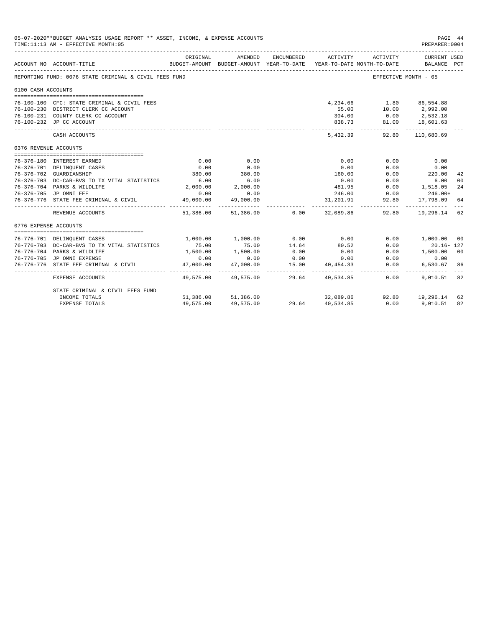| 05-07-2020**BUDGET ANALYSIS USAGE REPORT ** ASSET, INCOME, & EXPENSE ACCOUNTS<br>TIME: 11:13 AM - EFFECTIVE MONTH: 05 |                                                       |                          |                     |                |                                                                                 |                                  |                                        | PAGE 44<br>PREPARER: 0004 |
|-----------------------------------------------------------------------------------------------------------------------|-------------------------------------------------------|--------------------------|---------------------|----------------|---------------------------------------------------------------------------------|----------------------------------|----------------------------------------|---------------------------|
|                                                                                                                       | ACCOUNT NO ACCOUNT-TITLE                              | ORIGINAL                 | AMENDED             | ENCUMBERED     | ACTIVITY<br>BUDGET-AMOUNT BUDGET-AMOUNT YEAR-TO-DATE YEAR-TO-DATE MONTH-TO-DATE | ACTIVITY                         | CURRENT USED<br>BALANCE PCT            |                           |
|                                                                                                                       | REPORTING FUND: 0076 STATE CRIMINAL & CIVIL FEES FUND |                          |                     |                |                                                                                 |                                  | EFFECTIVE MONTH - 05                   |                           |
| 0100 CASH ACCOUNTS                                                                                                    |                                                       |                          |                     |                |                                                                                 |                                  |                                        |                           |
|                                                                                                                       | 76-100-100 CFC: STATE CRIMINAL & CIVIL FEES           |                          |                     |                |                                                                                 |                                  | 4,234.66 1.80 86,554.88                |                           |
|                                                                                                                       | 76-100-230 DISTRICT CLERK CC ACCOUNT                  |                          |                     |                | 55.00                                                                           |                                  | $10.00$ 2,992.00                       |                           |
|                                                                                                                       | 76-100-231 COUNTY CLERK CC ACCOUNT                    |                          |                     |                | 304.00                                                                          |                                  |                                        |                           |
|                                                                                                                       | 76-100-232 JP CC ACCOUNT                              |                          |                     |                | 838.73                                                                          |                                  | $0.00$ $2,532.18$<br>81.00 $18,601.63$ |                           |
|                                                                                                                       | CASH ACCOUNTS                                         |                          |                     |                | 5,432.39                                                                        | ----------                       | 92.80 110,680.69                       |                           |
| 0376 REVENUE ACCOUNTS                                                                                                 |                                                       |                          |                     |                |                                                                                 |                                  |                                        |                           |
|                                                                                                                       |                                                       |                          |                     |                |                                                                                 |                                  |                                        |                           |
|                                                                                                                       | 76-376-180 INTEREST EARNED                            | 0.00                     | 0.00                |                | 0.00                                                                            | 0.00                             | 0.00                                   |                           |
|                                                                                                                       | 76-376-701 DELINQUENT CASES                           | 0.00                     | 0.00                |                | 0.00                                                                            | 0.00                             | 0.00                                   |                           |
|                                                                                                                       | 76-376-702 GUARDIANSHIP                               | 380.00                   | 380.00              |                | 160.00                                                                          | 0.00                             | 220.00                                 | 42                        |
|                                                                                                                       | 76-376-703 DC-CAR-BVS TO TX VITAL STATISTICS          | 6.00                     | 6.00                |                | 0.00                                                                            | 0.00                             | 6.00                                   | 00                        |
|                                                                                                                       | 76-376-704 PARKS & WILDLIFE                           | 2,000.00                 | 2,000.00            |                | 481.95                                                                          |                                  | $0.00$ 1,518.05                        | 24                        |
|                                                                                                                       | 76-376-705 JP OMNI FEE                                | 0.00                     | 0.00                |                |                                                                                 | $246.00$ 0.00<br>(1,201.91 92.80 | 246.00+                                |                           |
|                                                                                                                       | 76-376-776 STATE FEE CRIMINAL & CIVIL                 | 49,000.00<br>----------- | 49,000.00           |                | 31,201.91<br>.                                                                  | 92.80<br>.                       | 17,798.09                              | 64                        |
|                                                                                                                       | REVENUE ACCOUNTS                                      | 51,386.00                |                     | 51,386.00 0.00 | 32,089.86                                                                       | 92.80                            | 19,296.14                              | 62                        |
| 0776 EXPENSE ACCOUNTS                                                                                                 |                                                       |                          |                     |                |                                                                                 |                                  |                                        |                           |
|                                                                                                                       |                                                       |                          |                     |                |                                                                                 |                                  |                                        |                           |
|                                                                                                                       | 76-776-701 DELINQUENT CASES                           | 1,000.00                 | 1,000.00            | 0.00           | 0.00                                                                            | 0.00                             | $1,000.00$ 00                          |                           |
|                                                                                                                       | 76-776-703 DC-CAR-BVS TO TX VITAL STATISTICS          | 75.00                    | 75.00               | 14.64          | 80.52                                                                           | 0.00                             | 20.16- 127                             |                           |
|                                                                                                                       | 76-776-704 PARKS & WILDLIFE                           | 1,500.00                 | 1,500.00            | 0.00           | 0.00                                                                            | 0.00                             | 1,500.00 00                            |                           |
|                                                                                                                       | 76-776-705 JP OMNI EXPENSE                            | 0.00<br>47,000.00        | 0.00                | 0.00<br>15.00  | 0.00                                                                            | 0.00<br>0.00                     | 0.00                                   |                           |
|                                                                                                                       | 76-776-776 STATE FEE CRIMINAL & CIVIL                 |                          | 47,000.00           |                | 40,454.33                                                                       |                                  | 6,530.67                               | 86                        |
|                                                                                                                       | <b>EXPENSE ACCOUNTS</b>                               |                          | 49,575,00 49,575,00 | 29.64          | 40,534.85                                                                       | 0.00                             | 9,010.51 82                            |                           |
|                                                                                                                       | STATE CRIMINAL & CIVIL FEES FUND                      |                          |                     |                |                                                                                 |                                  |                                        |                           |
|                                                                                                                       | INCOME TOTALS                                         | 51,386.00                | 51,386.00           |                |                                                                                 |                                  | 32,089.86 92.80 19,296.14              | 62                        |
|                                                                                                                       | <b>EXPENSE TOTALS</b>                                 | 49,575.00                | 49,575.00           | 29.64          | 40,534.85                                                                       | 0.00                             | 9.010.51                               | 82                        |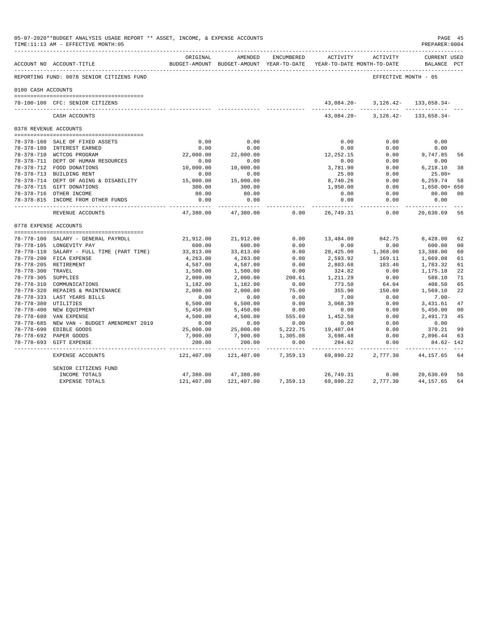|                       | 05-07-2020**BUDGET ANALYSIS USAGE REPORT ** ASSET, INCOME, & EXPENSE ACCOUNTS<br>TIME:11:13 AM - EFFECTIVE MONTH:05 |                          |                          |                |                                                                     |                                       | PAGE 45<br>PREPARER: 0004          |                |
|-----------------------|---------------------------------------------------------------------------------------------------------------------|--------------------------|--------------------------|----------------|---------------------------------------------------------------------|---------------------------------------|------------------------------------|----------------|
|                       | ACCOUNT NO ACCOUNT-TITLE<br>______________________________________                                                  | ORIGINAL                 | AMENDED                  | ENCUMBERED     | BUDGET-AMOUNT BUDGET-AMOUNT YEAR-TO-DATE YEAR-TO-DATE MONTH-TO-DATE | ACTIVITY ACTIVITY                     | <b>CURRENT USED</b><br>BALANCE PCT |                |
|                       | REPORTING FUND: 0078 SENIOR CITIZENS FUND                                                                           |                          |                          |                |                                                                     | EFFECTIVE MONTH - 05                  |                                    |                |
| 0100 CASH ACCOUNTS    |                                                                                                                     |                          |                          |                |                                                                     |                                       |                                    |                |
|                       | 78-100-100 CFC: SENIOR CITIZENS                                                                                     |                          |                          |                | 43,084.20-                                                          | 3,126.42-                             | 133,658.34-                        |                |
|                       | CASH ACCOUNTS                                                                                                       |                          |                          |                |                                                                     | $43.084.20 - 3.126.42 - 133.658.34 -$ |                                    |                |
|                       | 0378 REVENUE ACCOUNTS                                                                                               |                          |                          |                |                                                                     |                                       |                                    |                |
|                       | 78-378-160 SALE OF FIXED ASSETS                                                                                     | 0.00                     | 0.00                     |                | 0.00                                                                | 0.00                                  | 0.00                               |                |
|                       | 78-378-180 INTEREST EARNED                                                                                          | 0.00                     | 0.00                     |                | 0.00                                                                | 0.00                                  | 0.00                               |                |
|                       | 78-378-710 WCTCOG PROGRAM                                                                                           | 22,000.00                | 22,000.00                |                | 12,252.15                                                           | 0.00                                  | 9,747.85                           | 56             |
|                       | 78-378-711 DEPT OF HUMAN RESOURCES                                                                                  | 0.00                     | 0.00                     |                | 0.00                                                                | 0.00                                  | 0.00                               |                |
|                       | 78-378-712 FOOD DONATIONS                                                                                           | 10,000.00                | 10,000.00                |                | 3,781.90                                                            | 0.00                                  | 6,218.10                           | 38             |
|                       | 78-378-713 BUILDING RENT                                                                                            | 0.00                     | 0.00                     |                | 25.00                                                               | 0.00                                  | $25.00+$                           |                |
|                       | 78-378-714 DEPT OF AGING & DISABILITY                                                                               | 15,000.00                | 15,000.00                |                | 8,740.26                                                            | 0.00                                  | 6,259.74                           | 58             |
|                       | 78-378-715 GIFT DONATIONS                                                                                           | 300.00                   | 300.00                   |                | 1,950.00                                                            | 0.00                                  | 1,650.00+ 650                      |                |
|                       | 78-378-716 OTHER INCOME                                                                                             | 80.00                    | 80.00                    |                | 0.00                                                                | 0.00                                  | 80.00                              | 00             |
|                       | 78-378-815 INCOME FROM OTHER FUNDS                                                                                  | 0.00                     | 0.00                     |                | 0.00                                                                | 0.00                                  | 0.00                               |                |
|                       | REVENUE ACCOUNTS                                                                                                    | -----------<br>47,380.00 | -----------<br>47,380.00 | 0.00           | 26,749.31                                                           | -------<br>0.00                       | 20,630.69                          | 56             |
| 0778 EXPENSE ACCOUNTS |                                                                                                                     |                          |                          |                |                                                                     |                                       |                                    |                |
|                       |                                                                                                                     |                          |                          |                |                                                                     |                                       |                                    |                |
|                       | 78-778-100 SALARY - GENERAL PAYROLL                                                                                 | 21,912.00                | 21,912.00                | 0.00           | 13,484.00                                                           | 842.75                                | 8,428.00                           | 62             |
|                       | 78-778-105 LONGEVITY PAY                                                                                            | 600.00                   | 600.00                   | 0.00           | 0.00                                                                | 0.00                                  | 600.00                             | 0 <sup>0</sup> |
|                       | 78-778-110 SALARY - FULL TIME (PART TIME)                                                                           | 33,813.00                | 33,813.00                | 0.00           | 20,425.00                                                           | 1,368.00                              | 13,388.00                          | 60             |
|                       | 78-778-200 FICA EXPENSE                                                                                             | 4,263.00                 | 4,263.00                 | 0.00           | 2,593.92                                                            | 169.11                                | 1,669.08                           | 61             |
|                       | 78-778-205 RETIREMENT                                                                                               | 4,587.00                 | 4,587.00                 | 0.00           | 2,803.68                                                            | 183.40                                | 1,783.32                           | 61             |
| 78-778-300 TRAVEL     |                                                                                                                     | 1,500.00                 | 1,500.00                 | 0.00           | 324.82                                                              | 0.00                                  | 1,175.18                           | 22<br>71       |
| 78-778-305 SUPPLIES   | 78-778-310 COMMUNICATIONS                                                                                           | 2,000.00<br>1,182.00     | 2,000.00                 | 200.61<br>0.00 | 1,211.29<br>773.50                                                  | 0.00<br>64.04                         | 588.10<br>408.50                   | 65             |
|                       | 78-778-320 REPAIRS & MAINTENANCE                                                                                    | 2,000.00                 | 1,182.00<br>2,000.00     | 75.00          | 355.90                                                              | 150.00                                | 1,569.10                           | 22             |
|                       | 78-778-333 LAST YEARS BILLS                                                                                         | 0.00                     | 0.00                     | 0.00           | 7.00                                                                | 0.00                                  | $7.00 -$                           |                |
| 78-778-380 UTILITIES  |                                                                                                                     | 6,500.00                 | 6,500.00                 | 0.00           | 3,068.39                                                            | 0.00                                  | 3,431.61                           | 47             |
|                       | 78-778-400 NEW EQUIPMENT                                                                                            | 5,450.00                 | 5,450.00                 | 0.00           | 0.00                                                                | 0.00                                  | 5,450.00                           | 00             |
|                       | 78-778-680 VAN EXPENSE                                                                                              | 4,500.00                 | 4,500.00                 | 555.69         | 1,452.58                                                            | 0.00                                  | 2,491.73                           | 45             |
|                       | 78-778-685 NEW VAN - BUDGET AMENDMENT 2019                                                                          | 0.00                     | 0.00                     | 0.00           | 0.00                                                                | 0.00                                  | 0.00                               |                |
|                       | 78-778-690 EDIBLE GOODS                                                                                             | 25,000.00                | 25,000.00                | 5,222.75       | 19,407.04                                                           | 0.00                                  | 370.21                             | 99             |
|                       | 78-778-692 PAPER GOODS                                                                                              | 7,900.00                 | 7,900.00                 | 1,305.08       | 3,698.48                                                            | 0.00                                  | 2,896.44                           | 63             |
|                       | 78-778-693 GIFT EXPENSE                                                                                             | 200.00                   | 200.00                   | 0.00           | 284.62                                                              | 0.00                                  | $84.62 - 142$                      |                |
|                       | EXPENSE ACCOUNTS                                                                                                    | .<br>121,407.00          | ----------<br>121,407.00 | 7,359.13       | 69,890.22                                                           | 2,777.30                              | 44, 157.65 64                      |                |
|                       | SENIOR CITIZENS FUND                                                                                                |                          |                          |                |                                                                     |                                       |                                    |                |
|                       | INCOME TOTALS                                                                                                       | 47,380.00                | 47,380.00                |                | 26,749.31                                                           | 0.00                                  | 20,630.69                          | 56             |
|                       | <b>EXPENSE TOTALS</b>                                                                                               | 121,407.00               | 121,407.00               | 7,359.13       | 69,890.22                                                           | 2,777.30                              | 44, 157.65                         | 64             |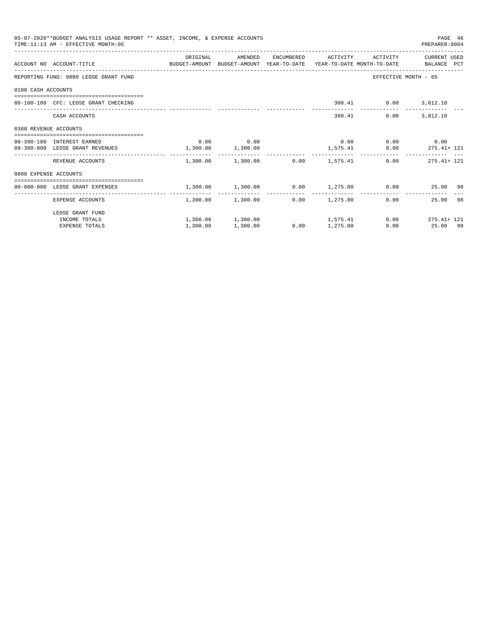|                       | 05-07-2020**BUDGET ANALYSIS USAGE REPORT ** ASSET, INCOME, & EXPENSE ACCOUNTS<br>TIME: 11:13 AM - EFFECTIVE MONTH: 05 |                       |                                         |                 |                     |                             | PAGE 46<br>PREPARER: 0004                                   |
|-----------------------|-----------------------------------------------------------------------------------------------------------------------|-----------------------|-----------------------------------------|-----------------|---------------------|-----------------------------|-------------------------------------------------------------|
|                       | ACCOUNT NO ACCOUNT-TITLE COMPUTE SUDGET-AMOUNT BUDGET-AMOUNT YEAR-TO-DATE YEAR-TO-DATE MONTH-TO-DATE BALANCE PCT      | ORIGINAL              | AMENDED                                 |                 | ENCUMBERED ACTIVITY | ACTIVITY                    | CURRENT USED                                                |
|                       | REPORTING FUND: 0080 LEOSE GRANT FUND                                                                                 |                       |                                         |                 |                     |                             | EFFECTIVE MONTH - 05                                        |
| 0100 CASH ACCOUNTS    |                                                                                                                       |                       |                                         |                 |                     |                             |                                                             |
|                       | 80-100-100 CFC: LEOSE GRANT CHECKING                                                                                  |                       |                                         |                 |                     | 300.41 0.00 3,812.10        |                                                             |
|                       | CASH ACCOUNTS                                                                                                         |                       |                                         |                 |                     | 300.41                      | $0.00$ 3,812.10                                             |
| 0380 REVENUE ACCOUNTS |                                                                                                                       |                       |                                         |                 |                     |                             |                                                             |
|                       | 80-380-180 INTEREST EARNED                                                                                            |                       | $0.00$ 0.00                             |                 |                     | $0.00$ $0.00$ $0.00$ $0.00$ |                                                             |
|                       | 80-380-800 LEOSE GRANT REVENUES                                                                                       | $1,300.00$ $1,300.00$ |                                         |                 |                     |                             | $1,575.41$ 0.00 275.41+ 121                                 |
|                       | REVENUE ACCOUNTS                                                                                                      |                       | $1,300.00$ $1,300.00$ $0.00$ $1,575.41$ |                 |                     |                             | $0.00$ 275.41+ 121                                          |
| 0800 EXPENSE ACCOUNTS |                                                                                                                       |                       |                                         |                 |                     |                             |                                                             |
|                       | -------------------------------------<br>80-800-800 LEOSE GRANT EXPENSES                                              |                       |                                         |                 |                     |                             | $1,300.00$ $1,300.00$ $0.00$ $1,275.00$ $0.00$ $25.00$ $98$ |
|                       | EXPENSE ACCOUNTS                                                                                                      |                       | 1,300.00 1,300.00                       |                 | $0.00$ 1,275.00     |                             | 25.00 98<br>0.00                                            |
|                       | LEOSE GRANT FUND                                                                                                      |                       |                                         |                 |                     |                             |                                                             |
|                       | INCOME TOTALS                                                                                                         |                       |                                         |                 |                     |                             | $1,300.00$ $1,300.00$ $1,575.41$ $0.00$ $275.41 + 121$      |
|                       | <b>EXPENSE TOTALS</b>                                                                                                 | 1,300.00              | 1,300.00                                | $0.00$ 1,275.00 |                     |                             | 0.00<br>25.00 98                                            |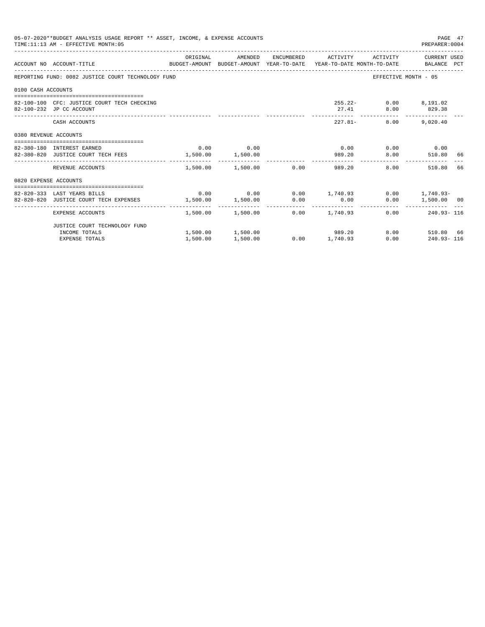|                       | 05-07-2020**BUDGET ANALYSIS USAGE REPORT ** ASSET, INCOME, & EXPENSE ACCOUNTS<br>TIME: 11:13 AM - EFFECTIVE MONTH: 05  |                     |                            |                                                           |                             | PAGE 47<br>PREPARER: 0004 |    |
|-----------------------|------------------------------------------------------------------------------------------------------------------------|---------------------|----------------------------|-----------------------------------------------------------|-----------------------------|---------------------------|----|
|                       | ACCOUNT NO ACCOUNT-TITLE COMMONICATION BUDGET-AMOUNT BUDGET-AMOUNT YEAR-TO-DATE YEAR-TO-DATE MONTH-TO-DATE BALANCE PCT |                     |                            | ORIGINAL MENDED ENCUMBERED ACTIVITY ACTIVITY CURRENT USED |                             |                           |    |
|                       | REPORTING FUND: 0082 JUSTICE COURT TECHNOLOGY FUND                                                                     |                     |                            |                                                           | EFFECTIVE MONTH - 05        |                           |    |
| 0100 CASH ACCOUNTS    |                                                                                                                        |                     |                            |                                                           |                             |                           |    |
|                       | 82-100-100 CFC: JUSTICE COURT TECH CHECKING<br>82-100-232 JP CC ACCOUNT                                                |                     |                            | 27.41                                                     | 255.22- 0.00 8,191.02       | 8.00 829.38               |    |
|                       | CASH ACCOUNTS                                                                                                          |                     |                            | ------------<br>$227.81-$                                 |                             | 8.00 9,020.40             |    |
| 0380 REVENUE ACCOUNTS |                                                                                                                        |                     |                            |                                                           |                             |                           |    |
|                       | 82-380-180 INTEREST EARNED                                                                                             |                     | $0.00$ 0.00                |                                                           | $0.00$ $0.00$ $0.00$ $0.00$ |                           |    |
|                       | 82-380-820 JUSTICE COURT TECH FEES                                                                                     | $1,500.00$ 1,500.00 |                            | 989.20                                                    | 8.00                        | 510.80 66                 |    |
|                       | REVENUE ACCOUNTS                                                                                                       |                     | $1.500.00$ $1.500.00$ 0.00 | 989.20                                                    | 8.00                        | 510.80                    | 66 |
| 0820 EXPENSE ACCOUNTS |                                                                                                                        |                     |                            |                                                           |                             |                           |    |
|                       |                                                                                                                        |                     |                            |                                                           |                             |                           |    |
|                       | 82-820-333 LAST YEARS BILLS                                                                                            |                     |                            | $0.00$ $0.00$ $0.00$ $1,740.93$                           |                             | $0.00$ 1,740.93-          |    |
|                       | 82-820-820 JUSTICE COURT TECH EXPENSES                                                                                 |                     |                            | $1,500.00$ $1,500.00$ $0.00$ $0.00$                       |                             | $0.00$ 1,500.00 00        |    |
|                       | EXPENSE ACCOUNTS                                                                                                       |                     |                            | $1.500.00$ $1.500.00$ $0.00$ $1.740.93$                   |                             | $0.00$ 240.93-116         |    |
|                       | JUSTICE COURT TECHNOLOGY FUND                                                                                          |                     |                            |                                                           |                             |                           |    |
|                       | INCOME TOTALS                                                                                                          |                     |                            | $1,500.00$ $1,500.00$ $989.20$                            |                             | 8.00 510.80 66            |    |
|                       | <b>EXPENSE TOTALS</b>                                                                                                  | 1,500.00            | 1,500.00                   | 0.00 1,740.93                                             | 0.00                        | $240.93 - 116$            |    |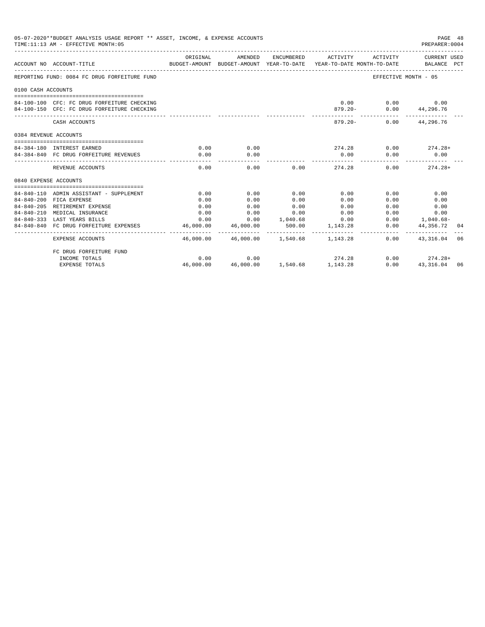|                       | 05-07-2020**BUDGET ANALYSIS USAGE REPORT ** ASSET, INCOME, & EXPENSE ACCOUNTS<br>TIME: 11:13 AM - EFFECTIVE MONTH: 05 |                                                                                             |                                          |                 |                                |                                                      | PAGE 48<br>PREPARER:0004       |    |
|-----------------------|-----------------------------------------------------------------------------------------------------------------------|---------------------------------------------------------------------------------------------|------------------------------------------|-----------------|--------------------------------|------------------------------------------------------|--------------------------------|----|
|                       | ACCOUNT NO ACCOUNT-TITLE                                                                                              | ORIGINAL<br>BUDGET-AMOUNT BUDGET-AMOUNT YEAR-TO-DATE YEAR-TO-DATE MONTH-TO-DATE BALANCE PCT | AMENDED                                  |                 |                                | ENCUMBERED ACTIVITY ACTIVITY CURRENT USED            |                                |    |
|                       | REPORTING FUND: 0084 FC DRUG FORFEITURE FUND                                                                          |                                                                                             |                                          |                 |                                |                                                      | EFFECTIVE MONTH - 05           |    |
| 0100 CASH ACCOUNTS    |                                                                                                                       |                                                                                             |                                          |                 |                                |                                                      |                                |    |
|                       |                                                                                                                       |                                                                                             |                                          |                 |                                |                                                      |                                |    |
|                       | 84-100-100 CFC: FC DRUG FORFEITURE CHECKING                                                                           |                                                                                             |                                          |                 |                                | $0.00$ $0.00$ $0.00$                                 |                                |    |
|                       | 84-100-150 CFC: FC DRUG FORFEITURE CHECKING                                                                           |                                                                                             |                                          |                 |                                | 879.20- 0.00 44,296.76<br>------------ ------------- |                                |    |
|                       | CASH ACCOUNTS                                                                                                         |                                                                                             |                                          |                 |                                | 879.20- 0.00 44.296.76                               |                                |    |
| 0384 REVENUE ACCOUNTS |                                                                                                                       |                                                                                             |                                          |                 |                                |                                                      |                                |    |
|                       |                                                                                                                       |                                                                                             |                                          |                 |                                |                                                      |                                |    |
|                       | 84-384-180 INTEREST EARNED                                                                                            | 0.00                                                                                        | 0.00                                     |                 |                                | $274.28$ 0.00 $274.28$                               |                                |    |
|                       | 84-384-840 FC DRUG FORFEITURE REVENUES                                                                                | 0.00                                                                                        | 0.00                                     |                 | 0.00                           | 0.00                                                 | 0.00                           |    |
|                       | REVENUE ACCOUNTS                                                                                                      | 0.00                                                                                        | 0.00                                     |                 | $0.00$ 274.28                  | 0.00                                                 | $274.28+$                      |    |
| 0840 EXPENSE ACCOUNTS |                                                                                                                       |                                                                                             |                                          |                 |                                |                                                      |                                |    |
|                       |                                                                                                                       |                                                                                             |                                          |                 |                                |                                                      |                                |    |
|                       | 84-840-110 ADMIN ASSISTANT - SUPPLEMENT                                                                               | 0.00                                                                                        | 0.00                                     | 0.00            | 0.00                           | 0.00                                                 | 0.00                           |    |
|                       | 84-840-200 FICA EXPENSE                                                                                               | 0.00                                                                                        | 0.00                                     | 0.00            | 0.00                           | 0.00                                                 | 0.00                           |    |
|                       | 84-840-205 RETIREMENT EXPENSE                                                                                         | 0.00                                                                                        | 0.00                                     | 0.00            | 0.00                           | 0.00                                                 | 0.00                           |    |
|                       | 84-840-210 MEDICAL INSURANCE                                                                                          | 0.00                                                                                        | 0.00                                     | 0.00            | 0.00                           |                                                      | $0.00$ and $0.00$<br>0.00      |    |
|                       | 84-840-333 LAST YEARS BILLS                                                                                           | 0.00                                                                                        | $0.00 \t 1,040.68 \t 0.00$               |                 |                                |                                                      | $0.00$ 1,040.68-               |    |
|                       | 84-840-840 FC DRUG FORFEITURE EXPENSES                                                                                | 46,000.00<br>__________                                                                     | 46,000.00<br>-------------               | _______________ | 500.00 1.143.28<br>___________ | 0.00<br>. _ _ _ _ _ _ _ _ _ _                        | 44.356.72 04<br>-------------- |    |
|                       | <b>EXPENSE ACCOUNTS</b>                                                                                               |                                                                                             | 46,000.00  46,000.00  1,540.68  1,143.28 |                 |                                |                                                      | $0.00$ $43.316.04$             | 06 |
|                       | FC DRUG FORFEITURE FUND                                                                                               |                                                                                             |                                          |                 |                                |                                                      |                                |    |
|                       | INCOME TOTALS                                                                                                         | 0.00                                                                                        | 0.00                                     |                 | 274.28                         |                                                      | $0.00$ $274.28+$               |    |
|                       | <b>EXPENSE TOTALS</b>                                                                                                 | 46,000.00                                                                                   | 46,000.00  1,540.68  1,143.28            |                 |                                | 0.00                                                 | 43, 316.04 06                  |    |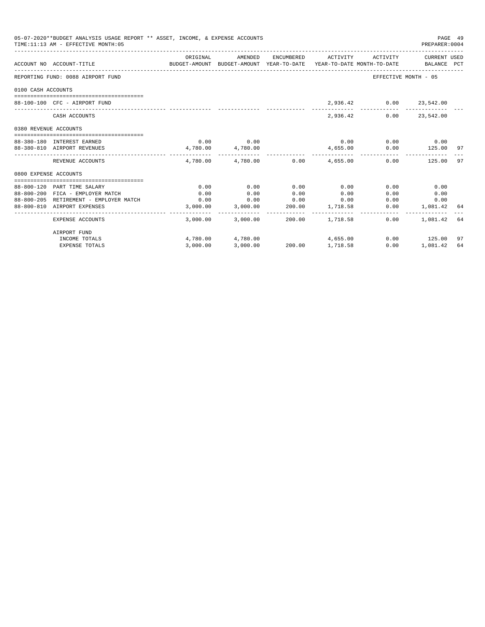| 05-07-2020**BUDGET ANALYSIS USAGE REPORT ** ASSET, INCOME, & EXPENSE ACCOUNTS<br>TIME: 11:13 AM - EFFECTIVE MONTH: 05 |                                        |                                                                                             |                          |      |                                           |                             | PAGE 49<br>PREPARER: 0004 |    |
|-----------------------------------------------------------------------------------------------------------------------|----------------------------------------|---------------------------------------------------------------------------------------------|--------------------------|------|-------------------------------------------|-----------------------------|---------------------------|----|
|                                                                                                                       | ACCOUNT NO ACCOUNT-TITLE               | ORIGINAL<br>BUDGET-AMOUNT BUDGET-AMOUNT YEAR-TO-DATE YEAR-TO-DATE MONTH-TO-DATE BALANCE PCT | AMENDED                  |      | ENCUMBERED ACTIVITY ACTIVITY CURRENT USED |                             |                           |    |
|                                                                                                                       | REPORTING FUND: 0088 AIRPORT FUND      |                                                                                             |                          |      |                                           | EFFECTIVE MONTH - 05        |                           |    |
| 0100 CASH ACCOUNTS                                                                                                    |                                        |                                                                                             |                          |      |                                           |                             |                           |    |
|                                                                                                                       | 88-100-100 CFC - AIRPORT FUND          |                                                                                             |                          |      |                                           | 2,936.42 0.00 23,542.00     |                           |    |
|                                                                                                                       | CASH ACCOUNTS                          |                                                                                             |                          |      |                                           | 2,936.42 0.00 23,542.00     |                           |    |
| 0380 REVENUE ACCOUNTS                                                                                                 |                                        |                                                                                             |                          |      |                                           |                             |                           |    |
|                                                                                                                       | 88-380-180 INTEREST EARNED             |                                                                                             | $0.00$ 0.00              |      |                                           | $0.00$ $0.00$ $0.00$ $0.00$ |                           |    |
|                                                                                                                       | 88-380-810 AIRPORT REVENUES            |                                                                                             | 4,780.00 4,780.00        |      | 4,655.00                                  |                             | $0.00$ 125.00 97          |    |
|                                                                                                                       | REVENUE ACCOUNTS                       |                                                                                             | ______________           |      | $4,780.00$ $4,780.00$ $0.00$ $4,655.00$   |                             | $0.00$ 125.00             | 97 |
| 0800 EXPENSE ACCOUNTS                                                                                                 |                                        |                                                                                             |                          |      |                                           |                             |                           |    |
|                                                                                                                       | 88-800-120 PART TIME SALARY            | 0.00                                                                                        | 0.00                     | 0.00 | 0.00                                      | 0.00                        | 0.00                      |    |
|                                                                                                                       | 88-800-200 FICA - EMPLOYER MATCH       | 0.00                                                                                        | 0.00                     | 0.00 | 0.00                                      | 0.00                        | 0.00                      |    |
|                                                                                                                       | 88-800-205 RETIREMENT - EMPLOYER MATCH | 0.00                                                                                        | 0.00                     | 0.00 | 0.00                                      |                             | $0.00$ 0.00               |    |
|                                                                                                                       | 88-800-810 AIRPORT EXPENSES            |                                                                                             | 3,000.00 3,000.00 200.00 |      | 1,718.58                                  |                             | $0.00$ 1,081.42 64        |    |
|                                                                                                                       | EXPENSE ACCOUNTS                       |                                                                                             | 3,000.00 3,000.00        |      | 200.00 1.718.58                           | 0.00                        | 1,081.42                  | 64 |
|                                                                                                                       | AIRPORT FUND                           |                                                                                             |                          |      |                                           |                             |                           |    |
|                                                                                                                       | INCOME TOTALS                          |                                                                                             |                          |      | $4,780.00$ $4,780.00$ $4,655.00$          |                             | $0.00$ 125.00             | 97 |
|                                                                                                                       | <b>EXPENSE TOTALS</b>                  | 3.000.00                                                                                    | 3,000.00                 |      | 200.00 1,718.58                           | 0.00                        | 1,081.42                  | 64 |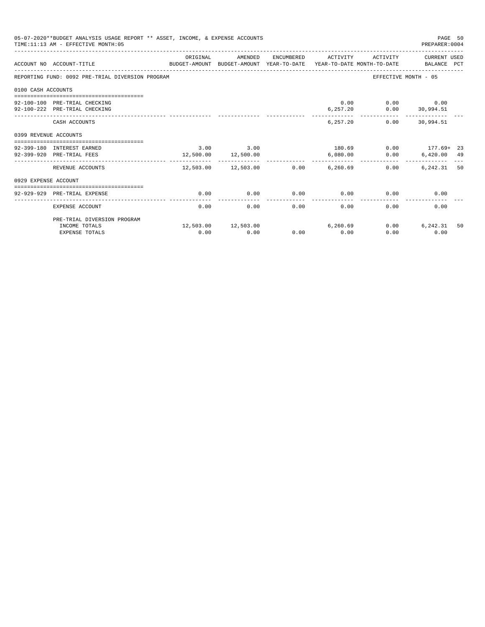| 05-07-2020**BUDGET ANALYSIS USAGE REPORT ** ASSET, INCOME, & EXPENSE ACCOUNTS<br>PAGE 50<br>TIME: 11:13 AM - EFFECTIVE MONTH: 05<br>PREPARER: 0004 |                                                                                                             |               |                             |      |                     |                                                     |                                                     |    |
|----------------------------------------------------------------------------------------------------------------------------------------------------|-------------------------------------------------------------------------------------------------------------|---------------|-----------------------------|------|---------------------|-----------------------------------------------------|-----------------------------------------------------|----|
|                                                                                                                                                    | ACCOUNT NO ACCOUNT-TITLE<br>BUDGET-AMOUNT BUDGET-AMOUNT YEAR-TO-DATE YEAR-TO-DATE MONTH-TO-DATE BALANCE PCT | ORIGINAL      | AMENDED                     |      | ENCUMBERED ACTIVITY |                                                     | ACTIVITY CURRENT USED                               |    |
|                                                                                                                                                    | REPORTING FUND: 0092 PRE-TRIAL DIVERSION PROGRAM                                                            |               |                             |      |                     |                                                     | EFFECTIVE MONTH - 05                                |    |
| 0100 CASH ACCOUNTS                                                                                                                                 |                                                                                                             |               |                             |      |                     |                                                     |                                                     |    |
|                                                                                                                                                    | 92-100-100 PRE-TRIAL CHECKING<br>92-100-222 PRE-TRIAL CHECKING                                              |               |                             |      |                     | $0.00$ $0.00$ $0.00$<br>6,257.20   0.00   30,994.51 |                                                     |    |
|                                                                                                                                                    | CASH ACCOUNTS                                                                                               |               |                             |      |                     | 6,257.20 0.00 30,994.51                             |                                                     |    |
| 0399 REVENUE ACCOUNTS                                                                                                                              |                                                                                                             |               |                             |      |                     |                                                     |                                                     |    |
|                                                                                                                                                    | 92-399-180 INTEREST EARNED<br>92-399-920 PRE-TRIAL FEES                                                     | $3.00$ $3.00$ | 12,500.00 12,500.00         |      | 6.080.00            |                                                     | $180.69$ $0.00$ $177.69 + 23$<br>$0.00$ 6,420.00 49 |    |
|                                                                                                                                                    | REVENUE ACCOUNTS                                                                                            | . <i>.</i> .  | . <u>.</u>                  |      | -----------         | $12,503.00$ $12,503.00$ $0.00$ $6,260.69$ $0.00$    | 6, 242. 31 50                                       |    |
| 0929 EXPENSE ACCOUNT                                                                                                                               |                                                                                                             |               |                             |      |                     |                                                     |                                                     |    |
|                                                                                                                                                    | 92-929-929 PRE-TRIAL EXPENSE                                                                                | 0.00          | 0.00                        | 0.00 |                     | $0.00$ 0.00                                         | 0.00                                                |    |
|                                                                                                                                                    | EXPENSE ACCOUNT                                                                                             | 0.00          | 0.00                        | 0.00 | 0.00                | 0.00                                                | 0.00                                                |    |
|                                                                                                                                                    | PRE-TRIAL DIVERSION PROGRAM                                                                                 |               |                             |      |                     |                                                     |                                                     |    |
|                                                                                                                                                    | INCOME TOTALS<br><b>EXPENSE TOTALS</b>                                                                      | 0.00          | 12,503.00 12,503.00<br>0.00 | 0.00 | 6, 260.69<br>0.00   | 0.00<br>0.00                                        | 6,242.31<br>0.00                                    | 50 |